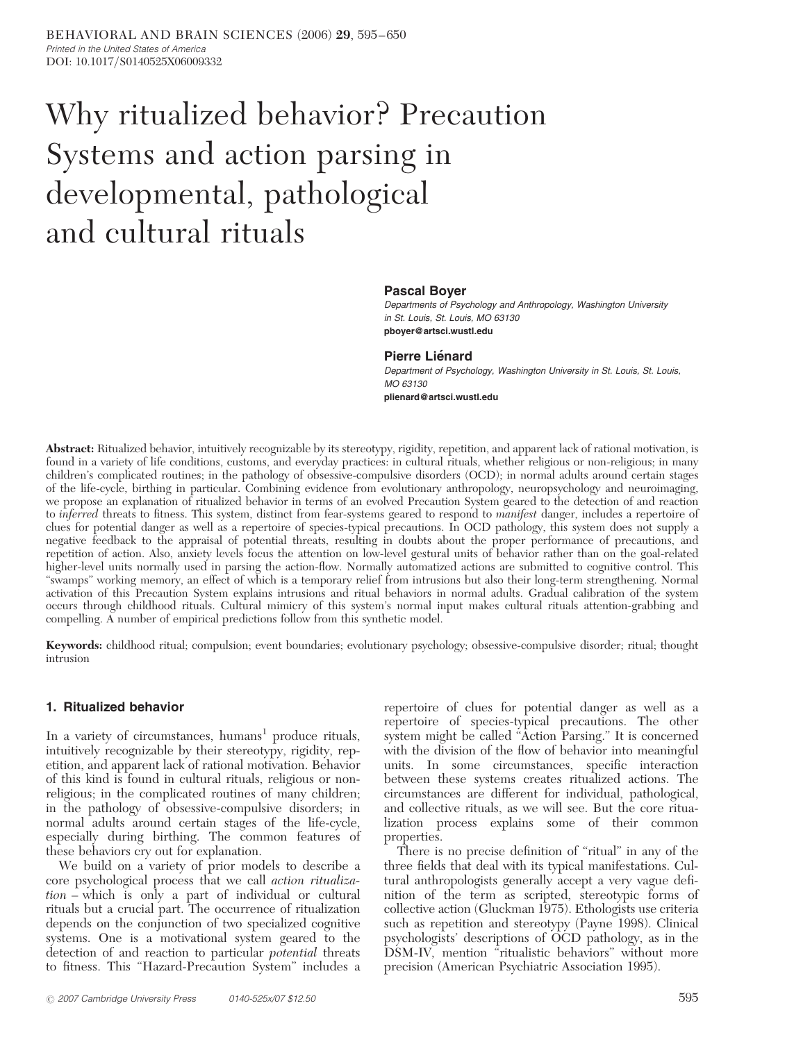# Why ritualized behavior? Precaution Systems and action parsing in developmental, pathological and cultural rituals

## Pascal Boyer

Departments of Psychology and Anthropology, Washington University in St. Louis, St. Louis, MO 63130 pboyer@artsci.wustl.edu

Pierre Liénard

Department of Psychology, Washington University in St. Louis, St. Louis, MO 63130 plienard@artsci.wustl.edu

Abstract: Ritualized behavior, intuitively recognizable by its stereotypy, rigidity, repetition, and apparent lack of rational motivation, is found in a variety of life conditions, customs, and everyday practices: in cultural rituals, whether religious or non-religious; in many children's complicated routines; in the pathology of obsessive-compulsive disorders (OCD); in normal adults around certain stages of the life-cycle, birthing in particular. Combining evidence from evolutionary anthropology, neuropsychology and neuroimaging, we propose an explanation of ritualized behavior in terms of an evolved Precaution System geared to the detection of and reaction to inferred threats to fitness. This system, distinct from fear-systems geared to respond to manifest danger, includes a repertoire of clues for potential danger as well as a repertoire of species-typical precautions. In OCD pathology, this system does not supply a negative feedback to the appraisal of potential threats, resulting in doubts about the proper performance of precautions, and repetition of action. Also, anxiety levels focus the attention on low-level gestural units of behavior rather than on the goal-related higher-level units normally used in parsing the action-flow. Normally automatized actions are submitted to cognitive control. This "swamps" working memory, an effect of which is a temporary relief from intrusions but also their long-term strengthening. Normal activation of this Precaution System explains intrusions and ritual behaviors in normal adults. Gradual calibration of the system occurs through childhood rituals. Cultural mimicry of this system's normal input makes cultural rituals attention-grabbing and compelling. A number of empirical predictions follow from this synthetic model.

Keywords: childhood ritual; compulsion; event boundaries; evolutionary psychology; obsessive-compulsive disorder; ritual; thought intrusion

## 1. Ritualized behavior

In a variety of circumstances,  $\mu$ mans<sup>1</sup> produce rituals, intuitively recognizable by their stereotypy, rigidity, repetition, and apparent lack of rational motivation. Behavior of this kind is found in cultural rituals, religious or nonreligious; in the complicated routines of many children; in the pathology of obsessive-compulsive disorders; in normal adults around certain stages of the life-cycle, especially during birthing. The common features of these behaviors cry out for explanation.

We build on a variety of prior models to describe a core psychological process that we call action ritualization – which is only a part of individual or cultural rituals but a crucial part. The occurrence of ritualization depends on the conjunction of two specialized cognitive systems. One is a motivational system geared to the detection of and reaction to particular *potential* threats to fitness. This "Hazard-Precaution System" includes a repertoire of clues for potential danger as well as a repertoire of species-typical precautions. The other system might be called "Action Parsing." It is concerned with the division of the flow of behavior into meaningful units. In some circumstances, specific interaction between these systems creates ritualized actions. The circumstances are different for individual, pathological, and collective rituals, as we will see. But the core ritualization process explains some of their common properties.

There is no precise definition of "ritual" in any of the three fields that deal with its typical manifestations. Cultural anthropologists generally accept a very vague definition of the term as scripted, stereotypic forms of collective action (Gluckman 1975). Ethologists use criteria such as repetition and stereotypy (Payne 1998). Clinical psychologists' descriptions of OCD pathology, as in the DSM-IV, mention "ritualistic behaviors" without more precision (American Psychiatric Association 1995).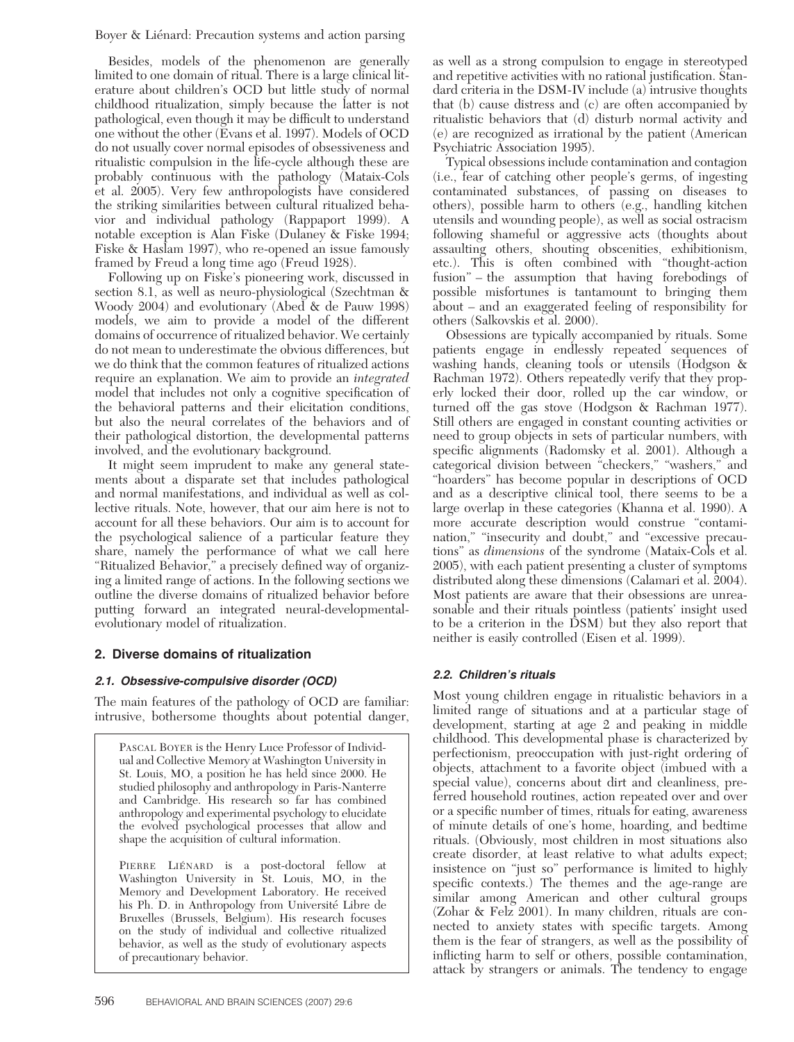Besides, models of the phenomenon are generally limited to one domain of ritual. There is a large clinical literature about children's OCD but little study of normal childhood ritualization, simply because the latter is not pathological, even though it may be difficult to understand one without the other (Evans et al. 1997). Models of OCD do not usually cover normal episodes of obsessiveness and ritualistic compulsion in the life-cycle although these are probably continuous with the pathology (Mataix-Cols et al. 2005). Very few anthropologists have considered the striking similarities between cultural ritualized behavior and individual pathology (Rappaport 1999). A notable exception is Alan Fiske (Dulaney & Fiske 1994; Fiske & Haslam 1997), who re-opened an issue famously framed by Freud a long time ago (Freud 1928).

Following up on Fiske's pioneering work, discussed in section 8.1, as well as neuro-physiological (Szechtman & Woody 2004) and evolutionary (Abed & de Pauw 1998) models, we aim to provide a model of the different domains of occurrence of ritualized behavior. We certainly do not mean to underestimate the obvious differences, but we do think that the common features of ritualized actions require an explanation. We aim to provide an integrated model that includes not only a cognitive specification of the behavioral patterns and their elicitation conditions, but also the neural correlates of the behaviors and of their pathological distortion, the developmental patterns involved, and the evolutionary background.

It might seem imprudent to make any general statements about a disparate set that includes pathological and normal manifestations, and individual as well as collective rituals. Note, however, that our aim here is not to account for all these behaviors. Our aim is to account for the psychological salience of a particular feature they share, namely the performance of what we call here "Ritualized Behavior," a precisely defined way of organizing a limited range of actions. In the following sections we outline the diverse domains of ritualized behavior before putting forward an integrated neural-developmentalevolutionary model of ritualization.

## 2. Diverse domains of ritualization

## 2.1. Obsessive-compulsive disorder (OCD)

The main features of the pathology of OCD are familiar: intrusive, bothersome thoughts about potential danger,

PASCAL BOYER is the Henry Luce Professor of Individual and Collective Memory at Washington University in St. Louis, MO, a position he has held since 2000. He studied philosophy and anthropology in Paris-Nanterre and Cambridge. His research so far has combined anthropology and experimental psychology to elucidate the evolved psychological processes that allow and shape the acquisition of cultural information.

PIERRE LIÉNARD is a post-doctoral fellow at Washington University in St. Louis, MO, in the Memory and Development Laboratory. He received his Ph. D. in Anthropology from Université Libre de Bruxelles (Brussels, Belgium). His research focuses on the study of individual and collective ritualized behavior, as well as the study of evolutionary aspects of precautionary behavior.

as well as a strong compulsion to engage in stereotyped and repetitive activities with no rational justification. Standard criteria in the DSM-IV include (a) intrusive thoughts that (b) cause distress and (c) are often accompanied by ritualistic behaviors that (d) disturb normal activity and (e) are recognized as irrational by the patient (American Psychiatric Association 1995).

Typical obsessions include contamination and contagion (i.e., fear of catching other people's germs, of ingesting contaminated substances, of passing on diseases to others), possible harm to others (e.g., handling kitchen utensils and wounding people), as well as social ostracism following shameful or aggressive acts (thoughts about assaulting others, shouting obscenities, exhibitionism, etc.). This is often combined with "thought-action fusion" – the assumption that having forebodings of possible misfortunes is tantamount to bringing them about – and an exaggerated feeling of responsibility for others (Salkovskis et al. 2000).

Obsessions are typically accompanied by rituals. Some patients engage in endlessly repeated sequences of washing hands, cleaning tools or utensils (Hodgson & Rachman 1972). Others repeatedly verify that they properly locked their door, rolled up the car window, or turned off the gas stove (Hodgson & Rachman 1977). Still others are engaged in constant counting activities or need to group objects in sets of particular numbers, with specific alignments (Radomsky et al. 2001). Although a categorical division between "checkers," "washers," and "hoarders" has become popular in descriptions of OCD and as a descriptive clinical tool, there seems to be a large overlap in these categories (Khanna et al. 1990). A more accurate description would construe "contamination," "insecurity and doubt," and "excessive precautions" as dimensions of the syndrome (Mataix-Cols et al. 2005), with each patient presenting a cluster of symptoms distributed along these dimensions (Calamari et al. 2004). Most patients are aware that their obsessions are unreasonable and their rituals pointless (patients' insight used to be a criterion in the DSM) but they also report that neither is easily controlled (Eisen et al. 1999).

## 2.2. Children's rituals

Most young children engage in ritualistic behaviors in a limited range of situations and at a particular stage of development, starting at age 2 and peaking in middle childhood. This developmental phase is characterized by perfectionism, preoccupation with just-right ordering of objects, attachment to a favorite object (imbued with a special value), concerns about dirt and cleanliness, preferred household routines, action repeated over and over or a specific number of times, rituals for eating, awareness of minute details of one's home, hoarding, and bedtime rituals. (Obviously, most children in most situations also create disorder, at least relative to what adults expect; insistence on "just so" performance is limited to highly specific contexts.) The themes and the age-range are similar among American and other cultural groups (Zohar & Felz 2001). In many children, rituals are connected to anxiety states with specific targets. Among them is the fear of strangers, as well as the possibility of inflicting harm to self or others, possible contamination, attack by strangers or animals. The tendency to engage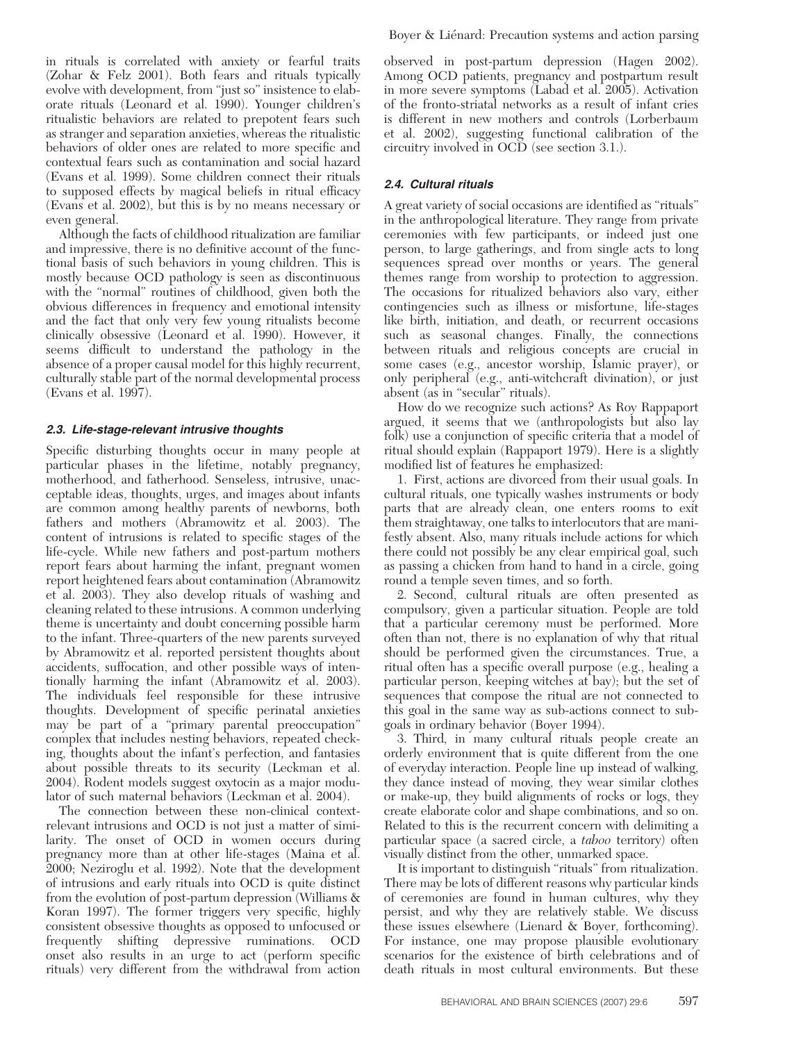in rituals is correlated with anxiety or fearful traits (Zohar & Felz 2001). Both fears and rituals typically evolve with development, from "just so" insistence to elaborate rituals (Leonard et al. 1990). Younger children's ritualistic behaviors are related to prepotent fears such as stranger and separation anxieties, whereas the ritualistic behaviors of older ones are related to more specific and contextual fears such as contamination and social hazard (Evans et al. 1999). Some children connect their rituals to supposed effects by magical beliefs in ritual efficacy (Evans et al. 2002), but this is by no means necessary or even general.

Although the facts of childhood ritualization are familiar and impressive, there is no definitive account of the functional basis of such behaviors in young children. This is mostly because OCD pathology is seen as discontinuous with the "normal" routines of childhood, given both the obvious differences in frequency and emotional intensity and the fact that only very few young ritualists become clinically obsessive (Leonard et al. 1990). However, it seems difficult to understand the pathology in the absence of a proper causal model for this highly recurrent, culturally stable part of the normal developmental process (Evans et al. 1997).

## 2.3. Life-stage-relevant intrusive thoughts

Specific disturbing thoughts occur in many people at particular phases in the lifetime, notably pregnancy, motherhood, and fatherhood. Senseless, intrusive, unacceptable ideas, thoughts, urges, and images about infants are common among healthy parents of newborns, both fathers and mothers (Abramowitz et al. 2003). The content of intrusions is related to specific stages of the life-cycle. While new fathers and post-partum mothers report fears about harming the infant, pregnant women report heightened fears about contamination (Abramowitz et al. 2003). They also develop rituals of washing and cleaning related to these intrusions. A common underlying theme is uncertainty and doubt concerning possible harm to the infant. Three-quarters of the new parents surveyed by Abramowitz et al. reported persistent thoughts about accidents, suffocation, and other possible ways of intentionally harming the infant (Abramowitz et al. 2003). The individuals feel responsible for these intrusive thoughts. Development of specific perinatal anxieties may be part of a "primary parental preoccupation" complex that includes nesting behaviors, repeated checking, thoughts about the infant's perfection, and fantasies about possible threats to its security (Leckman et al. 2004). Rodent models suggest oxytocin as a major modulator of such maternal behaviors (Leckman et al. 2004).

The connection between these non-clinical contextrelevant intrusions and OCD is not just a matter of similarity. The onset of OCD in women occurs during pregnancy more than at other life-stages (Maina et al. 2000; Neziroglu et al. 1992). Note that the development of intrusions and early rituals into OCD is quite distinct from the evolution of post-partum depression (Williams & Koran 1997). The former triggers very specific, highly consistent obsessive thoughts as opposed to unfocused or frequently shifting depressive ruminations. OCD onset also results in an urge to act (perform specific rituals) very different from the withdrawal from action

observed in post-partum depression (Hagen 2002). Among OCD patients, pregnancy and postpartum result in more severe symptoms (Labad et al. 2005). Activation of the fronto-striatal networks as a result of infant cries is different in new mothers and controls (Lorberbaum et al. 2002), suggesting functional calibration of the circuitry involved in OCD (see section 3.1.).

## 2.4. Cultural rituals

A great variety of social occasions are identified as "rituals" in the anthropological literature. They range from private ceremonies with few participants, or indeed just one person, to large gatherings, and from single acts to long sequences spread over months or years. The general themes range from worship to protection to aggression. The occasions for ritualized behaviors also vary, either contingencies such as illness or misfortune, life-stages like birth, initiation, and death, or recurrent occasions such as seasonal changes. Finally, the connections between rituals and religious concepts are crucial in some cases (e.g., ancestor worship, Islamic prayer), or only peripheral (e.g., anti-witchcraft divination), or just absent (as in "secular" rituals).

How do we recognize such actions? As Roy Rappaport argued, it seems that we (anthropologists but also lay folk) use a conjunction of specific criteria that a model of ritual should explain (Rappaport 1979). Here is a slightly modified list of features he emphasized:

1. First, actions are divorced from their usual goals. In cultural rituals, one typically washes instruments or body parts that are already clean, one enters rooms to exit them straightaway, one talks to interlocutors that are manifestly absent. Also, many rituals include actions for which there could not possibly be any clear empirical goal, such as passing a chicken from hand to hand in a circle, going round a temple seven times, and so forth.

2. Second, cultural rituals are often presented as compulsory, given a particular situation. People are told that a particular ceremony must be performed. More often than not, there is no explanation of why that ritual should be performed given the circumstances. True, a ritual often has a specific overall purpose (e.g., healing a particular person, keeping witches at bay); but the set of sequences that compose the ritual are not connected to this goal in the same way as sub-actions connect to subgoals in ordinary behavior (Boyer 1994).

3. Third, in many cultural rituals people create an orderly environment that is quite different from the one of everyday interaction. People line up instead of walking, they dance instead of moving, they wear similar clothes or make-up, they build alignments of rocks or logs, they create elaborate color and shape combinations, and so on. Related to this is the recurrent concern with delimiting a particular space (a sacred circle, a taboo territory) often visually distinct from the other, unmarked space.

It is important to distinguish "rituals" from ritualization. There may be lots of different reasons why particular kinds of ceremonies are found in human cultures, why they persist, and why they are relatively stable. We discuss these issues elsewhere (Lienard & Boyer, forthcoming). For instance, one may propose plausible evolutionary scenarios for the existence of birth celebrations and of death rituals in most cultural environments. But these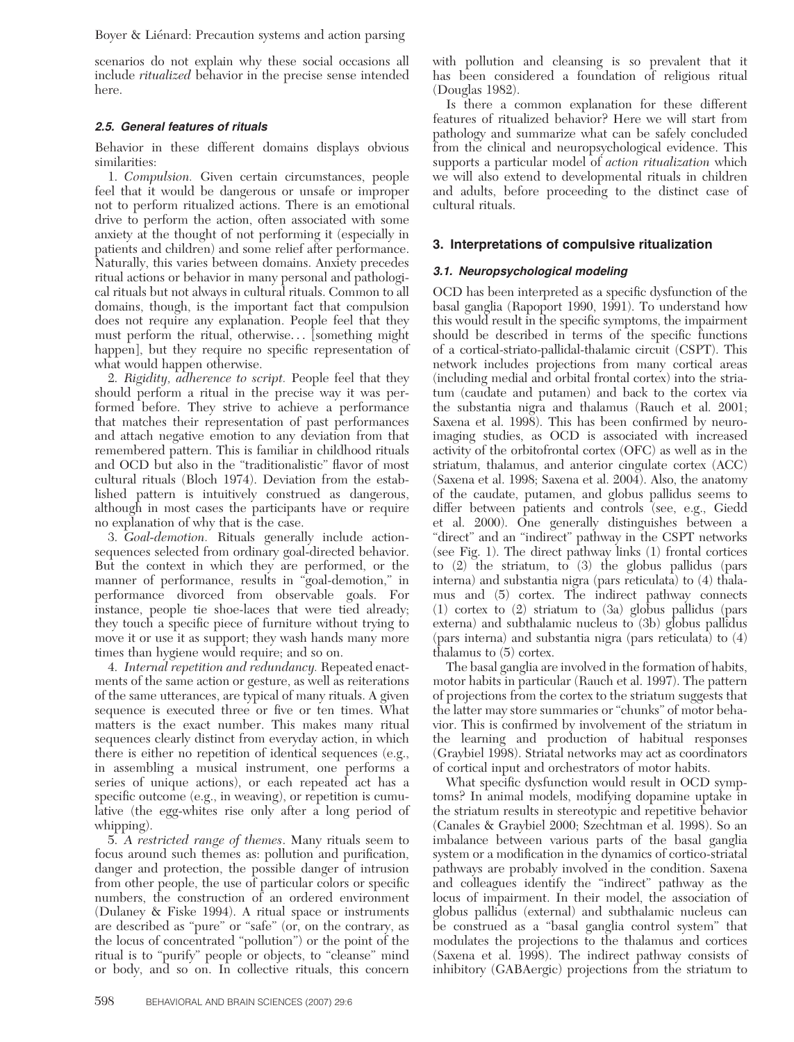scenarios do not explain why these social occasions all include ritualized behavior in the precise sense intended here.

## 2.5. General features of rituals

Behavior in these different domains displays obvious similarities:

1. Compulsion. Given certain circumstances, people feel that it would be dangerous or unsafe or improper not to perform ritualized actions. There is an emotional drive to perform the action, often associated with some anxiety at the thought of not performing it (especially in patients and children) and some relief after performance. Naturally, this varies between domains. Anxiety precedes ritual actions or behavior in many personal and pathological rituals but not always in cultural rituals. Common to all domains, though, is the important fact that compulsion does not require any explanation. People feel that they must perform the ritual, otherwise... [something might happen], but they require no specific representation of what would happen otherwise.

2. Rigidity, adherence to script. People feel that they should perform a ritual in the precise way it was performed before. They strive to achieve a performance that matches their representation of past performances and attach negative emotion to any deviation from that remembered pattern. This is familiar in childhood rituals and OCD but also in the "traditionalistic" flavor of most cultural rituals (Bloch 1974). Deviation from the established pattern is intuitively construed as dangerous, although in most cases the participants have or require no explanation of why that is the case.

3. Goal-demotion. Rituals generally include actionsequences selected from ordinary goal-directed behavior. But the context in which they are performed, or the manner of performance, results in "goal-demotion," in performance divorced from observable goals. For instance, people tie shoe-laces that were tied already; they touch a specific piece of furniture without trying to move it or use it as support; they wash hands many more times than hygiene would require; and so on.

4. Internal repetition and redundancy. Repeated enactments of the same action or gesture, as well as reiterations of the same utterances, are typical of many rituals. A given sequence is executed three or five or ten times. What matters is the exact number. This makes many ritual sequences clearly distinct from everyday action, in which there is either no repetition of identical sequences (e.g., in assembling a musical instrument, one performs a series of unique actions), or each repeated act has a specific outcome (e.g., in weaving), or repetition is cumulative (the egg-whites rise only after a long period of whipping).

5. A restricted range of themes. Many rituals seem to focus around such themes as: pollution and purification, danger and protection, the possible danger of intrusion from other people, the use of particular colors or specific numbers, the construction of an ordered environment (Dulaney & Fiske 1994). A ritual space or instruments are described as "pure" or "safe" (or, on the contrary, as the locus of concentrated "pollution") or the point of the ritual is to "purify" people or objects, to "cleanse" mind or body, and so on. In collective rituals, this concern

with pollution and cleansing is so prevalent that it has been considered a foundation of religious ritual (Douglas 1982).

Is there a common explanation for these different features of ritualized behavior? Here we will start from pathology and summarize what can be safely concluded from the clinical and neuropsychological evidence. This supports a particular model of *action ritualization* which we will also extend to developmental rituals in children and adults, before proceeding to the distinct case of cultural rituals.

## 3. Interpretations of compulsive ritualization

## 3.1. Neuropsychological modeling

OCD has been interpreted as a specific dysfunction of the basal ganglia (Rapoport 1990, 1991). To understand how this would result in the specific symptoms, the impairment should be described in terms of the specific functions of a cortical-striato-pallidal-thalamic circuit (CSPT). This network includes projections from many cortical areas (including medial and orbital frontal cortex) into the striatum (caudate and putamen) and back to the cortex via the substantia nigra and thalamus (Rauch et al. 2001; Saxena et al. 1998). This has been confirmed by neuroimaging studies, as OCD is associated with increased activity of the orbitofrontal cortex (OFC) as well as in the striatum, thalamus, and anterior cingulate cortex (ACC) (Saxena et al. 1998; Saxena et al. 2004). Also, the anatomy of the caudate, putamen, and globus pallidus seems to differ between patients and controls (see, e.g., Giedd et al. 2000). One generally distinguishes between a "direct" and an "indirect" pathway in the CSPT networks (see Fig. 1). The direct pathway links (1) frontal cortices to (2) the striatum, to (3) the globus pallidus (pars interna) and substantia nigra (pars reticulata) to (4) thalamus and (5) cortex. The indirect pathway connects (1) cortex to (2) striatum to (3a) globus pallidus (pars externa) and subthalamic nucleus to (3b) globus pallidus (pars interna) and substantia nigra (pars reticulata) to (4) thalamus to (5) cortex.

The basal ganglia are involved in the formation of habits, motor habits in particular (Rauch et al. 1997). The pattern of projections from the cortex to the striatum suggests that the latter may store summaries or "chunks" of motor behavior. This is confirmed by involvement of the striatum in the learning and production of habitual responses (Graybiel 1998). Striatal networks may act as coordinators of cortical input and orchestrators of motor habits.

What specific dysfunction would result in OCD symptoms? In animal models, modifying dopamine uptake in the striatum results in stereotypic and repetitive behavior (Canales & Graybiel 2000; Szechtman et al. 1998). So an imbalance between various parts of the basal ganglia system or a modification in the dynamics of cortico-striatal pathways are probably involved in the condition. Saxena and colleagues identify the "indirect" pathway as the locus of impairment. In their model, the association of globus pallidus (external) and subthalamic nucleus can be construed as a "basal ganglia control system" that modulates the projections to the thalamus and cortices (Saxena et al. 1998). The indirect pathway consists of inhibitory (GABAergic) projections from the striatum to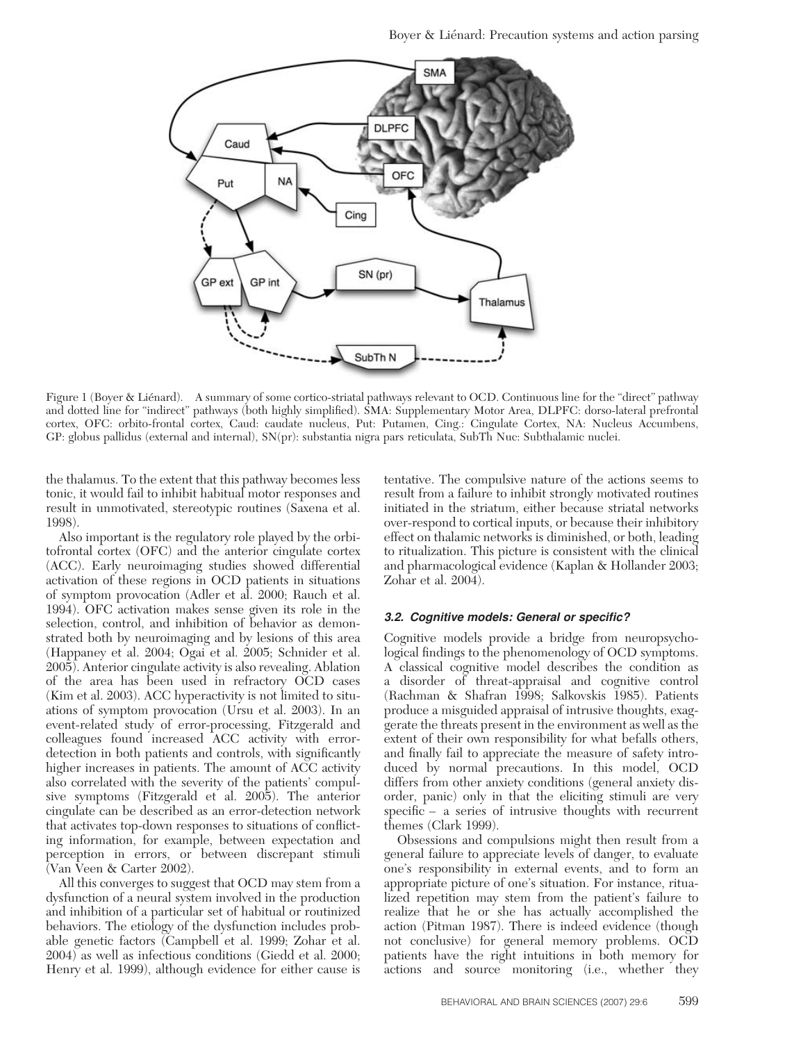

Figure 1 (Boyer & Liénard). A summary of some cortico-striatal pathways relevant to OCD. Continuous line for the "direct" pathway and dotted line for "indirect" pathways (both highly simplified). SMA: Supplementary Motor Area, DLPFC: dorso-lateral prefrontal cortex, OFC: orbito-frontal cortex, Caud: caudate nucleus, Put: Putamen, Cing.: Cingulate Cortex, NA: Nucleus Accumbens, GP: globus pallidus (external and internal), SN(pr): substantia nigra pars reticulata, SubTh Nuc: Subthalamic nuclei.

the thalamus. To the extent that this pathway becomes less tonic, it would fail to inhibit habitual motor responses and result in unmotivated, stereotypic routines (Saxena et al. 1998).

Also important is the regulatory role played by the orbitofrontal cortex (OFC) and the anterior cingulate cortex (ACC). Early neuroimaging studies showed differential activation of these regions in OCD patients in situations of symptom provocation (Adler et al. 2000; Rauch et al. 1994). OFC activation makes sense given its role in the selection, control, and inhibition of behavior as demonstrated both by neuroimaging and by lesions of this area (Happaney et al. 2004; Ogai et al. 2005; Schnider et al. 2005). Anterior cingulate activity is also revealing. Ablation of the area has been used in refractory OCD cases (Kim et al. 2003). ACC hyperactivity is not limited to situations of symptom provocation (Ursu et al. 2003). In an event-related study of error-processing, Fitzgerald and colleagues found increased ACC activity with errordetection in both patients and controls, with significantly higher increases in patients. The amount of ACC activity also correlated with the severity of the patients' compulsive symptoms (Fitzgerald et al. 2005). The anterior cingulate can be described as an error-detection network that activates top-down responses to situations of conflicting information, for example, between expectation and perception in errors, or between discrepant stimuli (Van Veen & Carter 2002).

All this converges to suggest that OCD may stem from a dysfunction of a neural system involved in the production and inhibition of a particular set of habitual or routinized behaviors. The etiology of the dysfunction includes probable genetic factors (Campbell et al. 1999; Zohar et al. 2004) as well as infectious conditions (Giedd et al. 2000; Henry et al. 1999), although evidence for either cause is

tentative. The compulsive nature of the actions seems to result from a failure to inhibit strongly motivated routines initiated in the striatum, either because striatal networks over-respond to cortical inputs, or because their inhibitory effect on thalamic networks is diminished, or both, leading to ritualization. This picture is consistent with the clinical and pharmacological evidence (Kaplan & Hollander 2003; Zohar et al.  $2004$ ).

#### 3.2. Cognitive models: General or specific?

Cognitive models provide a bridge from neuropsychological findings to the phenomenology of OCD symptoms. A classical cognitive model describes the condition as a disorder of threat-appraisal and cognitive control (Rachman & Shafran 1998; Salkovskis 1985). Patients produce a misguided appraisal of intrusive thoughts, exaggerate the threats present in the environment as well as the extent of their own responsibility for what befalls others, and finally fail to appreciate the measure of safety introduced by normal precautions. In this model, OCD differs from other anxiety conditions (general anxiety disorder, panic) only in that the eliciting stimuli are very specific – a series of intrusive thoughts with recurrent themes (Clark 1999).

Obsessions and compulsions might then result from a general failure to appreciate levels of danger, to evaluate one's responsibility in external events, and to form an appropriate picture of one's situation. For instance, ritualized repetition may stem from the patient's failure to realize that he or she has actually accomplished the action (Pitman 1987). There is indeed evidence (though not conclusive) for general memory problems. OCD patients have the right intuitions in both memory for actions and source monitoring (i.e., whether they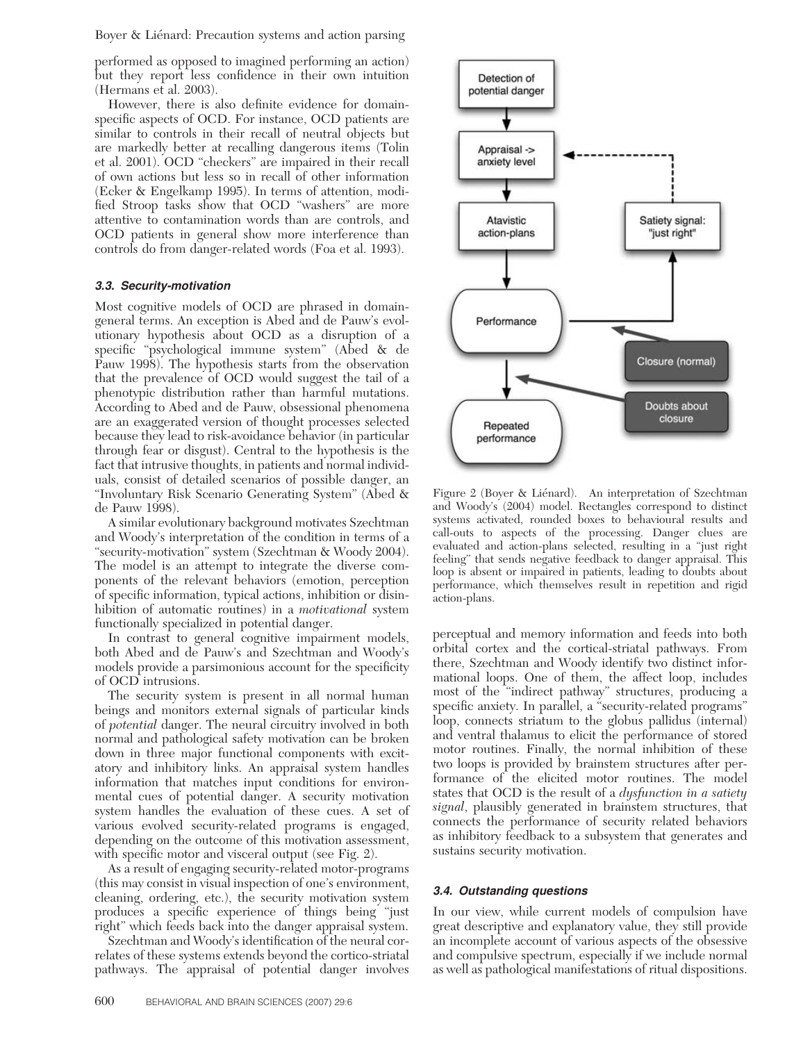performed as opposed to imagined performing an action) but they report less confidence in their own intuition (Hermans et al. 2003).

However, there is also definite evidence for domainspecific aspects of OCD. For instance, OCD patients are similar to controls in their recall of neutral objects but are markedly better at recalling dangerous items (Tolin et al. 2001). OCD "checkers" are impaired in their recall of own actions but less so in recall of other information (Ecker & Engelkamp 1995). In terms of attention, modified Stroop tasks show that OCD "washers" are more attentive to contamination words than are controls, and OCD patients in general show more interference than controls do from danger-related words (Foa et al. 1993).

## 3.3. Security-motivation

Most cognitive models of OCD are phrased in domaingeneral terms. An exception is Abed and de Pauw's evolutionary hypothesis about OCD as a disruption of a specific "psychological immune system" (Abed & de Pauw 1998). The hypothesis starts from the observation that the prevalence of OCD would suggest the tail of a phenotypic distribution rather than harmful mutations. According to Abed and de Pauw, obsessional phenomena are an exaggerated version of thought processes selected because they lead to risk-avoidance behavior (in particular through fear or disgust). Central to the hypothesis is the fact that intrusive thoughts, in patients and normal individuals, consist of detailed scenarios of possible danger, an "Involuntary Risk Scenario Generating System" (Abed & de Pauw 1998).

A similar evolutionary background motivates Szechtman and Woody's interpretation of the condition in terms of a "security-motivation" system (Szechtman & Woody 2004). The model is an attempt to integrate the diverse components of the relevant behaviors (emotion, perception of specific information, typical actions, inhibition or disinhibition of automatic routines) in a *motivational* system functionally specialized in potential danger.

In contrast to general cognitive impairment models, both Abed and de Pauw's and Szechtman and Woody's models provide a parsimonious account for the specificity of OCD intrusions.

The security system is present in all normal human beings and monitors external signals of particular kinds of potential danger. The neural circuitry involved in both normal and pathological safety motivation can be broken down in three major functional components with excitatory and inhibitory links. An appraisal system handles information that matches input conditions for environmental cues of potential danger. A security motivation system handles the evaluation of these cues. A set of various evolved security-related programs is engaged, depending on the outcome of this motivation assessment, with specific motor and visceral output (see Fig. 2).

As a result of engaging security-related motor-programs (this may consist in visual inspection of one's environment, cleaning, ordering, etc.), the security motivation system produces a specific experience of things being "just right" which feeds back into the danger appraisal system.

Szechtman and Woody's identification of the neural correlates of these systems extends beyond the cortico-striatal pathways. The appraisal of potential danger involves



Figure 2 (Boyer & Liénard). An interpretation of Szechtman and Woody's (2004) model. Rectangles correspond to distinct systems activated, rounded boxes to behavioural results and call-outs to aspects of the processing. Danger clues are evaluated and action-plans selected, resulting in a "just right feeling" that sends negative feedback to danger appraisal. This loop is absent or impaired in patients, leading to doubts about performance, which themselves result in repetition and rigid action-plans.

perceptual and memory information and feeds into both orbital cortex and the cortical-striatal pathways. From there, Szechtman and Woody identify two distinct informational loops. One of them, the affect loop, includes most of the "indirect pathway" structures, producing a specific anxiety. In parallel, a "security-related programs" loop, connects striatum to the globus pallidus (internal) and ventral thalamus to elicit the performance of stored motor routines. Finally, the normal inhibition of these two loops is provided by brainstem structures after performance of the elicited motor routines. The model states that OCD is the result of a *dysfunction in a satiety* signal, plausibly generated in brainstem structures, that connects the performance of security related behaviors as inhibitory feedback to a subsystem that generates and sustains security motivation.

#### 3.4. Outstanding questions

In our view, while current models of compulsion have great descriptive and explanatory value, they still provide an incomplete account of various aspects of the obsessive and compulsive spectrum, especially if we include normal as well as pathological manifestations of ritual dispositions.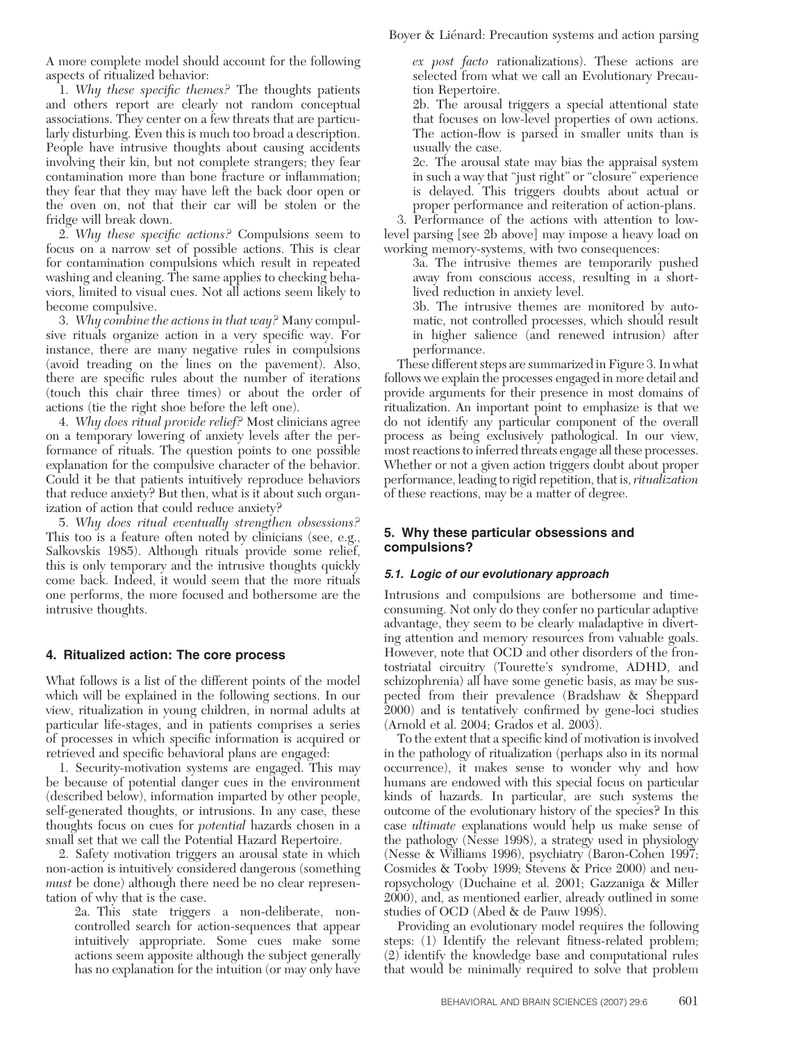A more complete model should account for the following aspects of ritualized behavior:

1. Why these specific themes? The thoughts patients and others report are clearly not random conceptual associations. They center on a few threats that are particularly disturbing. Even this is much too broad a description. People have intrusive thoughts about causing accidents involving their kin, but not complete strangers; they fear contamination more than bone fracture or inflammation; they fear that they may have left the back door open or the oven on, not that their car will be stolen or the fridge will break down.

2. Why these specific actions? Compulsions seem to focus on a narrow set of possible actions. This is clear for contamination compulsions which result in repeated washing and cleaning. The same applies to checking behaviors, limited to visual cues. Not all actions seem likely to become compulsive.

3. Why combine the actions in that way? Many compulsive rituals organize action in a very specific way. For instance, there are many negative rules in compulsions (avoid treading on the lines on the pavement). Also, there are specific rules about the number of iterations (touch this chair three times) or about the order of actions (tie the right shoe before the left one).

4. Why does ritual provide relief? Most clinicians agree on a temporary lowering of anxiety levels after the performance of rituals. The question points to one possible explanation for the compulsive character of the behavior. Could it be that patients intuitively reproduce behaviors that reduce anxiety? But then, what is it about such organization of action that could reduce anxiety?

5. Why does ritual eventually strengthen obsessions? This too is a feature often noted by clinicians (see, e.g., Salkovskis 1985). Although rituals provide some relief, this is only temporary and the intrusive thoughts quickly come back. Indeed, it would seem that the more rituals one performs, the more focused and bothersome are the intrusive thoughts.

#### 4. Ritualized action: The core process

What follows is a list of the different points of the model which will be explained in the following sections. In our view, ritualization in young children, in normal adults at particular life-stages, and in patients comprises a series of processes in which specific information is acquired or retrieved and specific behavioral plans are engaged:

1. Security-motivation systems are engaged. This may be because of potential danger cues in the environment (described below), information imparted by other people, self-generated thoughts, or intrusions. In any case, these thoughts focus on cues for potential hazards chosen in a small set that we call the Potential Hazard Repertoire.

2. Safety motivation triggers an arousal state in which non-action is intuitively considered dangerous (something must be done) although there need be no clear representation of why that is the case.

2a. This state triggers a non-deliberate, noncontrolled search for action-sequences that appear intuitively appropriate. Some cues make some actions seem apposite although the subject generally has no explanation for the intuition (or may only have

ex post facto rationalizations). These actions are selected from what we call an Evolutionary Precaution Repertoire.

2b. The arousal triggers a special attentional state that focuses on low-level properties of own actions. The action-flow is parsed in smaller units than is usually the case.

2c. The arousal state may bias the appraisal system in such a way that "just right" or "closure" experience is delayed. This triggers doubts about actual or proper performance and reiteration of action-plans.

3. Performance of the actions with attention to lowlevel parsing [see 2b above] may impose a heavy load on working memory-systems, with two consequences:

3a. The intrusive themes are temporarily pushed away from conscious access, resulting in a shortlived reduction in anxiety level.

3b. The intrusive themes are monitored by automatic, not controlled processes, which should result in higher salience (and renewed intrusion) after performance.

These different steps are summarized in Figure 3. In what follows we explain the processes engaged in more detail and provide arguments for their presence in most domains of ritualization. An important point to emphasize is that we do not identify any particular component of the overall process as being exclusively pathological. In our view, most reactions to inferred threats engage all these processes. Whether or not a given action triggers doubt about proper performance, leading to rigid repetition, that is, ritualization of these reactions, may be a matter of degree.

## 5. Why these particular obsessions and compulsions?

## 5.1. Logic of our evolutionary approach

Intrusions and compulsions are bothersome and timeconsuming. Not only do they confer no particular adaptive advantage, they seem to be clearly maladaptive in diverting attention and memory resources from valuable goals. However, note that OCD and other disorders of the frontostriatal circuitry (Tourette's syndrome, ADHD, and schizophrenia) all have some genetic basis, as may be suspected from their prevalence (Bradshaw & Sheppard 2000) and is tentatively confirmed by gene-loci studies (Arnold et al. 2004; Grados et al. 2003).

To the extent that a specific kind of motivation is involved in the pathology of ritualization (perhaps also in its normal occurrence), it makes sense to wonder why and how humans are endowed with this special focus on particular kinds of hazards. In particular, are such systems the outcome of the evolutionary history of the species? In this case ultimate explanations would help us make sense of the pathology (Nesse 1998), a strategy used in physiology (Nesse & Williams 1996), psychiatry (Baron-Cohen 1997; Cosmides & Tooby 1999; Stevens & Price 2000) and neuropsychology (Duchaine et al. 2001; Gazzaniga & Miller 2000), and, as mentioned earlier, already outlined in some studies of OCD (Abed & de Pauw 1998).

Providing an evolutionary model requires the following steps: (1) Identify the relevant fitness-related problem; (2) identify the knowledge base and computational rules that would be minimally required to solve that problem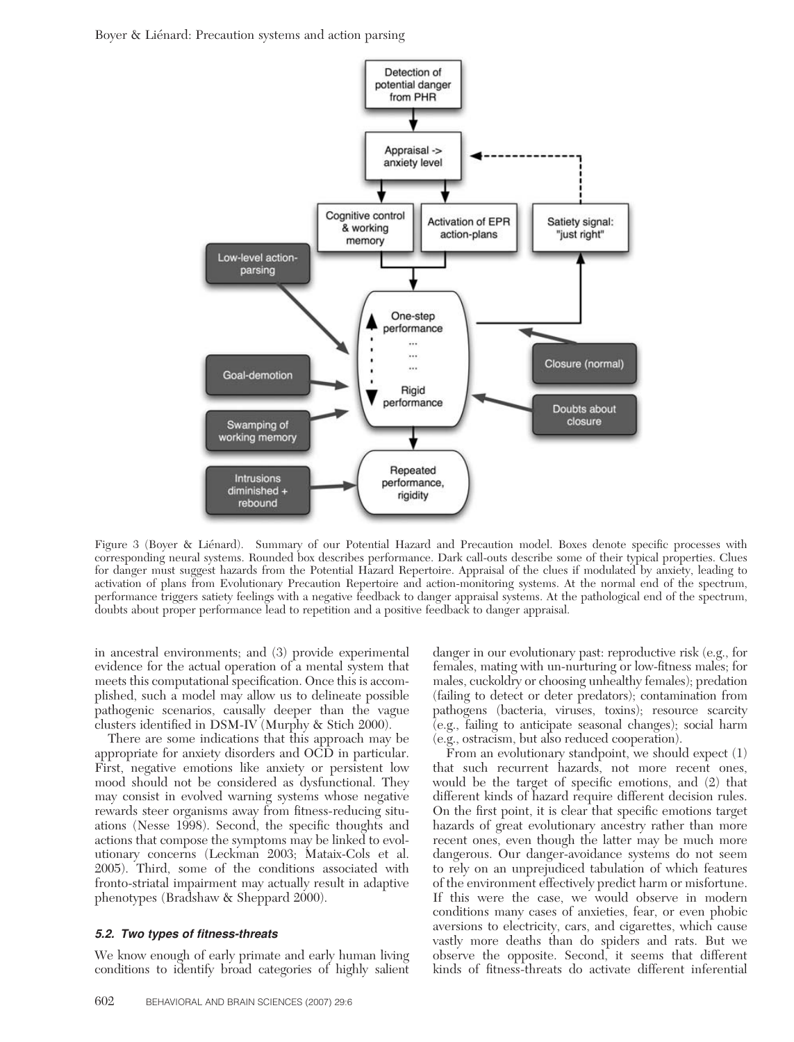

Figure 3 (Boyer & Liénard). Summary of our Potential Hazard and Precaution model. Boxes denote specific processes with corresponding neural systems. Rounded box describes performance. Dark call-outs describe some of their typical properties. Clues for danger must suggest hazards from the Potential Hazard Repertoire. Appraisal of the clues if modulated by anxiety, leading to activation of plans from Evolutionary Precaution Repertoire and action-monitoring systems. At the normal end of the spectrum, performance triggers satiety feelings with a negative feedback to danger appraisal systems. At the pathological end of the spectrum, doubts about proper performance lead to repetition and a positive feedback to danger appraisal.

in ancestral environments; and (3) provide experimental evidence for the actual operation of a mental system that meets this computational specification. Once this is accomplished, such a model may allow us to delineate possible pathogenic scenarios, causally deeper than the vague clusters identified in DSM-IV (Murphy & Stich 2000).

There are some indications that this approach may be appropriate for anxiety disorders and OCD in particular. First, negative emotions like anxiety or persistent low mood should not be considered as dysfunctional. They may consist in evolved warning systems whose negative rewards steer organisms away from fitness-reducing situations (Nesse 1998). Second, the specific thoughts and actions that compose the symptoms may be linked to evolutionary concerns (Leckman 2003; Mataix-Cols et al. 2005). Third, some of the conditions associated with fronto-striatal impairment may actually result in adaptive phenotypes (Bradshaw & Sheppard 2000).

#### 5.2. Two types of fitness-threats

We know enough of early primate and early human living conditions to identify broad categories of highly salient danger in our evolutionary past: reproductive risk (e.g., for females, mating with un-nurturing or low-fitness males; for males, cuckoldry or choosing unhealthy females); predation (failing to detect or deter predators); contamination from pathogens (bacteria, viruses, toxins); resource scarcity (e.g., failing to anticipate seasonal changes); social harm (e.g., ostracism, but also reduced cooperation).

From an evolutionary standpoint, we should expect (1) that such recurrent hazards, not more recent ones, would be the target of specific emotions, and (2) that different kinds of hazard require different decision rules. On the first point, it is clear that specific emotions target hazards of great evolutionary ancestry rather than more recent ones, even though the latter may be much more dangerous. Our danger-avoidance systems do not seem to rely on an unprejudiced tabulation of which features of the environment effectively predict harm or misfortune. If this were the case, we would observe in modern conditions many cases of anxieties, fear, or even phobic aversions to electricity, cars, and cigarettes, which cause vastly more deaths than do spiders and rats. But we observe the opposite. Second, it seems that different kinds of fitness-threats do activate different inferential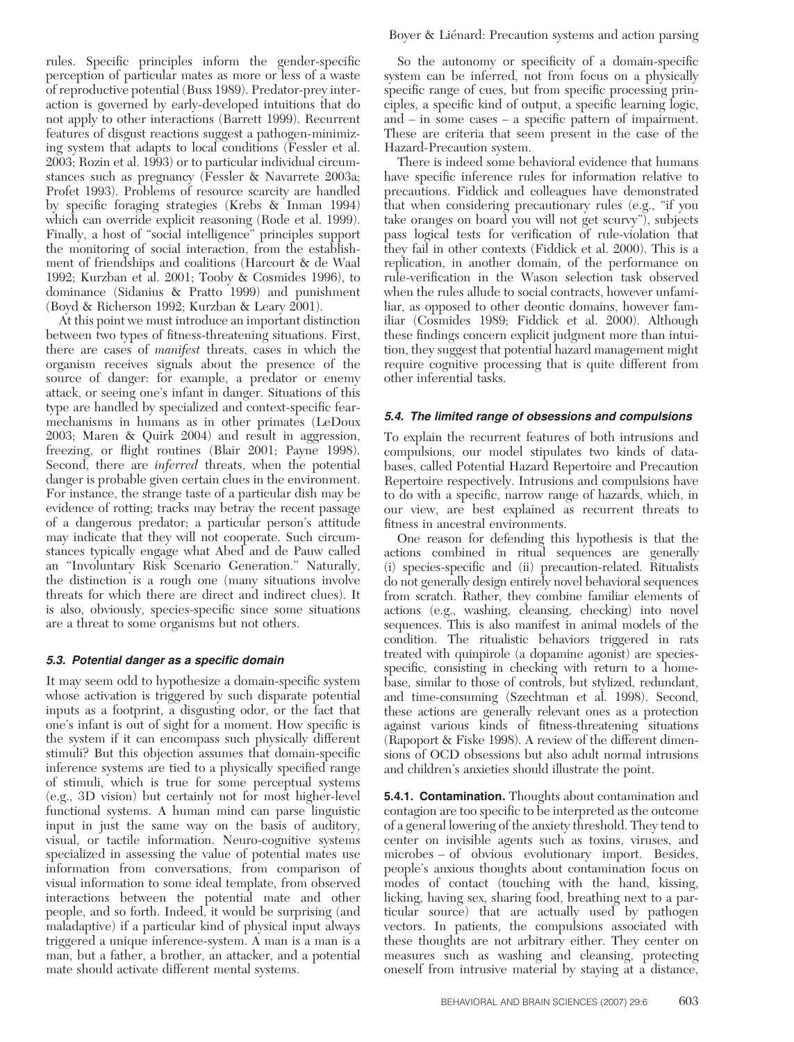rules. Specific principles inform the gender-specific perception of particular mates as more or less of a waste of reproductive potential (Buss 1989). Predator-prey interaction is governed by early-developed intuitions that do not apply to other interactions (Barrett 1999). Recurrent features of disgust reactions suggest a pathogen-minimizing system that adapts to local conditions (Fessler et al. 2003; Rozin et al. 1993) or to particular individual circumstances such as pregnancy (Fessler & Navarrete 2003a; Profet 1993). Problems of resource scarcity are handled by specific foraging strategies (Krebs & Inman 1994) which can override explicit reasoning (Rode et al. 1999). Finally, a host of "social intelligence" principles support the monitoring of social interaction, from the establishment of friendships and coalitions (Harcourt & de Waal 1992; Kurzban et al. 2001; Tooby & Cosmides 1996), to dominance (Sidanius & Pratto 1999) and punishment (Boyd & Richerson 1992; Kurzban & Leary 2001).

At this point we must introduce an important distinction between two types of fitness-threatening situations. First, there are cases of manifest threats, cases in which the organism receives signals about the presence of the source of danger: for example, a predator or enemy attack, or seeing one's infant in danger. Situations of this type are handled by specialized and context-specific fearmechanisms in humans as in other primates (LeDoux 2003; Maren & Quirk 2004) and result in aggression, freezing, or flight routines (Blair 2001; Payne 1998). Second, there are inferred threats, when the potential danger is probable given certain clues in the environment. For instance, the strange taste of a particular dish may be evidence of rotting; tracks may betray the recent passage of a dangerous predator; a particular person's attitude may indicate that they will not cooperate. Such circumstances typically engage what Abed and de Pauw called an "Involuntary Risk Scenario Generation." Naturally, the distinction is a rough one (many situations involve threats for which there are direct and indirect clues). It is also, obviously, species-specific since some situations are a threat to some organisms but not others.

#### 5.3. Potential danger as a specific domain

It may seem odd to hypothesize a domain-specific system whose activation is triggered by such disparate potential inputs as a footprint, a disgusting odor, or the fact that one's infant is out of sight for a moment. How specific is the system if it can encompass such physically different stimuli? But this objection assumes that domain-specific inference systems are tied to a physically specified range of stimuli, which is true for some perceptual systems (e.g., 3D vision) but certainly not for most higher-level functional systems. A human mind can parse linguistic input in just the same way on the basis of auditory, visual, or tactile information. Neuro-cognitive systems specialized in assessing the value of potential mates use information from conversations, from comparison of visual information to some ideal template, from observed interactions between the potential mate and other people, and so forth. Indeed, it would be surprising (and maladaptive) if a particular kind of physical input always triggered a unique inference-system. A man is a man is a man, but a father, a brother, an attacker, and a potential mate should activate different mental systems.

So the autonomy or specificity of a domain-specific system can be inferred, not from focus on a physically specific range of cues, but from specific processing principles, a specific kind of output, a specific learning logic, and – in some cases – a specific pattern of impairment. These are criteria that seem present in the case of the Hazard-Precaution system.

There is indeed some behavioral evidence that humans have specific inference rules for information relative to precautions. Fiddick and colleagues have demonstrated that when considering precautionary rules (e.g., "if you take oranges on board you will not get scurvy"), subjects pass logical tests for verification of rule-violation that they fail in other contexts (Fiddick et al. 2000). This is a replication, in another domain, of the performance on rule-verification in the Wason selection task observed when the rules allude to social contracts, however unfamiliar, as opposed to other deontic domains, however familiar (Cosmides 1989; Fiddick et al. 2000). Although these findings concern explicit judgment more than intuition, they suggest that potential hazard management might require cognitive processing that is quite different from other inferential tasks.

## 5.4. The limited range of obsessions and compulsions

To explain the recurrent features of both intrusions and compulsions, our model stipulates two kinds of databases, called Potential Hazard Repertoire and Precaution Repertoire respectively. Intrusions and compulsions have to do with a specific, narrow range of hazards, which, in our view, are best explained as recurrent threats to fitness in ancestral environments.

One reason for defending this hypothesis is that the actions combined in ritual sequences are generally (i) species-specific and (ii) precaution-related. Ritualists do not generally design entirely novel behavioral sequences from scratch. Rather, they combine familiar elements of actions (e.g., washing, cleansing, checking) into novel sequences. This is also manifest in animal models of the condition. The ritualistic behaviors triggered in rats treated with quinpirole (a dopamine agonist) are speciesspecific, consisting in checking with return to a homebase, similar to those of controls, but stylized, redundant, and time-consuming (Szechtman et al. 1998). Second, these actions are generally relevant ones as a protection against various kinds of fitness-threatening situations (Rapoport & Fiske 1998). A review of the different dimensions of OCD obsessions but also adult normal intrusions and children's anxieties should illustrate the point.

**5.4.1. Contamination.** Thoughts about contamination and contagion are too specific to be interpreted as the outcome of a general lowering of the anxiety threshold. They tend to center on invisible agents such as toxins, viruses, and microbes – of obvious evolutionary import. Besides, people's anxious thoughts about contamination focus on modes of contact (touching with the hand, kissing, licking, having sex, sharing food, breathing next to a particular source) that are actually used by pathogen vectors. In patients, the compulsions associated with these thoughts are not arbitrary either. They center on measures such as washing and cleansing, protecting oneself from intrusive material by staying at a distance,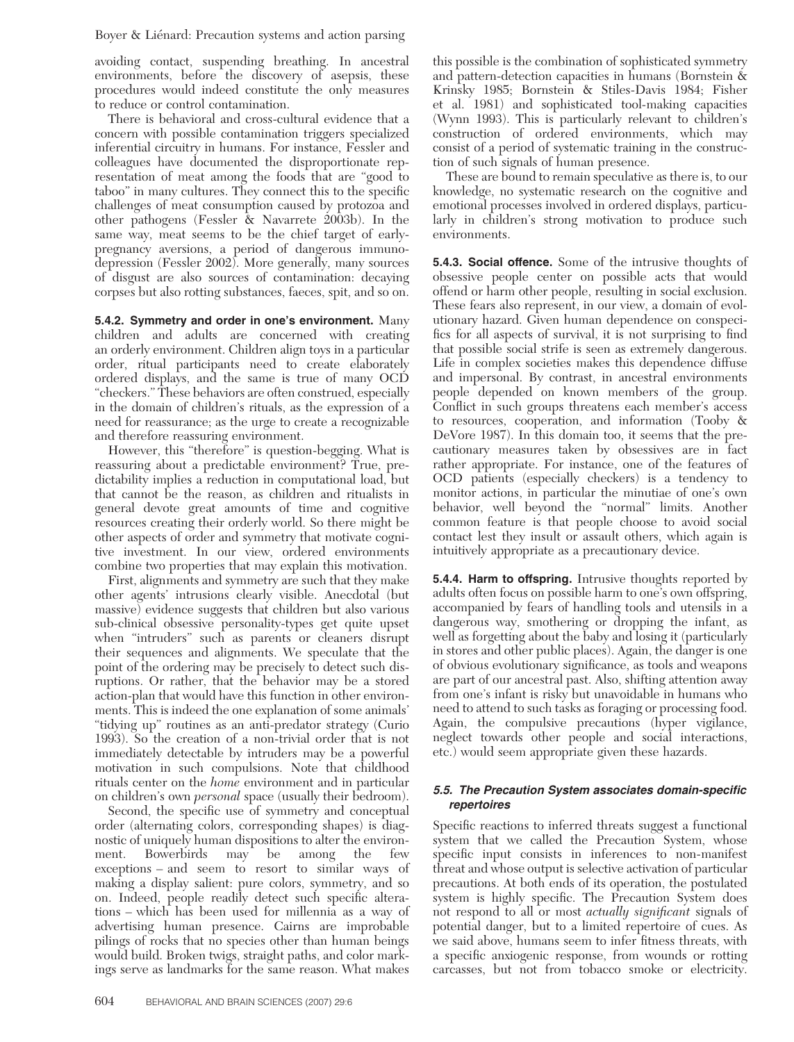avoiding contact, suspending breathing. In ancestral environments, before the discovery of asepsis, these procedures would indeed constitute the only measures to reduce or control contamination.

There is behavioral and cross-cultural evidence that a concern with possible contamination triggers specialized inferential circuitry in humans. For instance, Fessler and colleagues have documented the disproportionate representation of meat among the foods that are "good to taboo" in many cultures. They connect this to the specific challenges of meat consumption caused by protozoa and other pathogens (Fessler & Navarrete 2003b). In the same way, meat seems to be the chief target of earlypregnancy aversions, a period of dangerous immunodepression (Fessler 2002). More generally, many sources of disgust are also sources of contamination: decaying corpses but also rotting substances, faeces, spit, and so on.

5.4.2. Symmetry and order in one's environment. Many children and adults are concerned with creating an orderly environment. Children align toys in a particular order, ritual participants need to create elaborately ordered displays, and the same is true of many OCD "checkers." These behaviors are often construed, especially in the domain of children's rituals, as the expression of a need for reassurance; as the urge to create a recognizable and therefore reassuring environment.

However, this "therefore" is question-begging. What is reassuring about a predictable environment? True, predictability implies a reduction in computational load, but that cannot be the reason, as children and ritualists in general devote great amounts of time and cognitive resources creating their orderly world. So there might be other aspects of order and symmetry that motivate cognitive investment. In our view, ordered environments combine two properties that may explain this motivation.

First, alignments and symmetry are such that they make other agents' intrusions clearly visible. Anecdotal (but massive) evidence suggests that children but also various sub-clinical obsessive personality-types get quite upset when "intruders" such as parents or cleaners disrupt their sequences and alignments. We speculate that the point of the ordering may be precisely to detect such disruptions. Or rather, that the behavior may be a stored action-plan that would have this function in other environments. This is indeed the one explanation of some animals' "tidying up" routines as an anti-predator strategy (Curio 1993). So the creation of a non-trivial order that is not immediately detectable by intruders may be a powerful motivation in such compulsions. Note that childhood rituals center on the home environment and in particular on children's own personal space (usually their bedroom).

Second, the specific use of symmetry and conceptual order (alternating colors, corresponding shapes) is diagnostic of uniquely human dispositions to alter the environment. Bowerbirds may be among the few exceptions – and seem to resort to similar ways of making a display salient: pure colors, symmetry, and so on. Indeed, people readily detect such specific alterations – which has been used for millennia as a way of advertising human presence. Cairns are improbable pilings of rocks that no species other than human beings would build. Broken twigs, straight paths, and color markings serve as landmarks for the same reason. What makes

this possible is the combination of sophisticated symmetry and pattern-detection capacities in humans (Bornstein & Krinsky 1985; Bornstein & Stiles-Davis 1984; Fisher et al. 1981) and sophisticated tool-making capacities (Wynn 1993). This is particularly relevant to children's construction of ordered environments, which may consist of a period of systematic training in the construction of such signals of human presence.

These are bound to remain speculative as there is, to our knowledge, no systematic research on the cognitive and emotional processes involved in ordered displays, particularly in children's strong motivation to produce such environments.

**5.4.3. Social offence.** Some of the intrusive thoughts of obsessive people center on possible acts that would offend or harm other people, resulting in social exclusion. These fears also represent, in our view, a domain of evolutionary hazard. Given human dependence on conspecifics for all aspects of survival, it is not surprising to find that possible social strife is seen as extremely dangerous. Life in complex societies makes this dependence diffuse and impersonal. By contrast, in ancestral environments people depended on known members of the group. Conflict in such groups threatens each member's access to resources, cooperation, and information (Tooby & DeVore 1987). In this domain too, it seems that the precautionary measures taken by obsessives are in fact rather appropriate. For instance, one of the features of OCD patients (especially checkers) is a tendency to monitor actions, in particular the minutiae of one's own behavior, well beyond the "normal" limits. Another common feature is that people choose to avoid social contact lest they insult or assault others, which again is intuitively appropriate as a precautionary device.

**5.4.4. Harm to offspring.** Intrusive thoughts reported by adults often focus on possible harm to one's own offspring, accompanied by fears of handling tools and utensils in a dangerous way, smothering or dropping the infant, as well as forgetting about the baby and losing it (particularly in stores and other public places). Again, the danger is one of obvious evolutionary significance, as tools and weapons are part of our ancestral past. Also, shifting attention away from one's infant is risky but unavoidable in humans who need to attend to such tasks as foraging or processing food. Again, the compulsive precautions (hyper vigilance, neglect towards other people and social interactions, etc.) would seem appropriate given these hazards.

## 5.5. The Precaution System associates domain-specific repertoires

Specific reactions to inferred threats suggest a functional system that we called the Precaution System, whose specific input consists in inferences to non-manifest threat and whose output is selective activation of particular precautions. At both ends of its operation, the postulated system is highly specific. The Precaution System does not respond to all or most *actually significant* signals of potential danger, but to a limited repertoire of cues. As we said above, humans seem to infer fitness threats, with a specific anxiogenic response, from wounds or rotting carcasses, but not from tobacco smoke or electricity.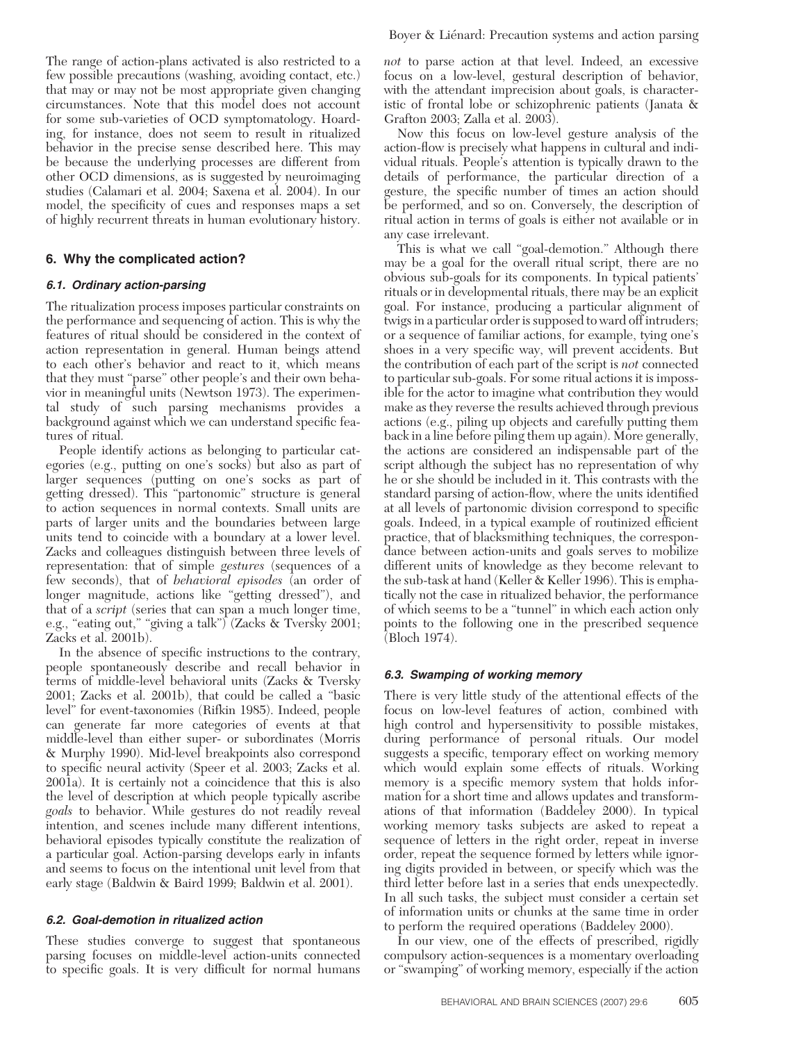The range of action-plans activated is also restricted to a few possible precautions (washing, avoiding contact, etc.) that may or may not be most appropriate given changing circumstances. Note that this model does not account for some sub-varieties of OCD symptomatology. Hoarding, for instance, does not seem to result in ritualized behavior in the precise sense described here. This may be because the underlying processes are different from other OCD dimensions, as is suggested by neuroimaging studies (Calamari et al. 2004; Saxena et al. 2004). In our model, the specificity of cues and responses maps a set of highly recurrent threats in human evolutionary history.

## 6. Why the complicated action?

#### 6.1. Ordinary action-parsing

The ritualization process imposes particular constraints on the performance and sequencing of action. This is why the features of ritual should be considered in the context of action representation in general. Human beings attend to each other's behavior and react to it, which means that they must "parse" other people's and their own behavior in meaningful units (Newtson 1973). The experimental study of such parsing mechanisms provides a background against which we can understand specific features of ritual.

People identify actions as belonging to particular categories (e.g., putting on one's socks) but also as part of larger sequences (putting on one's socks as part of getting dressed). This "partonomic" structure is general to action sequences in normal contexts. Small units are parts of larger units and the boundaries between large units tend to coincide with a boundary at a lower level. Zacks and colleagues distinguish between three levels of representation: that of simple gestures (sequences of a few seconds), that of behavioral episodes (an order of longer magnitude, actions like "getting dressed"), and that of a script (series that can span a much longer time, e.g., "eating out," "giving a talk") (Zacks & Tversky 2001; Zacks et al. 2001b).

In the absence of specific instructions to the contrary, people spontaneously describe and recall behavior in terms of middle-level behavioral units (Zacks & Tversky 2001; Zacks et al. 2001b), that could be called a "basic level" for event-taxonomies (Rifkin 1985). Indeed, people can generate far more categories of events at that middle-level than either super- or subordinates (Morris & Murphy 1990). Mid-level breakpoints also correspond to specific neural activity (Speer et al. 2003; Zacks et al. 2001a). It is certainly not a coincidence that this is also the level of description at which people typically ascribe goals to behavior. While gestures do not readily reveal intention, and scenes include many different intentions, behavioral episodes typically constitute the realization of a particular goal. Action-parsing develops early in infants and seems to focus on the intentional unit level from that early stage (Baldwin & Baird 1999; Baldwin et al. 2001).

#### 6.2. Goal-demotion in ritualized action

These studies converge to suggest that spontaneous parsing focuses on middle-level action-units connected to specific goals. It is very difficult for normal humans not to parse action at that level. Indeed, an excessive focus on a low-level, gestural description of behavior, with the attendant imprecision about goals, is characteristic of frontal lobe or schizophrenic patients (Janata & Grafton 2003; Zalla et al. 2003).

Now this focus on low-level gesture analysis of the action-flow is precisely what happens in cultural and individual rituals. People's attention is typically drawn to the details of performance, the particular direction of a gesture, the specific number of times an action should be performed, and so on. Conversely, the description of ritual action in terms of goals is either not available or in any case irrelevant.

This is what we call "goal-demotion." Although there may be a goal for the overall ritual script, there are no obvious sub-goals for its components. In typical patients' rituals or in developmental rituals, there may be an explicit goal. For instance, producing a particular alignment of twigs in a particular order is supposed to ward off intruders; or a sequence of familiar actions, for example, tying one's shoes in a very specific way, will prevent accidents. But the contribution of each part of the script is not connected to particular sub-goals. For some ritual actions it is impossible for the actor to imagine what contribution they would make as they reverse the results achieved through previous actions (e.g., piling up objects and carefully putting them back in a line before piling them up again). More generally, the actions are considered an indispensable part of the script although the subject has no representation of why he or she should be included in it. This contrasts with the standard parsing of action-flow, where the units identified at all levels of partonomic division correspond to specific goals. Indeed, in a typical example of routinized efficient practice, that of blacksmithing techniques, the correspondance between action-units and goals serves to mobilize different units of knowledge as they become relevant to the sub-task at hand (Keller & Keller 1996). This is emphatically not the case in ritualized behavior, the performance of which seems to be a "tunnel" in which each action only points to the following one in the prescribed sequence (Bloch 1974).

## 6.3. Swamping of working memory

There is very little study of the attentional effects of the focus on low-level features of action, combined with high control and hypersensitivity to possible mistakes, during performance of personal rituals. Our model suggests a specific, temporary effect on working memory which would explain some effects of rituals. Working memory is a specific memory system that holds information for a short time and allows updates and transformations of that information (Baddeley 2000). In typical working memory tasks subjects are asked to repeat a sequence of letters in the right order, repeat in inverse order, repeat the sequence formed by letters while ignoring digits provided in between, or specify which was the third letter before last in a series that ends unexpectedly. In all such tasks, the subject must consider a certain set of information units or chunks at the same time in order to perform the required operations (Baddeley 2000).

In our view, one of the effects of prescribed, rigidly compulsory action-sequences is a momentary overloading or "swamping" of working memory, especially if the action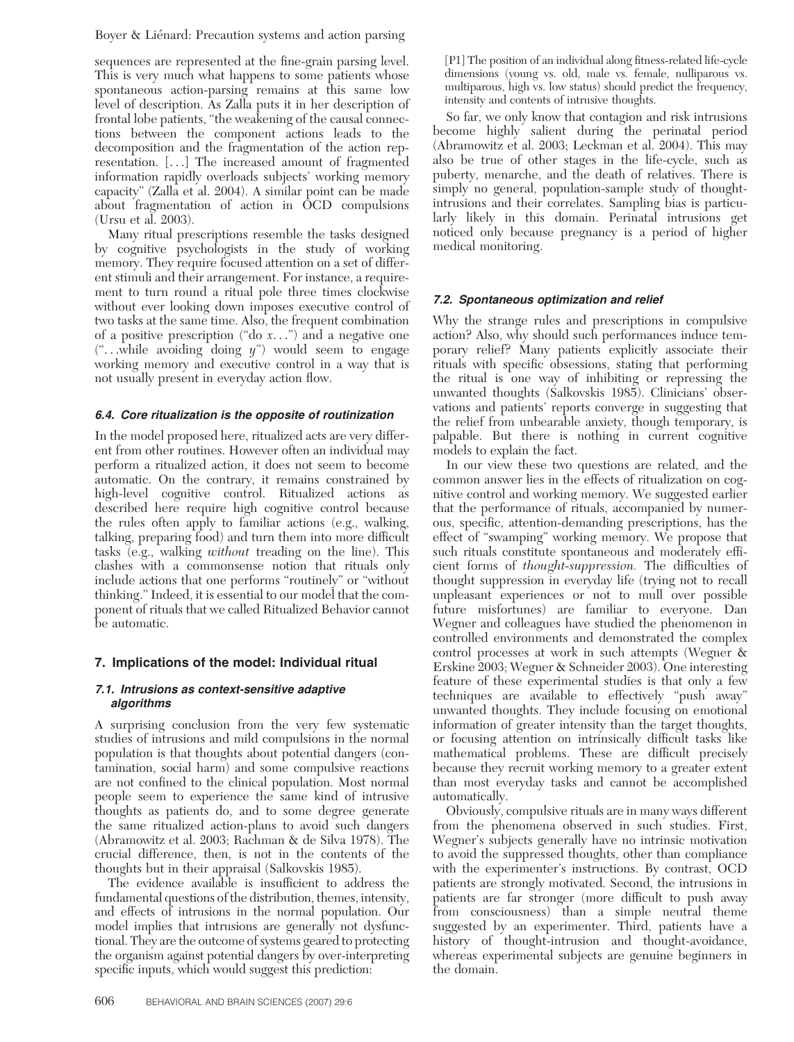sequences are represented at the fine-grain parsing level. This is very much what happens to some patients whose spontaneous action-parsing remains at this same low level of description. As Zalla puts it in her description of frontal lobe patients, "the weakening of the causal connections between the component actions leads to the decomposition and the fragmentation of the action representation. [...] The increased amount of fragmented information rapidly overloads subjects' working memory capacity" (Zalla et al. 2004). A similar point can be made about fragmentation of action in OCD compulsions (Ursu et al. 2003).

Many ritual prescriptions resemble the tasks designed by cognitive psychologists in the study of working memory. They require focused attention on a set of different stimuli and their arrangement. For instance, a requirement to turn round a ritual pole three times clockwise without ever looking down imposes executive control of two tasks at the same time. Also, the frequent combination of a positive prescription ("do  $x$ ...") and a negative one  $(\text{``...while avoiding doing } y\text{''})$  would seem to engage working memory and executive control in a way that is not usually present in everyday action flow.

## 6.4. Core ritualization is the opposite of routinization

In the model proposed here, ritualized acts are very different from other routines. However often an individual may perform a ritualized action, it does not seem to become automatic. On the contrary, it remains constrained by high-level cognitive control. Ritualized actions as described here require high cognitive control because the rules often apply to familiar actions (e.g., walking, talking, preparing food) and turn them into more difficult tasks (e.g., walking without treading on the line). This clashes with a commonsense notion that rituals only include actions that one performs "routinely" or "without thinking." Indeed, it is essential to our model that the component of rituals that we called Ritualized Behavior cannot be automatic.

## 7. Implications of the model: Individual ritual

## 7.1. Intrusions as context-sensitive adaptive algorithms

A surprising conclusion from the very few systematic studies of intrusions and mild compulsions in the normal population is that thoughts about potential dangers (contamination, social harm) and some compulsive reactions are not confined to the clinical population. Most normal people seem to experience the same kind of intrusive thoughts as patients do, and to some degree generate the same ritualized action-plans to avoid such dangers (Abramowitz et al. 2003; Rachman & de Silva 1978). The crucial difference, then, is not in the contents of the thoughts but in their appraisal (Salkovskis 1985).

The evidence available is insufficient to address the fundamental questions of the distribution, themes, intensity, and effects of intrusions in the normal population. Our model implies that intrusions are generally not dysfunctional. They are the outcome of systems geared to protecting the organism against potential dangers by over-interpreting specific inputs, which would suggest this prediction:

[P1] The position of an individual along fitness-related life-cycle dimensions (young vs. old, male vs. female, nulliparous vs. multiparous, high vs. low status) should predict the frequency, intensity and contents of intrusive thoughts.

So far, we only know that contagion and risk intrusions become highly salient during the perinatal period (Abramowitz et al. 2003; Leckman et al. 2004). This may also be true of other stages in the life-cycle, such as puberty, menarche, and the death of relatives. There is simply no general, population-sample study of thoughtintrusions and their correlates. Sampling bias is particularly likely in this domain. Perinatal intrusions get noticed only because pregnancy is a period of higher medical monitoring.

## 7.2. Spontaneous optimization and relief

Why the strange rules and prescriptions in compulsive action? Also, why should such performances induce temporary relief? Many patients explicitly associate their rituals with specific obsessions, stating that performing the ritual is one way of inhibiting or repressing the unwanted thoughts (Salkovskis 1985). Clinicians' observations and patients' reports converge in suggesting that the relief from unbearable anxiety, though temporary, is palpable. But there is nothing in current cognitive models to explain the fact.

In our view these two questions are related, and the common answer lies in the effects of ritualization on cognitive control and working memory. We suggested earlier that the performance of rituals, accompanied by numerous, specific, attention-demanding prescriptions, has the effect of "swamping" working memory. We propose that such rituals constitute spontaneous and moderately efficient forms of thought-suppression. The difficulties of thought suppression in everyday life (trying not to recall unpleasant experiences or not to mull over possible future misfortunes) are familiar to everyone. Dan Wegner and colleagues have studied the phenomenon in controlled environments and demonstrated the complex control processes at work in such attempts (Wegner & Erskine 2003; Wegner & Schneider 2003). One interesting feature of these experimental studies is that only a few techniques are available to effectively "push away" unwanted thoughts. They include focusing on emotional information of greater intensity than the target thoughts, or focusing attention on intrinsically difficult tasks like mathematical problems. These are difficult precisely because they recruit working memory to a greater extent than most everyday tasks and cannot be accomplished automatically.

Obviously, compulsive rituals are in many ways different from the phenomena observed in such studies. First, Wegner's subjects generally have no intrinsic motivation to avoid the suppressed thoughts, other than compliance with the experimenter's instructions. By contrast, OCD patients are strongly motivated. Second, the intrusions in patients are far stronger (more difficult to push away from consciousness) than a simple neutral theme suggested by an experimenter. Third, patients have a history of thought-intrusion and thought-avoidance, whereas experimental subjects are genuine beginners in the domain.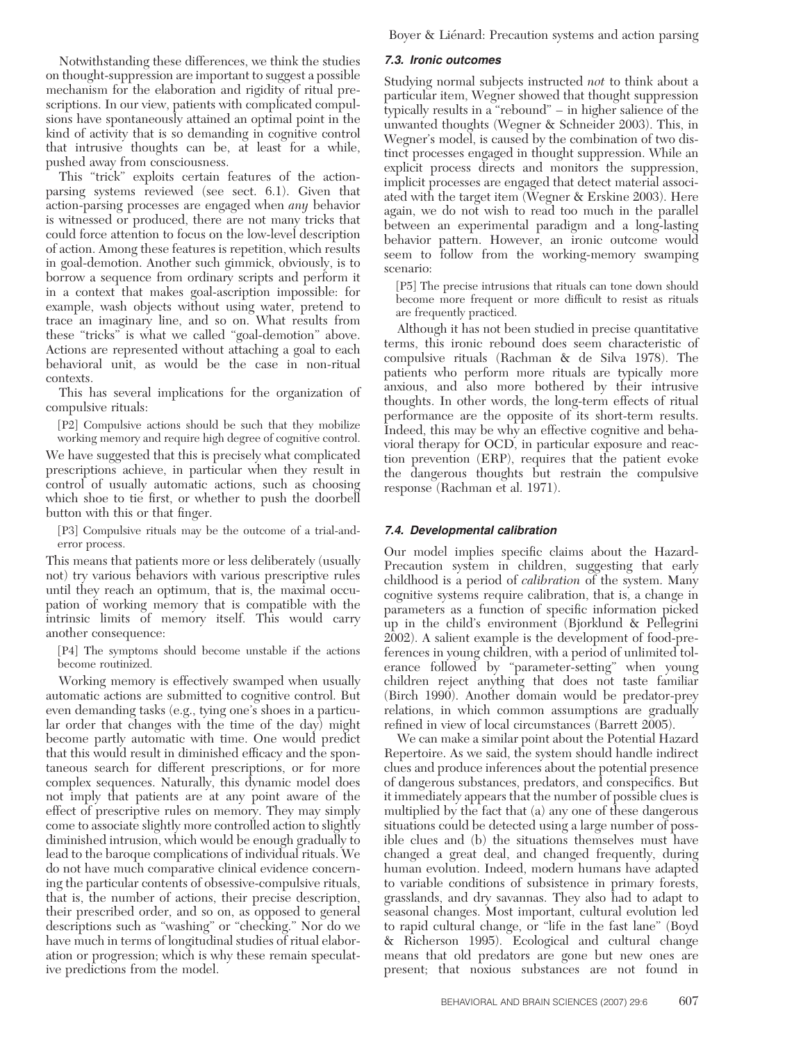Notwithstanding these differences, we think the studies on thought-suppression are important to suggest a possible mechanism for the elaboration and rigidity of ritual prescriptions. In our view, patients with complicated compulsions have spontaneously attained an optimal point in the kind of activity that is so demanding in cognitive control that intrusive thoughts can be, at least for a while, pushed away from consciousness.

This "trick" exploits certain features of the actionparsing systems reviewed (see sect. 6.1). Given that action-parsing processes are engaged when any behavior is witnessed or produced, there are not many tricks that could force attention to focus on the low-level description of action. Among these features is repetition, which results in goal-demotion. Another such gimmick, obviously, is to borrow a sequence from ordinary scripts and perform it in a context that makes goal-ascription impossible: for example, wash objects without using water, pretend to trace an imaginary line, and so on. What results from these "tricks" is what we called "goal-demotion" above. Actions are represented without attaching a goal to each behavioral unit, as would be the case in non-ritual contexts.

This has several implications for the organization of compulsive rituals:

[P2] Compulsive actions should be such that they mobilize working memory and require high degree of cognitive control. We have suggested that this is precisely what complicated prescriptions achieve, in particular when they result in

control of usually automatic actions, such as choosing which shoe to tie first, or whether to push the doorbell button with this or that finger.

[P3] Compulsive rituals may be the outcome of a trial-anderror process.

This means that patients more or less deliberately (usually not) try various behaviors with various prescriptive rules until they reach an optimum, that is, the maximal occupation of working memory that is compatible with the intrinsic limits of memory itself. This would carry another consequence:

[P4] The symptoms should become unstable if the actions become routinized.

Working memory is effectively swamped when usually automatic actions are submitted to cognitive control. But even demanding tasks (e.g., tying one's shoes in a particular order that changes with the time of the day) might become partly automatic with time. One would predict that this would result in diminished efficacy and the spontaneous search for different prescriptions, or for more complex sequences. Naturally, this dynamic model does not imply that patients are at any point aware of the effect of prescriptive rules on memory. They may simply come to associate slightly more controlled action to slightly diminished intrusion, which would be enough gradually to lead to the baroque complications of individual rituals. We do not have much comparative clinical evidence concerning the particular contents of obsessive-compulsive rituals, that is, the number of actions, their precise description, their prescribed order, and so on, as opposed to general descriptions such as "washing" or "checking." Nor do we have much in terms of longitudinal studies of ritual elaboration or progression; which is why these remain speculative predictions from the model.

## 7.3. Ironic outcomes

Studying normal subjects instructed not to think about a particular item, Wegner showed that thought suppression typically results in a "rebound" – in higher salience of the unwanted thoughts (Wegner & Schneider 2003). This, in Wegner's model, is caused by the combination of two distinct processes engaged in thought suppression. While an explicit process directs and monitors the suppression, implicit processes are engaged that detect material associated with the target item (Wegner & Erskine 2003). Here again, we do not wish to read too much in the parallel between an experimental paradigm and a long-lasting behavior pattern. However, an ironic outcome would seem to follow from the working-memory swamping scenario:

[P5] The precise intrusions that rituals can tone down should become more frequent or more difficult to resist as rituals are frequently practiced.

Although it has not been studied in precise quantitative terms, this ironic rebound does seem characteristic of compulsive rituals (Rachman & de Silva 1978). The patients who perform more rituals are typically more anxious, and also more bothered by their intrusive thoughts. In other words, the long-term effects of ritual performance are the opposite of its short-term results. Indeed, this may be why an effective cognitive and behavioral therapy for OCD, in particular exposure and reaction prevention (ERP), requires that the patient evoke the dangerous thoughts but restrain the compulsive response (Rachman et al. 1971).

## 7.4. Developmental calibration

Our model implies specific claims about the Hazard-Precaution system in children, suggesting that early childhood is a period of calibration of the system. Many cognitive systems require calibration, that is, a change in parameters as a function of specific information picked up in the child's environment (Bjorklund & Pellegrini 2002). A salient example is the development of food-preferences in young children, with a period of unlimited tolerance followed by "parameter-setting" when young children reject anything that does not taste familiar (Birch 1990). Another domain would be predator-prey relations, in which common assumptions are gradually refined in view of local circumstances (Barrett 2005).

We can make a similar point about the Potential Hazard Repertoire. As we said, the system should handle indirect clues and produce inferences about the potential presence of dangerous substances, predators, and conspecifics. But it immediately appears that the number of possible clues is multiplied by the fact that (a) any one of these dangerous situations could be detected using a large number of possible clues and (b) the situations themselves must have changed a great deal, and changed frequently, during human evolution. Indeed, modern humans have adapted to variable conditions of subsistence in primary forests, grasslands, and dry savannas. They also had to adapt to seasonal changes. Most important, cultural evolution led to rapid cultural change, or "life in the fast lane" (Boyd & Richerson 1995). Ecological and cultural change means that old predators are gone but new ones are present; that noxious substances are not found in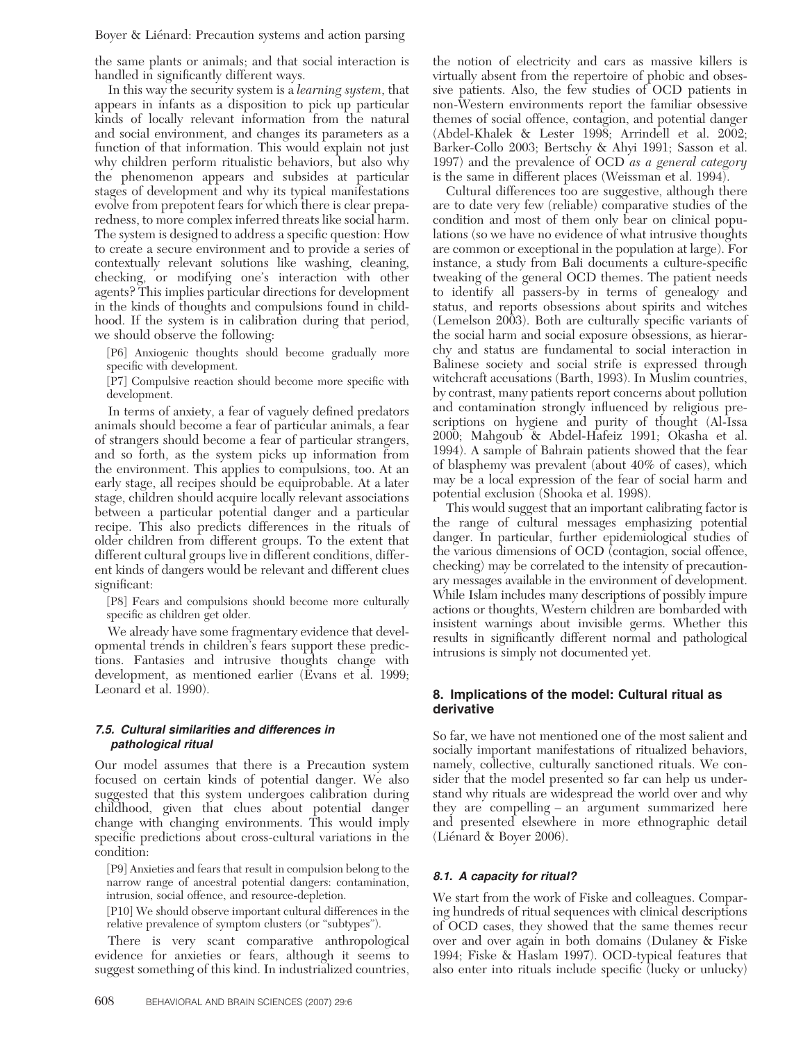the same plants or animals; and that social interaction is handled in significantly different ways.

In this way the security system is a learning system, that appears in infants as a disposition to pick up particular kinds of locally relevant information from the natural and social environment, and changes its parameters as a function of that information. This would explain not just why children perform ritualistic behaviors, but also why the phenomenon appears and subsides at particular stages of development and why its typical manifestations evolve from prepotent fears for which there is clear preparedness, to more complex inferred threats like social harm. The system is designed to address a specific question: How to create a secure environment and to provide a series of contextually relevant solutions like washing, cleaning, checking, or modifying one's interaction with other agents? This implies particular directions for development in the kinds of thoughts and compulsions found in childhood. If the system is in calibration during that period, we should observe the following:

[P6] Anxiogenic thoughts should become gradually more specific with development.

[P7] Compulsive reaction should become more specific with development.

In terms of anxiety, a fear of vaguely defined predators animals should become a fear of particular animals, a fear of strangers should become a fear of particular strangers, and so forth, as the system picks up information from the environment. This applies to compulsions, too. At an early stage, all recipes should be equiprobable. At a later stage, children should acquire locally relevant associations between a particular potential danger and a particular recipe. This also predicts differences in the rituals of older children from different groups. To the extent that different cultural groups live in different conditions, different kinds of dangers would be relevant and different clues significant:

[P8] Fears and compulsions should become more culturally specific as children get older.

We already have some fragmentary evidence that developmental trends in children's fears support these predictions. Fantasies and intrusive thoughts change with development, as mentioned earlier (Evans et al. 1999; Leonard et al. 1990).

#### 7.5. Cultural similarities and differences in pathological ritual

Our model assumes that there is a Precaution system focused on certain kinds of potential danger. We also suggested that this system undergoes calibration during childhood, given that clues about potential danger change with changing environments. This would imply specific predictions about cross-cultural variations in the condition:

[P9] Anxieties and fears that result in compulsion belong to the narrow range of ancestral potential dangers: contamination, intrusion, social offence, and resource-depletion.

[P10] We should observe important cultural differences in the relative prevalence of symptom clusters (or "subtypes").

There is very scant comparative anthropological evidence for anxieties or fears, although it seems to suggest something of this kind. In industrialized countries,

the notion of electricity and cars as massive killers is virtually absent from the repertoire of phobic and obsessive patients. Also, the few studies of OCD patients in non-Western environments report the familiar obsessive themes of social offence, contagion, and potential danger (Abdel-Khalek & Lester 1998; Arrindell et al. 2002; Barker-Collo 2003; Bertschy & Ahyi 1991; Sasson et al. 1997) and the prevalence of OCD as a general category is the same in different places (Weissman et al. 1994).

Cultural differences too are suggestive, although there are to date very few (reliable) comparative studies of the condition and most of them only bear on clinical populations (so we have no evidence of what intrusive thoughts are common or exceptional in the population at large). For instance, a study from Bali documents a culture-specific tweaking of the general OCD themes. The patient needs to identify all passers-by in terms of genealogy and status, and reports obsessions about spirits and witches (Lemelson 2003). Both are culturally specific variants of the social harm and social exposure obsessions, as hierarchy and status are fundamental to social interaction in Balinese society and social strife is expressed through witchcraft accusations (Barth, 1993). In Muslim countries, by contrast, many patients report concerns about pollution and contamination strongly influenced by religious prescriptions on hygiene and purity of thought (Al-Issa 2000; Mahgoub & Abdel-Hafeiz 1991; Okasha et al. 1994). A sample of Bahrain patients showed that the fear of blasphemy was prevalent (about 40% of cases), which may be a local expression of the fear of social harm and potential exclusion (Shooka et al. 1998).

This would suggest that an important calibrating factor is the range of cultural messages emphasizing potential danger. In particular, further epidemiological studies of the various dimensions of OCD (contagion, social offence, checking) may be correlated to the intensity of precautionary messages available in the environment of development. While Islam includes many descriptions of possibly impure actions or thoughts, Western children are bombarded with insistent warnings about invisible germs. Whether this results in significantly different normal and pathological intrusions is simply not documented yet.

## 8. Implications of the model: Cultural ritual as derivative

So far, we have not mentioned one of the most salient and socially important manifestations of ritualized behaviors, namely, collective, culturally sanctioned rituals. We consider that the model presented so far can help us understand why rituals are widespread the world over and why they are compelling – an argument summarized here and presented elsewhere in more ethnographic detail  $(Liénard & Boyer 2006).$ 

## 8.1. A capacity for ritual?

We start from the work of Fiske and colleagues. Comparing hundreds of ritual sequences with clinical descriptions of OCD cases, they showed that the same themes recur over and over again in both domains (Dulaney & Fiske 1994; Fiske & Haslam 1997). OCD-typical features that also enter into rituals include specific (lucky or unlucky)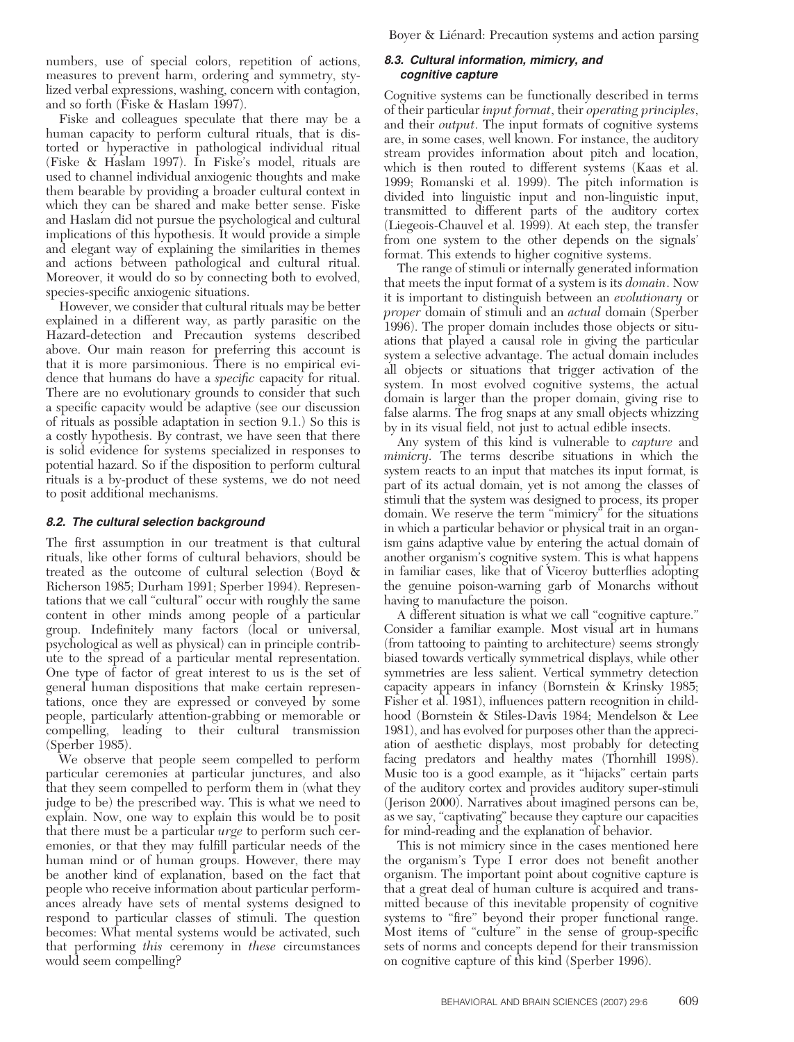numbers, use of special colors, repetition of actions, measures to prevent harm, ordering and symmetry, stylized verbal expressions, washing, concern with contagion, and so forth (Fiske & Haslam 1997).

Fiske and colleagues speculate that there may be a human capacity to perform cultural rituals, that is distorted or hyperactive in pathological individual ritual (Fiske & Haslam 1997). In Fiske's model, rituals are used to channel individual anxiogenic thoughts and make them bearable by providing a broader cultural context in which they can be shared and make better sense. Fiske and Haslam did not pursue the psychological and cultural implications of this hypothesis. It would provide a simple and elegant way of explaining the similarities in themes and actions between pathological and cultural ritual. Moreover, it would do so by connecting both to evolved, species-specific anxiogenic situations.

However, we consider that cultural rituals may be better explained in a different way, as partly parasitic on the Hazard-detection and Precaution systems described above. Our main reason for preferring this account is that it is more parsimonious. There is no empirical evidence that humans do have a specific capacity for ritual. There are no evolutionary grounds to consider that such a specific capacity would be adaptive (see our discussion of rituals as possible adaptation in section 9.1.) So this is a costly hypothesis. By contrast, we have seen that there is solid evidence for systems specialized in responses to potential hazard. So if the disposition to perform cultural rituals is a by-product of these systems, we do not need to posit additional mechanisms.

## 8.2. The cultural selection background

The first assumption in our treatment is that cultural rituals, like other forms of cultural behaviors, should be treated as the outcome of cultural selection (Boyd & Richerson 1985; Durham 1991; Sperber 1994). Representations that we call "cultural" occur with roughly the same content in other minds among people of a particular group. Indefinitely many factors (local or universal, psychological as well as physical) can in principle contribute to the spread of a particular mental representation. One type of factor of great interest to us is the set of general human dispositions that make certain representations, once they are expressed or conveyed by some people, particularly attention-grabbing or memorable or compelling, leading to their cultural transmission (Sperber 1985).

We observe that people seem compelled to perform particular ceremonies at particular junctures, and also that they seem compelled to perform them in (what they judge to be) the prescribed way. This is what we need to explain. Now, one way to explain this would be to posit that there must be a particular urge to perform such ceremonies, or that they may fulfill particular needs of the human mind or of human groups. However, there may be another kind of explanation, based on the fact that people who receive information about particular performances already have sets of mental systems designed to respond to particular classes of stimuli. The question becomes: What mental systems would be activated, such that performing this ceremony in these circumstances would seem compelling?

#### 8.3. Cultural information, mimicry, and cognitive capture

Cognitive systems can be functionally described in terms of their particular input format, their operating principles, and their *output*. The input formats of cognitive systems are, in some cases, well known. For instance, the auditory stream provides information about pitch and location, which is then routed to different systems (Kaas et al. 1999; Romanski et al. 1999). The pitch information is divided into linguistic input and non-linguistic input, transmitted to different parts of the auditory cortex (Liegeois-Chauvel et al. 1999). At each step, the transfer from one system to the other depends on the signals' format. This extends to higher cognitive systems.

The range of stimuli or internally generated information that meets the input format of a system is its domain. Now it is important to distinguish between an evolutionary or proper domain of stimuli and an actual domain (Sperber 1996). The proper domain includes those objects or situations that played a causal role in giving the particular system a selective advantage. The actual domain includes all objects or situations that trigger activation of the system. In most evolved cognitive systems, the actual domain is larger than the proper domain, giving rise to false alarms. The frog snaps at any small objects whizzing by in its visual field, not just to actual edible insects.

Any system of this kind is vulnerable to *capture* and mimicry. The terms describe situations in which the system reacts to an input that matches its input format, is part of its actual domain, yet is not among the classes of stimuli that the system was designed to process, its proper domain. We reserve the term "mimicry" for the situations in which a particular behavior or physical trait in an organism gains adaptive value by entering the actual domain of another organism's cognitive system. This is what happens in familiar cases, like that of Viceroy butterflies adopting the genuine poison-warning garb of Monarchs without having to manufacture the poison.

A different situation is what we call "cognitive capture." Consider a familiar example. Most visual art in humans (from tattooing to painting to architecture) seems strongly biased towards vertically symmetrical displays, while other symmetries are less salient. Vertical symmetry detection capacity appears in infancy (Bornstein & Krinsky 1985; Fisher et al. 1981), influences pattern recognition in childhood (Bornstein & Stiles-Davis 1984; Mendelson & Lee 1981), and has evolved for purposes other than the appreciation of aesthetic displays, most probably for detecting facing predators and healthy mates (Thornhill 1998). Music too is a good example, as it "hijacks" certain parts of the auditory cortex and provides auditory super-stimuli (Jerison 2000). Narratives about imagined persons can be, as we say, "captivating" because they capture our capacities for mind-reading and the explanation of behavior.

This is not mimicry since in the cases mentioned here the organism's Type I error does not benefit another organism. The important point about cognitive capture is that a great deal of human culture is acquired and transmitted because of this inevitable propensity of cognitive systems to "fire" beyond their proper functional range. Most items of "culture" in the sense of group-specific sets of norms and concepts depend for their transmission on cognitive capture of this kind (Sperber 1996).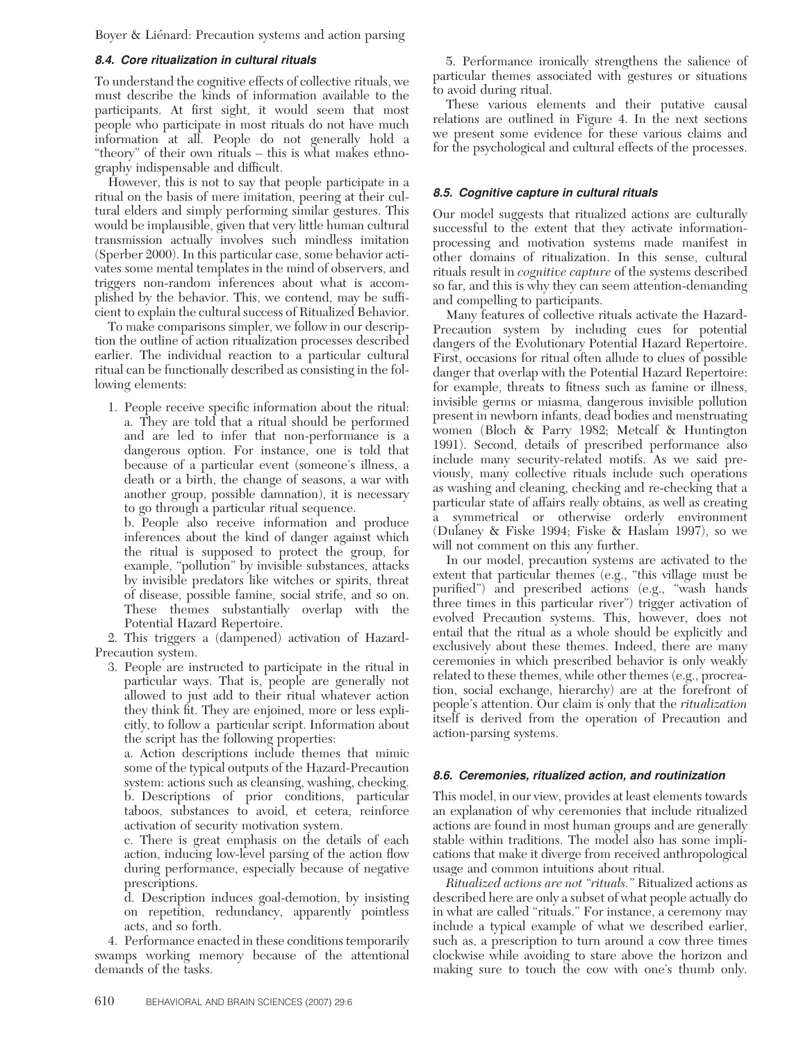## 8.4. Core ritualization in cultural rituals

To understand the cognitive effects of collective rituals, we must describe the kinds of information available to the participants. At first sight, it would seem that most people who participate in most rituals do not have much information at all. People do not generally hold a "theory" of their own rituals – this is what makes ethnography indispensable and difficult.

However, this is not to say that people participate in a ritual on the basis of mere imitation, peering at their cultural elders and simply performing similar gestures. This would be implausible, given that very little human cultural transmission actually involves such mindless imitation (Sperber 2000). In this particular case, some behavior activates some mental templates in the mind of observers, and triggers non-random inferences about what is accomplished by the behavior. This, we contend, may be sufficient to explain the cultural success of Ritualized Behavior.

To make comparisons simpler, we follow in our description the outline of action ritualization processes described earlier. The individual reaction to a particular cultural ritual can be functionally described as consisting in the following elements:

1. People receive specific information about the ritual: a. They are told that a ritual should be performed and are led to infer that non-performance is a dangerous option. For instance, one is told that because of a particular event (someone's illness, a death or a birth, the change of seasons, a war with another group, possible damnation), it is necessary to go through a particular ritual sequence.

b. People also receive information and produce inferences about the kind of danger against which the ritual is supposed to protect the group, for example, "pollution" by invisible substances, attacks by invisible predators like witches or spirits, threat of disease, possible famine, social strife, and so on. These themes substantially overlap with the Potential Hazard Repertoire.

2. This triggers a (dampened) activation of Hazard-Precaution system.

3. People are instructed to participate in the ritual in particular ways. That is, people are generally not allowed to just add to their ritual whatever action they think fit. They are enjoined, more or less explicitly, to follow a particular script. Information about the script has the following properties:

a. Action descriptions include themes that mimic some of the typical outputs of the Hazard-Precaution system: actions such as cleansing, washing, checking. b. Descriptions of prior conditions, particular taboos, substances to avoid, et cetera, reinforce activation of security motivation system.

c. There is great emphasis on the details of each action, inducing low-level parsing of the action flow during performance, especially because of negative prescriptions.

d. Description induces goal-demotion, by insisting on repetition, redundancy, apparently pointless acts, and so forth.

4. Performance enacted in these conditions temporarily swamps working memory because of the attentional demands of the tasks.

5. Performance ironically strengthens the salience of particular themes associated with gestures or situations to avoid during ritual.

These various elements and their putative causal relations are outlined in Figure 4. In the next sections we present some evidence for these various claims and for the psychological and cultural effects of the processes.

## 8.5. Cognitive capture in cultural rituals

Our model suggests that ritualized actions are culturally successful to the extent that they activate informationprocessing and motivation systems made manifest in other domains of ritualization. In this sense, cultural rituals result in *cognitive capture* of the systems described so far, and this is why they can seem attention-demanding and compelling to participants.

Many features of collective rituals activate the Hazard-Precaution system by including cues for potential dangers of the Evolutionary Potential Hazard Repertoire. First, occasions for ritual often allude to clues of possible danger that overlap with the Potential Hazard Repertoire: for example, threats to fitness such as famine or illness, invisible germs or miasma, dangerous invisible pollution present in newborn infants, dead bodies and menstruating women (Bloch & Parry 1982; Metcalf & Huntington 1991). Second, details of prescribed performance also include many security-related motifs. As we said previously, many collective rituals include such operations as washing and cleaning, checking and re-checking that a particular state of affairs really obtains, as well as creating a symmetrical or otherwise orderly environment (Dulaney & Fiske 1994; Fiske & Haslam 1997), so we will not comment on this any further.

In our model, precaution systems are activated to the extent that particular themes (e.g., "this village must be purified") and prescribed actions (e.g., "wash hands three times in this particular river") trigger activation of evolved Precaution systems. This, however, does not entail that the ritual as a whole should be explicitly and exclusively about these themes. Indeed, there are many ceremonies in which prescribed behavior is only weakly related to these themes, while other themes (e.g., procreation, social exchange, hierarchy) are at the forefront of people's attention. Our claim is only that the ritualization itself is derived from the operation of Precaution and action-parsing systems.

## 8.6. Ceremonies, ritualized action, and routinization

This model, in our view, provides at least elements towards an explanation of why ceremonies that include ritualized actions are found in most human groups and are generally stable within traditions. The model also has some implications that make it diverge from received anthropological usage and common intuitions about ritual.

Ritualized actions are not "rituals." Ritualized actions as described here are only a subset of what people actually do in what are called "rituals." For instance, a ceremony may include a typical example of what we described earlier, such as, a prescription to turn around a cow three times clockwise while avoiding to stare above the horizon and making sure to touch the cow with one's thumb only.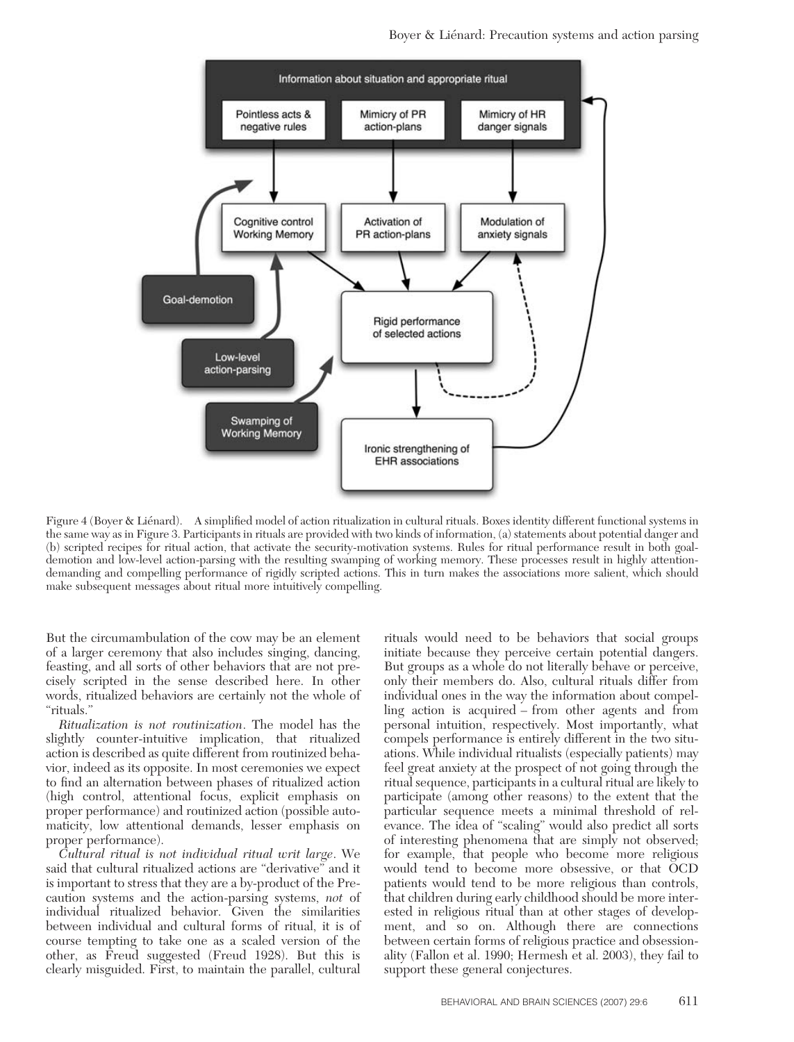

Figure 4 (Boyer & Liénard). A simplified model of action ritualization in cultural rituals. Boxes identity different functional systems in the same way as in Figure 3. Participants in rituals are provided with two kinds of information, (a) statements about potential danger and (b) scripted recipes for ritual action, that activate the security-motivation systems. Rules for ritual performance result in both goaldemotion and low-level action-parsing with the resulting swamping of working memory. These processes result in highly attentiondemanding and compelling performance of rigidly scripted actions. This in turn makes the associations more salient, which should make subsequent messages about ritual more intuitively compelling.

But the circumambulation of the cow may be an element of a larger ceremony that also includes singing, dancing, feasting, and all sorts of other behaviors that are not precisely scripted in the sense described here. In other words, ritualized behaviors are certainly not the whole of "rituals."

Ritualization is not routinization. The model has the slightly counter-intuitive implication, that ritualized action is described as quite different from routinized behavior, indeed as its opposite. In most ceremonies we expect to find an alternation between phases of ritualized action (high control, attentional focus, explicit emphasis on proper performance) and routinized action (possible automaticity, low attentional demands, lesser emphasis on proper performance).

Cultural ritual is not individual ritual writ large. We said that cultural ritualized actions are "derivative" and it is important to stress that they are a by-product of the Precaution systems and the action-parsing systems, not of individual ritualized behavior. Given the similarities between individual and cultural forms of ritual, it is of course tempting to take one as a scaled version of the other, as Freud suggested (Freud 1928). But this is clearly misguided. First, to maintain the parallel, cultural

rituals would need to be behaviors that social groups initiate because they perceive certain potential dangers. But groups as a whole do not literally behave or perceive, only their members do. Also, cultural rituals differ from individual ones in the way the information about compelling action is acquired – from other agents and from personal intuition, respectively. Most importantly, what compels performance is entirely different in the two situations. While individual ritualists (especially patients) may feel great anxiety at the prospect of not going through the ritual sequence, participants in a cultural ritual are likely to participate (among other reasons) to the extent that the particular sequence meets a minimal threshold of relevance. The idea of "scaling" would also predict all sorts of interesting phenomena that are simply not observed; for example, that people who become more religious would tend to become more obsessive, or that OCD patients would tend to be more religious than controls, that children during early childhood should be more interested in religious ritual than at other stages of development, and so on. Although there are connections between certain forms of religious practice and obsessionality (Fallon et al. 1990; Hermesh et al. 2003), they fail to support these general conjectures.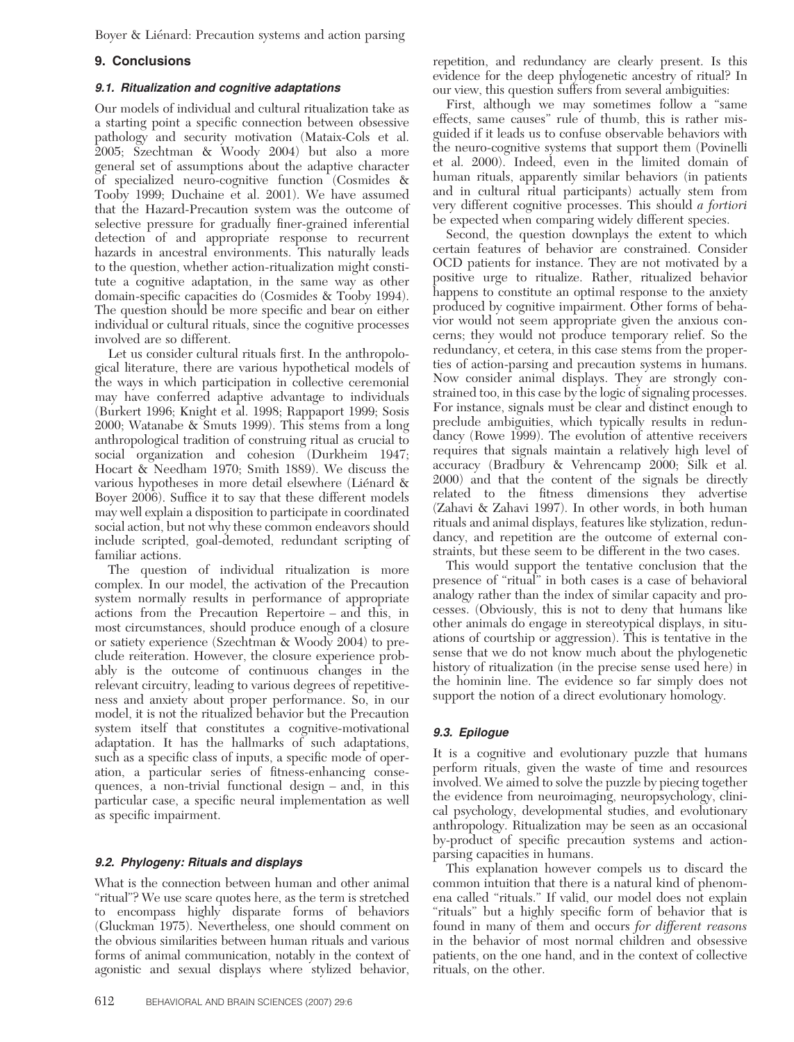## 9. Conclusions

## 9.1. Ritualization and cognitive adaptations

Our models of individual and cultural ritualization take as a starting point a specific connection between obsessive pathology and security motivation (Mataix-Cols et al. 2005; Szechtman & Woody 2004) but also a more general set of assumptions about the adaptive character of specialized neuro-cognitive function (Cosmides & Tooby 1999; Duchaine et al. 2001). We have assumed that the Hazard-Precaution system was the outcome of selective pressure for gradually finer-grained inferential detection of and appropriate response to recurrent hazards in ancestral environments. This naturally leads to the question, whether action-ritualization might constitute a cognitive adaptation, in the same way as other domain-specific capacities do (Cosmides & Tooby 1994). The question should be more specific and bear on either individual or cultural rituals, since the cognitive processes involved are so different.

Let us consider cultural rituals first. In the anthropological literature, there are various hypothetical models of the ways in which participation in collective ceremonial may have conferred adaptive advantage to individuals (Burkert 1996; Knight et al. 1998; Rappaport 1999; Sosis 2000; Watanabe & Smuts 1999). This stems from a long anthropological tradition of construing ritual as crucial to social organization and cohesion (Durkheim 1947; Hocart & Needham 1970; Smith 1889). We discuss the various hypotheses in more detail elsewhere (Liénard & Boyer 2006). Suffice it to say that these different models may well explain a disposition to participate in coordinated social action, but not why these common endeavors should include scripted, goal-demoted, redundant scripting of familiar actions.

The question of individual ritualization is more complex. In our model, the activation of the Precaution system normally results in performance of appropriate actions from the Precaution Repertoire – and this, in most circumstances, should produce enough of a closure or satiety experience (Szechtman & Woody 2004) to preclude reiteration. However, the closure experience probably is the outcome of continuous changes in the relevant circuitry, leading to various degrees of repetitiveness and anxiety about proper performance. So, in our model, it is not the ritualized behavior but the Precaution system itself that constitutes a cognitive-motivational adaptation. It has the hallmarks of such adaptations, such as a specific class of inputs, a specific mode of operation, a particular series of fitness-enhancing consequences, a non-trivial functional design – and, in this particular case, a specific neural implementation as well as specific impairment.

## 9.2. Phylogeny: Rituals and displays

What is the connection between human and other animal "ritual"? We use scare quotes here, as the term is stretched to encompass highly disparate forms of behaviors (Gluckman 1975). Nevertheless, one should comment on the obvious similarities between human rituals and various forms of animal communication, notably in the context of agonistic and sexual displays where stylized behavior,

repetition, and redundancy are clearly present. Is this evidence for the deep phylogenetic ancestry of ritual? In our view, this question suffers from several ambiguities:

First, although we may sometimes follow a "same effects, same causes" rule of thumb, this is rather misguided if it leads us to confuse observable behaviors with the neuro-cognitive systems that support them (Povinelli et al. 2000). Indeed, even in the limited domain of human rituals, apparently similar behaviors (in patients and in cultural ritual participants) actually stem from very different cognitive processes. This should a fortiori be expected when comparing widely different species.

Second, the question downplays the extent to which certain features of behavior are constrained. Consider OCD patients for instance. They are not motivated by a positive urge to ritualize. Rather, ritualized behavior happens to constitute an optimal response to the anxiety produced by cognitive impairment. Other forms of behavior would not seem appropriate given the anxious concerns; they would not produce temporary relief. So the redundancy, et cetera, in this case stems from the properties of action-parsing and precaution systems in humans. Now consider animal displays. They are strongly constrained too, in this case by the logic of signaling processes. For instance, signals must be clear and distinct enough to preclude ambiguities, which typically results in redundancy (Rowe 1999). The evolution of attentive receivers requires that signals maintain a relatively high level of accuracy (Bradbury & Vehrencamp 2000; Silk et al. 2000) and that the content of the signals be directly related to the fitness dimensions they advertise (Zahavi & Zahavi 1997). In other words, in both human rituals and animal displays, features like stylization, redundancy, and repetition are the outcome of external constraints, but these seem to be different in the two cases.

This would support the tentative conclusion that the presence of "ritual" in both cases is a case of behavioral analogy rather than the index of similar capacity and processes. (Obviously, this is not to deny that humans like other animals do engage in stereotypical displays, in situations of courtship or aggression). This is tentative in the sense that we do not know much about the phylogenetic history of ritualization (in the precise sense used here) in the hominin line. The evidence so far simply does not support the notion of a direct evolutionary homology.

## 9.3. Epilogue

It is a cognitive and evolutionary puzzle that humans perform rituals, given the waste of time and resources involved. We aimed to solve the puzzle by piecing together the evidence from neuroimaging, neuropsychology, clinical psychology, developmental studies, and evolutionary anthropology. Ritualization may be seen as an occasional by-product of specific precaution systems and actionparsing capacities in humans.

This explanation however compels us to discard the common intuition that there is a natural kind of phenomena called "rituals." If valid, our model does not explain "rituals" but a highly specific form of behavior that is found in many of them and occurs *for different reasons* in the behavior of most normal children and obsessive patients, on the one hand, and in the context of collective rituals, on the other.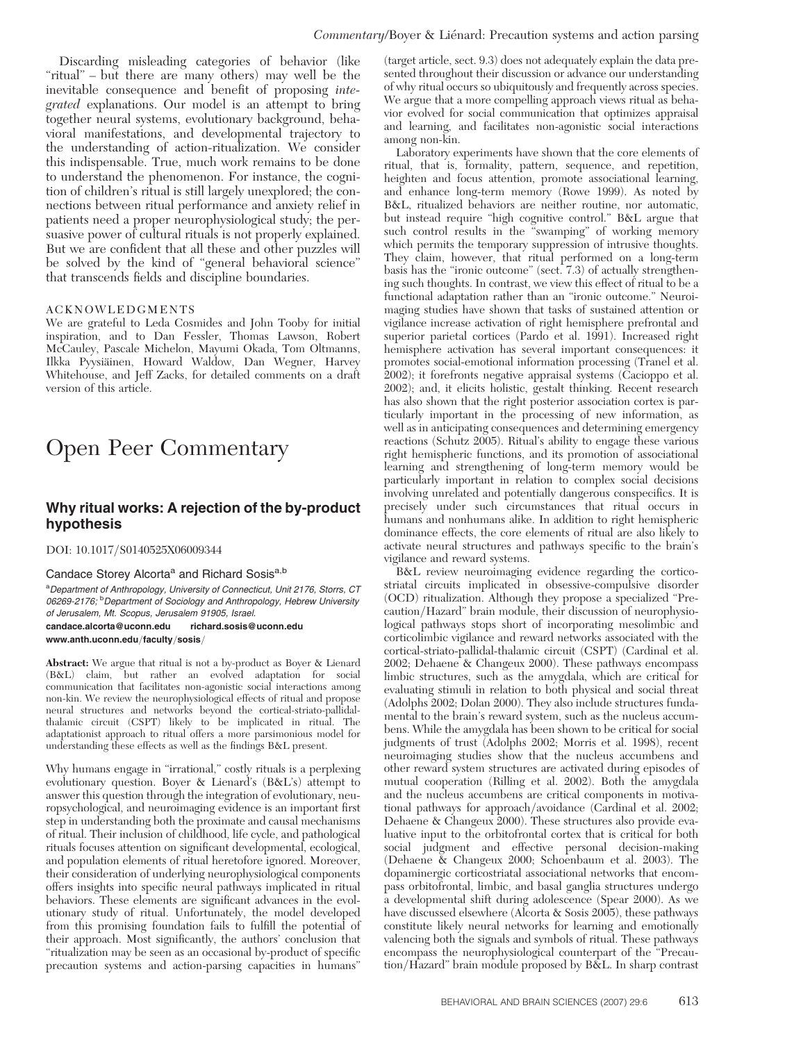Discarding misleading categories of behavior (like "ritual" – but there are many others) may well be the inevitable consequence and benefit of proposing integrated explanations. Our model is an attempt to bring together neural systems, evolutionary background, behavioral manifestations, and developmental trajectory to the understanding of action-ritualization. We consider this indispensable. True, much work remains to be done to understand the phenomenon. For instance, the cognition of children's ritual is still largely unexplored; the connections between ritual performance and anxiety relief in patients need a proper neurophysiological study; the persuasive power of cultural rituals is not properly explained. But we are confident that all these and other puzzles will be solved by the kind of "general behavioral science" that transcends fields and discipline boundaries.

#### ACKNOWLEDGMENTS

We are grateful to Leda Cosmides and John Tooby for initial inspiration, and to Dan Fessler, Thomas Lawson, Robert McCauley, Pascale Michelon, Mayumi Okada, Tom Oltmanns, Ilkka Pyysiäinen, Howard Waldow, Dan Wegner, Harvey Whitehouse, and Jeff Zacks, for detailed comments on a draft version of this article.

## Open Peer Commentary

## Why ritual works: A rejection of the by-product hypothesis

DOI: 10.1017/S0140525X06009344

## Candace Storey Alcorta<sup>a</sup> and Richard Sosis<sup>a,b</sup>

<sup>a</sup> Department of Anthropology, University of Connecticut, Unit 2176, Storrs, CT 06269-2176; <sup>b</sup>Department of Sociology and Anthropology, Hebrew University of Jerusalem, Mt. Scopus, Jerusalem 91905, Israel.

candace.alcorta@uconn.edu richard.sosis@uconn.edu www.anth.uconn.edu/faculty/sosis/

Abstract: We argue that ritual is not a by-product as Boyer & Lienard (B&L) claim, but rather an evolved adaptation for social communication that facilitates non-agonistic social interactions among non-kin. We review the neurophysiological effects of ritual and propose neural structures and networks beyond the cortical-striato-pallidalthalamic circuit (CSPT) likely to be implicated in ritual. The adaptationist approach to ritual offers a more parsimonious model for understanding these effects as well as the findings B&L present.

Why humans engage in "irrational," costly rituals is a perplexing evolutionary question. Boyer & Lienard's (B&L's) attempt to answer this question through the integration of evolutionary, neuropsychological, and neuroimaging evidence is an important first step in understanding both the proximate and causal mechanisms of ritual. Their inclusion of childhood, life cycle, and pathological rituals focuses attention on significant developmental, ecological, and population elements of ritual heretofore ignored. Moreover, their consideration of underlying neurophysiological components offers insights into specific neural pathways implicated in ritual behaviors. These elements are significant advances in the evolutionary study of ritual. Unfortunately, the model developed from this promising foundation fails to fulfill the potential of their approach. Most significantly, the authors' conclusion that "ritualization may be seen as an occasional by-product of specific precaution systems and action-parsing capacities in humans"

(target article, sect. 9.3) does not adequately explain the data presented throughout their discussion or advance our understanding of why ritual occurs so ubiquitously and frequently across species. We argue that a more compelling approach views ritual as behavior evolved for social communication that optimizes appraisal and learning, and facilitates non-agonistic social interactions among non-kin.

Laboratory experiments have shown that the core elements of ritual, that is, formality, pattern, sequence, and repetition, heighten and focus attention, promote associational learning, and enhance long-term memory (Rowe 1999). As noted by B&L, ritualized behaviors are neither routine, nor automatic, but instead require "high cognitive control." B&L argue that such control results in the "swamping" of working memory which permits the temporary suppression of intrusive thoughts. They claim, however, that ritual performed on a long-term basis has the "ironic outcome" (sect. 7.3) of actually strengthening such thoughts. In contrast, we view this effect of ritual to be a functional adaptation rather than an "ironic outcome." Neuroimaging studies have shown that tasks of sustained attention or vigilance increase activation of right hemisphere prefrontal and superior parietal cortices (Pardo et al. 1991). Increased right hemisphere activation has several important consequences: it promotes social-emotional information processing (Tranel et al. 2002); it forefronts negative appraisal systems (Cacioppo et al. 2002); and, it elicits holistic, gestalt thinking. Recent research has also shown that the right posterior association cortex is particularly important in the processing of new information, as well as in anticipating consequences and determining emergency reactions (Schutz 2005). Ritual's ability to engage these various right hemispheric functions, and its promotion of associational learning and strengthening of long-term memory would be particularly important in relation to complex social decisions involving unrelated and potentially dangerous conspecifics. It is precisely under such circumstances that ritual occurs in humans and nonhumans alike. In addition to right hemispheric dominance effects, the core elements of ritual are also likely to activate neural structures and pathways specific to the brain's vigilance and reward systems.

B&L review neuroimaging evidence regarding the corticostriatal circuits implicated in obsessive-compulsive disorder (OCD) ritualization. Although they propose a specialized "Precaution/Hazard" brain module, their discussion of neurophysiological pathways stops short of incorporating mesolimbic and corticolimbic vigilance and reward networks associated with the cortical-striato-pallidal-thalamic circuit (CSPT) (Cardinal et al. 2002; Dehaene & Changeux 2000). These pathways encompass limbic structures, such as the amygdala, which are critical for evaluating stimuli in relation to both physical and social threat (Adolphs 2002; Dolan 2000). They also include structures fundamental to the brain's reward system, such as the nucleus accumbens. While the amygdala has been shown to be critical for social judgments of trust (Adolphs 2002; Morris et al. 1998), recent neuroimaging studies show that the nucleus accumbens and other reward system structures are activated during episodes of mutual cooperation (Rilling et al. 2002). Both the amygdala and the nucleus accumbens are critical components in motivational pathways for approach/avoidance (Cardinal et al. 2002; Dehaene & Changeux 2000). These structures also provide evaluative input to the orbitofrontal cortex that is critical for both social judgment and effective personal decision-making (Dehaene & Changeux 2000; Schoenbaum et al. 2003). The dopaminergic corticostriatal associational networks that encompass orbitofrontal, limbic, and basal ganglia structures undergo a developmental shift during adolescence (Spear 2000). As we have discussed elsewhere (Alcorta & Sosis 2005), these pathways constitute likely neural networks for learning and emotionally valencing both the signals and symbols of ritual. These pathways encompass the neurophysiological counterpart of the "Precaution/Hazard" brain module proposed by B&L. In sharp contrast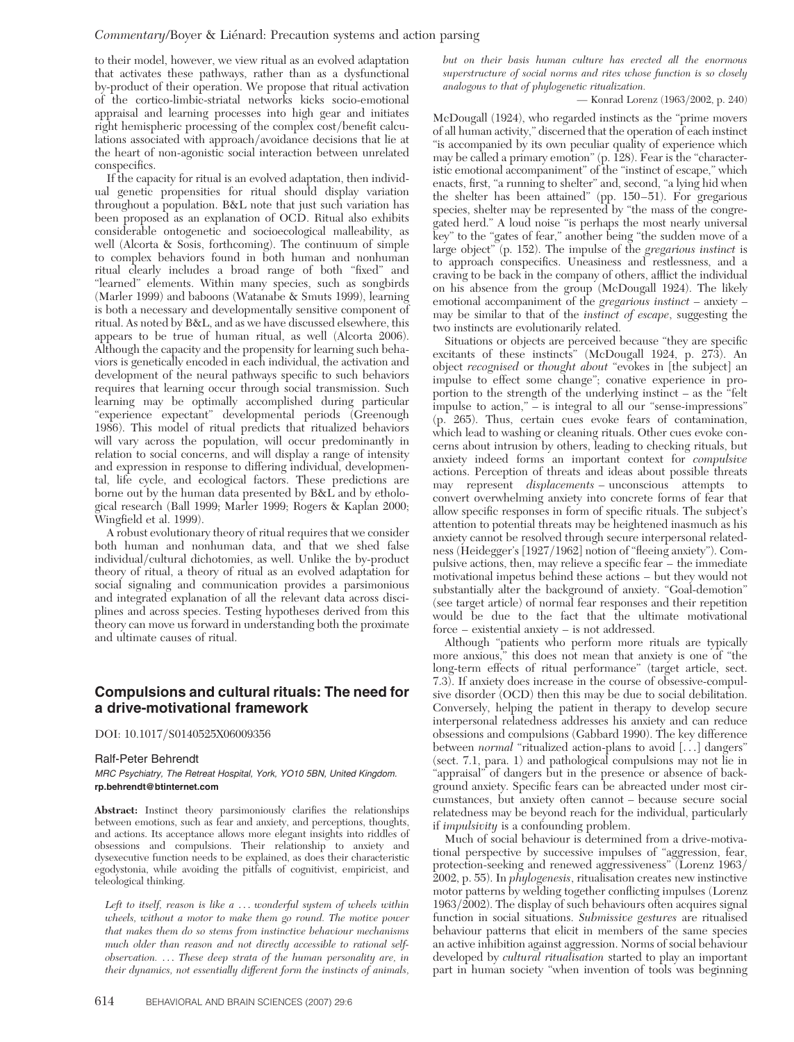to their model, however, we view ritual as an evolved adaptation that activates these pathways, rather than as a dysfunctional by-product of their operation. We propose that ritual activation of the cortico-limbic-striatal networks kicks socio-emotional appraisal and learning processes into high gear and initiates right hemispheric processing of the complex cost/benefit calculations associated with approach/avoidance decisions that lie at the heart of non-agonistic social interaction between unrelated conspecifics.

If the capacity for ritual is an evolved adaptation, then individual genetic propensities for ritual should display variation throughout a population. B&L note that just such variation has been proposed as an explanation of OCD. Ritual also exhibits considerable ontogenetic and socioecological malleability, as well (Alcorta & Sosis, forthcoming). The continuum of simple to complex behaviors found in both human and nonhuman ritual clearly includes a broad range of both "fixed" and "learned" elements. Within many species, such as songbirds (Marler 1999) and baboons (Watanabe & Smuts 1999), learning is both a necessary and developmentally sensitive component of ritual. As noted by B&L, and as we have discussed elsewhere, this appears to be true of human ritual, as well (Alcorta 2006). Although the capacity and the propensity for learning such behaviors is genetically encoded in each individual, the activation and development of the neural pathways specific to such behaviors requires that learning occur through social transmission. Such learning may be optimally accomplished during particular "experience expectant" developmental periods (Greenough 1986). This model of ritual predicts that ritualized behaviors will vary across the population, will occur predominantly in relation to social concerns, and will display a range of intensity and expression in response to differing individual, developmental, life cycle, and ecological factors. These predictions are borne out by the human data presented by B&L and by ethological research (Ball 1999; Marler 1999; Rogers & Kaplan 2000; Wingfield et al. 1999).

A robust evolutionary theory of ritual requires that we consider both human and nonhuman data, and that we shed false individual/cultural dichotomies, as well. Unlike the by-product theory of ritual, a theory of ritual as an evolved adaptation for social signaling and communication provides a parsimonious and integrated explanation of all the relevant data across disciplines and across species. Testing hypotheses derived from this theory can move us forward in understanding both the proximate and ultimate causes of ritual.

## Compulsions and cultural rituals: The need for a drive-motivational framework

#### DOI: 10.1017/S0140525X06009356

#### Ralf-Peter Behrendt

#### MRC Psychiatry, The Retreat Hospital, York, YO10 5BN, United Kingdom. rp.behrendt@btinternet.com

Abstract: Instinct theory parsimoniously clarifies the relationships between emotions, such as fear and anxiety, and perceptions, thoughts, and actions. Its acceptance allows more elegant insights into riddles of obsessions and compulsions. Their relationship to anxiety and dysexecutive function needs to be explained, as does their characteristic egodystonia, while avoiding the pitfalls of cognitivist, empiricist, and teleological thinking.

Left to itself, reason is like a ... wonderful system of wheels within wheels, without a motor to make them go round. The motive power that makes them do so stems from instinctive behaviour mechanisms much older than reason and not directly accessible to rational selfobservation. ... These deep strata of the human personality are, in their dynamics, not essentially different form the instincts of animals,

but on their basis human culture has erected all the enormous superstructure of social norms and rites whose function is so closely analogous to that of phylogenetic ritualization.

#### — Konrad Lorenz (1963/2002, p. 240)

McDougall (1924), who regarded instincts as the "prime movers of all human activity," discerned that the operation of each instinct "is accompanied by its own peculiar quality of experience which may be called a primary emotion" (p. 128). Fear is the "characteristic emotional accompaniment" of the "instinct of escape," which enacts, first, "a running to shelter" and, second, "a lying hid when the shelter has been attained" (pp. 150–51). For gregarious species, shelter may be represented by "the mass of the congregated herd." A loud noise "is perhaps the most nearly universal key" to the "gates of fear," another being "the sudden move of a large object" (p. 152). The impulse of the *gregarious instinct* is to approach conspecifics. Uneasiness and restlessness, and a craving to be back in the company of others, afflict the individual on his absence from the group (McDougall 1924). The likely emotional accompaniment of the gregarious instinct – anxiety – may be similar to that of the *instinct of escape*, suggesting the two instincts are evolutionarily related.

Situations or objects are perceived because "they are specific excitants of these instincts" (McDougall 1924, p. 273). An object recognised or thought about "evokes in [the subject] an impulse to effect some change"; conative experience in proportion to the strength of the underlying instinct – as the "felt impulse to action," – is integral to all our "sense-impressions" (p. 265). Thus, certain cues evoke fears of contamination, which lead to washing or cleaning rituals. Other cues evoke concerns about intrusion by others, leading to checking rituals, but anxiety indeed forms an important context for compulsive actions. Perception of threats and ideas about possible threats may represent displacements – unconscious attempts to convert overwhelming anxiety into concrete forms of fear that allow specific responses in form of specific rituals. The subject's attention to potential threats may be heightened inasmuch as his anxiety cannot be resolved through secure interpersonal relatedness (Heidegger's [1927/1962] notion of "fleeing anxiety"). Compulsive actions, then, may relieve a specific fear – the immediate motivational impetus behind these actions – but they would not substantially alter the background of anxiety. "Goal-demotion" (see target article) of normal fear responses and their repetition would be due to the fact that the ultimate motivational force – existential anxiety – is not addressed.

Although "patients who perform more rituals are typically more anxious," this does not mean that anxiety is one of "the long-term effects of ritual performance" (target article, sect. 7.3). If anxiety does increase in the course of obsessive-compulsive disorder (OCD) then this may be due to social debilitation. Conversely, helping the patient in therapy to develop secure interpersonal relatedness addresses his anxiety and can reduce obsessions and compulsions (Gabbard 1990). The key difference between *normal* "ritualized action-plans to avoid [...] dangers" (sect. 7.1, para. 1) and pathological compulsions may not lie in "appraisal" of dangers but in the presence or absence of background anxiety. Specific fears can be abreacted under most circumstances, but anxiety often cannot – because secure social relatedness may be beyond reach for the individual, particularly if *impulsivity* is a confounding problem.

Much of social behaviour is determined from a drive-motivational perspective by successive impulses of "aggression, fear, protection-seeking and renewed aggressiveness" (Lorenz 1963/ 2002, p. 55). In phylogenesis, ritualisation creates new instinctive motor patterns by welding together conflicting impulses (Lorenz 1963/2002). The display of such behaviours often acquires signal function in social situations. Submissive gestures are ritualised behaviour patterns that elicit in members of the same species an active inhibition against aggression. Norms of social behaviour developed by *cultural ritualisation* started to play an important part in human society "when invention of tools was beginning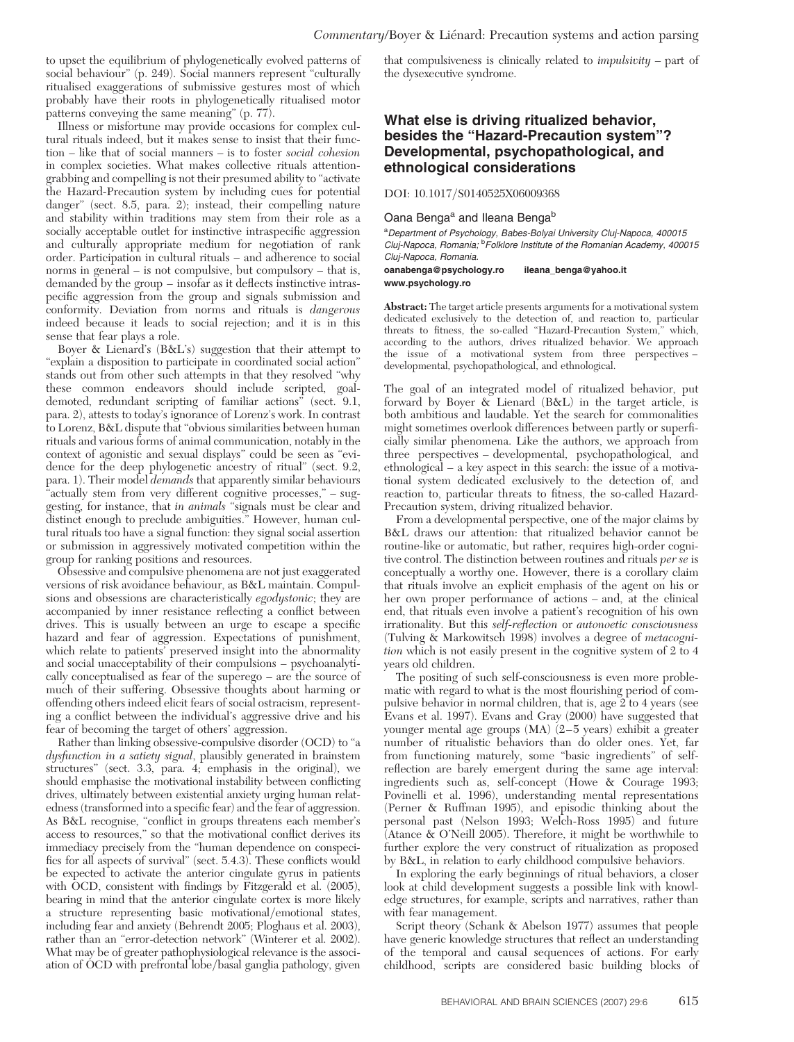to upset the equilibrium of phylogenetically evolved patterns of social behaviour" (p. 249). Social manners represent "culturally ritualised exaggerations of submissive gestures most of which probably have their roots in phylogenetically ritualised motor patterns conveying the same meaning" (p. 77).

Illness or misfortune may provide occasions for complex cultural rituals indeed, but it makes sense to insist that their function – like that of social manners – is to foster social cohesion in complex societies. What makes collective rituals attentiongrabbing and compelling is not their presumed ability to "activate the Hazard-Precaution system by including cues for potential danger" (sect. 8.5, para. 2); instead, their compelling nature and stability within traditions may stem from their role as a socially acceptable outlet for instinctive intraspecific aggression and culturally appropriate medium for negotiation of rank order. Participation in cultural rituals – and adherence to social norms in general – is not compulsive, but compulsory – that is, demanded by the group – insofar as it deflects instinctive intraspecific aggression from the group and signals submission and conformity. Deviation from norms and rituals is *dangerous* indeed because it leads to social rejection; and it is in this sense that fear plays a role.

Boyer & Lienard's (B&L's) suggestion that their attempt to "explain a disposition to participate in coordinated social action" stands out from other such attempts in that they resolved "why these common endeavors should include scripted, goaldemoted, redundant scripting of familiar actions" (sect. 9.1, para. 2), attests to today's ignorance of Lorenz's work. In contrast to Lorenz, B&L dispute that "obvious similarities between human rituals and various forms of animal communication, notably in the context of agonistic and sexual displays" could be seen as "evidence for the deep phylogenetic ancestry of ritual" (sect. 9.2, para. 1). Their model demands that apparently similar behaviours "actually stem from very different cognitive processes," – suggesting, for instance, that in animals "signals must be clear and distinct enough to preclude ambiguities." However, human cultural rituals too have a signal function: they signal social assertion or submission in aggressively motivated competition within the group for ranking positions and resources.

Obsessive and compulsive phenomena are not just exaggerated versions of risk avoidance behaviour, as B&L maintain. Compulsions and obsessions are characteristically egodystonic; they are accompanied by inner resistance reflecting a conflict between drives. This is usually between an urge to escape a specific hazard and fear of aggression. Expectations of punishment, which relate to patients' preserved insight into the abnormality and social unacceptability of their compulsions – psychoanalytically conceptualised as fear of the superego – are the source of much of their suffering. Obsessive thoughts about harming or offending others indeed elicit fears of social ostracism, representing a conflict between the individual's aggressive drive and his fear of becoming the target of others' aggression.

Rather than linking obsessive-compulsive disorder (OCD) to "a dysfunction in a satiety signal, plausibly generated in brainstem structures" (sect. 3.3, para. 4; emphasis in the original), we should emphasise the motivational instability between conflicting drives, ultimately between existential anxiety urging human relatedness (transformed into a specific fear) and the fear of aggression. As B&L recognise, "conflict in groups threatens each member's access to resources," so that the motivational conflict derives its immediacy precisely from the "human dependence on conspecifics for all aspects of survival" (sect. 5.4.3). These conflicts would be expected to activate the anterior cingulate gyrus in patients with OCD, consistent with findings by Fitzgerald et al. (2005), bearing in mind that the anterior cingulate cortex is more likely a structure representing basic motivational/emotional states, including fear and anxiety (Behrendt 2005; Ploghaus et al. 2003), rather than an "error-detection network" (Winterer et al. 2002). What may be of greater pathophysiological relevance is the association of OCD with prefrontal lobe/basal ganglia pathology, given

that compulsiveness is clinically related to impulsivity – part of the dysexecutive syndrome.

## What else is driving ritualized behavior, besides the "Hazard-Precaution system"? Developmental, psychopathological, and ethnological considerations

DOI: 10.1017/S0140525X06009368

#### Oana Benga<sup>a</sup> and Ileana Benga<sup>b</sup>

<sup>a</sup>Department of Psychology, Babes-Bolyai University Cluj-Napoca, 400015 Cluj-Napoca, Romania; <sup>b</sup>Folklore Institute of the Romanian Academy, 400015 Cluj-Napoca, Romania.

#### oanabenga@psychology.ro ileana\_benga@yahoo.it www.psychology.ro

Abstract: The target article presents arguments for a motivational system dedicated exclusively to the detection of, and reaction to, particular threats to fitness, the so-called "Hazard-Precaution System," which, according to the authors, drives ritualized behavior. We approach the issue of a motivational system from three perspectives – developmental, psychopathological, and ethnological.

The goal of an integrated model of ritualized behavior, put forward by Boyer & Lienard (B&L) in the target article, is both ambitious and laudable. Yet the search for commonalities might sometimes overlook differences between partly or superficially similar phenomena. Like the authors, we approach from three perspectives – developmental, psychopathological, and ethnological – a key aspect in this search: the issue of a motivational system dedicated exclusively to the detection of, and reaction to, particular threats to fitness, the so-called Hazard-Precaution system, driving ritualized behavior.

From a developmental perspective, one of the major claims by B&L draws our attention: that ritualized behavior cannot be routine-like or automatic, but rather, requires high-order cognitive control. The distinction between routines and rituals per se is conceptually a worthy one. However, there is a corollary claim that rituals involve an explicit emphasis of the agent on his or her own proper performance of actions – and, at the clinical end, that rituals even involve a patient's recognition of his own irrationality. But this self-reflection or autonoetic consciousness (Tulving & Markowitsch 1998) involves a degree of metacognition which is not easily present in the cognitive system of 2 to 4 years old children.

The positing of such self-consciousness is even more problematic with regard to what is the most flourishing period of compulsive behavior in normal children, that is, age 2 to 4 years (see Evans et al. 1997). Evans and Gray (2000) have suggested that younger mental age groups (MA) (2–5 years) exhibit a greater number of ritualistic behaviors than do older ones. Yet, far from functioning maturely, some "basic ingredients" of selfreflection are barely emergent during the same age interval: ingredients such as, self-concept (Howe & Courage 1993; Povinelli et al. 1996), understanding mental representations (Perner & Ruffman 1995), and episodic thinking about the personal past (Nelson 1993; Welch-Ross 1995) and future (Atance & O'Neill 2005). Therefore, it might be worthwhile to further explore the very construct of ritualization as proposed by B&L, in relation to early childhood compulsive behaviors.

In exploring the early beginnings of ritual behaviors, a closer look at child development suggests a possible link with knowledge structures, for example, scripts and narratives, rather than with fear management.

Script theory (Schank & Abelson 1977) assumes that people have generic knowledge structures that reflect an understanding of the temporal and causal sequences of actions. For early childhood, scripts are considered basic building blocks of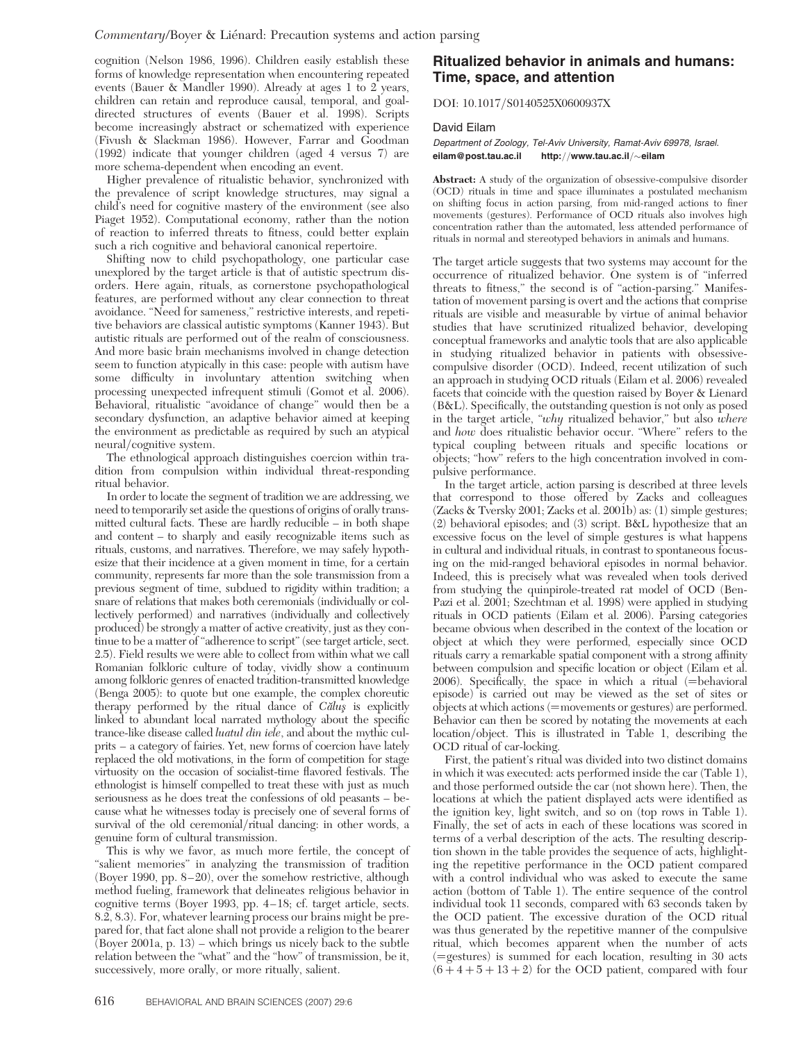cognition (Nelson 1986, 1996). Children easily establish these forms of knowledge representation when encountering repeated events (Bauer & Mandler 1990). Already at ages 1 to 2 years, children can retain and reproduce causal, temporal, and goaldirected structures of events (Bauer et al. 1998). Scripts become increasingly abstract or schematized with experience (Fivush & Slackman 1986). However, Farrar and Goodman (1992) indicate that younger children (aged 4 versus 7) are more schema-dependent when encoding an event.

Higher prevalence of ritualistic behavior, synchronized with the prevalence of script knowledge structures, may signal a child's need for cognitive mastery of the environment (see also Piaget 1952). Computational economy, rather than the notion of reaction to inferred threats to fitness, could better explain such a rich cognitive and behavioral canonical repertoire.

Shifting now to child psychopathology, one particular case unexplored by the target article is that of autistic spectrum disorders. Here again, rituals, as cornerstone psychopathological features, are performed without any clear connection to threat avoidance. "Need for sameness," restrictive interests, and repetitive behaviors are classical autistic symptoms (Kanner 1943). But autistic rituals are performed out of the realm of consciousness. And more basic brain mechanisms involved in change detection seem to function atypically in this case: people with autism have some difficulty in involuntary attention switching when processing unexpected infrequent stimuli (Gomot et al. 2006). Behavioral, ritualistic "avoidance of change" would then be a secondary dysfunction, an adaptive behavior aimed at keeping the environment as predictable as required by such an atypical neural/cognitive system.

The ethnological approach distinguishes coercion within tradition from compulsion within individual threat-responding ritual behavior.

In order to locate the segment of tradition we are addressing, we need to temporarily set aside the questions of origins of orally transmitted cultural facts. These are hardly reducible – in both shape and content – to sharply and easily recognizable items such as rituals, customs, and narratives. Therefore, we may safely hypothesize that their incidence at a given moment in time, for a certain community, represents far more than the sole transmission from a previous segment of time, subdued to rigidity within tradition; a snare of relations that makes both ceremonials (individually or collectively performed) and narratives (individually and collectively produced) be strongly a matter of active creativity, just as they continue to be a matter of "adherence to script" (see target article, sect. 2.5). Field results we were able to collect from within what we call Romanian folkloric culture of today, vividly show a continuum among folkloric genres of enacted tradition-transmitted knowledge (Benga 2005): to quote but one example, the complex choreutic therapy performed by the ritual dance of Căluş is explicitly linked to abundant local narrated mythology about the specific trance-like disease called luatul din iele, and about the mythic culprits – a category of fairies. Yet, new forms of coercion have lately replaced the old motivations, in the form of competition for stage virtuosity on the occasion of socialist-time flavored festivals. The ethnologist is himself compelled to treat these with just as much seriousness as he does treat the confessions of old peasants – because what he witnesses today is precisely one of several forms of survival of the old ceremonial/ritual dancing: in other words, a genuine form of cultural transmission.

This is why we favor, as much more fertile, the concept of "salient memories" in analyzing the transmission of tradition (Boyer 1990, pp. 8–20), over the somehow restrictive, although method fueling, framework that delineates religious behavior in cognitive terms (Boyer 1993, pp. 4–18; cf. target article, sects. 8.2, 8.3). For, whatever learning process our brains might be prepared for, that fact alone shall not provide a religion to the bearer (Boyer 2001a, p. 13) – which brings us nicely back to the subtle relation between the "what" and the "how" of transmission, be it, successively, more orally, or more ritually, salient.

## Ritualized behavior in animals and humans: Time, space, and attention

DOI: 10.1017/S0140525X0600937X

David Eilam

Department of Zoology, Tel-Aviv University, Ramat-Aviv 69978, Israel. eilam@post.tau.ac.il http://www.tau.ac.il/ $\sim$ eilam

Abstract: A study of the organization of obsessive-compulsive disorder (OCD) rituals in time and space illuminates a postulated mechanism on shifting focus in action parsing, from mid-ranged actions to finer movements (gestures). Performance of OCD rituals also involves high concentration rather than the automated, less attended performance of rituals in normal and stereotyped behaviors in animals and humans.

The target article suggests that two systems may account for the occurrence of ritualized behavior. One system is of "inferred threats to fitness," the second is of "action-parsing." Manifestation of movement parsing is overt and the actions that comprise rituals are visible and measurable by virtue of animal behavior studies that have scrutinized ritualized behavior, developing conceptual frameworks and analytic tools that are also applicable in studying ritualized behavior in patients with obsessivecompulsive disorder (OCD). Indeed, recent utilization of such an approach in studying OCD rituals (Eilam et al. 2006) revealed facets that coincide with the question raised by Boyer & Lienard (B&L). Specifically, the outstanding question is not only as posed in the target article, "why ritualized behavior," but also where and how does ritualistic behavior occur. "Where" refers to the typical coupling between rituals and specific locations or objects; "how" refers to the high concentration involved in compulsive performance.

In the target article, action parsing is described at three levels that correspond to those offered by Zacks and colleagues (Zacks & Tversky 2001; Zacks et al. 2001b) as: (1) simple gestures; (2) behavioral episodes; and (3) script. B&L hypothesize that an excessive focus on the level of simple gestures is what happens in cultural and individual rituals, in contrast to spontaneous focusing on the mid-ranged behavioral episodes in normal behavior. Indeed, this is precisely what was revealed when tools derived from studying the quinpirole-treated rat model of OCD (Ben-Pazi et al. 2001; Szechtman et al. 1998) were applied in studying rituals in OCD patients (Eilam et al. 2006). Parsing categories became obvious when described in the context of the location or object at which they were performed, especially since OCD rituals carry a remarkable spatial component with a strong affinity between compulsion and specific location or object (Eilam et al.  $2006$ ). Specifically, the space in which a ritual (=behavioral episode) is carried out may be viewed as the set of sites or objects at which actions (=movements or gestures) are performed. Behavior can then be scored by notating the movements at each location/object. This is illustrated in Table 1, describing the OCD ritual of car-locking.

First, the patient's ritual was divided into two distinct domains in which it was executed: acts performed inside the car (Table 1), and those performed outside the car (not shown here). Then, the locations at which the patient displayed acts were identified as the ignition key, light switch, and so on (top rows in Table 1). Finally, the set of acts in each of these locations was scored in terms of a verbal description of the acts. The resulting description shown in the table provides the sequence of acts, highlighting the repetitive performance in the OCD patient compared with a control individual who was asked to execute the same action (bottom of Table 1). The entire sequence of the control individual took 11 seconds, compared with 63 seconds taken by the OCD patient. The excessive duration of the OCD ritual was thus generated by the repetitive manner of the compulsive ritual, which becomes apparent when the number of acts  $( = gestures)$  is summed for each location, resulting in 30 acts  $(6 + 4 + 5 + 13 + 2)$  for the OCD patient, compared with four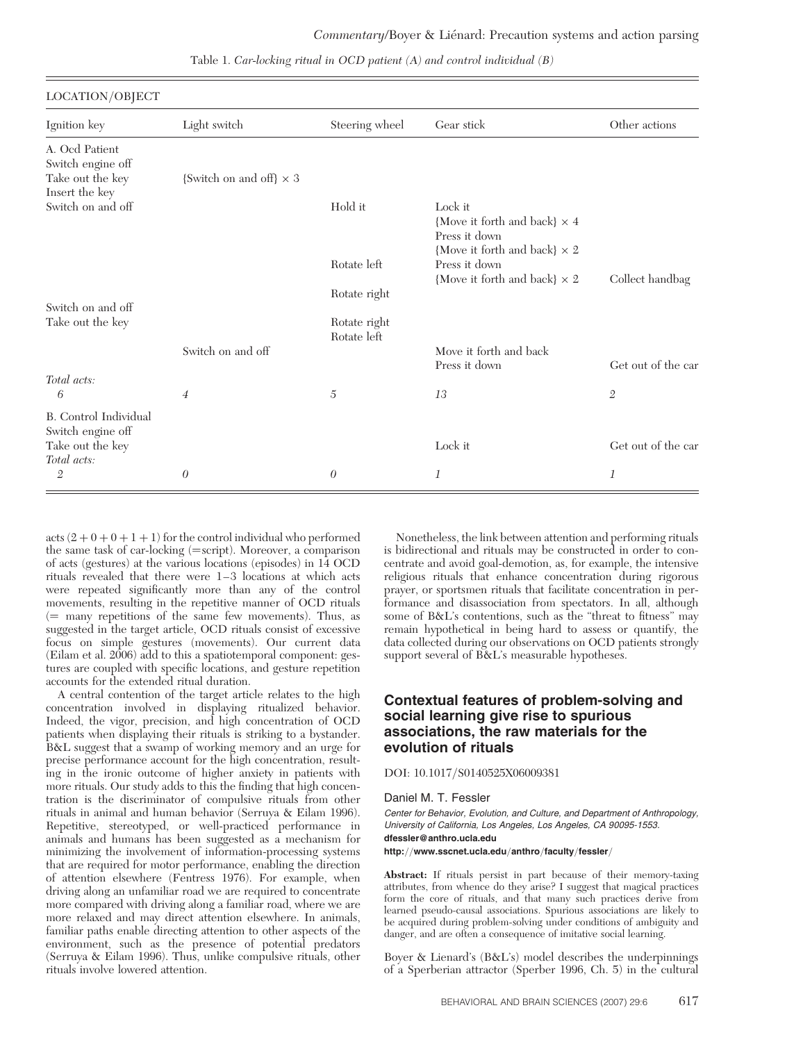## Commentary/Boyer & Liénard: Precaution systems and action parsing

| LOUILLUI JUULUI                     |                                |                |                                     |                    |
|-------------------------------------|--------------------------------|----------------|-------------------------------------|--------------------|
| Ignition key                        | Light switch                   | Steering wheel | Gear stick                          | Other actions      |
| A. Ocd Patient                      |                                |                |                                     |                    |
| Switch engine off                   |                                |                |                                     |                    |
| Take out the key                    | {Switch on and off} $\times$ 3 |                |                                     |                    |
| Insert the key<br>Switch on and off |                                | Hold it        | Lock it                             |                    |
|                                     |                                |                | {Move it forth and back} $\times$ 4 |                    |
|                                     |                                |                | Press it down                       |                    |
|                                     |                                |                | {Move it forth and back} $\times$ 2 |                    |
|                                     |                                | Rotate left    | Press it down                       |                    |
|                                     |                                |                | {Move it forth and back} $\times$ 2 | Collect handbag    |
|                                     |                                | Rotate right   |                                     |                    |
| Switch on and off                   |                                |                |                                     |                    |
| Take out the key                    |                                | Rotate right   |                                     |                    |
|                                     |                                | Rotate left    |                                     |                    |
|                                     | Switch on and off              |                | Move it forth and back              |                    |
|                                     |                                |                | Press it down                       | Get out of the car |
| Total acts:                         |                                |                |                                     |                    |
| 6                                   | $\overline{4}$                 | 5              | 13                                  | $\overline{2}$     |
| <b>B.</b> Control Individual        |                                |                |                                     |                    |
| Switch engine off                   |                                |                |                                     |                    |
| Take out the key                    |                                |                | Lock it                             | Get out of the car |
| Total acts:                         |                                |                |                                     |                    |
| $\overline{2}$                      | $\theta$                       | $\theta$       | 1                                   | 1                  |
|                                     |                                |                |                                     |                    |

## Table 1. Car-locking ritual in OCD patient (A) and control individual (B)

acts  $(2+0+0+1+1)$  for the control individual who performed the same task of car-locking  $(=script)$ . Moreover, a comparison of acts (gestures) at the various locations (episodes) in 14 OCD rituals revealed that there were 1–3 locations at which acts were repeated significantly more than any of the control movements, resulting in the repetitive manner of OCD rituals  $($  many repetitions of the same few movements). Thus, as suggested in the target article, OCD rituals consist of excessive focus on simple gestures (movements). Our current data (Eilam et al. 2006) add to this a spatiotemporal component: gestures are coupled with specific locations, and gesture repetition accounts for the extended ritual duration.

LOCATION/OBJECT

A central contention of the target article relates to the high concentration involved in displaying ritualized behavior. Indeed, the vigor, precision, and high concentration of OCD patients when displaying their rituals is striking to a bystander. B&L suggest that a swamp of working memory and an urge for precise performance account for the high concentration, resulting in the ironic outcome of higher anxiety in patients with more rituals. Our study adds to this the finding that high concentration is the discriminator of compulsive rituals from other rituals in animal and human behavior (Serruya & Eilam 1996). Repetitive, stereotyped, or well-practiced performance in animals and humans has been suggested as a mechanism for minimizing the involvement of information-processing systems that are required for motor performance, enabling the direction of attention elsewhere (Fentress 1976). For example, when driving along an unfamiliar road we are required to concentrate more compared with driving along a familiar road, where we are more relaxed and may direct attention elsewhere. In animals, familiar paths enable directing attention to other aspects of the environment, such as the presence of potential predators (Serruya & Eilam 1996). Thus, unlike compulsive rituals, other rituals involve lowered attention.

Nonetheless, the link between attention and performing rituals is bidirectional and rituals may be constructed in order to concentrate and avoid goal-demotion, as, for example, the intensive religious rituals that enhance concentration during rigorous prayer, or sportsmen rituals that facilitate concentration in performance and disassociation from spectators. In all, although some of B&L's contentions, such as the "threat to fitness" may remain hypothetical in being hard to assess or quantify, the data collected during our observations on OCD patients strongly support several of B&L's measurable hypotheses.

## Contextual features of problem-solving and social learning give rise to spurious associations, the raw materials for the evolution of rituals

#### DOI: 10.1017/S0140525X06009381

Daniel M. T. Fessler

Center for Behavior, Evolution, and Culture, and Department of Anthropology, University of California, Los Angeles, Los Angeles, CA 90095-1553. dfessler@anthro.ucla.edu http://www.sscnet.ucla.edu/anthro/faculty/fessler/

Abstract: If rituals persist in part because of their memory-taxing attributes, from whence do they arise? I suggest that magical practices form the core of rituals, and that many such practices derive from learned pseudo-causal associations. Spurious associations are likely to be acquired during problem-solving under conditions of ambiguity and danger, and are often a consequence of imitative social learning.

Boyer & Lienard's (B&L's) model describes the underpinnings of a Sperberian attractor (Sperber 1996, Ch. 5) in the cultural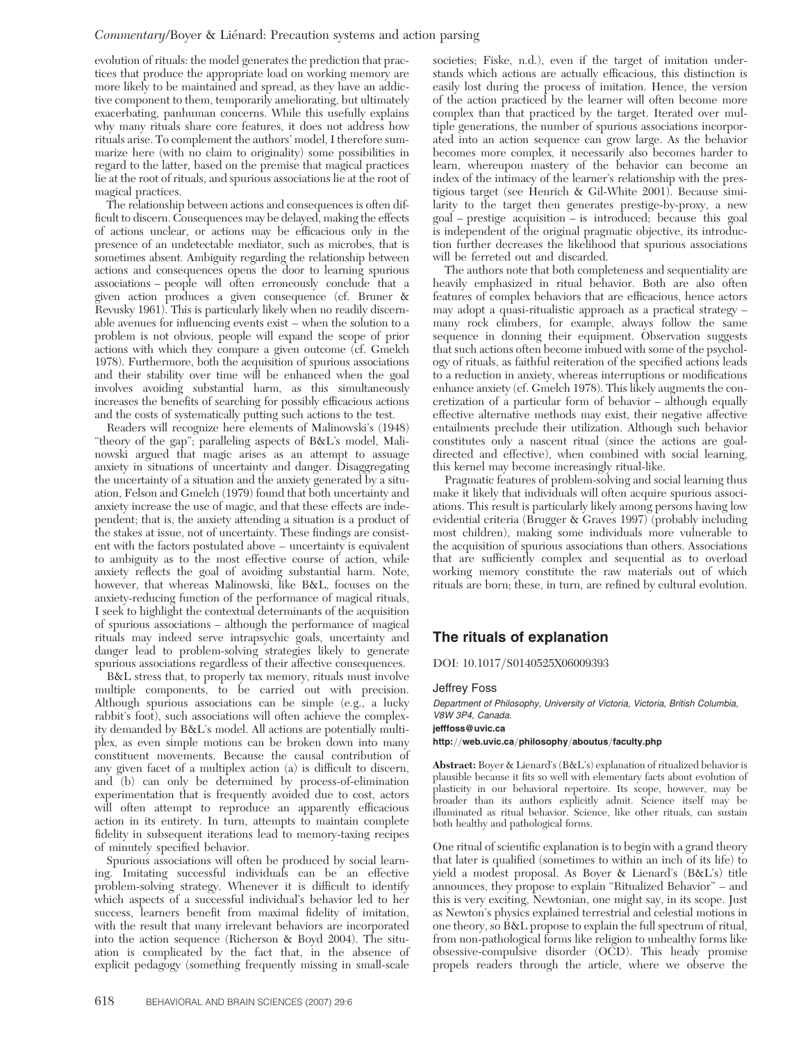evolution of rituals: the model generates the prediction that practices that produce the appropriate load on working memory are more likely to be maintained and spread, as they have an addictive component to them, temporarily ameliorating, but ultimately exacerbating, panhuman concerns. While this usefully explains why many rituals share core features, it does not address how rituals arise. To complement the authors' model, I therefore summarize here (with no claim to originality) some possibilities in regard to the latter, based on the premise that magical practices lie at the root of rituals, and spurious associations lie at the root of magical practices.

The relationship between actions and consequences is often difficult to discern. Consequences may be delayed, making the effects of actions unclear, or actions may be efficacious only in the presence of an undetectable mediator, such as microbes, that is sometimes absent. Ambiguity regarding the relationship between actions and consequences opens the door to learning spurious associations – people will often erroneously conclude that a given action produces a given consequence (cf. Bruner & Revusky 1961). This is particularly likely when no readily discernable avenues for influencing events exist – when the solution to a problem is not obvious, people will expand the scope of prior actions with which they compare a given outcome (cf. Gmelch 1978). Furthermore, both the acquisition of spurious associations and their stability over time will be enhanced when the goal involves avoiding substantial harm, as this simultaneously increases the benefits of searching for possibly efficacious actions and the costs of systematically putting such actions to the test.

Readers will recognize here elements of Malinowski's (1948) "theory of the gap"; paralleling aspects of B&L's model, Malinowski argued that magic arises as an attempt to assuage anxiety in situations of uncertainty and danger. Disaggregating the uncertainty of a situation and the anxiety generated by a situation, Felson and Gmelch (1979) found that both uncertainty and anxiety increase the use of magic, and that these effects are independent; that is, the anxiety attending a situation is a product of the stakes at issue, not of uncertainty. These findings are consistent with the factors postulated above – uncertainty is equivalent to ambiguity as to the most effective course of action, while anxiety reflects the goal of avoiding substantial harm. Note, however, that whereas Malinowski, like B&L, focuses on the anxiety-reducing function of the performance of magical rituals, I seek to highlight the contextual determinants of the acquisition of spurious associations – although the performance of magical rituals may indeed serve intrapsychic goals, uncertainty and danger lead to problem-solving strategies likely to generate spurious associations regardless of their affective consequences.

B&L stress that, to properly tax memory, rituals must involve multiple components, to be carried out with precision. Although spurious associations can be simple (e.g., a lucky rabbit's foot), such associations will often achieve the complexity demanded by B&L's model. All actions are potentially multiplex, as even simple motions can be broken down into many constituent movements. Because the causal contribution of any given facet of a multiplex action (a) is difficult to discern, and (b) can only be determined by process-of-elimination experimentation that is frequently avoided due to cost, actors will often attempt to reproduce an apparently efficacious action in its entirety. In turn, attempts to maintain complete fidelity in subsequent iterations lead to memory-taxing recipes of minutely specified behavior.

Spurious associations will often be produced by social learning. Imitating successful individuals can be an effective problem-solving strategy. Whenever it is difficult to identify which aspects of a successful individual's behavior led to her success, learners benefit from maximal fidelity of imitation, with the result that many irrelevant behaviors are incorporated into the action sequence (Richerson & Boyd 2004). The situation is complicated by the fact that, in the absence of explicit pedagogy (something frequently missing in small-scale

societies; Fiske, n.d.), even if the target of imitation understands which actions are actually efficacious, this distinction is easily lost during the process of imitation. Hence, the version of the action practiced by the learner will often become more complex than that practiced by the target. Iterated over multiple generations, the number of spurious associations incorporated into an action sequence can grow large. As the behavior becomes more complex, it necessarily also becomes harder to learn, whereupon mastery of the behavior can become an index of the intimacy of the learner's relationship with the prestigious target (see Henrich & Gil-White 2001). Because similarity to the target then generates prestige-by-proxy, a new goal – prestige acquisition – is introduced; because this goal is independent of the original pragmatic objective, its introduction further decreases the likelihood that spurious associations will be ferreted out and discarded.

The authors note that both completeness and sequentiality are heavily emphasized in ritual behavior. Both are also often features of complex behaviors that are efficacious, hence actors may adopt a quasi-ritualistic approach as a practical strategy – many rock climbers, for example, always follow the same sequence in donning their equipment. Observation suggests that such actions often become imbued with some of the psychology of rituals, as faithful reiteration of the specified actions leads to a reduction in anxiety, whereas interruptions or modifications enhance anxiety (cf. Gmelch 1978). This likely augments the concretization of a particular form of behavior – although equally effective alternative methods may exist, their negative affective entailments preclude their utilization. Although such behavior constitutes only a nascent ritual (since the actions are goaldirected and effective), when combined with social learning, this kernel may become increasingly ritual-like.

Pragmatic features of problem-solving and social learning thus make it likely that individuals will often acquire spurious associations. This result is particularly likely among persons having low evidential criteria (Brugger & Graves 1997) (probably including most children), making some individuals more vulnerable to the acquisition of spurious associations than others. Associations that are sufficiently complex and sequential as to overload working memory constitute the raw materials out of which rituals are born; these, in turn, are refined by cultural evolution.

## The rituals of explanation

DOI: 10.1017/S0140525X06009393

Jeffrey Foss

Department of Philosophy, University of Victoria, Victoria, British Columbia, V8W 3P4, Canada.

#### iefffoss@uvic.ca

http://web.uvic.ca/philosophy/aboutus/faculty.php

Abstract: Boyer & Lienard's (B&L's) explanation of ritualized behavior is plausible because it fits so well with elementary facts about evolution of plasticity in our behavioral repertoire. Its scope, however, may be broader than its authors explicitly admit. Science itself may be illuminated as ritual behavior. Science, like other rituals, can sustain both healthy and pathological forms.

One ritual of scientific explanation is to begin with a grand theory that later is qualified (sometimes to within an inch of its life) to yield a modest proposal. As Boyer & Lienard's (B&L's) title announces, they propose to explain "Ritualized Behavior" – and this is very exciting, Newtonian, one might say, in its scope. Just as Newton's physics explained terrestrial and celestial motions in one theory, so B&L propose to explain the full spectrum of ritual, from non-pathological forms like religion to unhealthy forms like obsessive-compulsive disorder (OCD). This heady promise propels readers through the article, where we observe the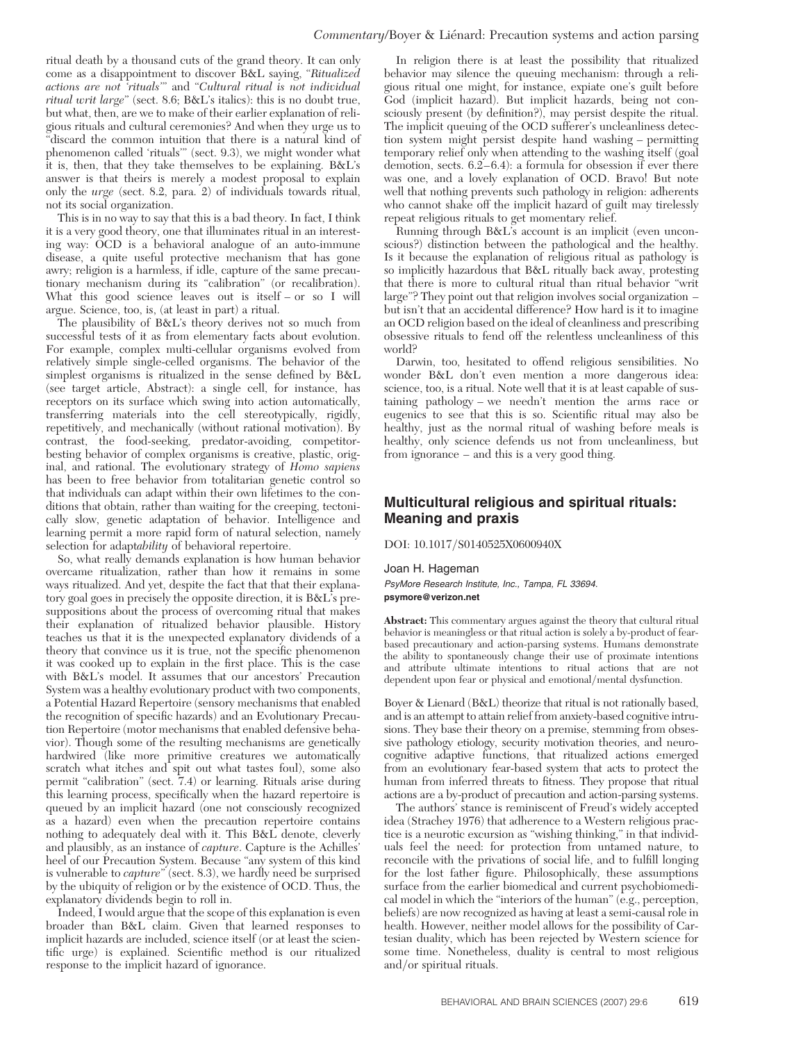ritual death by a thousand cuts of the grand theory. It can only come as a disappointment to discover B&L saying, "Ritualized actions are not 'rituals" and "Cultural ritual is not individual ritual writ large" (sect. 8.6; B&L's italics): this is no doubt true, but what, then, are we to make of their earlier explanation of religious rituals and cultural ceremonies? And when they urge us to "discard the common intuition that there is a natural kind of phenomenon called 'rituals'" (sect. 9.3), we might wonder what it is, then, that they take themselves to be explaining. B&L's answer is that theirs is merely a modest proposal to explain only the urge (sect. 8.2, para. 2) of individuals towards ritual, not its social organization.

This is in no way to say that this is a bad theory. In fact, I think it is a very good theory, one that illuminates ritual in an interesting way: OCD is a behavioral analogue of an auto-immune disease, a quite useful protective mechanism that has gone awry; religion is a harmless, if idle, capture of the same precautionary mechanism during its "calibration" (or recalibration). What this good science leaves out is itself – or so I will argue. Science, too, is, (at least in part) a ritual.

The plausibility of B&L's theory derives not so much from successful tests of it as from elementary facts about evolution. For example, complex multi-cellular organisms evolved from relatively simple single-celled organisms. The behavior of the simplest organisms is ritualized in the sense defined by B&L (see target article, Abstract): a single cell, for instance, has receptors on its surface which swing into action automatically, transferring materials into the cell stereotypically, rigidly, repetitively, and mechanically (without rational motivation). By contrast, the food-seeking, predator-avoiding, competitorbesting behavior of complex organisms is creative, plastic, original, and rational. The evolutionary strategy of Homo sapiens has been to free behavior from totalitarian genetic control so that individuals can adapt within their own lifetimes to the conditions that obtain, rather than waiting for the creeping, tectonically slow, genetic adaptation of behavior. Intelligence and learning permit a more rapid form of natural selection, namely selection for adaptability of behavioral repertoire.

So, what really demands explanation is how human behavior overcame ritualization, rather than how it remains in some ways ritualized. And yet, despite the fact that that their explanatory goal goes in precisely the opposite direction, it is B&L's presuppositions about the process of overcoming ritual that makes their explanation of ritualized behavior plausible. History teaches us that it is the unexpected explanatory dividends of a theory that convince us it is true, not the specific phenomenon it was cooked up to explain in the first place. This is the case with B&L's model. It assumes that our ancestors' Precaution System was a healthy evolutionary product with two components, a Potential Hazard Repertoire (sensory mechanisms that enabled the recognition of specific hazards) and an Evolutionary Precaution Repertoire (motor mechanisms that enabled defensive behavior). Though some of the resulting mechanisms are genetically hardwired (like more primitive creatures we automatically scratch what itches and spit out what tastes foul), some also permit "calibration" (sect. 7.4) or learning. Rituals arise during this learning process, specifically when the hazard repertoire is queued by an implicit hazard (one not consciously recognized as a hazard) even when the precaution repertoire contains nothing to adequately deal with it. This B&L denote, cleverly and plausibly, as an instance of capture. Capture is the Achilles' heel of our Precaution System. Because "any system of this kind is vulnerable to capture" (sect. 8.3), we hardly need be surprised by the ubiquity of religion or by the existence of OCD. Thus, the explanatory dividends begin to roll in.

Indeed, I would argue that the scope of this explanation is even broader than B&L claim. Given that learned responses to implicit hazards are included, science itself (or at least the scientific urge) is explained. Scientific method is our ritualized response to the implicit hazard of ignorance.

In religion there is at least the possibility that ritualized behavior may silence the queuing mechanism: through a religious ritual one might, for instance, expiate one's guilt before God (implicit hazard). But implicit hazards, being not consciously present (by definition?), may persist despite the ritual. The implicit queuing of the OCD sufferer's uncleanliness detection system might persist despite hand washing – permitting temporary relief only when attending to the washing itself (goal demotion, sects. 6.2–6.4): a formula for obsession if ever there was one, and a lovely explanation of OCD. Bravo! But note well that nothing prevents such pathology in religion: adherents who cannot shake off the implicit hazard of guilt may tirelessly repeat religious rituals to get momentary relief.

Running through B&L's account is an implicit (even unconscious?) distinction between the pathological and the healthy. Is it because the explanation of religious ritual as pathology is so implicitly hazardous that B&L ritually back away, protesting that there is more to cultural ritual than ritual behavior "writ large"? They point out that religion involves social organization – but isn't that an accidental difference? How hard is it to imagine an OCD religion based on the ideal of cleanliness and prescribing obsessive rituals to fend off the relentless uncleanliness of this world?

Darwin, too, hesitated to offend religious sensibilities. No wonder B&L don't even mention a more dangerous idea: science, too, is a ritual. Note well that it is at least capable of sustaining pathology – we needn't mention the arms race or eugenics to see that this is so. Scientific ritual may also be healthy, just as the normal ritual of washing before meals is healthy, only science defends us not from uncleanliness, but from ignorance – and this is a very good thing.

## Multicultural religious and spiritual rituals: Meaning and praxis

DOI: 10.1017/S0140525X0600940X

Joan H. Hageman PsyMore Research Institute, Inc., Tampa, FL 33694. psymore@verizon.net

Abstract: This commentary argues against the theory that cultural ritual behavior is meaningless or that ritual action is solely a by-product of fearbased precautionary and action-parsing systems. Humans demonstrate the ability to spontaneously change their use of proximate intentions and attribute ultimate intentions to ritual actions that are not dependent upon fear or physical and emotional/mental dysfunction.

Boyer & Lienard (B&L) theorize that ritual is not rationally based, and is an attempt to attain relief from anxiety-based cognitive intrusions. They base their theory on a premise, stemming from obsessive pathology etiology, security motivation theories, and neurocognitive adaptive functions, that ritualized actions emerged from an evolutionary fear-based system that acts to protect the human from inferred threats to fitness. They propose that ritual actions are a by-product of precaution and action-parsing systems.

The authors' stance is reminiscent of Freud's widely accepted idea (Strachey 1976) that adherence to a Western religious practice is a neurotic excursion as "wishing thinking," in that individuals feel the need: for protection from untamed nature, to reconcile with the privations of social life, and to fulfill longing for the lost father figure. Philosophically, these assumptions surface from the earlier biomedical and current psychobiomedical model in which the "interiors of the human" (e.g., perception, beliefs) are now recognized as having at least a semi-causal role in health. However, neither model allows for the possibility of Cartesian duality, which has been rejected by Western science for some time. Nonetheless, duality is central to most religious and/or spiritual rituals.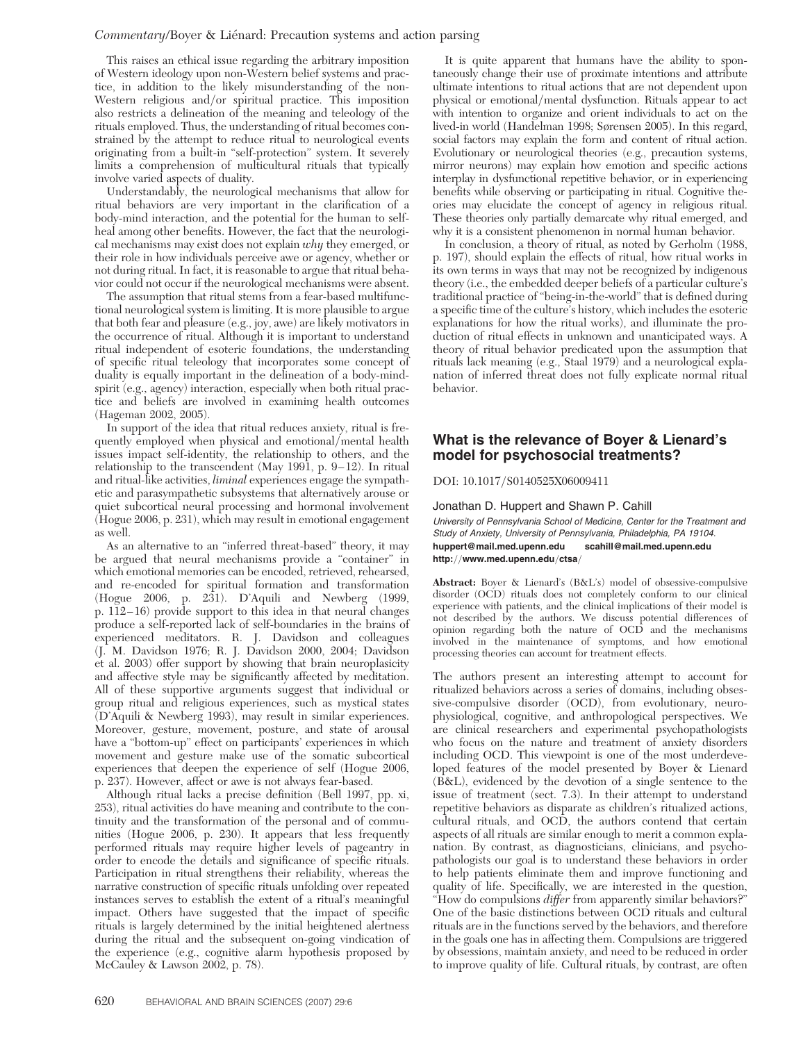This raises an ethical issue regarding the arbitrary imposition of Western ideology upon non-Western belief systems and practice, in addition to the likely misunderstanding of the non-Western religious and/or spiritual practice. This imposition also restricts a delineation of the meaning and teleology of the rituals employed. Thus, the understanding of ritual becomes constrained by the attempt to reduce ritual to neurological events originating from a built-in "self-protection" system. It severely limits a comprehension of multicultural rituals that typically involve varied aspects of duality.

Understandably, the neurological mechanisms that allow for ritual behaviors are very important in the clarification of a body-mind interaction, and the potential for the human to selfheal among other benefits. However, the fact that the neurological mechanisms may exist does not explain why they emerged, or their role in how individuals perceive awe or agency, whether or not during ritual. In fact, it is reasonable to argue that ritual behavior could not occur if the neurological mechanisms were absent.

The assumption that ritual stems from a fear-based multifunctional neurological system is limiting. It is more plausible to argue that both fear and pleasure (e.g., joy, awe) are likely motivators in the occurrence of ritual. Although it is important to understand ritual independent of esoteric foundations, the understanding of specific ritual teleology that incorporates some concept of duality is equally important in the delineation of a body-mindspirit (e.g., agency) interaction, especially when both ritual practice and beliefs are involved in examining health outcomes (Hageman 2002, 2005).

In support of the idea that ritual reduces anxiety, ritual is frequently employed when physical and emotional/mental health issues impact self-identity, the relationship to others, and the relationship to the transcendent (May 1991, p. 9–12). In ritual and ritual-like activities, *liminal* experiences engage the sympathetic and parasympathetic subsystems that alternatively arouse or quiet subcortical neural processing and hormonal involvement (Hogue 2006, p. 231), which may result in emotional engagement as well.

As an alternative to an "inferred threat-based" theory, it may be argued that neural mechanisms provide a "container" in which emotional memories can be encoded, retrieved, rehearsed, and re-encoded for spiritual formation and transformation (Hogue 2006, p. 231). D'Aquili and Newberg (1999, p. 112–16) provide support to this idea in that neural changes produce a self-reported lack of self-boundaries in the brains of experienced meditators. R. J. Davidson and colleagues (J. M. Davidson 1976; R. J. Davidson 2000, 2004; Davidson et al. 2003) offer support by showing that brain neuroplasicity and affective style may be significantly affected by meditation. All of these supportive arguments suggest that individual or group ritual and religious experiences, such as mystical states (D'Aquili & Newberg 1993), may result in similar experiences. Moreover, gesture, movement, posture, and state of arousal have a "bottom-up" effect on participants' experiences in which movement and gesture make use of the somatic subcortical experiences that deepen the experience of self (Hogue 2006, p. 237). However, affect or awe is not always fear-based.

Although ritual lacks a precise definition (Bell 1997, pp. xi, 253), ritual activities do have meaning and contribute to the continuity and the transformation of the personal and of communities (Hogue 2006, p. 230). It appears that less frequently performed rituals may require higher levels of pageantry in order to encode the details and significance of specific rituals. Participation in ritual strengthens their reliability, whereas the narrative construction of specific rituals unfolding over repeated instances serves to establish the extent of a ritual's meaningful impact. Others have suggested that the impact of specific rituals is largely determined by the initial heightened alertness during the ritual and the subsequent on-going vindication of the experience (e.g., cognitive alarm hypothesis proposed by McCauley & Lawson 2002, p. 78).

It is quite apparent that humans have the ability to spontaneously change their use of proximate intentions and attribute ultimate intentions to ritual actions that are not dependent upon physical or emotional/mental dysfunction. Rituals appear to act with intention to organize and orient individuals to act on the lived-in world (Handelman 1998; Sørensen 2005). In this regard, social factors may explain the form and content of ritual action. Evolutionary or neurological theories (e.g., precaution systems, mirror neurons) may explain how emotion and specific actions interplay in dysfunctional repetitive behavior, or in experiencing benefits while observing or participating in ritual. Cognitive theories may elucidate the concept of agency in religious ritual. These theories only partially demarcate why ritual emerged, and why it is a consistent phenomenon in normal human behavior.

In conclusion, a theory of ritual, as noted by Gerholm (1988, p. 197), should explain the effects of ritual, how ritual works in its own terms in ways that may not be recognized by indigenous theory (i.e., the embedded deeper beliefs of a particular culture's traditional practice of "being-in-the-world" that is defined during a specific time of the culture's history, which includes the esoteric explanations for how the ritual works), and illuminate the production of ritual effects in unknown and unanticipated ways. A theory of ritual behavior predicated upon the assumption that rituals lack meaning (e.g., Staal 1979) and a neurological explanation of inferred threat does not fully explicate normal ritual behavior.

## What is the relevance of Boyer & Lienard's model for psychosocial treatments?

DOI: 10.1017/S0140525X06009411

#### Jonathan D. Huppert and Shawn P. Cahill

University of Pennsylvania School of Medicine, Center for the Treatment and Study of Anxiety, University of Pennsylvania, Philadelphia, PA 19104. huppert@mail.med.upenn.edu scahill@mail.med.upenn.edu http://www.med.upenn.edu/ctsa/

Abstract: Boyer & Lienard's (B&L's) model of obsessive-compulsive disorder (OCD) rituals does not completely conform to our clinical experience with patients, and the clinical implications of their model is not described by the authors. We discuss potential differences of opinion regarding both the nature of OCD and the mechanisms involved in the maintenance of symptoms, and how emotional processing theories can account for treatment effects.

The authors present an interesting attempt to account for ritualized behaviors across a series of domains, including obsessive-compulsive disorder (OCD), from evolutionary, neurophysiological, cognitive, and anthropological perspectives. We are clinical researchers and experimental psychopathologists who focus on the nature and treatment of anxiety disorders including OCD. This viewpoint is one of the most underdeveloped features of the model presented by Boyer & Lienard (B&L), evidenced by the devotion of a single sentence to the issue of treatment (sect. 7.3). In their attempt to understand repetitive behaviors as disparate as children's ritualized actions, cultural rituals, and OCD, the authors contend that certain aspects of all rituals are similar enough to merit a common explanation. By contrast, as diagnosticians, clinicians, and psychopathologists our goal is to understand these behaviors in order to help patients eliminate them and improve functioning and quality of life. Specifically, we are interested in the question, "How do compulsions *differ* from apparently similar behaviors?" One of the basic distinctions between OCD rituals and cultural rituals are in the functions served by the behaviors, and therefore in the goals one has in affecting them. Compulsions are triggered by obsessions, maintain anxiety, and need to be reduced in order to improve quality of life. Cultural rituals, by contrast, are often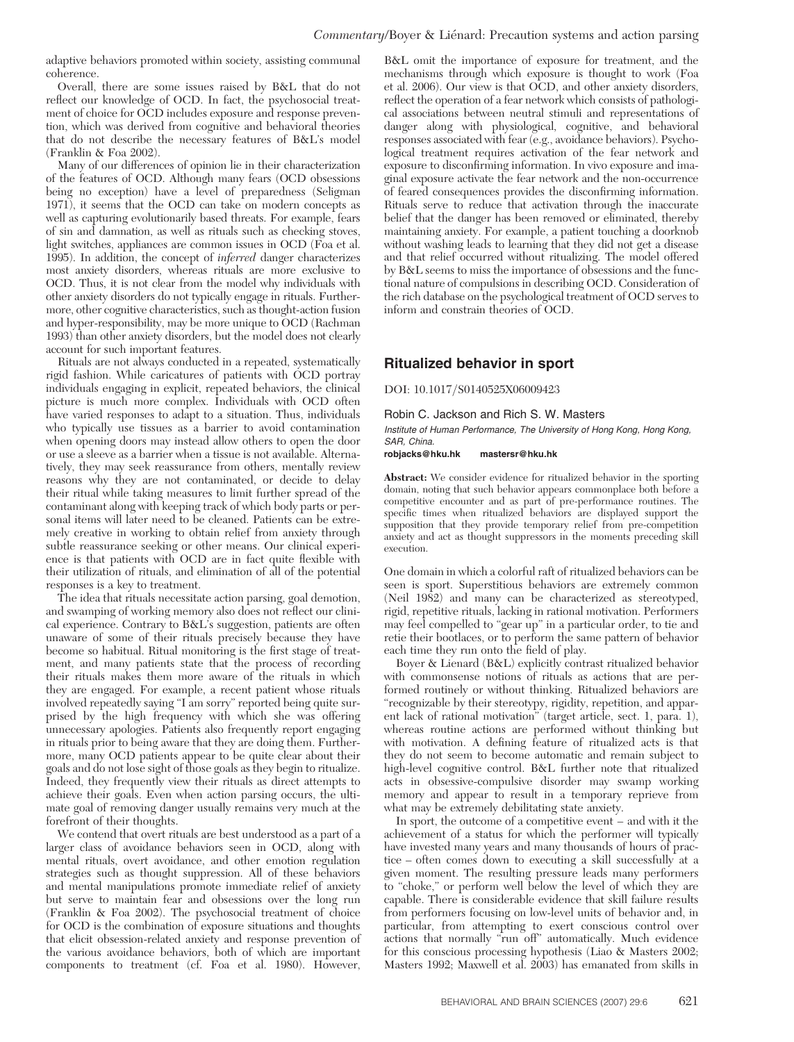adaptive behaviors promoted within society, assisting communal coherence.

Overall, there are some issues raised by B&L that do not reflect our knowledge of OCD. In fact, the psychosocial treatment of choice for OCD includes exposure and response prevention, which was derived from cognitive and behavioral theories that do not describe the necessary features of B&L's model (Franklin & Foa 2002).

Many of our differences of opinion lie in their characterization of the features of OCD. Although many fears (OCD obsessions being no exception) have a level of preparedness (Seligman 1971), it seems that the OCD can take on modern concepts as well as capturing evolutionarily based threats. For example, fears of sin and damnation, as well as rituals such as checking stoves, light switches, appliances are common issues in OCD (Foa et al. 1995). In addition, the concept of inferred danger characterizes most anxiety disorders, whereas rituals are more exclusive to OCD. Thus, it is not clear from the model why individuals with other anxiety disorders do not typically engage in rituals. Furthermore, other cognitive characteristics, such as thought-action fusion and hyper-responsibility, may be more unique to OCD (Rachman 1993) than other anxiety disorders, but the model does not clearly account for such important features.

Rituals are not always conducted in a repeated, systematically rigid fashion. While caricatures of patients with OCD portray individuals engaging in explicit, repeated behaviors, the clinical picture is much more complex. Individuals with OCD often have varied responses to adapt to a situation. Thus, individuals who typically use tissues as a barrier to avoid contamination when opening doors may instead allow others to open the door or use a sleeve as a barrier when a tissue is not available. Alternatively, they may seek reassurance from others, mentally review reasons why they are not contaminated, or decide to delay their ritual while taking measures to limit further spread of the contaminant along with keeping track of which body parts or personal items will later need to be cleaned. Patients can be extremely creative in working to obtain relief from anxiety through subtle reassurance seeking or other means. Our clinical experience is that patients with OCD are in fact quite flexible with their utilization of rituals, and elimination of all of the potential responses is a key to treatment.

The idea that rituals necessitate action parsing, goal demotion, and swamping of working memory also does not reflect our clinical experience. Contrary to B&L's suggestion, patients are often unaware of some of their rituals precisely because they have become so habitual. Ritual monitoring is the first stage of treatment, and many patients state that the process of recording their rituals makes them more aware of the rituals in which they are engaged. For example, a recent patient whose rituals involved repeatedly saying "I am sorry" reported being quite surprised by the high frequency with which she was offering unnecessary apologies. Patients also frequently report engaging in rituals prior to being aware that they are doing them. Furthermore, many OCD patients appear to be quite clear about their goals and do not lose sight of those goals as they begin to ritualize. Indeed, they frequently view their rituals as direct attempts to achieve their goals. Even when action parsing occurs, the ultimate goal of removing danger usually remains very much at the forefront of their thoughts.

We contend that overt rituals are best understood as a part of a larger class of avoidance behaviors seen in OCD, along with mental rituals, overt avoidance, and other emotion regulation strategies such as thought suppression. All of these behaviors and mental manipulations promote immediate relief of anxiety but serve to maintain fear and obsessions over the long run (Franklin & Foa 2002). The psychosocial treatment of choice for OCD is the combination of exposure situations and thoughts that elicit obsession-related anxiety and response prevention of the various avoidance behaviors, both of which are important components to treatment (cf. Foa et al. 1980). However, B&L omit the importance of exposure for treatment, and the mechanisms through which exposure is thought to work (Foa et al. 2006). Our view is that OCD, and other anxiety disorders, reflect the operation of a fear network which consists of pathological associations between neutral stimuli and representations of danger along with physiological, cognitive, and behavioral responses associated with fear (e.g., avoidance behaviors). Psychological treatment requires activation of the fear network and exposure to disconfirming information. In vivo exposure and imaginal exposure activate the fear network and the non-occurrence of feared consequences provides the disconfirming information. Rituals serve to reduce that activation through the inaccurate belief that the danger has been removed or eliminated, thereby maintaining anxiety. For example, a patient touching a doorknob without washing leads to learning that they did not get a disease and that relief occurred without ritualizing. The model offered by B&L seems to miss the importance of obsessions and the functional nature of compulsions in describing OCD. Consideration of the rich database on the psychological treatment of OCD serves to inform and constrain theories of OCD.

## Ritualized behavior in sport

DOI: 10.1017/S0140525X06009423

Robin C. Jackson and Rich S. W. Masters

Institute of Human Performance, The University of Hong Kong, Hong Kong, SAR, China.

robjacks@hku.hk mastersr@hku.hk

Abstract: We consider evidence for ritualized behavior in the sporting domain, noting that such behavior appears commonplace both before a competitive encounter and as part of pre-performance routines. The specific times when ritualized behaviors are displayed support the supposition that they provide temporary relief from pre-competition anxiety and act as thought suppressors in the moments preceding skill execution.

One domain in which a colorful raft of ritualized behaviors can be seen is sport. Superstitious behaviors are extremely common (Neil 1982) and many can be characterized as stereotyped, rigid, repetitive rituals, lacking in rational motivation. Performers may feel compelled to "gear up" in a particular order, to tie and retie their bootlaces, or to perform the same pattern of behavior each time they run onto the field of play.

Boyer & Lienard (B&L) explicitly contrast ritualized behavior with commonsense notions of rituals as actions that are performed routinely or without thinking. Ritualized behaviors are "recognizable by their stereotypy, rigidity, repetition, and apparent lack of rational motivation" (target article, sect. 1, para. 1), whereas routine actions are performed without thinking but with motivation. A defining feature of ritualized acts is that they do not seem to become automatic and remain subject to high-level cognitive control. B&L further note that ritualized acts in obsessive-compulsive disorder may swamp working memory and appear to result in a temporary reprieve from what may be extremely debilitating state anxiety.

In sport, the outcome of a competitive event – and with it the achievement of a status for which the performer will typically have invested many years and many thousands of hours of practice – often comes down to executing a skill successfully at a given moment. The resulting pressure leads many performers to "choke," or perform well below the level of which they are capable. There is considerable evidence that skill failure results from performers focusing on low-level units of behavior and, in particular, from attempting to exert conscious control over actions that normally "run off" automatically. Much evidence for this conscious processing hypothesis (Liao & Masters 2002; Masters 1992; Maxwell et al. 2003) has emanated from skills in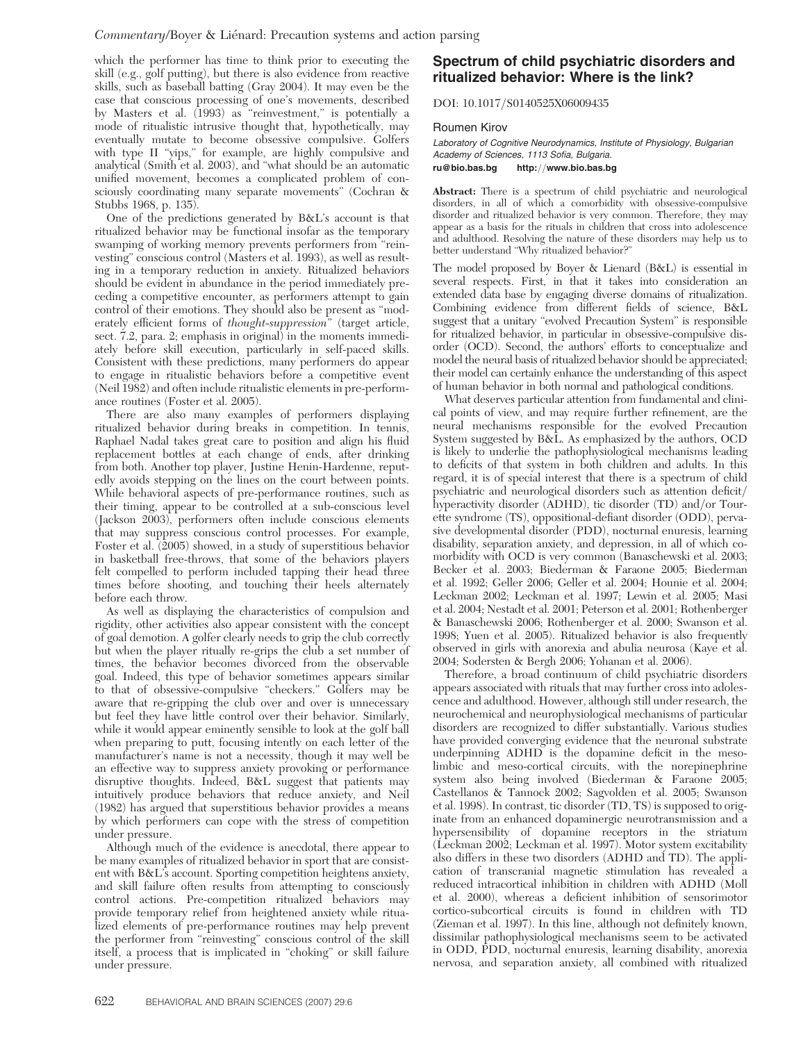which the performer has time to think prior to executing the skill (e.g., golf putting), but there is also evidence from reactive skills, such as baseball batting (Gray 2004). It may even be the case that conscious processing of one's movements, described by Masters et al. (1993) as "reinvestment," is potentially a mode of ritualistic intrusive thought that, hypothetically, may eventually mutate to become obsessive compulsive. Golfers with type II "yips," for example, are highly compulsive and analytical (Smith et al. 2003), and "what should be an automatic unified movement, becomes a complicated problem of consciously coordinating many separate movements" (Cochran & Stubbs 1968, p. 135).

One of the predictions generated by B&L's account is that ritualized behavior may be functional insofar as the temporary swamping of working memory prevents performers from "reinvesting" conscious control (Masters et al. 1993), as well as resulting in a temporary reduction in anxiety. Ritualized behaviors should be evident in abundance in the period immediately preceding a competitive encounter, as performers attempt to gain control of their emotions. They should also be present as "moderately efficient forms of thought-suppression" (target article, sect. 7.2, para. 2; emphasis in original) in the moments immediately before skill execution, particularly in self-paced skills. Consistent with these predictions, many performers do appear to engage in ritualistic behaviors before a competitive event (Neil 1982) and often include ritualistic elements in pre-performance routines (Foster et al. 2005).

There are also many examples of performers displaying ritualized behavior during breaks in competition. In tennis, Raphael Nadal takes great care to position and align his fluid replacement bottles at each change of ends, after drinking from both. Another top player, Justine Henin-Hardenne, reputedly avoids stepping on the lines on the court between points. While behavioral aspects of pre-performance routines, such as their timing, appear to be controlled at a sub-conscious level (Jackson 2003), performers often include conscious elements that may suppress conscious control processes. For example, Foster et al. (2005) showed, in a study of superstitious behavior in basketball free-throws, that some of the behaviors players felt compelled to perform included tapping their head three times before shooting, and touching their heels alternately before each throw.

As well as displaying the characteristics of compulsion and rigidity, other activities also appear consistent with the concept of goal demotion. A golfer clearly needs to grip the club correctly but when the player ritually re-grips the club a set number of times, the behavior becomes divorced from the observable goal. Indeed, this type of behavior sometimes appears similar to that of obsessive-compulsive "checkers." Golfers may be aware that re-gripping the club over and over is unnecessary but feel they have little control over their behavior. Similarly, while it would appear eminently sensible to look at the golf ball when preparing to putt, focusing intently on each letter of the manufacturer's name is not a necessity, though it may well be an effective way to suppress anxiety provoking or performance disruptive thoughts. Indeed, B&L suggest that patients may intuitively produce behaviors that reduce anxiety, and Neil (1982) has argued that superstitious behavior provides a means by which performers can cope with the stress of competition under pressure.

Although much of the evidence is anecdotal, there appear to be many examples of ritualized behavior in sport that are consistent with B&L's account. Sporting competition heightens anxiety, and skill failure often results from attempting to consciously control actions. Pre-competition ritualized behaviors may provide temporary relief from heightened anxiety while ritualized elements of pre-performance routines may help prevent the performer from "reinvesting" conscious control of the skill itself, a process that is implicated in "choking" or skill failure under pressure.

## Spectrum of child psychiatric disorders and ritualized behavior: Where is the link?

DOI: 10.1017/S0140525X06009435

#### Roumen Kirov

Laboratory of Cognitive Neurodynamics, Institute of Physiology, Bulgarian Academy of Sciences, 1113 Sofia, Bulgaria.

#### ru@bio.bas.bg http://www.bio.bas.bg

Abstract: There is a spectrum of child psychiatric and neurological disorders, in all of which a comorbidity with obsessive-compulsive disorder and ritualized behavior is very common. Therefore, they may appear as a basis for the rituals in children that cross into adolescence and adulthood. Resolving the nature of these disorders may help us to better understand "Why ritualized behavior?"

The model proposed by Boyer & Lienard (B&L) is essential in several respects. First, in that it takes into consideration an extended data base by engaging diverse domains of ritualization. Combining evidence from different fields of science, B&L suggest that a unitary "evolved Precaution System" is responsible for ritualized behavior, in particular in obsessive-compulsive disorder (OCD). Second, the authors' efforts to conceptualize and model the neural basis of ritualized behavior should be appreciated; their model can certainly enhance the understanding of this aspect of human behavior in both normal and pathological conditions.

What deserves particular attention from fundamental and clinical points of view, and may require further refinement, are the neural mechanisms responsible for the evolved Precaution System suggested by B&L. As emphasized by the authors, OCD is likely to underlie the pathophysiological mechanisms leading to deficits of that system in both children and adults. In this regard, it is of special interest that there is a spectrum of child psychiatric and neurological disorders such as attention deficit/ hyperactivity disorder (ADHD), tic disorder (TD) and/or Tourette syndrome (TS), oppositional-defiant disorder (ODD), pervasive developmental disorder (PDD), nocturnal enuresis, learning disability, separation anxiety, and depression, in all of which comorbidity with OCD is very common (Banaschewski et al. 2003; Becker et al. 2003; Biederman & Faraone 2005; Biederman et al. 1992; Geller 2006; Geller et al. 2004; Hounie et al. 2004; Leckman 2002; Leckman et al. 1997; Lewin et al. 2005; Masi et al. 2004; Nestadt et al. 2001; Peterson et al. 2001; Rothenberger & Banaschewski 2006; Rothenberger et al. 2000; Swanson et al. 1998; Yuen et al. 2005). Ritualized behavior is also frequently observed in girls with anorexia and abulia neurosa (Kaye et al. 2004; Sodersten & Bergh 2006; Yohanan et al. 2006).

Therefore, a broad continuum of child psychiatric disorders appears associated with rituals that may further cross into adolescence and adulthood. However, although still under research, the neurochemical and neurophysiological mechanisms of particular disorders are recognized to differ substantially. Various studies have provided converging evidence that the neuronal substrate underpinning ADHD is the dopamine deficit in the mesolimbic and meso-cortical circuits, with the norepinephrine system also being involved (Biederman & Faraone 2005; Castellanos & Tannock 2002; Sagvolden et al. 2005; Swanson et al. 1998). In contrast, tic disorder (TD, TS) is supposed to originate from an enhanced dopaminergic neurotransmission and a hypersensibility of dopamine receptors in the striatum (Leckman 2002; Leckman et al. 1997). Motor system excitability also differs in these two disorders (ADHD and TD). The application of transcranial magnetic stimulation has revealed a reduced intracortical inhibition in children with ADHD (Moll et al. 2000), whereas a deficient inhibition of sensorimotor cortico-subcortical circuits is found in children with TD (Zieman et al. 1997). In this line, although not definitely known, dissimilar pathophysiological mechanisms seem to be activated in ODD, PDD, nocturnal enuresis, learning disability, anorexia nervosa, and separation anxiety, all combined with ritualized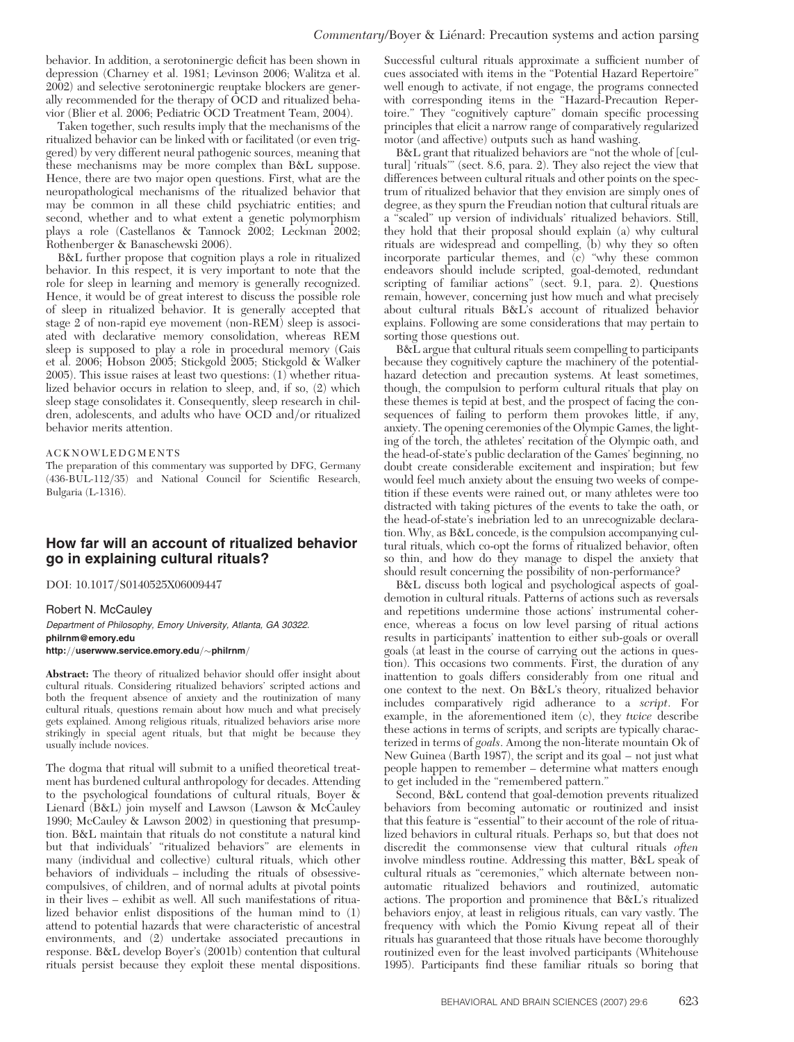behavior. In addition, a serotoninergic deficit has been shown in depression (Charney et al. 1981; Levinson 2006; Walitza et al. 2002) and selective serotoninergic reuptake blockers are generally recommended for the therapy of OCD and ritualized behavior (Blier et al. 2006; Pediatric OCD Treatment Team, 2004).

Taken together, such results imply that the mechanisms of the ritualized behavior can be linked with or facilitated (or even triggered) by very different neural pathogenic sources, meaning that these mechanisms may be more complex than B&L suppose. Hence, there are two major open questions. First, what are the neuropathological mechanisms of the ritualized behavior that may be common in all these child psychiatric entities; and second, whether and to what extent a genetic polymorphism plays a role (Castellanos & Tannock 2002; Leckman 2002; Rothenberger & Banaschewski 2006).

B&L further propose that cognition plays a role in ritualized behavior. In this respect, it is very important to note that the role for sleep in learning and memory is generally recognized. Hence, it would be of great interest to discuss the possible role of sleep in ritualized behavior. It is generally accepted that stage 2 of non-rapid eye movement (non-REM) sleep is associated with declarative memory consolidation, whereas REM sleep is supposed to play a role in procedural memory (Gais et al. 2006; Hobson 2005; Stickgold 2005; Stickgold & Walker 2005). This issue raises at least two questions: (1) whether ritualized behavior occurs in relation to sleep, and, if so, (2) which sleep stage consolidates it. Consequently, sleep research in children, adolescents, and adults who have OCD and/or ritualized behavior merits attention.

#### ACKNOWLEDGMENTS

The preparation of this commentary was supported by DFG, Germany (436-BUL-112/35) and National Council for Scientific Research, Bulgaria (L-1316).

## How far will an account of ritualized behavior go in explaining cultural rituals?

DOI: 10.1017/S0140525X06009447

Robert N. McCauley Department of Philosophy, Emory University, Atlanta, GA 30322. philrnm@emory.edu http://userwww.service.emory.edu/ $\sim$ philrnm/

Abstract: The theory of ritualized behavior should offer insight about cultural rituals. Considering ritualized behaviors' scripted actions and both the frequent absence of anxiety and the routinization of many cultural rituals, questions remain about how much and what precisely gets explained. Among religious rituals, ritualized behaviors arise more strikingly in special agent rituals, but that might be because they usually include novices.

The dogma that ritual will submit to a unified theoretical treatment has burdened cultural anthropology for decades. Attending to the psychological foundations of cultural rituals, Boyer & Lienard (B&L) join myself and Lawson (Lawson & McCauley 1990; McCauley & Lawson 2002) in questioning that presumption. B&L maintain that rituals do not constitute a natural kind but that individuals' "ritualized behaviors" are elements in many (individual and collective) cultural rituals, which other behaviors of individuals – including the rituals of obsessivecompulsives, of children, and of normal adults at pivotal points in their lives – exhibit as well. All such manifestations of ritualized behavior enlist dispositions of the human mind to (1) attend to potential hazards that were characteristic of ancestral environments, and (2) undertake associated precautions in response. B&L develop Boyer's (2001b) contention that cultural rituals persist because they exploit these mental dispositions.

Successful cultural rituals approximate a sufficient number of cues associated with items in the "Potential Hazard Repertoire" well enough to activate, if not engage, the programs connected with corresponding items in the "Hazard-Precaution Repertoire." They "cognitively capture" domain specific processing principles that elicit a narrow range of comparatively regularized motor (and affective) outputs such as hand washing.

B&L grant that ritualized behaviors are "not the whole of [cultural] 'rituals'" (sect. 8.6, para. 2). They also reject the view that differences between cultural rituals and other points on the spectrum of ritualized behavior that they envision are simply ones of degree, as they spurn the Freudian notion that cultural rituals are a "scaled" up version of individuals' ritualized behaviors. Still, they hold that their proposal should explain (a) why cultural rituals are widespread and compelling, (b) why they so often incorporate particular themes, and (c) "why these common endeavors should include scripted, goal-demoted, redundant scripting of familiar actions" (sect. 9.1, para. 2). Questions remain, however, concerning just how much and what precisely about cultural rituals B&L's account of ritualized behavior explains. Following are some considerations that may pertain to sorting those questions out.

B&L argue that cultural rituals seem compelling to participants because they cognitively capture the machinery of the potentialhazard detection and precaution systems. At least sometimes, though, the compulsion to perform cultural rituals that play on these themes is tepid at best, and the prospect of facing the consequences of failing to perform them provokes little, if any, anxiety. The opening ceremonies of the Olympic Games, the lighting of the torch, the athletes' recitation of the Olympic oath, and the head-of-state's public declaration of the Games' beginning, no doubt create considerable excitement and inspiration; but few would feel much anxiety about the ensuing two weeks of competition if these events were rained out, or many athletes were too distracted with taking pictures of the events to take the oath, or the head-of-state's inebriation led to an unrecognizable declaration. Why, as B&L concede, is the compulsion accompanying cultural rituals, which co-opt the forms of ritualized behavior, often so thin, and how do they manage to dispel the anxiety that should result concerning the possibility of non-performance?

B&L discuss both logical and psychological aspects of goaldemotion in cultural rituals. Patterns of actions such as reversals and repetitions undermine those actions' instrumental coherence, whereas a focus on low level parsing of ritual actions results in participants' inattention to either sub-goals or overall goals (at least in the course of carrying out the actions in question). This occasions two comments. First, the duration of any inattention to goals differs considerably from one ritual and one context to the next. On B&L's theory, ritualized behavior includes comparatively rigid adherance to a script. For example, in the aforementioned item (c), they twice describe these actions in terms of scripts, and scripts are typically characterized in terms of goals. Among the non-literate mountain Ok of New Guinea (Barth 1987), the script and its goal – not just what people happen to remember – determine what matters enough to get included in the "remembered pattern."

Second, B&L contend that goal-demotion prevents ritualized behaviors from becoming automatic or routinized and insist that this feature is "essential" to their account of the role of ritualized behaviors in cultural rituals. Perhaps so, but that does not discredit the commonsense view that cultural rituals often involve mindless routine. Addressing this matter, B&L speak of cultural rituals as "ceremonies," which alternate between nonautomatic ritualized behaviors and routinized, automatic actions. The proportion and prominence that B&L's ritualized behaviors enjoy, at least in religious rituals, can vary vastly. The frequency with which the Pomio Kivung repeat all of their rituals has guaranteed that those rituals have become thoroughly routinized even for the least involved participants (Whitehouse 1995). Participants find these familiar rituals so boring that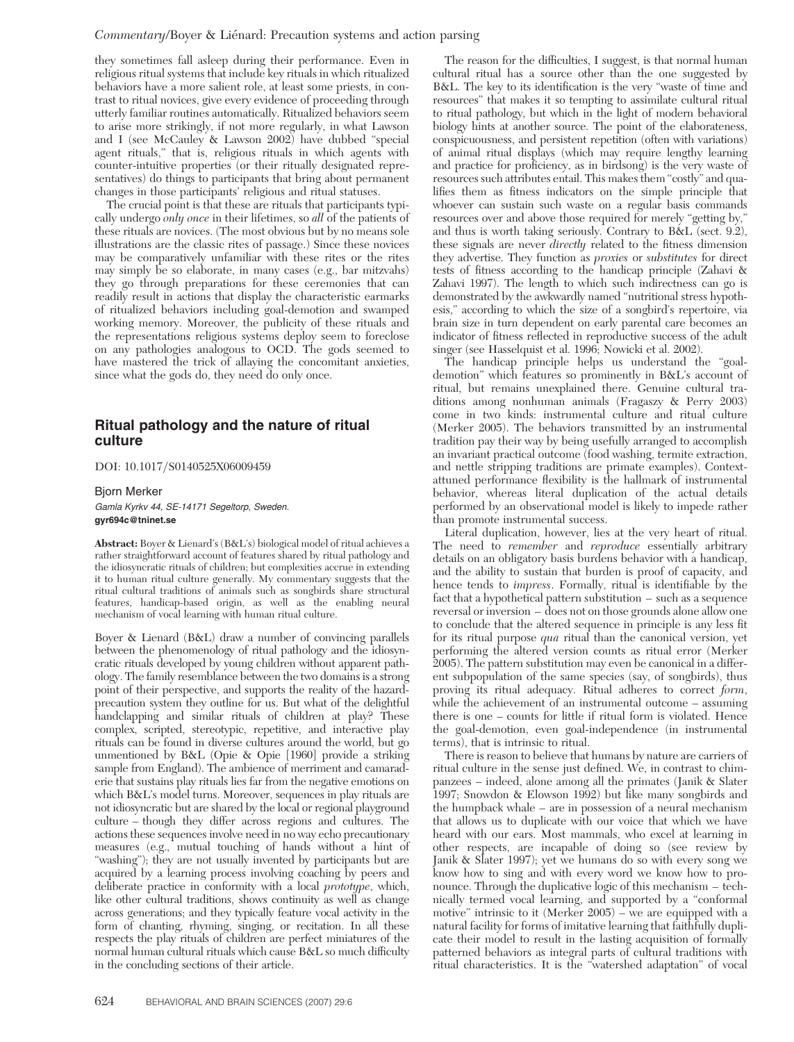they sometimes fall asleep during their performance. Even in religious ritual systems that include key rituals in which ritualized behaviors have a more salient role, at least some priests, in contrast to ritual novices, give every evidence of proceeding through utterly familiar routines automatically. Ritualized behaviors seem to arise more strikingly, if not more regularly, in what Lawson and I (see McCauley & Lawson 2002) have dubbed "special agent rituals," that is, religious rituals in which agents with counter-intuitive properties (or their ritually designated representatives) do things to participants that bring about permanent changes in those participants' religious and ritual statuses.

The crucial point is that these are rituals that participants typically undergo *only once* in their lifetimes, so *all* of the patients of these rituals are novices. (The most obvious but by no means sole illustrations are the classic rites of passage.) Since these novices may be comparatively unfamiliar with these rites or the rites may simply be so elaborate, in many cases (e.g., bar mitzvahs) they go through preparations for these ceremonies that can readily result in actions that display the characteristic earmarks of ritualized behaviors including goal-demotion and swamped working memory. Moreover, the publicity of these rituals and the representations religious systems deploy seem to foreclose on any pathologies analogous to OCD. The gods seemed to have mastered the trick of allaying the concomitant anxieties, since what the gods do, they need do only once.

## Ritual pathology and the nature of ritual culture

DOI: 10.1017/S0140525X06009459

Bjorn Merker Gamla Kyrkv 44, SE-14171 Segeltorp, Sweden. gyr694c@tninet.se

Abstract: Boyer & Lienard's (B&L's) biological model of ritual achieves a rather straightforward account of features shared by ritual pathology and the idiosyncratic rituals of children; but complexities accrue in extending it to human ritual culture generally. My commentary suggests that the ritual cultural traditions of animals such as songbirds share structural features, handicap-based origin, as well as the enabling neural mechanism of vocal learning with human ritual culture.

Boyer & Lienard (B&L) draw a number of convincing parallels between the phenomenology of ritual pathology and the idiosyncratic rituals developed by young children without apparent pathology. The family resemblance between the two domains is a strong point of their perspective, and supports the reality of the hazardprecaution system they outline for us. But what of the delightful handclapping and similar rituals of children at play? These complex, scripted, stereotypic, repetitive, and interactive play rituals can be found in diverse cultures around the world, but go unmentioned by B&L (Opie & Opie [1960] provide a striking sample from England). The ambience of merriment and camaraderie that sustains play rituals lies far from the negative emotions on which B&L's model turns. Moreover, sequences in play rituals are not idiosyncratic but are shared by the local or regional playground culture – though they differ across regions and cultures. The actions these sequences involve need in no way echo precautionary measures (e.g., mutual touching of hands without a hint of "washing"); they are not usually invented by participants but are acquired by a learning process involving coaching by peers and deliberate practice in conformity with a local prototype, which, like other cultural traditions, shows continuity as well as change across generations; and they typically feature vocal activity in the form of chanting, rhyming, singing, or recitation. In all these respects the play rituals of children are perfect miniatures of the normal human cultural rituals which cause B&L so much difficulty in the concluding sections of their article.

The reason for the difficulties, I suggest, is that normal human cultural ritual has a source other than the one suggested by B&L. The key to its identification is the very "waste of time and resources" that makes it so tempting to assimilate cultural ritual to ritual pathology, but which in the light of modern behavioral biology hints at another source. The point of the elaborateness, conspicuousness, and persistent repetition (often with variations) of animal ritual displays (which may require lengthy learning and practice for proficiency, as in birdsong) is the very waste of resources such attributes entail. This makes them "costly" and qualifies them as fitness indicators on the simple principle that whoever can sustain such waste on a regular basis commands resources over and above those required for merely "getting by," and thus is worth taking seriously. Contrary to B&L (sect. 9.2), these signals are never directly related to the fitness dimension they advertise. They function as *proxies* or *substitutes* for direct tests of fitness according to the handicap principle (Zahavi & Zahavi 1997). The length to which such indirectness can go is demonstrated by the awkwardly named "nutritional stress hypothesis," according to which the size of a songbird's repertoire, via brain size in turn dependent on early parental care becomes an indicator of fitness reflected in reproductive success of the adult singer (see Hasselquist et al. 1996; Nowicki et al. 2002).

The handicap principle helps us understand the "goaldemotion" which features so prominently in B&L's account of ritual, but remains unexplained there. Genuine cultural traditions among nonhuman animals (Fragaszy & Perry 2003) come in two kinds: instrumental culture and ritual culture (Merker 2005). The behaviors transmitted by an instrumental tradition pay their way by being usefully arranged to accomplish an invariant practical outcome (food washing, termite extraction, and nettle stripping traditions are primate examples). Contextattuned performance flexibility is the hallmark of instrumental behavior, whereas literal duplication of the actual details performed by an observational model is likely to impede rather than promote instrumental success.

Literal duplication, however, lies at the very heart of ritual. The need to *remember* and *reproduce* essentially arbitrary details on an obligatory basis burdens behavior with a handicap, and the ability to sustain that burden is proof of capacity, and hence tends to impress. Formally, ritual is identifiable by the fact that a hypothetical pattern substitution – such as a sequence reversal or inversion – does not on those grounds alone allow one to conclude that the altered sequence in principle is any less fit for its ritual purpose *qua* ritual than the canonical version, yet performing the altered version counts as ritual error (Merker 2005). The pattern substitution may even be canonical in a different subpopulation of the same species (say, of songbirds), thus proving its ritual adequacy. Ritual adheres to correct form, while the achievement of an instrumental outcome – assuming there is one – counts for little if ritual form is violated. Hence the goal-demotion, even goal-independence (in instrumental terms), that is intrinsic to ritual.

There is reason to believe that humans by nature are carriers of ritual culture in the sense just defined. We, in contrast to chimpanzees – indeed, alone among all the primates (Janik & Slater 1997; Snowdon & Elowson 1992) but like many songbirds and the humpback whale – are in possession of a neural mechanism that allows us to duplicate with our voice that which we have heard with our ears. Most mammals, who excel at learning in other respects, are incapable of doing so (see review by Janik & Slater 1997); yet we humans do so with every song we know how to sing and with every word we know how to pronounce. Through the duplicative logic of this mechanism – technically termed vocal learning, and supported by a "conformal motive" intrinsic to it (Merker 2005) – we are equipped with a natural facility for forms of imitative learning that faithfully duplicate their model to result in the lasting acquisition of formally patterned behaviors as integral parts of cultural traditions with ritual characteristics. It is the "watershed adaptation" of vocal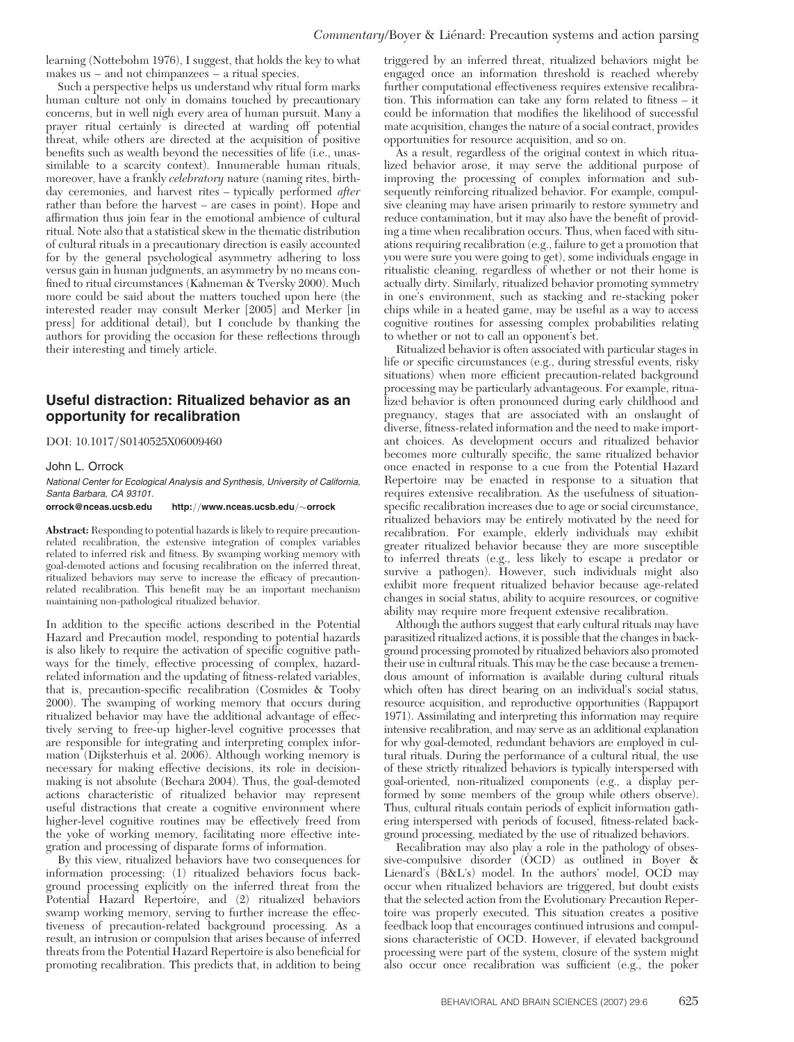learning (Nottebohm 1976), I suggest, that holds the key to what makes us – and not chimpanzees – a ritual species.

Such a perspective helps us understand why ritual form marks human culture not only in domains touched by precautionary concerns, but in well nigh every area of human pursuit. Many a prayer ritual certainly is directed at warding off potential threat, while others are directed at the acquisition of positive benefits such as wealth beyond the necessities of life (i.e., unassimilable to a scarcity context). Innumerable human rituals, moreover, have a frankly celebratory nature (naming rites, birthday ceremonies, and harvest rites – typically performed after rather than before the harvest – are cases in point). Hope and affirmation thus join fear in the emotional ambience of cultural ritual. Note also that a statistical skew in the thematic distribution of cultural rituals in a precautionary direction is easily accounted for by the general psychological asymmetry adhering to loss versus gain in human judgments, an asymmetry by no means confined to ritual circumstances (Kahneman & Tversky 2000). Much more could be said about the matters touched upon here (the interested reader may consult Merker [2005] and Merker [in press] for additional detail), but I conclude by thanking the authors for providing the occasion for these reflections through their interesting and timely article.

## Useful distraction: Ritualized behavior as an opportunity for recalibration

DOI: 10.1017/S0140525X06009460

#### John L. Orrock

National Center for Ecological Analysis and Synthesis, University of California, Santa Barbara, CA 93101. orrock@nceas.ucsb.edu http://www.nceas.ucsb.edu/ $\sim$ orrock

Abstract: Responding to potential hazards is likely to require precautionrelated recalibration, the extensive integration of complex variables related to inferred risk and fitness. By swamping working memory with goal-demoted actions and focusing recalibration on the inferred threat, ritualized behaviors may serve to increase the efficacy of precautionrelated recalibration. This benefit may be an important mechanism maintaining non-pathological ritualized behavior.

In addition to the specific actions described in the Potential Hazard and Precaution model, responding to potential hazards is also likely to require the activation of specific cognitive pathways for the timely, effective processing of complex, hazardrelated information and the updating of fitness-related variables, that is, precaution-specific recalibration (Cosmides & Tooby 2000). The swamping of working memory that occurs during ritualized behavior may have the additional advantage of effectively serving to free-up higher-level cognitive processes that are responsible for integrating and interpreting complex information (Dijksterhuis et al. 2006). Although working memory is necessary for making effective decisions, its role in decisionmaking is not absolute (Bechara 2004). Thus, the goal-demoted actions characteristic of ritualized behavior may represent useful distractions that create a cognitive environment where higher-level cognitive routines may be effectively freed from the yoke of working memory, facilitating more effective integration and processing of disparate forms of information.

By this view, ritualized behaviors have two consequences for information processing: (1) ritualized behaviors focus background processing explicitly on the inferred threat from the Potential Hazard Repertoire, and (2) ritualized behaviors swamp working memory, serving to further increase the effectiveness of precaution-related background processing. As a result, an intrusion or compulsion that arises because of inferred threats from the Potential Hazard Repertoire is also beneficial for promoting recalibration. This predicts that, in addition to being

triggered by an inferred threat, ritualized behaviors might be engaged once an information threshold is reached whereby further computational effectiveness requires extensive recalibration. This information can take any form related to fitness – it could be information that modifies the likelihood of successful mate acquisition, changes the nature of a social contract, provides opportunities for resource acquisition, and so on.

As a result, regardless of the original context in which ritualized behavior arose, it may serve the additional purpose of improving the processing of complex information and subsequently reinforcing ritualized behavior. For example, compulsive cleaning may have arisen primarily to restore symmetry and reduce contamination, but it may also have the benefit of providing a time when recalibration occurs. Thus, when faced with situations requiring recalibration (e.g., failure to get a promotion that you were sure you were going to get), some individuals engage in ritualistic cleaning, regardless of whether or not their home is actually dirty. Similarly, ritualized behavior promoting symmetry in one's environment, such as stacking and re-stacking poker chips while in a heated game, may be useful as a way to access cognitive routines for assessing complex probabilities relating to whether or not to call an opponent's bet.

Ritualized behavior is often associated with particular stages in life or specific circumstances (e.g., during stressful events, risky situations) when more efficient precaution-related background processing may be particularly advantageous. For example, ritualized behavior is often pronounced during early childhood and pregnancy, stages that are associated with an onslaught of diverse, fitness-related information and the need to make important choices. As development occurs and ritualized behavior becomes more culturally specific, the same ritualized behavior once enacted in response to a cue from the Potential Hazard Repertoire may be enacted in response to a situation that requires extensive recalibration. As the usefulness of situationspecific recalibration increases due to age or social circumstance, ritualized behaviors may be entirely motivated by the need for recalibration. For example, elderly individuals may exhibit greater ritualized behavior because they are more susceptible to inferred threats (e.g., less likely to escape a predator or survive a pathogen). However, such individuals might also exhibit more frequent ritualized behavior because age-related changes in social status, ability to acquire resources, or cognitive ability may require more frequent extensive recalibration.

Although the authors suggest that early cultural rituals may have parasitized ritualized actions, it is possible that the changes in background processing promoted by ritualized behaviors also promoted their use in cultural rituals. This may be the case because a tremendous amount of information is available during cultural rituals which often has direct bearing on an individual's social status, resource acquisition, and reproductive opportunities (Rappaport 1971). Assimilating and interpreting this information may require intensive recalibration, and may serve as an additional explanation for why goal-demoted, redundant behaviors are employed in cultural rituals. During the performance of a cultural ritual, the use of these strictly ritualized behaviors is typically interspersed with goal-oriented, non-ritualized components (e.g., a display performed by some members of the group while others observe). Thus, cultural rituals contain periods of explicit information gathering interspersed with periods of focused, fitness-related background processing, mediated by the use of ritualized behaviors.

Recalibration may also play a role in the pathology of obsessive-compulsive disorder (OCD) as outlined in Boyer & Lienard's (B&L's) model. In the authors' model, OCD may occur when ritualized behaviors are triggered, but doubt exists that the selected action from the Evolutionary Precaution Repertoire was properly executed. This situation creates a positive feedback loop that encourages continued intrusions and compulsions characteristic of OCD. However, if elevated background processing were part of the system, closure of the system might also occur once recalibration was sufficient (e.g., the poker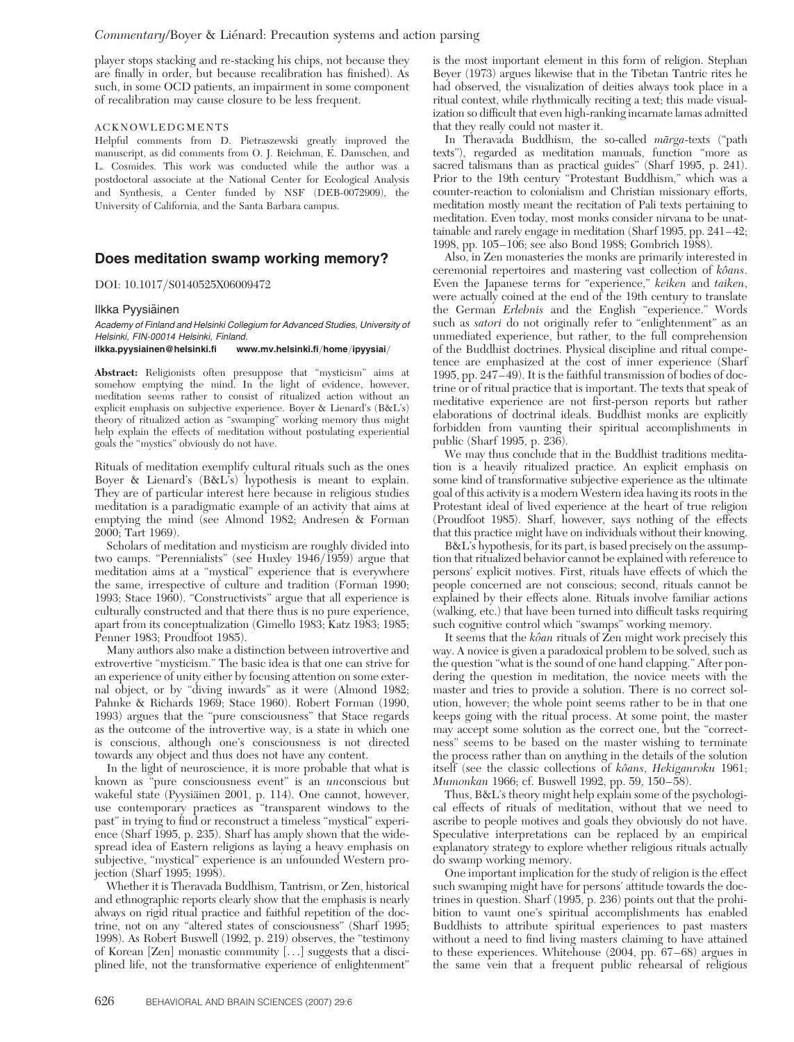player stops stacking and re-stacking his chips, not because they are finally in order, but because recalibration has finished). As such, in some OCD patients, an impairment in some component of recalibration may cause closure to be less frequent.

#### ACKNOWLEDGMENTS

Helpful comments from D. Pietraszewski greatly improved the manuscript, as did comments from O. J. Reichman, E. Damschen, and L. Cosmides. This work was conducted while the author was a postdoctoral associate at the National Center for Ecological Analysis and Synthesis, a Center funded by NSF (DEB-0072909), the University of California, and the Santa Barbara campus.

## Does meditation swamp working memory?

#### DOI: 10.1017/S0140525X06009472

#### Ilkka Pyysiäinen

Academy of Finland and Helsinki Collegium for Advanced Studies, University of Helsinki, FIN-00014 Helsinki, Finland.

#### ilkka.pyysiainen@helsinki.fi www.mv.helsinki.fi/home/ipyysiai/

Abstract: Religionists often presuppose that "mysticism" aims at somehow emptying the mind. In the light of evidence, however, meditation seems rather to consist of ritualized action without an explicit emphasis on subjective experience. Boyer & Lienard's (B&L's) theory of ritualized action as "swamping" working memory thus might help explain the effects of meditation without postulating experiential goals the "mystics" obviously do not have.

Rituals of meditation exemplify cultural rituals such as the ones Boyer & Lienard's (B&L's) hypothesis is meant to explain. They are of particular interest here because in religious studies meditation is a paradigmatic example of an activity that aims at emptying the mind (see Almond 1982; Andresen & Forman 2000; Tart 1969).

Scholars of meditation and mysticism are roughly divided into two camps. "Perennialists" (see Huxley 1946/1959) argue that meditation aims at a "mystical" experience that is everywhere the same, irrespective of culture and tradition (Forman 1990; 1993; Stace 1960). "Constructivists" argue that all experience is culturally constructed and that there thus is no pure experience, apart from its conceptualization (Gimello 1983; Katz 1983; 1985; Penner 1983; Proudfoot 1985).

Many authors also make a distinction between introvertive and extrovertive "mysticism." The basic idea is that one can strive for an experience of unity either by focusing attention on some external object, or by "diving inwards" as it were (Almond 1982; Pahnke & Richards 1969; Stace 1960). Robert Forman (1990, 1993) argues that the "pure consciousness" that Stace regards as the outcome of the introvertive way, is a state in which one is conscious, although one's consciousness is not directed towards any object and thus does not have any content.

In the light of neuroscience, it is more probable that what is known as "pure consciousness event" is an unconscious but wakeful state (Pyysiäinen 2001, p. 114). One cannot, however, use contemporary practices as "transparent windows to the past" in trying to find or reconstruct a timeless "mystical" experience (Sharf 1995, p. 235). Sharf has amply shown that the widespread idea of Eastern religions as laying a heavy emphasis on subjective, "mystical" experience is an unfounded Western projection (Sharf 1995; 1998).

Whether it is Theravada Buddhism, Tantrism, or Zen, historical and ethnographic reports clearly show that the emphasis is nearly always on rigid ritual practice and faithful repetition of the doctrine, not on any "altered states of consciousness" (Sharf 1995; 1998). As Robert Buswell (1992, p. 219) observes, the "testimony of Korean [Zen] monastic community [...] suggests that a disciplined life, not the transformative experience of enlightenment"

is the most important element in this form of religion. Stephan Beyer (1973) argues likewise that in the Tibetan Tantric rites he had observed, the visualization of deities always took place in a ritual context, while rhythmically reciting a text; this made visualization so difficult that even high-ranking incarnate lamas admitted that they really could not master it.

In Theravada Buddhism, the so-called marga-texts ("path texts"), regarded as meditation manuals, function "more as sacred talismans than as practical guides" (Sharf 1995, p. 241). Prior to the 19th century "Protestant Buddhism," which was a counter-reaction to colonialism and Christian missionary efforts, meditation mostly meant the recitation of Pali texts pertaining to meditation. Even today, most monks consider nirvana to be unattainable and rarely engage in meditation (Sharf 1995, pp. 241–42; 1998, pp. 105–106; see also Bond 1988; Gombrich 1988).

Also, in Zen monasteries the monks are primarily interested in ceremonial repertoires and mastering vast collection of kôans. Even the Japanese terms for "experience," keiken and taiken, were actually coined at the end of the 19th century to translate the German Erlebnis and the English "experience." Words such as *satori* do not originally refer to "enlightenment" as an unmediated experience, but rather, to the full comprehension of the Buddhist doctrines. Physical discipline and ritual competence are emphasized at the cost of inner experience (Sharf 1995, pp. 247–49). It is the faithful transmission of bodies of doctrine or of ritual practice that is important. The texts that speak of meditative experience are not first-person reports but rather elaborations of doctrinal ideals. Buddhist monks are explicitly forbidden from vaunting their spiritual accomplishments in public (Sharf 1995, p. 236).

We may thus conclude that in the Buddhist traditions meditation is a heavily ritualized practice. An explicit emphasis on some kind of transformative subjective experience as the ultimate goal of this activity is a modern Western idea having its roots in the Protestant ideal of lived experience at the heart of true religion (Proudfoot 1985). Sharf, however, says nothing of the effects that this practice might have on individuals without their knowing.

B&L's hypothesis, for its part, is based precisely on the assumption that ritualized behavior cannot be explained with reference to persons' explicit motives. First, rituals have effects of which the people concerned are not conscious; second, rituals cannot be explained by their effects alone. Rituals involve familiar actions (walking, etc.) that have been turned into difficult tasks requiring such cognitive control which "swamps" working memory.

It seems that the kôan rituals of Zen might work precisely this way. A novice is given a paradoxical problem to be solved, such as the question "what is the sound of one hand clapping." After pondering the question in meditation, the novice meets with the master and tries to provide a solution. There is no correct solution, however; the whole point seems rather to be in that one keeps going with the ritual process. At some point, the master may accept some solution as the correct one, but the "correctness" seems to be based on the master wishing to terminate the process rather than on anything in the details of the solution itself (see the classic collections of kôans, Hekiganroku 1961; Mumonkan 1966; cf. Buswell 1992, pp. 59, 150–58).

Thus, B&L's theory might help explain some of the psychological effects of rituals of meditation, without that we need to ascribe to people motives and goals they obviously do not have. Speculative interpretations can be replaced by an empirical explanatory strategy to explore whether religious rituals actually do swamp working memory.

One important implication for the study of religion is the effect such swamping might have for persons' attitude towards the doctrines in question. Sharf (1995, p. 236) points out that the prohibition to vaunt one's spiritual accomplishments has enabled Buddhists to attribute spiritual experiences to past masters without a need to find living masters claiming to have attained to these experiences. Whitehouse (2004, pp. 67–68) argues in the same vein that a frequent public rehearsal of religious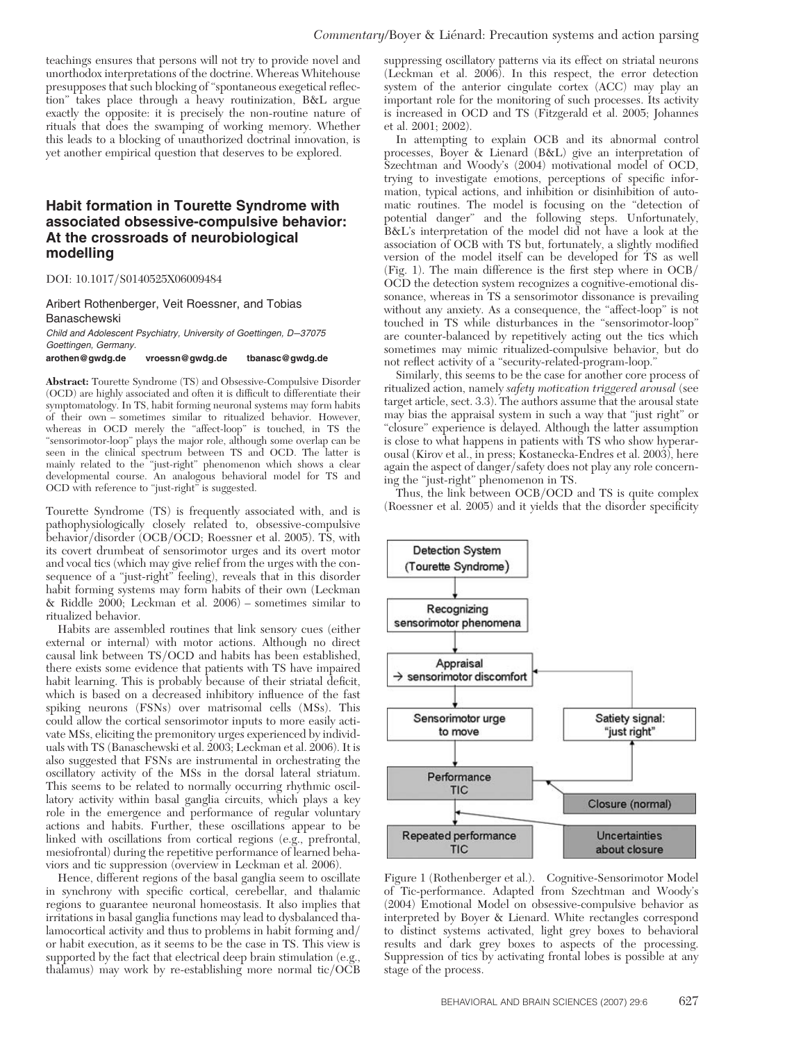teachings ensures that persons will not try to provide novel and unorthodox interpretations of the doctrine. Whereas Whitehouse presupposes that such blocking of "spontaneous exegetical reflection" takes place through a heavy routinization, B&L argue exactly the opposite: it is precisely the non-routine nature of rituals that does the swamping of working memory. Whether this leads to a blocking of unauthorized doctrinal innovation, is yet another empirical question that deserves to be explored.

## Habit formation in Tourette Syndrome with associated obsessive-compulsive behavior: At the crossroads of neurobiological modelling

DOI: 10.1017/S0140525X06009484

Aribert Rothenberger, Veit Roessner, and Tobias Banaschewski

Child and Adolescent Psychiatry, University of Goettingen, D–37075 Goettingen, Germany.

#### arothen@gwdg.de vroessn@gwdg.de tbanasc@gwdg.de

Abstract: Tourette Syndrome (TS) and Obsessive-Compulsive Disorder (OCD) are highly associated and often it is difficult to differentiate their symptomatology. In TS, habit forming neuronal systems may form habits of their own – sometimes similar to ritualized behavior. However, whereas in OCD merely the "affect-loop" is touched, in TS the "sensorimotor-loop" plays the major role, although some overlap can be seen in the clinical spectrum between TS and OCD. The latter is mainly related to the "just-right" phenomenon which shows a clear developmental course. An analogous behavioral model for TS and OCD with reference to "just-right" is suggested.

Tourette Syndrome (TS) is frequently associated with, and is pathophysiologically closely related to, obsessive-compulsive behavior/disorder (OCB/OCD; Roessner et al. 2005). TS, with its covert drumbeat of sensorimotor urges and its overt motor and vocal tics (which may give relief from the urges with the consequence of a "just-right" feeling), reveals that in this disorder habit forming systems may form habits of their own (Leckman & Riddle 2000; Leckman et al. 2006) – sometimes similar to ritualized behavior.

Habits are assembled routines that link sensory cues (either external or internal) with motor actions. Although no direct causal link between TS/OCD and habits has been established, there exists some evidence that patients with TS have impaired habit learning. This is probably because of their striatal deficit, which is based on a decreased inhibitory influence of the fast spiking neurons (FSNs) over matrisomal cells (MSs). This could allow the cortical sensorimotor inputs to more easily activate MSs, eliciting the premonitory urges experienced by individuals with TS (Banaschewski et al. 2003; Leckman et al. 2006). It is also suggested that FSNs are instrumental in orchestrating the oscillatory activity of the MSs in the dorsal lateral striatum. This seems to be related to normally occurring rhythmic oscillatory activity within basal ganglia circuits, which plays a key role in the emergence and performance of regular voluntary actions and habits. Further, these oscillations appear to be linked with oscillations from cortical regions (e.g., prefrontal, mesiofrontal) during the repetitive performance of learned behaviors and tic suppression (overview in Leckman et al. 2006).

Hence, different regions of the basal ganglia seem to oscillate in synchrony with specific cortical, cerebellar, and thalamic regions to guarantee neuronal homeostasis. It also implies that irritations in basal ganglia functions may lead to dysbalanced thalamocortical activity and thus to problems in habit forming and/ or habit execution, as it seems to be the case in TS. This view is supported by the fact that electrical deep brain stimulation (e.g., thalamus) may work by re-establishing more normal tic/OCB suppressing oscillatory patterns via its effect on striatal neurons (Leckman et al. 2006). In this respect, the error detection system of the anterior cingulate cortex (ACC) may play an important role for the monitoring of such processes. Its activity is increased in OCD and TS (Fitzgerald et al. 2005; Johannes et al. 2001; 2002).

In attempting to explain OCB and its abnormal control processes, Boyer & Lienard (B&L) give an interpretation of Szechtman and Woody's (2004) motivational model of OCD, trying to investigate emotions, perceptions of specific information, typical actions, and inhibition or disinhibition of automatic routines. The model is focusing on the "detection of potential danger" and the following steps. Unfortunately, B&L's interpretation of the model did not have a look at the association of OCB with TS but, fortunately, a slightly modified version of the model itself can be developed for TS as well (Fig. 1). The main difference is the first step where in OCB/ OCD the detection system recognizes a cognitive-emotional dissonance, whereas in TS a sensorimotor dissonance is prevailing without any anxiety. As a consequence, the "affect-loop" is not touched in TS while disturbances in the "sensorimotor-loop" are counter-balanced by repetitively acting out the tics which sometimes may mimic ritualized-compulsive behavior, but do not reflect activity of a "security-related-program-loop."

Similarly, this seems to be the case for another core process of ritualized action, namely safety motivation triggered arousal (see target article, sect. 3.3). The authors assume that the arousal state may bias the appraisal system in such a way that "just right" or "closure" experience is delayed. Although the latter assumption is close to what happens in patients with TS who show hyperarousal (Kirov et al., in press; Kostanecka-Endres et al. 2003), here again the aspect of danger/safety does not play any role concerning the "just-right" phenomenon in TS.

Thus, the link between OCB/OCD and TS is quite complex (Roessner et al. 2005) and it yields that the disorder specificity



Figure 1 (Rothenberger et al.). Cognitive-Sensorimotor Model of Tic-performance. Adapted from Szechtman and Woody's (2004) Emotional Model on obsessive-compulsive behavior as interpreted by Boyer & Lienard. White rectangles correspond to distinct systems activated, light grey boxes to behavioral results and dark grey boxes to aspects of the processing. Suppression of tics by activating frontal lobes is possible at any stage of the process.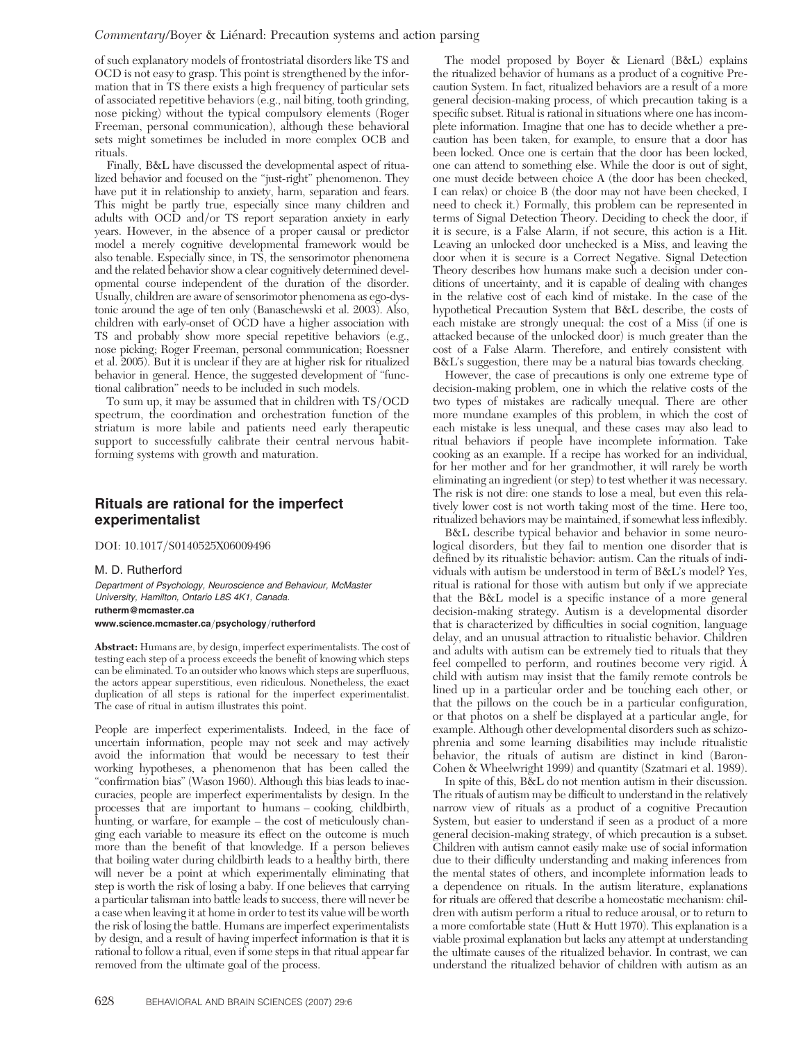## Commentary/Boyer & Liénard: Precaution systems and action parsing

of such explanatory models of frontostriatal disorders like TS and OCD is not easy to grasp. This point is strengthened by the information that in TS there exists a high frequency of particular sets of associated repetitive behaviors (e.g., nail biting, tooth grinding, nose picking) without the typical compulsory elements (Roger Freeman, personal communication), although these behavioral sets might sometimes be included in more complex OCB and rituals.

Finally, B&L have discussed the developmental aspect of ritualized behavior and focused on the "just-right" phenomenon. They have put it in relationship to anxiety, harm, separation and fears. This might be partly true, especially since many children and adults with OCD and/or TS report separation anxiety in early years. However, in the absence of a proper causal or predictor model a merely cognitive developmental framework would be also tenable. Especially since, in TS, the sensorimotor phenomena and the related behavior show a clear cognitively determined developmental course independent of the duration of the disorder. Usually, children are aware of sensorimotor phenomena as ego-dystonic around the age of ten only (Banaschewski et al. 2003). Also, children with early-onset of OCD have a higher association with TS and probably show more special repetitive behaviors (e.g., nose picking; Roger Freeman, personal communication; Roessner et al. 2005). But it is unclear if they are at higher risk for ritualized behavior in general. Hence, the suggested development of "functional calibration" needs to be included in such models.

To sum up, it may be assumed that in children with TS/OCD spectrum, the coordination and orchestration function of the striatum is more labile and patients need early therapeutic support to successfully calibrate their central nervous habitforming systems with growth and maturation.

## Rituals are rational for the imperfect experimentalist

DOI: 10.1017/S0140525X06009496

M. D. Rutherford

Department of Psychology, Neuroscience and Behaviour, McMaster University, Hamilton, Ontario L8S 4K1, Canada. rutherm@mcmaster.ca www.science.mcmaster.ca/psychology/rutherford

Abstract: Humans are, by design, imperfect experimentalists. The cost of testing each step of a process exceeds the benefit of knowing which steps can be eliminated. To an outsider who knows which steps are superfluous, the actors appear superstitious, even ridiculous. Nonetheless, the exact duplication of all steps is rational for the imperfect experimentalist. The case of ritual in autism illustrates this point.

People are imperfect experimentalists. Indeed, in the face of uncertain information, people may not seek and may actively avoid the information that would be necessary to test their working hypotheses, a phenomenon that has been called the "confirmation bias" (Wason 1960). Although this bias leads to inaccuracies, people are imperfect experimentalists by design. In the processes that are important to humans – cooking, childbirth, hunting, or warfare, for example – the cost of meticulously changing each variable to measure its effect on the outcome is much more than the benefit of that knowledge. If a person believes that boiling water during childbirth leads to a healthy birth, there will never be a point at which experimentally eliminating that step is worth the risk of losing a baby. If one believes that carrying a particular talisman into battle leads to success, there will never be a case when leaving it at home in order to test its value will be worth the risk of losing the battle. Humans are imperfect experimentalists by design, and a result of having imperfect information is that it is rational to follow a ritual, even if some steps in that ritual appear far removed from the ultimate goal of the process.

The model proposed by Boyer & Lienard (B&L) explains the ritualized behavior of humans as a product of a cognitive Precaution System. In fact, ritualized behaviors are a result of a more general decision-making process, of which precaution taking is a specific subset. Ritual is rational in situations where one has incomplete information. Imagine that one has to decide whether a precaution has been taken, for example, to ensure that a door has been locked. Once one is certain that the door has been locked, one can attend to something else. While the door is out of sight, one must decide between choice A (the door has been checked, I can relax) or choice B (the door may not have been checked, I need to check it.) Formally, this problem can be represented in terms of Signal Detection Theory. Deciding to check the door, if it is secure, is a False Alarm, if not secure, this action is a Hit. Leaving an unlocked door unchecked is a Miss, and leaving the door when it is secure is a Correct Negative. Signal Detection Theory describes how humans make such a decision under conditions of uncertainty, and it is capable of dealing with changes in the relative cost of each kind of mistake. In the case of the hypothetical Precaution System that B&L describe, the costs of each mistake are strongly unequal: the cost of a Miss (if one is attacked because of the unlocked door) is much greater than the cost of a False Alarm. Therefore, and entirely consistent with B&L's suggestion, there may be a natural bias towards checking.

However, the case of precautions is only one extreme type of decision-making problem, one in which the relative costs of the two types of mistakes are radically unequal. There are other more mundane examples of this problem, in which the cost of each mistake is less unequal, and these cases may also lead to ritual behaviors if people have incomplete information. Take cooking as an example. If a recipe has worked for an individual, for her mother and for her grandmother, it will rarely be worth eliminating an ingredient (or step) to test whether it was necessary. The risk is not dire: one stands to lose a meal, but even this relatively lower cost is not worth taking most of the time. Here too, ritualized behaviors may be maintained, if somewhat less inflexibly.

B&L describe typical behavior and behavior in some neurological disorders, but they fail to mention one disorder that is defined by its ritualistic behavior: autism. Can the rituals of individuals with autism be understood in term of B&L's model? Yes, ritual is rational for those with autism but only if we appreciate that the B&L model is a specific instance of a more general decision-making strategy. Autism is a developmental disorder that is characterized by difficulties in social cognition, language delay, and an unusual attraction to ritualistic behavior. Children and adults with autism can be extremely tied to rituals that they feel compelled to perform, and routines become very rigid. A child with autism may insist that the family remote controls be lined up in a particular order and be touching each other, or that the pillows on the couch be in a particular configuration, or that photos on a shelf be displayed at a particular angle, for example. Although other developmental disorders such as schizophrenia and some learning disabilities may include ritualistic behavior, the rituals of autism are distinct in kind (Baron-Cohen & Wheelwright 1999) and quantity (Szatmari et al. 1989).

In spite of this, B&L do not mention autism in their discussion. The rituals of autism may be difficult to understand in the relatively narrow view of rituals as a product of a cognitive Precaution System, but easier to understand if seen as a product of a more general decision-making strategy, of which precaution is a subset. Children with autism cannot easily make use of social information due to their difficulty understanding and making inferences from the mental states of others, and incomplete information leads to a dependence on rituals. In the autism literature, explanations for rituals are offered that describe a homeostatic mechanism: children with autism perform a ritual to reduce arousal, or to return to a more comfortable state (Hutt & Hutt 1970). This explanation is a viable proximal explanation but lacks any attempt at understanding the ultimate causes of the ritualized behavior. In contrast, we can understand the ritualized behavior of children with autism as an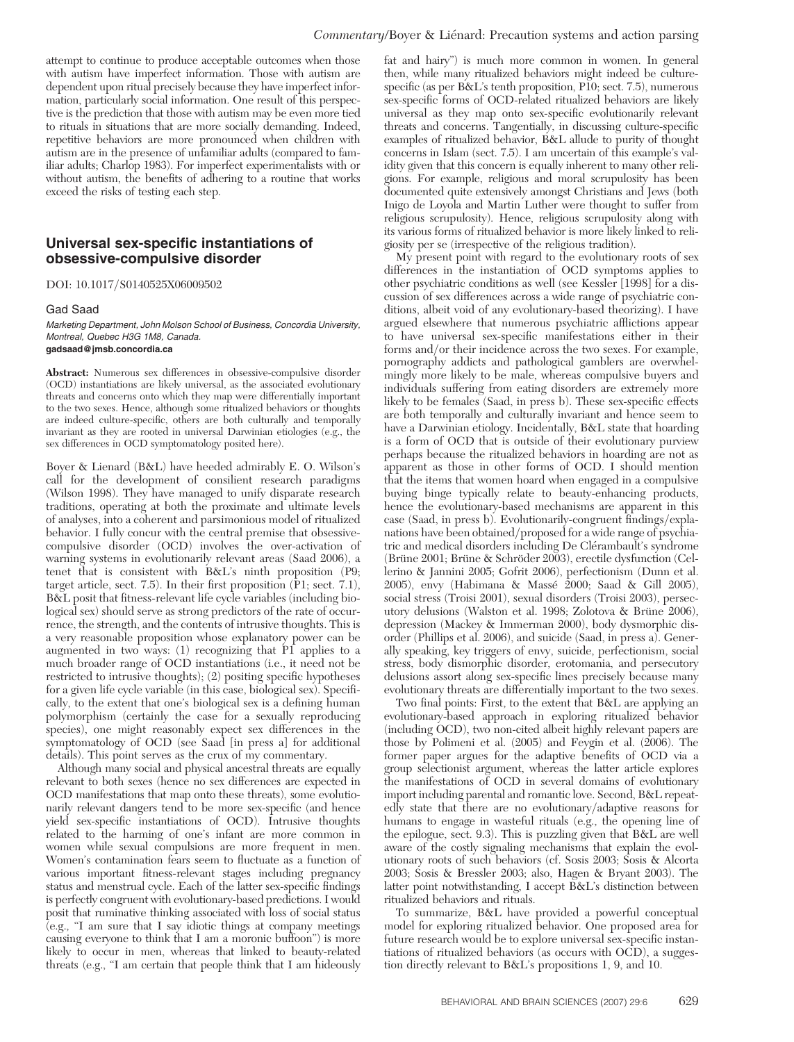attempt to continue to produce acceptable outcomes when those with autism have imperfect information. Those with autism are dependent upon ritual precisely because they have imperfect information, particularly social information. One result of this perspective is the prediction that those with autism may be even more tied to rituals in situations that are more socially demanding. Indeed, repetitive behaviors are more pronounced when children with autism are in the presence of unfamiliar adults (compared to familiar adults; Charlop 1983). For imperfect experimentalists with or without autism, the benefits of adhering to a routine that works exceed the risks of testing each step.

## Universal sex-specific instantiations of obsessive-compulsive disorder

#### DOI: 10.1017/S0140525X06009502

## Gad Saad

## Marketing Department, John Molson School of Business, Concordia University, Montreal, Quebec H3G 1M8, Canada.

#### gadsaad@jmsb.concordia.ca

Abstract: Numerous sex differences in obsessive-compulsive disorder (OCD) instantiations are likely universal, as the associated evolutionary threats and concerns onto which they map were differentially important to the two sexes. Hence, although some ritualized behaviors or thoughts are indeed culture-specific, others are both culturally and temporally invariant as they are rooted in universal Darwinian etiologies (e.g., the sex differences in OCD symptomatology posited here).

Boyer & Lienard (B&L) have heeded admirably E. O. Wilson's call for the development of consilient research paradigms (Wilson 1998). They have managed to unify disparate research traditions, operating at both the proximate and ultimate levels of analyses, into a coherent and parsimonious model of ritualized behavior. I fully concur with the central premise that obsessivecompulsive disorder (OCD) involves the over-activation of warning systems in evolutionarily relevant areas (Saad 2006), a tenet that is consistent with B&L's ninth proposition (P9; target article, sect. 7.5). In their first proposition (P1; sect. 7.1), B&L posit that fitness-relevant life cycle variables (including biological sex) should serve as strong predictors of the rate of occurrence, the strength, and the contents of intrusive thoughts. This is a very reasonable proposition whose explanatory power can be augmented in two ways: (1) recognizing that P1 applies to a much broader range of OCD instantiations (i.e., it need not be restricted to intrusive thoughts); (2) positing specific hypotheses for a given life cycle variable (in this case, biological sex). Specifically, to the extent that one's biological sex is a defining human polymorphism (certainly the case for a sexually reproducing species), one might reasonably expect sex differences in the symptomatology of OCD (see Saad [in press a] for additional details). This point serves as the crux of my commentary.

Although many social and physical ancestral threats are equally relevant to both sexes (hence no sex differences are expected in OCD manifestations that map onto these threats), some evolutionarily relevant dangers tend to be more sex-specific (and hence yield sex-specific instantiations of OCD). Intrusive thoughts related to the harming of one's infant are more common in women while sexual compulsions are more frequent in men. Women's contamination fears seem to fluctuate as a function of various important fitness-relevant stages including pregnancy status and menstrual cycle. Each of the latter sex-specific findings is perfectly congruent with evolutionary-based predictions. I would posit that ruminative thinking associated with loss of social status (e.g., "I am sure that I say idiotic things at company meetings causing everyone to think that I am a moronic buffoon") is more likely to occur in men, whereas that linked to beauty-related threats (e.g., "I am certain that people think that I am hideously fat and hairy") is much more common in women. In general then, while many ritualized behaviors might indeed be culturespecific (as per B&L's tenth proposition, P10; sect. 7.5), numerous sex-specific forms of OCD-related ritualized behaviors are likely universal as they map onto sex-specific evolutionarily relevant threats and concerns. Tangentially, in discussing culture-specific examples of ritualized behavior, B&L allude to purity of thought concerns in Islam (sect. 7.5). I am uncertain of this example's validity given that this concern is equally inherent to many other religions. For example, religious and moral scrupulosity has been documented quite extensively amongst Christians and Jews (both Inigo de Loyola and Martin Luther were thought to suffer from religious scrupulosity). Hence, religious scrupulosity along with its various forms of ritualized behavior is more likely linked to religiosity per se (irrespective of the religious tradition).

My present point with regard to the evolutionary roots of sex differences in the instantiation of OCD symptoms applies to other psychiatric conditions as well (see Kessler [1998] for a discussion of sex differences across a wide range of psychiatric conditions, albeit void of any evolutionary-based theorizing). I have argued elsewhere that numerous psychiatric afflictions appear to have universal sex-specific manifestations either in their forms and/or their incidence across the two sexes. For example, pornography addicts and pathological gamblers are overwhelmingly more likely to be male, whereas compulsive buyers and individuals suffering from eating disorders are extremely more likely to be females (Saad, in press b). These sex-specific effects are both temporally and culturally invariant and hence seem to have a Darwinian etiology. Incidentally, B&L state that hoarding is a form of OCD that is outside of their evolutionary purview perhaps because the ritualized behaviors in hoarding are not as apparent as those in other forms of OCD. I should mention that the items that women hoard when engaged in a compulsive buying binge typically relate to beauty-enhancing products, hence the evolutionary-based mechanisms are apparent in this case (Saad, in press b). Evolutionarily-congruent findings/explanations have been obtained/proposed for a wide range of psychiatric and medical disorders including De Clérambault's syndrome (Brüne 2001; Brüne  $\&$  Schröder 2003), erectile dysfunction (Cellerino & Jannini 2005; Gofrit 2006), perfectionism (Dunn et al. 2005), envy (Habimana & Masse´ 2000; Saad & Gill 2005), social stress (Troisi 2001), sexual disorders (Troisi 2003), persecutory delusions (Walston et al. 1998; Zolotova & Brüne 2006), depression (Mackey & Immerman 2000), body dysmorphic disorder (Phillips et al. 2006), and suicide (Saad, in press a). Generally speaking, key triggers of envy, suicide, perfectionism, social stress, body dismorphic disorder, erotomania, and persecutory delusions assort along sex-specific lines precisely because many evolutionary threats are differentially important to the two sexes.

Two final points: First, to the extent that B&L are applying an evolutionary-based approach in exploring ritualized behavior (including OCD), two non-cited albeit highly relevant papers are those by Polimeni et al. (2005) and Feygin et al. (2006). The former paper argues for the adaptive benefits of OCD via a group selectionist argument, whereas the latter article explores the manifestations of OCD in several domains of evolutionary import including parental and romantic love. Second, B&L repeatedly state that there are no evolutionary/adaptive reasons for humans to engage in wasteful rituals (e.g., the opening line of the epilogue, sect. 9.3). This is puzzling given that B&L are well aware of the costly signaling mechanisms that explain the evolutionary roots of such behaviors (cf. Sosis 2003; Sosis & Alcorta 2003; Sosis & Bressler 2003; also, Hagen & Bryant 2003). The latter point notwithstanding, I accept B&L's distinction between ritualized behaviors and rituals.

To summarize, B&L have provided a powerful conceptual model for exploring ritualized behavior. One proposed area for future research would be to explore universal sex-specific instantiations of ritualized behaviors (as occurs with OCD), a suggestion directly relevant to B&L's propositions 1, 9, and 10.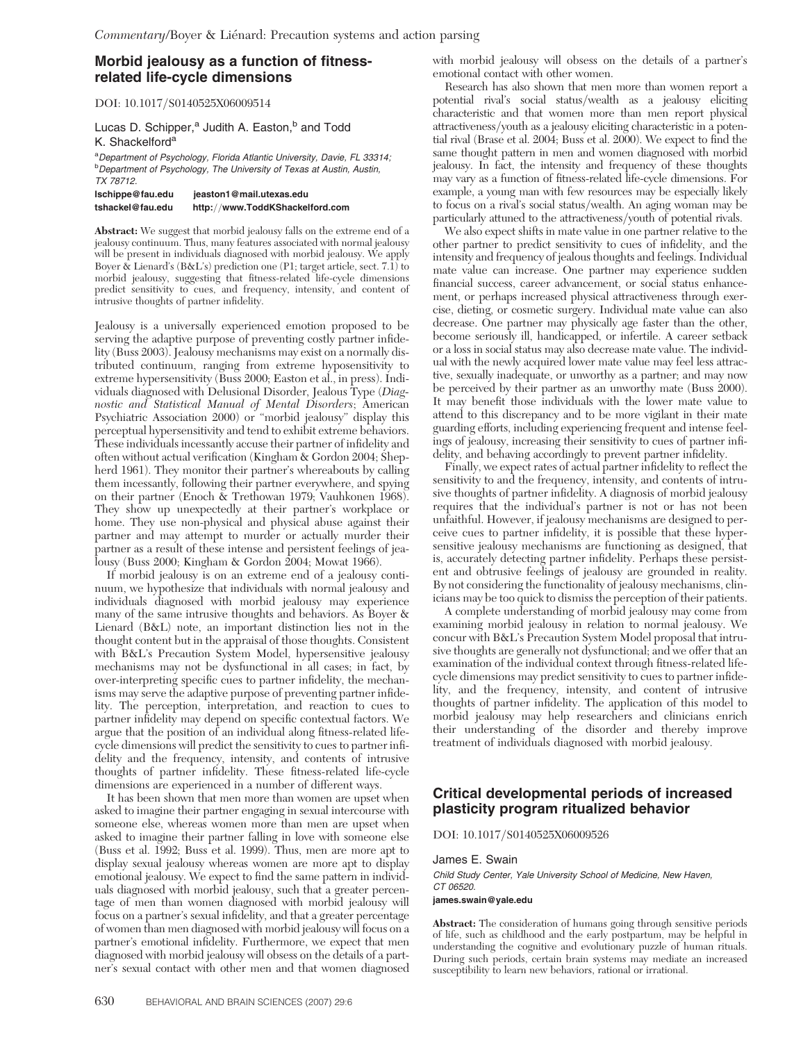## Morbid jealousy as a function of fitnessrelated life-cycle dimensions

DOI: 10.1017/S0140525X06009514

#### Lucas D. Schipper,<sup>a</sup> Judith A. Easton,<sup>b</sup> and Todd K. Shackelford<sup>a</sup>

<sup>a</sup>Department of Psychology, Florida Atlantic University, Davie, FL 33314; <sup>b</sup> Department of Psychology, The University of Texas at Austin, Austin, TX 78712.

#### lschippe@fau.edu jeaston1@mail.utexas.edu tshackel@fau.edu http://www.ToddKShackelford.com

Abstract: We suggest that morbid jealousy falls on the extreme end of a jealousy continuum. Thus, many features associated with normal jealousy will be present in individuals diagnosed with morbid jealousy. We apply Boyer & Lienard's (B&L's) prediction one (P1; target article, sect. 7.1) to morbid jealousy, suggesting that fitness-related life-cycle dimensions predict sensitivity to cues, and frequency, intensity, and content of intrusive thoughts of partner infidelity.

Jealousy is a universally experienced emotion proposed to be serving the adaptive purpose of preventing costly partner infidelity (Buss 2003). Jealousy mechanisms may exist on a normally distributed continuum, ranging from extreme hyposensitivity to extreme hypersensitivity (Buss 2000; Easton et al., in press). Individuals diagnosed with Delusional Disorder, Jealous Type (Diagnostic and Statistical Manual of Mental Disorders; American Psychiatric Association 2000) or "morbid jealousy" display this perceptual hypersensitivity and tend to exhibit extreme behaviors. These individuals incessantly accuse their partner of infidelity and often without actual verification (Kingham & Gordon 2004; Shepherd 1961). They monitor their partner's whereabouts by calling them incessantly, following their partner everywhere, and spying on their partner (Enoch & Trethowan 1979; Vauhkonen 1968). They show up unexpectedly at their partner's workplace or home. They use non-physical and physical abuse against their partner and may attempt to murder or actually murder their partner as a result of these intense and persistent feelings of jealousy (Buss 2000; Kingham & Gordon 2004; Mowat 1966).

If morbid jealousy is on an extreme end of a jealousy continuum, we hypothesize that individuals with normal jealousy and individuals diagnosed with morbid jealousy may experience many of the same intrusive thoughts and behaviors. As Boyer & Lienard (B&L) note, an important distinction lies not in the thought content but in the appraisal of those thoughts. Consistent with B&L's Precaution System Model, hypersensitive jealousy mechanisms may not be dysfunctional in all cases; in fact, by over-interpreting specific cues to partner infidelity, the mechanisms may serve the adaptive purpose of preventing partner infidelity. The perception, interpretation, and reaction to cues to partner infidelity may depend on specific contextual factors. We argue that the position of an individual along fitness-related lifecycle dimensions will predict the sensitivity to cues to partner infidelity and the frequency, intensity, and contents of intrusive thoughts of partner infidelity. These fitness-related life-cycle dimensions are experienced in a number of different ways.

It has been shown that men more than women are upset when asked to imagine their partner engaging in sexual intercourse with someone else, whereas women more than men are upset when asked to imagine their partner falling in love with someone else (Buss et al. 1992; Buss et al. 1999). Thus, men are more apt to display sexual jealousy whereas women are more apt to display emotional jealousy. We expect to find the same pattern in individuals diagnosed with morbid jealousy, such that a greater percentage of men than women diagnosed with morbid jealousy will focus on a partner's sexual infidelity, and that a greater percentage of women than men diagnosed with morbid jealousy will focus on a partner's emotional infidelity. Furthermore, we expect that men diagnosed with morbid jealousy will obsess on the details of a partner's sexual contact with other men and that women diagnosed

630 BEHAVIORAL AND BRAIN SCIENCES (2007) 29:6

with morbid jealousy will obsess on the details of a partner's emotional contact with other women.

Research has also shown that men more than women report a potential rival's social status/wealth as a jealousy eliciting characteristic and that women more than men report physical attractiveness/youth as a jealousy eliciting characteristic in a potential rival (Brase et al. 2004; Buss et al. 2000). We expect to find the same thought pattern in men and women diagnosed with morbid jealousy. In fact, the intensity and frequency of these thoughts may vary as a function of fitness-related life-cycle dimensions. For example, a young man with few resources may be especially likely to focus on a rival's social status/wealth. An aging woman may be particularly attuned to the attractiveness/youth of potential rivals.

We also expect shifts in mate value in one partner relative to the other partner to predict sensitivity to cues of infidelity, and the intensity and frequency of jealous thoughts and feelings. Individual mate value can increase. One partner may experience sudden financial success, career advancement, or social status enhancement, or perhaps increased physical attractiveness through exercise, dieting, or cosmetic surgery. Individual mate value can also decrease. One partner may physically age faster than the other, become seriously ill, handicapped, or infertile. A career setback or a loss in social status may also decrease mate value. The individual with the newly acquired lower mate value may feel less attractive, sexually inadequate, or unworthy as a partner; and may now be perceived by their partner as an unworthy mate (Buss 2000). It may benefit those individuals with the lower mate value to attend to this discrepancy and to be more vigilant in their mate guarding efforts, including experiencing frequent and intense feelings of jealousy, increasing their sensitivity to cues of partner infidelity, and behaving accordingly to prevent partner infidelity.

Finally, we expect rates of actual partner infidelity to reflect the sensitivity to and the frequency, intensity, and contents of intrusive thoughts of partner infidelity. A diagnosis of morbid jealousy requires that the individual's partner is not or has not been unfaithful. However, if jealousy mechanisms are designed to perceive cues to partner infidelity, it is possible that these hypersensitive jealousy mechanisms are functioning as designed, that is, accurately detecting partner infidelity. Perhaps these persistent and obtrusive feelings of jealousy are grounded in reality. By not considering the functionality of jealousy mechanisms, clinicians may be too quick to dismiss the perception of their patients.

A complete understanding of morbid jealousy may come from examining morbid jealousy in relation to normal jealousy. We concur with B&L's Precaution System Model proposal that intrusive thoughts are generally not dysfunctional; and we offer that an examination of the individual context through fitness-related lifecycle dimensions may predict sensitivity to cues to partner infidelity, and the frequency, intensity, and content of intrusive thoughts of partner infidelity. The application of this model to morbid jealousy may help researchers and clinicians enrich their understanding of the disorder and thereby improve treatment of individuals diagnosed with morbid jealousy.

## Critical developmental periods of increased plasticity program ritualized behavior

DOI: 10.1017/S0140525X06009526

#### James E. Swain

Child Study Center, Yale University School of Medicine, New Haven, CT 06520.

james.swain@yale.edu

Abstract: The consideration of humans going through sensitive periods of life, such as childhood and the early postpartum, may be helpful in understanding the cognitive and evolutionary puzzle of human rituals. During such periods, certain brain systems may mediate an increased susceptibility to learn new behaviors, rational or irrational.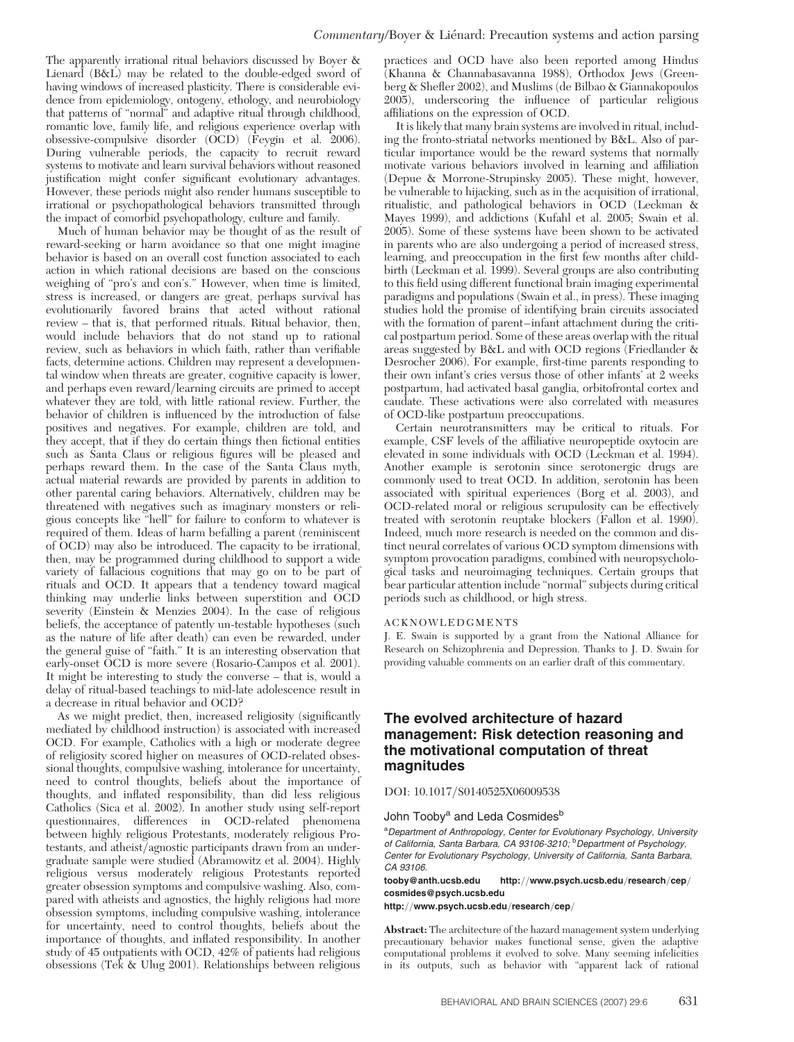The apparently irrational ritual behaviors discussed by Boyer & Lienard (B&L) may be related to the double-edged sword of having windows of increased plasticity. There is considerable evidence from epidemiology, ontogeny, ethology, and neurobiology that patterns of "normal" and adaptive ritual through childhood, romantic love, family life, and religious experience overlap with obsessive-compulsive disorder (OCD) (Feygin et al. 2006). During vulnerable periods, the capacity to recruit reward systems to motivate and learn survival behaviors without reasoned justification might confer significant evolutionary advantages. However, these periods might also render humans susceptible to irrational or psychopathological behaviors transmitted through the impact of comorbid psychopathology, culture and family.

Much of human behavior may be thought of as the result of reward-seeking or harm avoidance so that one might imagine behavior is based on an overall cost function associated to each action in which rational decisions are based on the conscious weighing of "pro's and con's." However, when time is limited, stress is increased, or dangers are great, perhaps survival has evolutionarily favored brains that acted without rational review – that is, that performed rituals. Ritual behavior, then, would include behaviors that do not stand up to rational review, such as behaviors in which faith, rather than verifiable facts, determine actions. Children may represent a developmental window when threats are greater, cognitive capacity is lower, and perhaps even reward/learning circuits are primed to accept whatever they are told, with little rational review. Further, the behavior of children is influenced by the introduction of false positives and negatives. For example, children are told, and they accept, that if they do certain things then fictional entities such as Santa Claus or religious figures will be pleased and perhaps reward them. In the case of the Santa Claus myth, actual material rewards are provided by parents in addition to other parental caring behaviors. Alternatively, children may be threatened with negatives such as imaginary monsters or religious concepts like "hell" for failure to conform to whatever is required of them. Ideas of harm befalling a parent (reminiscent of OCD) may also be introduced. The capacity to be irrational, then, may be programmed during childhood to support a wide variety of fallacious cognitions that may go on to be part of rituals and OCD. It appears that a tendency toward magical thinking may underlie links between superstition and OCD severity (Einstein & Menzies 2004). In the case of religious beliefs, the acceptance of patently un-testable hypotheses (such as the nature of life after death) can even be rewarded, under the general guise of "faith." It is an interesting observation that early-onset OCD is more severe (Rosario-Campos et al. 2001). It might be interesting to study the converse – that is, would a delay of ritual-based teachings to mid-late adolescence result in a decrease in ritual behavior and OCD?

As we might predict, then, increased religiosity (significantly mediated by childhood instruction) is associated with increased OCD. For example, Catholics with a high or moderate degree of religiosity scored higher on measures of OCD-related obsessional thoughts, compulsive washing, intolerance for uncertainty, need to control thoughts, beliefs about the importance of thoughts, and inflated responsibility, than did less religious Catholics (Sica et al. 2002). In another study using self-report questionnaires, differences in OCD-related phenomena between highly religious Protestants, moderately religious Protestants, and atheist/agnostic participants drawn from an undergraduate sample were studied (Abramowitz et al. 2004). Highly religious versus moderately religious Protestants reported greater obsession symptoms and compulsive washing. Also, compared with atheists and agnostics, the highly religious had more obsession symptoms, including compulsive washing, intolerance for uncertainty, need to control thoughts, beliefs about the importance of thoughts, and inflated responsibility. In another study of 45 outpatients with OCD, 42% of patients had religious obsessions (Tek & Ulug 2001). Relationships between religious practices and OCD have also been reported among Hindus (Khanna & Channabasavanna 1988), Orthodox Jews (Greenberg & Shefler 2002), and Muslims (de Bilbao & Giannakopoulos 2005), underscoring the influence of particular religious affiliations on the expression of OCD.

It is likely that many brain systems are involved in ritual, including the fronto-striatal networks mentioned by B&L. Also of particular importance would be the reward systems that normally motivate various behaviors involved in learning and affiliation (Depue & Morrone-Strupinsky 2005). These might, however, be vulnerable to hijacking, such as in the acquisition of irrational, ritualistic, and pathological behaviors in OCD (Leckman & Mayes 1999), and addictions (Kufahl et al. 2005; Swain et al. 2005). Some of these systems have been shown to be activated in parents who are also undergoing a period of increased stress, learning, and preoccupation in the first few months after childbirth (Leckman et al. 1999). Several groups are also contributing to this field using different functional brain imaging experimental paradigms and populations (Swain et al., in press). These imaging studies hold the promise of identifying brain circuits associated with the formation of parent–infant attachment during the critical postpartum period. Some of these areas overlap with the ritual areas suggested by B&L and with OCD regions (Friedlander & Desrocher 2006). For example, first-time parents responding to their own infant's cries versus those of other infants' at 2 weeks postpartum, had activated basal ganglia, orbitofrontal cortex and caudate. These activations were also correlated with measures of OCD-like postpartum preoccupations.

Certain neurotransmitters may be critical to rituals. For example, CSF levels of the affiliative neuropeptide oxytocin are elevated in some individuals with OCD (Leckman et al. 1994). Another example is serotonin since serotonergic drugs are commonly used to treat OCD. In addition, serotonin has been associated with spiritual experiences (Borg et al. 2003), and OCD-related moral or religious scrupulosity can be effectively treated with serotonin reuptake blockers (Fallon et al. 1990). Indeed, much more research is needed on the common and distinct neural correlates of various OCD symptom dimensions with symptom provocation paradigms, combined with neuropsychological tasks and neuroimaging techniques. Certain groups that bear particular attention include "normal" subjects during critical periods such as childhood, or high stress.

#### ACKNOWLEDGMENTS

J. E. Swain is supported by a grant from the National Alliance for Research on Schizophrenia and Depression. Thanks to J. D. Swain for providing valuable comments on an earlier draft of this commentary.

## The evolved architecture of hazard management: Risk detection reasoning and the motivational computation of threat magnitudes

#### DOI: 10.1017/S0140525X06009538

## John Tooby<sup>a</sup> and Leda Cosmides<sup>b</sup>

aDepartment of Anthropology, Center for Evolutionary Psychology, University of California, Santa Barbara, CA 93106-3210; <sup>b</sup>Department of Psychology, Center for Evolutionary Psychology, University of California, Santa Barbara, CA 93106.

tooby@anth.ucsb.edu http://www.psych.ucsb.edu/research/cep/ cosmides@psych.ucsb.edu

http://www.psych.ucsb.edu/research/cep/

Abstract: The architecture of the hazard management system underlying precautionary behavior makes functional sense, given the adaptive computational problems it evolved to solve. Many seeming infelicities in its outputs, such as behavior with "apparent lack of rational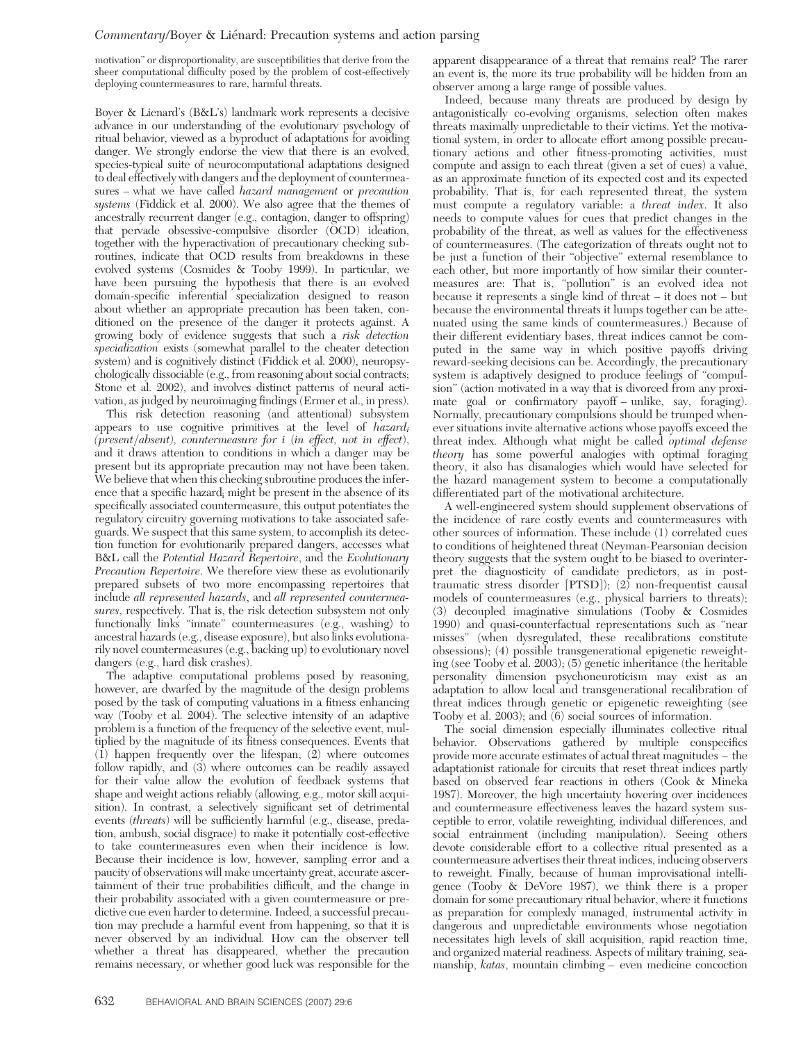motivation" or disproportionality, are susceptibilities that derive from the sheer computational difficulty posed by the problem of cost-effectively deploying countermeasures to rare, harmful threats.

Boyer & Lienard's (B&L's) landmark work represents a decisive advance in our understanding of the evolutionary psychology of ritual behavior, viewed as a byproduct of adaptations for avoiding danger. We strongly endorse the view that there is an evolved, species-typical suite of neurocomputational adaptations designed to deal effectively with dangers and the deployment of countermeasures – what we have called *hazard management* or *precaution* systems (Fiddick et al. 2000). We also agree that the themes of ancestrally recurrent danger (e.g., contagion, danger to offspring) that pervade obsessive-compulsive disorder (OCD) ideation, together with the hyperactivation of precautionary checking subroutines, indicate that OCD results from breakdowns in these evolved systems (Cosmides & Tooby 1999). In particular, we have been pursuing the hypothesis that there is an evolved domain-specific inferential specialization designed to reason about whether an appropriate precaution has been taken, conditioned on the presence of the danger it protects against. A growing body of evidence suggests that such a risk detection specialization exists (somewhat parallel to the cheater detection system) and is cognitively distinct (Fiddick et al. 2000), neuropsychologically dissociable (e.g., from reasoning about social contracts; Stone et al. 2002), and involves distinct patterns of neural activation, as judged by neuroimaging findings (Ermer et al., in press).

This risk detection reasoning (and attentional) subsystem appears to use cognitive primitives at the level of  $hazard_i$ (present/absent), countermeasure for i (in effect, not in effect), and it draws attention to conditions in which a danger may be present but its appropriate precaution may not have been taken. We believe that when this checking subroutine produces the inference that a specific hazard<sub>i</sub> might be present in the absence of its specifically associated countermeasure, this output potentiates the regulatory circuitry governing motivations to take associated safeguards. We suspect that this same system, to accomplish its detection function for evolutionarily prepared dangers, accesses what B&L call the Potential Hazard Repertoire, and the Evolutionary Precaution Repertoire. We therefore view these as evolutionarily prepared subsets of two more encompassing repertoires that include all represented hazards, and all represented countermeasures, respectively. That is, the risk detection subsystem not only functionally links "innate" countermeasures (e.g., washing) to ancestral hazards (e.g., disease exposure), but also links evolutionarily novel countermeasures (e.g., backing up) to evolutionary novel dangers (e.g., hard disk crashes).

The adaptive computational problems posed by reasoning, however, are dwarfed by the magnitude of the design problems posed by the task of computing valuations in a fitness enhancing way (Tooby et al. 2004). The selective intensity of an adaptive problem is a function of the frequency of the selective event, multiplied by the magnitude of its fitness consequences. Events that  $(1)$  happen frequently over the lifespan,  $(2)$  where outcomes follow rapidly, and (3) where outcomes can be readily assayed for their value allow the evolution of feedback systems that shape and weight actions reliably (allowing, e.g., motor skill acquisition). In contrast, a selectively significant set of detrimental events (threats) will be sufficiently harmful (e.g., disease, predation, ambush, social disgrace) to make it potentially cost-effective to take countermeasures even when their incidence is low. Because their incidence is low, however, sampling error and a paucity of observations will make uncertainty great, accurate ascertainment of their true probabilities difficult, and the change in their probability associated with a given countermeasure or predictive cue even harder to determine. Indeed, a successful precaution may preclude a harmful event from happening, so that it is never observed by an individual. How can the observer tell whether a threat has disappeared, whether the precaution remains necessary, or whether good luck was responsible for the

apparent disappearance of a threat that remains real? The rarer an event is, the more its true probability will be hidden from an observer among a large range of possible values.

Indeed, because many threats are produced by design by antagonistically co-evolving organisms, selection often makes threats maximally unpredictable to their victims. Yet the motivational system, in order to allocate effort among possible precautionary actions and other fitness-promoting activities, must compute and assign to each threat (given a set of cues) a value, as an approximate function of its expected cost and its expected probability. That is, for each represented threat, the system must compute a regulatory variable: a threat index. It also needs to compute values for cues that predict changes in the probability of the threat, as well as values for the effectiveness of countermeasures. (The categorization of threats ought not to be just a function of their "objective" external resemblance to each other, but more importantly of how similar their countermeasures are: That is, "pollution" is an evolved idea not because it represents a single kind of threat – it does not – but because the environmental threats it lumps together can be attenuated using the same kinds of countermeasures.) Because of their different evidentiary bases, threat indices cannot be computed in the same way in which positive payoffs driving reward-seeking decisions can be. Accordingly, the precautionary system is adaptively designed to produce feelings of "compulsion" (action motivated in a way that is divorced from any proximate goal or confirmatory payoff – unlike, say, foraging). Normally, precautionary compulsions should be trumped whenever situations invite alternative actions whose payoffs exceed the threat index. Although what might be called optimal defense theory has some powerful analogies with optimal foraging theory, it also has disanalogies which would have selected for the hazard management system to become a computationally differentiated part of the motivational architecture.

A well-engineered system should supplement observations of the incidence of rare costly events and countermeasures with other sources of information. These include (1) correlated cues to conditions of heightened threat (Neyman-Pearsonian decision theory suggests that the system ought to be biased to overinterpret the diagnosticity of candidate predictors, as in posttraumatic stress disorder [PTSD]); (2) non-frequentist causal models of countermeasures (e.g., physical barriers to threats); (3) decoupled imaginative simulations (Tooby & Cosmides 1990) and quasi-counterfactual representations such as "near misses" (when dysregulated, these recalibrations constitute obsessions); (4) possible transgenerational epigenetic reweighting (see Tooby et al. 2003); (5) genetic inheritance (the heritable personality dimension psychoneuroticism may exist as an adaptation to allow local and transgenerational recalibration of threat indices through genetic or epigenetic reweighting (see Tooby et al. 2003); and (6) social sources of information.

The social dimension especially illuminates collective ritual behavior. Observations gathered by multiple conspecifics provide more accurate estimates of actual threat magnitudes – the adaptationist rationale for circuits that reset threat indices partly based on observed fear reactions in others (Cook & Mineka 1987). Moreover, the high uncertainty hovering over incidences and countermeasure effectiveness leaves the hazard system susceptible to error, volatile reweighting, individual differences, and social entrainment (including manipulation). Seeing others devote considerable effort to a collective ritual presented as a countermeasure advertises their threat indices, inducing observers to reweight. Finally, because of human improvisational intelligence (Tooby & DeVore 1987), we think there is a proper domain for some precautionary ritual behavior, where it functions as preparation for complexly managed, instrumental activity in dangerous and unpredictable environments whose negotiation necessitates high levels of skill acquisition, rapid reaction time, and organized material readiness. Aspects of military training, seamanship, katas, mountain climbing – even medicine concoction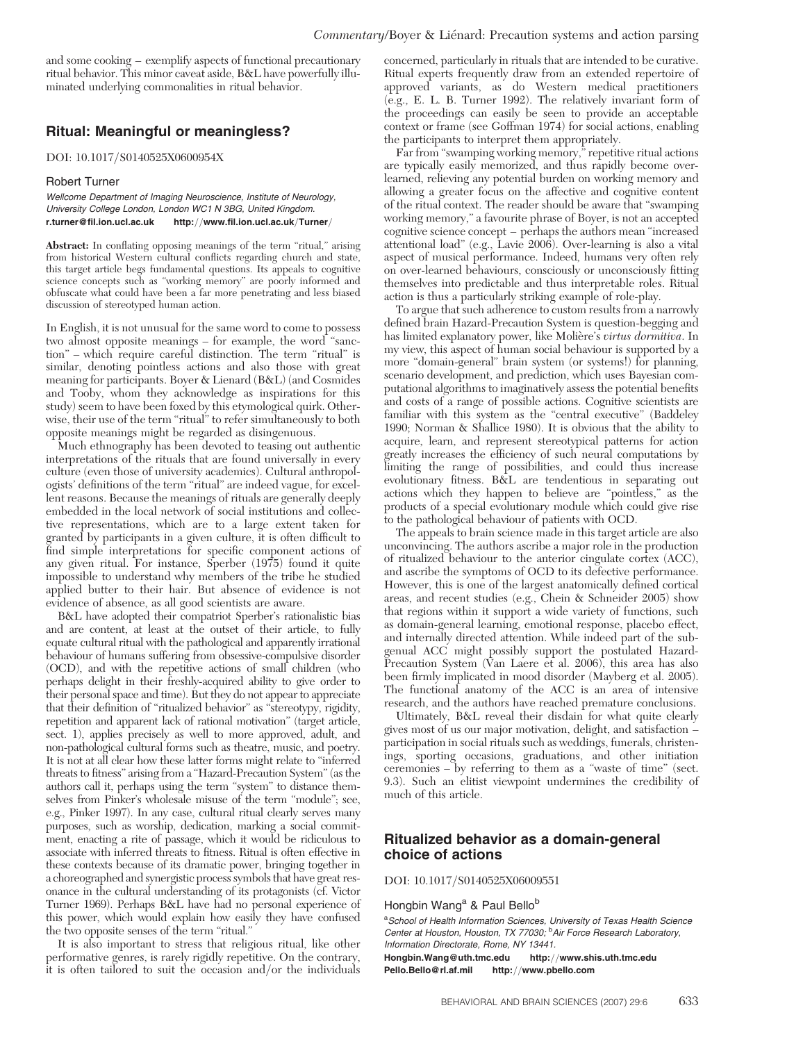and some cooking – exemplify aspects of functional precautionary ritual behavior. This minor caveat aside, B&L have powerfully illuminated underlying commonalities in ritual behavior.

## Ritual: Meaningful or meaningless?

DOI: 10.1017/S0140525X0600954X

#### Robert Turner

Wellcome Department of Imaging Neuroscience, Institute of Neurology, University College London, London WC1 N 3BG, United Kingdom. r.turner@fil.ion.ucl.ac.uk http://www.fil.ion.ucl.ac.uk/Turner/

Abstract: In conflating opposing meanings of the term "ritual," arising from historical Western cultural conflicts regarding church and state, this target article begs fundamental questions. Its appeals to cognitive science concepts such as "working memory" are poorly informed and obfuscate what could have been a far more penetrating and less biased discussion of stereotyped human action.

In English, it is not unusual for the same word to come to possess two almost opposite meanings – for example, the word "sanction" – which require careful distinction. The term "ritual" is similar, denoting pointless actions and also those with great meaning for participants. Boyer & Lienard (B&L) (and Cosmides and Tooby, whom they acknowledge as inspirations for this study) seem to have been foxed by this etymological quirk. Otherwise, their use of the term "ritual" to refer simultaneously to both opposite meanings might be regarded as disingenuous.

Much ethnography has been devoted to teasing out authentic interpretations of the rituals that are found universally in every culture (even those of university academics). Cultural anthropologists' definitions of the term "ritual" are indeed vague, for excellent reasons. Because the meanings of rituals are generally deeply embedded in the local network of social institutions and collective representations, which are to a large extent taken for granted by participants in a given culture, it is often difficult to find simple interpretations for specific component actions of any given ritual. For instance, Sperber (1975) found it quite impossible to understand why members of the tribe he studied applied butter to their hair. But absence of evidence is not evidence of absence, as all good scientists are aware.

B&L have adopted their compatriot Sperber's rationalistic bias and are content, at least at the outset of their article, to fully equate cultural ritual with the pathological and apparently irrational behaviour of humans suffering from obsessive-compulsive disorder (OCD), and with the repetitive actions of small children (who perhaps delight in their freshly-acquired ability to give order to their personal space and time). But they do not appear to appreciate that their definition of "ritualized behavior" as "stereotypy, rigidity, repetition and apparent lack of rational motivation" (target article, sect. 1), applies precisely as well to more approved, adult, and non-pathological cultural forms such as theatre, music, and poetry. It is not at all clear how these latter forms might relate to "inferred threats to fitness" arising from a "Hazard-Precaution System" (as the authors call it, perhaps using the term "system" to distance themselves from Pinker's wholesale misuse of the term "module"; see, e.g., Pinker 1997). In any case, cultural ritual clearly serves many purposes, such as worship, dedication, marking a social commitment, enacting a rite of passage, which it would be ridiculous to associate with inferred threats to fitness. Ritual is often effective in these contexts because of its dramatic power, bringing together in a choreographed and synergistic process symbols that have great resonance in the cultural understanding of its protagonists (cf. Victor Turner 1969). Perhaps B&L have had no personal experience of this power, which would explain how easily they have confused the two opposite senses of the term "ritual."

It is also important to stress that religious ritual, like other performative genres, is rarely rigidly repetitive. On the contrary, it is often tailored to suit the occasion and/or the individuals concerned, particularly in rituals that are intended to be curative. Ritual experts frequently draw from an extended repertoire of approved variants, as do Western medical practitioners (e.g., E. L. B. Turner 1992). The relatively invariant form of the proceedings can easily be seen to provide an acceptable context or frame (see Goffman 1974) for social actions, enabling the participants to interpret them appropriately.

Far from "swamping working memory," repetitive ritual actions are typically easily memorized, and thus rapidly become overlearned, relieving any potential burden on working memory and allowing a greater focus on the affective and cognitive content of the ritual context. The reader should be aware that "swamping working memory," a favourite phrase of Boyer, is not an accepted cognitive science concept – perhaps the authors mean "increased attentional load" (e.g., Lavie 2006). Over-learning is also a vital aspect of musical performance. Indeed, humans very often rely on over-learned behaviours, consciously or unconsciously fitting themselves into predictable and thus interpretable roles. Ritual action is thus a particularly striking example of role-play.

To argue that such adherence to custom results from a narrowly defined brain Hazard-Precaution System is question-begging and has limited explanatory power, like Molière's virtus dormitiva. In my view, this aspect of human social behaviour is supported by a more "domain-general" brain system (or systems!) for planning, scenario development, and prediction, which uses Bayesian computational algorithms to imaginatively assess the potential benefits and costs of a range of possible actions. Cognitive scientists are familiar with this system as the "central executive" (Baddeley 1990; Norman & Shallice 1980). It is obvious that the ability to acquire, learn, and represent stereotypical patterns for action greatly increases the efficiency of such neural computations by limiting the range of possibilities, and could thus increase evolutionary fitness. B&L are tendentious in separating out actions which they happen to believe are "pointless," as the products of a special evolutionary module which could give rise to the pathological behaviour of patients with OCD.

The appeals to brain science made in this target article are also unconvincing. The authors ascribe a major role in the production of ritualized behaviour to the anterior cingulate cortex (ACC), and ascribe the symptoms of OCD to its defective performance. However, this is one of the largest anatomically defined cortical areas, and recent studies (e.g., Chein & Schneider 2005) show that regions within it support a wide variety of functions, such as domain-general learning, emotional response, placebo effect, and internally directed attention. While indeed part of the subgenual ACC might possibly support the postulated Hazard-Precaution System (Van Laere et al. 2006), this area has also been firmly implicated in mood disorder (Mayberg et al. 2005). The functional anatomy of the ACC is an area of intensive research, and the authors have reached premature conclusions.

Ultimately, B&L reveal their disdain for what quite clearly gives most of us our major motivation, delight, and satisfaction – participation in social rituals such as weddings, funerals, christenings, sporting occasions, graduations, and other initiation ceremonies – by referring to them as a "waste of time" (sect. 9.3). Such an elitist viewpoint undermines the credibility of much of this article.

## Ritualized behavior as a domain-general choice of actions

DOI: 10.1017/S0140525X06009551

#### Hongbin Wang<sup>a</sup> & Paul Bello<sup>b</sup>

a School of Health Information Sciences, University of Texas Health Science Center at Houston, Houston, TX 77030; <sup>b</sup>Air Force Research Laboratory, Information Directorate, Rome, NY 13441.

Hongbin.Wang@uth.tmc.edu http://www.shis.uth.tmc.edu Pello.Bello@rl.af.mil http://www.pbello.com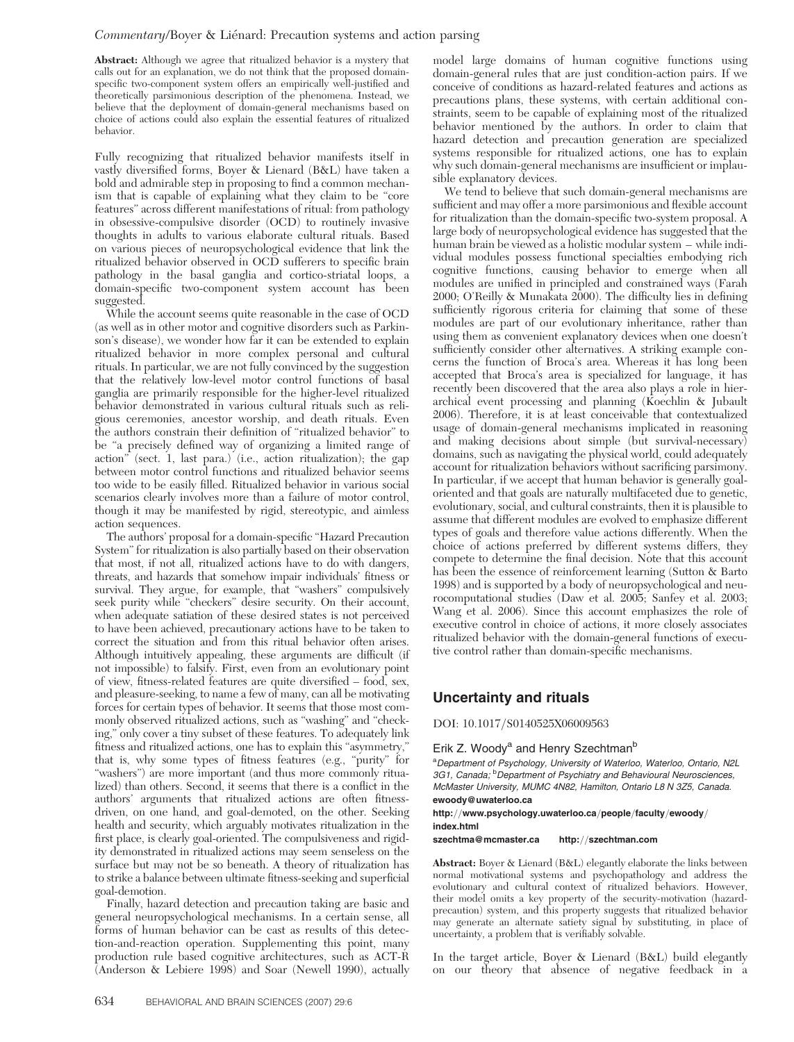Abstract: Although we agree that ritualized behavior is a mystery that calls out for an explanation, we do not think that the proposed domainspecific two-component system offers an empirically well-justified and theoretically parsimonious description of the phenomena. Instead, we believe that the deployment of domain-general mechanisms based on choice of actions could also explain the essential features of ritualized behavior.

Fully recognizing that ritualized behavior manifests itself in vastly diversified forms, Boyer & Lienard (B&L) have taken a bold and admirable step in proposing to find a common mechanism that is capable of explaining what they claim to be "core features" across different manifestations of ritual: from pathology in obsessive-compulsive disorder (OCD) to routinely invasive thoughts in adults to various elaborate cultural rituals. Based on various pieces of neuropsychological evidence that link the ritualized behavior observed in OCD sufferers to specific brain pathology in the basal ganglia and cortico-striatal loops, a domain-specific two-component system account has been suggested.

While the account seems quite reasonable in the case of OCD (as well as in other motor and cognitive disorders such as Parkinson's disease), we wonder how far it can be extended to explain ritualized behavior in more complex personal and cultural rituals. In particular, we are not fully convinced by the suggestion that the relatively low-level motor control functions of basal ganglia are primarily responsible for the higher-level ritualized behavior demonstrated in various cultural rituals such as religious ceremonies, ancestor worship, and death rituals. Even the authors constrain their definition of "ritualized behavior" to be "a precisely defined way of organizing a limited range of action" (sect. 1, last para.) (i.e., action ritualization); the gap between motor control functions and ritualized behavior seems too wide to be easily filled. Ritualized behavior in various social scenarios clearly involves more than a failure of motor control, though it may be manifested by rigid, stereotypic, and aimless action sequences.

The authors' proposal for a domain-specific "Hazard Precaution System" for ritualization is also partially based on their observation that most, if not all, ritualized actions have to do with dangers, threats, and hazards that somehow impair individuals' fitness or survival. They argue, for example, that "washers" compulsively seek purity while "checkers" desire security. On their account, when adequate satiation of these desired states is not perceived to have been achieved, precautionary actions have to be taken to correct the situation and from this ritual behavior often arises. Although intuitively appealing, these arguments are difficult (if not impossible) to falsify. First, even from an evolutionary point of view, fitness-related features are quite diversified – food, sex, and pleasure-seeking, to name a few of many, can all be motivating forces for certain types of behavior. It seems that those most commonly observed ritualized actions, such as "washing" and "checking," only cover a tiny subset of these features. To adequately link fitness and ritualized actions, one has to explain this "asymmetry," that is, why some types of fitness features (e.g., "purity" for "washers") are more important (and thus more commonly ritualized) than others. Second, it seems that there is a conflict in the authors' arguments that ritualized actions are often fitnessdriven, on one hand, and goal-demoted, on the other. Seeking health and security, which arguably motivates ritualization in the first place, is clearly goal-oriented. The compulsiveness and rigidity demonstrated in ritualized actions may seem senseless on the surface but may not be so beneath. A theory of ritualization has to strike a balance between ultimate fitness-seeking and superficial goal-demotion.

Finally, hazard detection and precaution taking are basic and general neuropsychological mechanisms. In a certain sense, all forms of human behavior can be cast as results of this detection-and-reaction operation. Supplementing this point, many production rule based cognitive architectures, such as ACT-R (Anderson & Lebiere 1998) and Soar (Newell 1990), actually

model large domains of human cognitive functions using domain-general rules that are just condition-action pairs. If we conceive of conditions as hazard-related features and actions as precautions plans, these systems, with certain additional constraints, seem to be capable of explaining most of the ritualized behavior mentioned by the authors. In order to claim that hazard detection and precaution generation are specialized systems responsible for ritualized actions, one has to explain why such domain-general mechanisms are insufficient or implausible explanatory devices.

We tend to believe that such domain-general mechanisms are sufficient and may offer a more parsimonious and flexible account for ritualization than the domain-specific two-system proposal. A large body of neuropsychological evidence has suggested that the human brain be viewed as a holistic modular system – while individual modules possess functional specialties embodying rich cognitive functions, causing behavior to emerge when all modules are unified in principled and constrained ways (Farah 2000; O'Reilly & Munakata 2000). The difficulty lies in defining sufficiently rigorous criteria for claiming that some of these modules are part of our evolutionary inheritance, rather than using them as convenient explanatory devices when one doesn't sufficiently consider other alternatives. A striking example concerns the function of Broca's area. Whereas it has long been accepted that Broca's area is specialized for language, it has recently been discovered that the area also plays a role in hierarchical event processing and planning (Koechlin & Jubault 2006). Therefore, it is at least conceivable that contextualized usage of domain-general mechanisms implicated in reasoning and making decisions about simple (but survival-necessary) domains, such as navigating the physical world, could adequately account for ritualization behaviors without sacrificing parsimony. In particular, if we accept that human behavior is generally goaloriented and that goals are naturally multifaceted due to genetic, evolutionary, social, and cultural constraints, then it is plausible to assume that different modules are evolved to emphasize different types of goals and therefore value actions differently. When the choice of actions preferred by different systems differs, they compete to determine the final decision. Note that this account has been the essence of reinforcement learning (Sutton & Barto 1998) and is supported by a body of neuropsychological and neurocomputational studies (Daw et al. 2005; Sanfey et al. 2003; Wang et al. 2006). Since this account emphasizes the role of executive control in choice of actions, it more closely associates ritualized behavior with the domain-general functions of executive control rather than domain-specific mechanisms.

## Uncertainty and rituals

DOI: 10.1017/S0140525X06009563

#### Erik Z. Woody<sup>a</sup> and Henry Szechtman<sup>b</sup>

<sup>a</sup> Department of Psychology, University of Waterloo, Waterloo, Ontario, N2L 3G1, Canada; <sup>b</sup>Department of Psychiatry and Behavioural Neurosciences, McMaster University, MUMC 4N82, Hamilton, Ontario L8 N 3Z5, Canada. ewoody@uwaterloo.ca

#### http://www.psychology.uwaterloo.ca/people/faculty/ewoody/ index.html

szechtma@mcmaster.ca http://szechtman.com

Abstract: Boyer & Lienard (B&L) elegantly elaborate the links between normal motivational systems and psychopathology and address the evolutionary and cultural context of ritualized behaviors. However, their model omits a key property of the security-motivation (hazardprecaution) system, and this property suggests that ritualized behavior may generate an alternate satiety signal by substituting, in place of uncertainty, a problem that is verifiably solvable.

In the target article, Boyer & Lienard (B&L) build elegantly on our theory that absence of negative feedback in a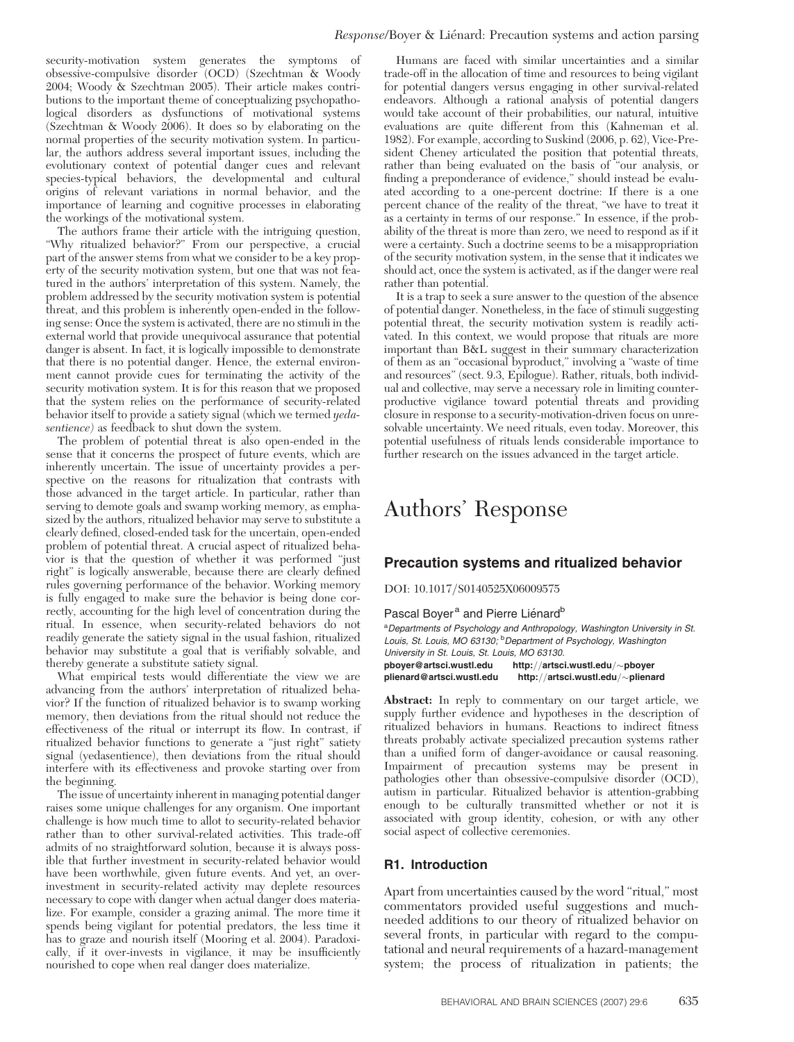security-motivation system generates the symptoms of obsessive-compulsive disorder (OCD) (Szechtman & Woody 2004; Woody & Szechtman 2005). Their article makes contributions to the important theme of conceptualizing psychopathological disorders as dysfunctions of motivational systems (Szechtman & Woody 2006). It does so by elaborating on the normal properties of the security motivation system. In particular, the authors address several important issues, including the evolutionary context of potential danger cues and relevant species-typical behaviors, the developmental and cultural origins of relevant variations in normal behavior, and the importance of learning and cognitive processes in elaborating the workings of the motivational system.

The authors frame their article with the intriguing question, "Why ritualized behavior?" From our perspective, a crucial part of the answer stems from what we consider to be a key property of the security motivation system, but one that was not featured in the authors' interpretation of this system. Namely, the problem addressed by the security motivation system is potential threat, and this problem is inherently open-ended in the following sense: Once the system is activated, there are no stimuli in the external world that provide unequivocal assurance that potential danger is absent. In fact, it is logically impossible to demonstrate that there is no potential danger. Hence, the external environment cannot provide cues for terminating the activity of the security motivation system. It is for this reason that we proposed that the system relies on the performance of security-related behavior itself to provide a satiety signal (which we termed yedasentience) as feedback to shut down the system.

The problem of potential threat is also open-ended in the sense that it concerns the prospect of future events, which are inherently uncertain. The issue of uncertainty provides a perspective on the reasons for ritualization that contrasts with those advanced in the target article. In particular, rather than serving to demote goals and swamp working memory, as emphasized by the authors, ritualized behavior may serve to substitute a clearly defined, closed-ended task for the uncertain, open-ended problem of potential threat. A crucial aspect of ritualized behavior is that the question of whether it was performed "just right" is logically answerable, because there are clearly defined rules governing performance of the behavior. Working memory is fully engaged to make sure the behavior is being done correctly, accounting for the high level of concentration during the ritual. In essence, when security-related behaviors do not readily generate the satiety signal in the usual fashion, ritualized behavior may substitute a goal that is verifiably solvable, and thereby generate a substitute satiety signal.

What empirical tests would differentiate the view we are advancing from the authors' interpretation of ritualized behavior? If the function of ritualized behavior is to swamp working memory, then deviations from the ritual should not reduce the effectiveness of the ritual or interrupt its flow. In contrast, if ritualized behavior functions to generate a "just right" satiety signal (yedasentience), then deviations from the ritual should interfere with its effectiveness and provoke starting over from the beginning.

The issue of uncertainty inherent in managing potential danger raises some unique challenges for any organism. One important challenge is how much time to allot to security-related behavior rather than to other survival-related activities. This trade-off admits of no straightforward solution, because it is always possible that further investment in security-related behavior would have been worthwhile, given future events. And yet, an overinvestment in security-related activity may deplete resources necessary to cope with danger when actual danger does materialize. For example, consider a grazing animal. The more time it spends being vigilant for potential predators, the less time it has to graze and nourish itself (Mooring et al. 2004). Paradoxically, if it over-invests in vigilance, it may be insufficiently nourished to cope when real danger does materialize.

Humans are faced with similar uncertainties and a similar trade-off in the allocation of time and resources to being vigilant for potential dangers versus engaging in other survival-related endeavors. Although a rational analysis of potential dangers would take account of their probabilities, our natural, intuitive evaluations are quite different from this (Kahneman et al. 1982). For example, according to Suskind (2006, p. 62), Vice-President Cheney articulated the position that potential threats, rather than being evaluated on the basis of "our analysis, or finding a preponderance of evidence," should instead be evaluated according to a one-percent doctrine: If there is a one percent chance of the reality of the threat, "we have to treat it as a certainty in terms of our response." In essence, if the probability of the threat is more than zero, we need to respond as if it were a certainty. Such a doctrine seems to be a misappropriation of the security motivation system, in the sense that it indicates we should act, once the system is activated, as if the danger were real rather than potential.

It is a trap to seek a sure answer to the question of the absence of potential danger. Nonetheless, in the face of stimuli suggesting potential threat, the security motivation system is readily activated. In this context, we would propose that rituals are more important than B&L suggest in their summary characterization of them as an "occasional byproduct," involving a "waste of time and resources" (sect. 9.3, Epilogue). Rather, rituals, both individual and collective, may serve a necessary role in limiting counterproductive vigilance toward potential threats and providing closure in response to a security-motivation-driven focus on unresolvable uncertainty. We need rituals, even today. Moreover, this potential usefulness of rituals lends considerable importance to further research on the issues advanced in the target article.

## Authors' Response

## Precaution systems and ritualized behavior

#### DOI: 10.1017/S0140525X06009575

#### Pascal Boyer<sup>a</sup> and Pierre Liénard<sup>b</sup>

<sup>a</sup>Departments of Psychology and Anthropology, Washington University in St. Louis, St. Louis, MO 63130; <sup>b</sup>Department of Psychology, Washington University in St. Louis, St. Louis, MO 63130.

pboyer@artsci.wustl.edu http://artsci.wustl.edu/-pboyer plienard@artsci.wustl.edu http://artsci.wustl.edu/ $\sim$ plienard

Abstract: In reply to commentary on our target article, we supply further evidence and hypotheses in the description of ritualized behaviors in humans. Reactions to indirect fitness threats probably activate specialized precaution systems rather than a unified form of danger-avoidance or causal reasoning. Impairment of precaution systems may be present in pathologies other than obsessive-compulsive disorder (OCD), autism in particular. Ritualized behavior is attention-grabbing enough to be culturally transmitted whether or not it is associated with group identity, cohesion, or with any other social aspect of collective ceremonies.

#### R1. Introduction

Apart from uncertainties caused by the word "ritual," most commentators provided useful suggestions and muchneeded additions to our theory of ritualized behavior on several fronts, in particular with regard to the computational and neural requirements of a hazard-management system; the process of ritualization in patients; the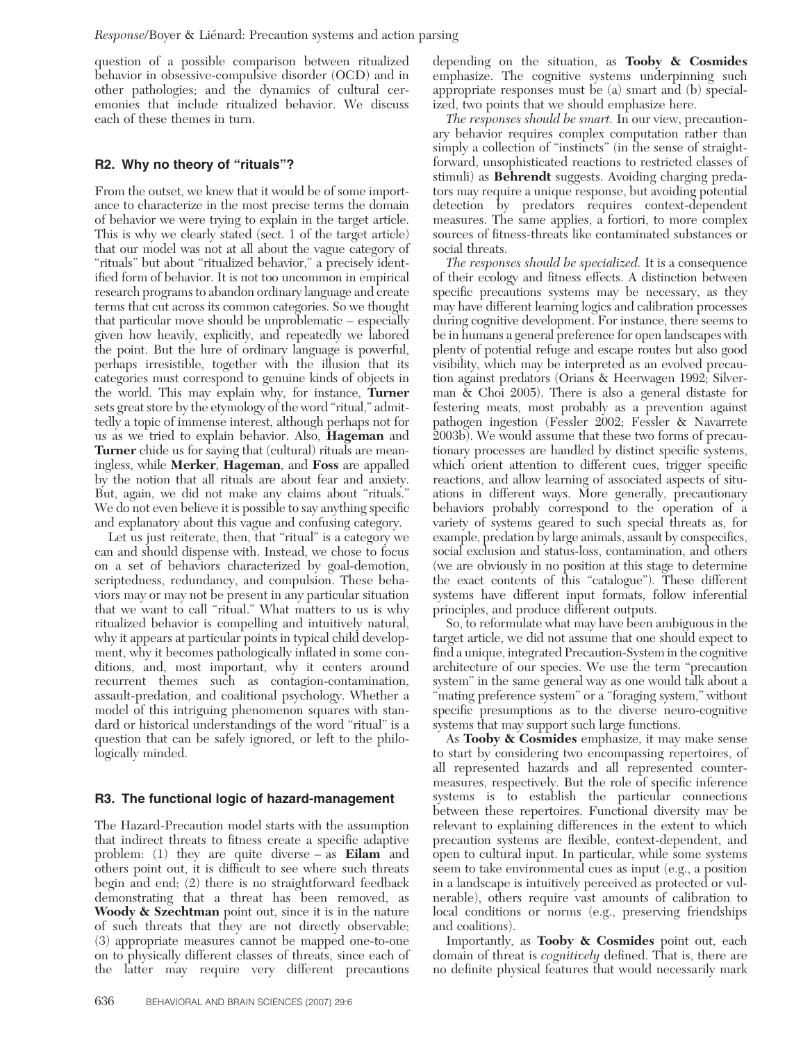question of a possible comparison between ritualized behavior in obsessive-compulsive disorder (OCD) and in other pathologies; and the dynamics of cultural ceremonies that include ritualized behavior. We discuss each of these themes in turn.

## R2. Why no theory of "rituals"?

From the outset, we knew that it would be of some importance to characterize in the most precise terms the domain of behavior we were trying to explain in the target article. This is why we clearly stated (sect. 1 of the target article) that our model was not at all about the vague category of "rituals" but about "ritualized behavior," a precisely identified form of behavior. It is not too uncommon in empirical research programs to abandon ordinary language and create terms that cut across its common categories. So we thought that particular move should be unproblematic – especially given how heavily, explicitly, and repeatedly we labored the point. But the lure of ordinary language is powerful, perhaps irresistible, together with the illusion that its categories must correspond to genuine kinds of objects in the world. This may explain why, for instance, Turner sets great store by the etymology of the word "ritual," admittedly a topic of immense interest, although perhaps not for us as we tried to explain behavior. Also, Hageman and **Turner** chide us for saying that (cultural) rituals are meaningless, while Merker, Hageman, and Foss are appalled by the notion that all rituals are about fear and anxiety. But, again, we did not make any claims about "rituals." We do not even believe it is possible to say anything specific and explanatory about this vague and confusing category.

Let us just reiterate, then, that "ritual" is a category we can and should dispense with. Instead, we chose to focus on a set of behaviors characterized by goal-demotion, scriptedness, redundancy, and compulsion. These behaviors may or may not be present in any particular situation that we want to call "ritual." What matters to us is why ritualized behavior is compelling and intuitively natural, why it appears at particular points in typical child development, why it becomes pathologically inflated in some conditions, and, most important, why it centers around recurrent themes such as contagion-contamination, assault-predation, and coalitional psychology. Whether a model of this intriguing phenomenon squares with standard or historical understandings of the word "ritual" is a question that can be safely ignored, or left to the philologically minded.

#### R3. The functional logic of hazard-management

The Hazard-Precaution model starts with the assumption that indirect threats to fitness create a specific adaptive problem: (1) they are quite diverse  $-$  as **Eilam** and others point out, it is difficult to see where such threats begin and end; (2) there is no straightforward feedback demonstrating that a threat has been removed, as **Woody**  $\&$  **Szechtman** point out, since it is in the nature of such threats that they are not directly observable; (3) appropriate measures cannot be mapped one-to-one on to physically different classes of threats, since each of the latter may require very different precautions

depending on the situation, as **Tooby & Cosmides** emphasize. The cognitive systems underpinning such appropriate responses must be (a) smart and (b) specialized, two points that we should emphasize here.

The responses should be smart. In our view, precautionary behavior requires complex computation rather than simply a collection of "instincts" (in the sense of straightforward, unsophisticated reactions to restricted classes of stimuli) as **Behrendt** suggests. Avoiding charging predators may require a unique response, but avoiding potential detection by predators requires context-dependent measures. The same applies, a fortiori, to more complex sources of fitness-threats like contaminated substances or social threats.

The responses should be specialized. It is a consequence of their ecology and fitness effects. A distinction between specific precautions systems may be necessary, as they may have different learning logics and calibration processes during cognitive development. For instance, there seems to be in humans a general preference for open landscapes with plenty of potential refuge and escape routes but also good visibility, which may be interpreted as an evolved precaution against predators (Orians & Heerwagen 1992; Silverman  $\&$  Choi 2005). There is also a general distaste for festering meats, most probably as a prevention against pathogen ingestion (Fessler 2002; Fessler & Navarrete 2003b). We would assume that these two forms of precautionary processes are handled by distinct specific systems, which orient attention to different cues, trigger specific reactions, and allow learning of associated aspects of situations in different ways. More generally, precautionary behaviors probably correspond to the operation of a variety of systems geared to such special threats as, for example, predation by large animals, assault by conspecifics, social exclusion and status-loss, contamination, and others (we are obviously in no position at this stage to determine the exact contents of this "catalogue"). These different systems have different input formats, follow inferential principles, and produce different outputs.

So, to reformulate what may have been ambiguous in the target article, we did not assume that one should expect to find a unique, integrated Precaution-System in the cognitive architecture of our species. We use the term "precaution system" in the same general way as one would talk about a "mating preference system" or a "foraging system," without specific presumptions as to the diverse neuro-cognitive systems that may support such large functions.

As **Tooby & Cosmides** emphasize, it may make sense to start by considering two encompassing repertoires, of all represented hazards and all represented countermeasures, respectively. But the role of specific inference systems is to establish the particular connections between these repertoires. Functional diversity may be relevant to explaining differences in the extent to which precaution systems are flexible, context-dependent, and open to cultural input. In particular, while some systems seem to take environmental cues as input (e.g., a position in a landscape is intuitively perceived as protected or vulnerable), others require vast amounts of calibration to local conditions or norms (e.g., preserving friendships and coalitions).

Importantly, as **Tooby & Cosmides** point out, each domain of threat is *cognitively* defined. That is, there are no definite physical features that would necessarily mark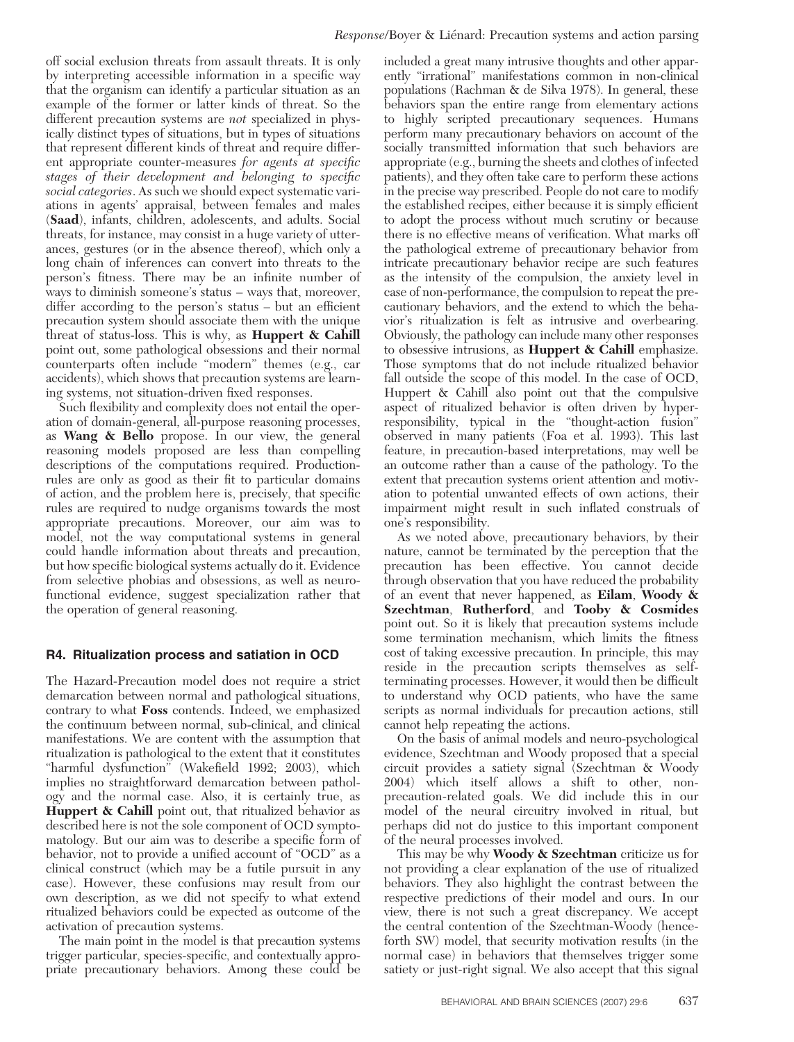off social exclusion threats from assault threats. It is only by interpreting accessible information in a specific way that the organism can identify a particular situation as an example of the former or latter kinds of threat. So the different precaution systems are not specialized in physically distinct types of situations, but in types of situations that represent different kinds of threat and require different appropriate counter-measures for agents at specific stages of their development and belonging to specific social categories. As such we should expect systematic variations in agents' appraisal, between females and males (Saad), infants, children, adolescents, and adults. Social threats, for instance, may consist in a huge variety of utterances, gestures (or in the absence thereof), which only a long chain of inferences can convert into threats to the person's fitness. There may be an infinite number of ways to diminish someone's status – ways that, moreover, differ according to the person's status – but an efficient precaution system should associate them with the unique threat of status-loss. This is why, as **Huppert & Cahill** point out, some pathological obsessions and their normal counterparts often include "modern" themes (e.g., car accidents), which shows that precaution systems are learning systems, not situation-driven fixed responses.

Such flexibility and complexity does not entail the operation of domain-general, all-purpose reasoning processes, as Wang & Bello propose. In our view, the general reasoning models proposed are less than compelling descriptions of the computations required. Productionrules are only as good as their fit to particular domains of action, and the problem here is, precisely, that specific rules are required to nudge organisms towards the most appropriate precautions. Moreover, our aim was to model, not the way computational systems in general could handle information about threats and precaution, but how specific biological systems actually do it. Evidence from selective phobias and obsessions, as well as neurofunctional evidence, suggest specialization rather that the operation of general reasoning.

## R4. Ritualization process and satiation in OCD

The Hazard-Precaution model does not require a strict demarcation between normal and pathological situations, contrary to what Foss contends. Indeed, we emphasized the continuum between normal, sub-clinical, and clinical manifestations. We are content with the assumption that ritualization is pathological to the extent that it constitutes "harmful dysfunction" (Wakefield 1992; 2003), which implies no straightforward demarcation between pathology and the normal case. Also, it is certainly true, as Huppert & Cahill point out, that ritualized behavior as described here is not the sole component of OCD symptomatology. But our aim was to describe a specific form of behavior, not to provide a unified account of "OCD" as a clinical construct (which may be a futile pursuit in any case). However, these confusions may result from our own description, as we did not specify to what extend ritualized behaviors could be expected as outcome of the activation of precaution systems.

The main point in the model is that precaution systems trigger particular, species-specific, and contextually appropriate precautionary behaviors. Among these could be

included a great many intrusive thoughts and other apparently "irrational" manifestations common in non-clinical populations (Rachman & de Silva 1978). In general, these behaviors span the entire range from elementary actions to highly scripted precautionary sequences. Humans perform many precautionary behaviors on account of the socially transmitted information that such behaviors are appropriate (e.g., burning the sheets and clothes of infected patients), and they often take care to perform these actions in the precise way prescribed. People do not care to modify the established recipes, either because it is simply efficient to adopt the process without much scrutiny or because there is no effective means of verification. What marks off the pathological extreme of precautionary behavior from intricate precautionary behavior recipe are such features as the intensity of the compulsion, the anxiety level in case of non-performance, the compulsion to repeat the precautionary behaviors, and the extend to which the behavior's ritualization is felt as intrusive and overbearing. Obviously, the pathology can include many other responses to obsessive intrusions, as **Huppert & Cahill** emphasize. Those symptoms that do not include ritualized behavior fall outside the scope of this model. In the case of OCD, Huppert & Cahill also point out that the compulsive aspect of ritualized behavior is often driven by hyperresponsibility, typical in the "thought-action fusion" observed in many patients (Foa et al. 1993). This last feature, in precaution-based interpretations, may well be an outcome rather than a cause of the pathology. To the extent that precaution systems orient attention and motivation to potential unwanted effects of own actions, their impairment might result in such inflated construals of one's responsibility.

As we noted above, precautionary behaviors, by their nature, cannot be terminated by the perception that the precaution has been effective. You cannot decide through observation that you have reduced the probability of an event that never happened, as **Eilam**, **Woody**  $\&$ Szechtman, Rutherford, and Tooby & Cosmides point out. So it is likely that precaution systems include some termination mechanism, which limits the fitness cost of taking excessive precaution. In principle, this may reside in the precaution scripts themselves as selfterminating processes. However, it would then be difficult to understand why OCD patients, who have the same scripts as normal individuals for precaution actions, still cannot help repeating the actions.

On the basis of animal models and neuro-psychological evidence, Szechtman and Woody proposed that a special circuit provides a satiety signal (Szechtman & Woody 2004) which itself allows a shift to other, nonprecaution-related goals. We did include this in our model of the neural circuitry involved in ritual, but perhaps did not do justice to this important component of the neural processes involved.

This may be why **Woody & Szechtman** criticize us for not providing a clear explanation of the use of ritualized behaviors. They also highlight the contrast between the respective predictions of their model and ours. In our view, there is not such a great discrepancy. We accept the central contention of the Szechtman-Woody (henceforth SW) model, that security motivation results (in the normal case) in behaviors that themselves trigger some satiety or just-right signal. We also accept that this signal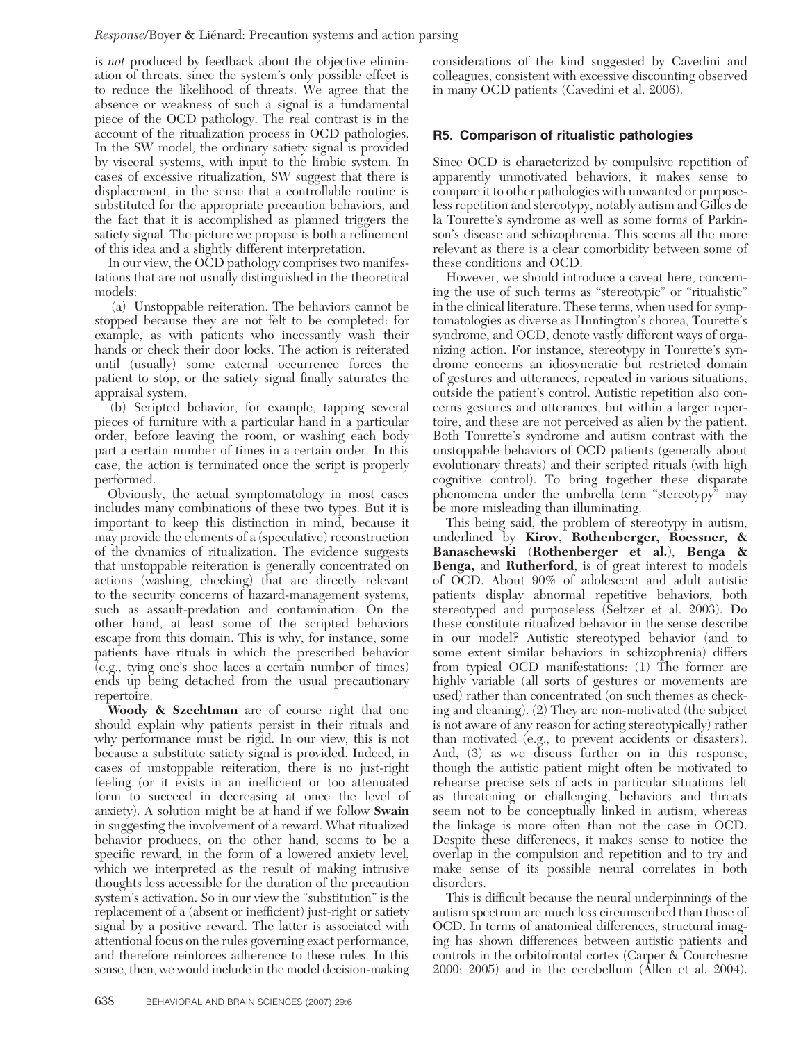is not produced by feedback about the objective elimination of threats, since the system's only possible effect is to reduce the likelihood of threats. We agree that the absence or weakness of such a signal is a fundamental piece of the OCD pathology. The real contrast is in the account of the ritualization process in OCD pathologies. In the SW model, the ordinary satiety signal is provided by visceral systems, with input to the limbic system. In cases of excessive ritualization, SW suggest that there is displacement, in the sense that a controllable routine is substituted for the appropriate precaution behaviors, and the fact that it is accomplished as planned triggers the satiety signal. The picture we propose is both a refinement of this idea and a slightly different interpretation.

In our view, the OCD pathology comprises two manifestations that are not usually distinguished in the theoretical models:

(a) Unstoppable reiteration. The behaviors cannot be stopped because they are not felt to be completed: for example, as with patients who incessantly wash their hands or check their door locks. The action is reiterated until (usually) some external occurrence forces the patient to stop, or the satiety signal finally saturates the appraisal system.

(b) Scripted behavior, for example, tapping several pieces of furniture with a particular hand in a particular order, before leaving the room, or washing each body part a certain number of times in a certain order. In this case, the action is terminated once the script is properly performed.

Obviously, the actual symptomatology in most cases includes many combinations of these two types. But it is important to keep this distinction in mind, because it may provide the elements of a (speculative) reconstruction of the dynamics of ritualization. The evidence suggests that unstoppable reiteration is generally concentrated on actions (washing, checking) that are directly relevant to the security concerns of hazard-management systems, such as assault-predation and contamination. On the other hand, at least some of the scripted behaviors escape from this domain. This is why, for instance, some patients have rituals in which the prescribed behavior (e.g., tying one's shoe laces a certain number of times) ends up being detached from the usual precautionary repertoire.

Woody & Szechtman are of course right that one should explain why patients persist in their rituals and why performance must be rigid. In our view, this is not because a substitute satiety signal is provided. Indeed, in cases of unstoppable reiteration, there is no just-right feeling (or it exists in an inefficient or too attenuated form to succeed in decreasing at once the level of anxiety). A solution might be at hand if we follow **Swain** in suggesting the involvement of a reward. What ritualized behavior produces, on the other hand, seems to be a specific reward, in the form of a lowered anxiety level, which we interpreted as the result of making intrusive thoughts less accessible for the duration of the precaution system's activation. So in our view the "substitution" is the replacement of a (absent or inefficient) just-right or satiety signal by a positive reward. The latter is associated with attentional focus on the rules governing exact performance, and therefore reinforces adherence to these rules. In this sense, then, we would include in the model decision-making

considerations of the kind suggested by Cavedini and colleagues, consistent with excessive discounting observed in many OCD patients (Cavedini et al. 2006).

## R5. Comparison of ritualistic pathologies

Since OCD is characterized by compulsive repetition of apparently unmotivated behaviors, it makes sense to compare it to other pathologies with unwanted or purposeless repetition and stereotypy, notably autism and Gilles de la Tourette's syndrome as well as some forms of Parkinson's disease and schizophrenia. This seems all the more relevant as there is a clear comorbidity between some of these conditions and OCD.

However, we should introduce a caveat here, concerning the use of such terms as "stereotypic" or "ritualistic" in the clinical literature. These terms, when used for symptomatologies as diverse as Huntington's chorea, Tourette's syndrome, and OCD, denote vastly different ways of organizing action. For instance, stereotypy in Tourette's syndrome concerns an idiosyncratic but restricted domain of gestures and utterances, repeated in various situations, outside the patient's control. Autistic repetition also concerns gestures and utterances, but within a larger repertoire, and these are not perceived as alien by the patient. Both Tourette's syndrome and autism contrast with the unstoppable behaviors of OCD patients (generally about evolutionary threats) and their scripted rituals (with high cognitive control). To bring together these disparate phenomena under the umbrella term "stereotypy" may be more misleading than illuminating.

This being said, the problem of stereotypy in autism, underlined by Kirov, Rothenberger, Roessner, & Banaschewski (Rothenberger et al.), Benga & Benga, and Rutherford, is of great interest to models of OCD. About 90% of adolescent and adult autistic patients display abnormal repetitive behaviors, both stereotyped and purposeless (Seltzer et al. 2003). Do these constitute ritualized behavior in the sense describe in our model? Autistic stereotyped behavior (and to some extent similar behaviors in schizophrenia) differs from typical OCD manifestations: (1) The former are highly variable (all sorts of gestures or movements are used) rather than concentrated (on such themes as checking and cleaning). (2) They are non-motivated (the subject is not aware of any reason for acting stereotypically) rather than motivated (e.g., to prevent accidents or disasters). And, (3) as we discuss further on in this response, though the autistic patient might often be motivated to rehearse precise sets of acts in particular situations felt as threatening or challenging, behaviors and threats seem not to be conceptually linked in autism, whereas the linkage is more often than not the case in OCD. Despite these differences, it makes sense to notice the overlap in the compulsion and repetition and to try and make sense of its possible neural correlates in both disorders.

This is difficult because the neural underpinnings of the autism spectrum are much less circumscribed than those of OCD. In terms of anatomical differences, structural imaging has shown differences between autistic patients and controls in the orbitofrontal cortex (Carper & Courchesne 2000; 2005) and in the cerebellum (Allen et al. 2004).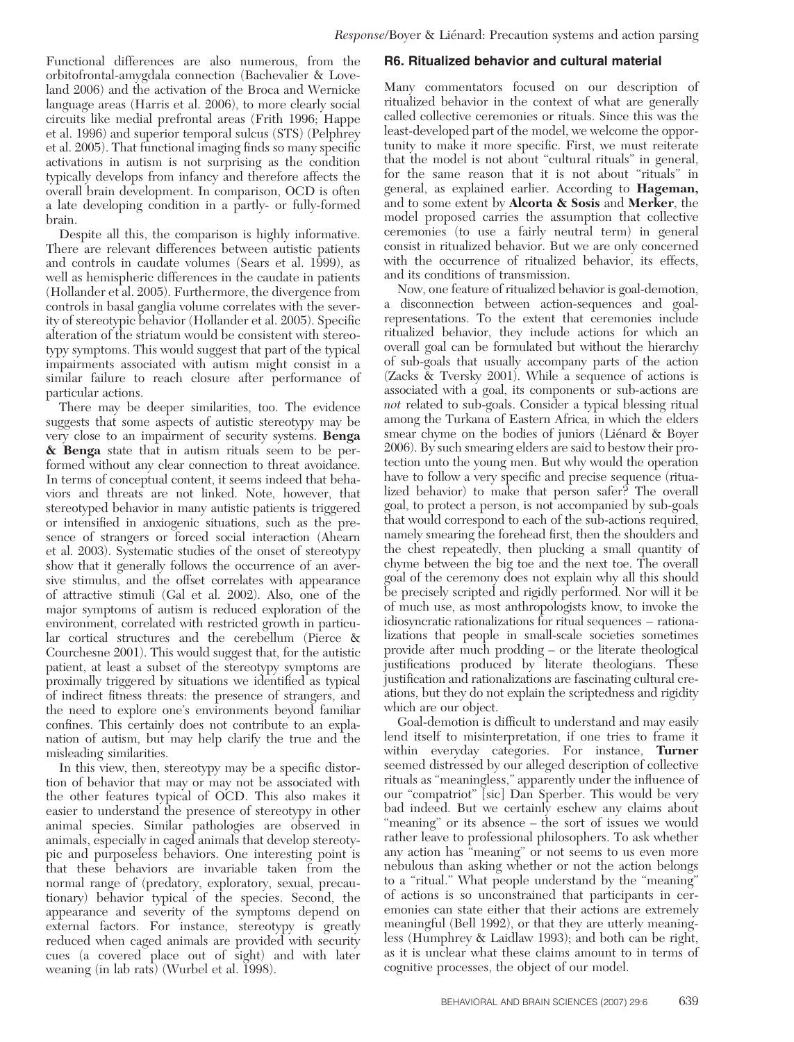Functional differences are also numerous, from the orbitofrontal-amygdala connection (Bachevalier & Loveland 2006) and the activation of the Broca and Wernicke language areas (Harris et al. 2006), to more clearly social circuits like medial prefrontal areas (Frith 1996; Happe et al. 1996) and superior temporal sulcus (STS) (Pelphrey et al. 2005). That functional imaging finds so many specific activations in autism is not surprising as the condition typically develops from infancy and therefore affects the overall brain development. In comparison, OCD is often a late developing condition in a partly- or fully-formed brain.

Despite all this, the comparison is highly informative. There are relevant differences between autistic patients and controls in caudate volumes (Sears et al. 1999), as well as hemispheric differences in the caudate in patients (Hollander et al. 2005). Furthermore, the divergence from controls in basal ganglia volume correlates with the severity of stereotypic behavior (Hollander et al. 2005). Specific alteration of the striatum would be consistent with stereotypy symptoms. This would suggest that part of the typical impairments associated with autism might consist in a similar failure to reach closure after performance of particular actions.

There may be deeper similarities, too. The evidence suggests that some aspects of autistic stereotypy may be very close to an impairment of security systems. Benga & Benga state that in autism rituals seem to be performed without any clear connection to threat avoidance. In terms of conceptual content, it seems indeed that behaviors and threats are not linked. Note, however, that stereotyped behavior in many autistic patients is triggered or intensified in anxiogenic situations, such as the presence of strangers or forced social interaction (Ahearn et al. 2003). Systematic studies of the onset of stereotypy show that it generally follows the occurrence of an aversive stimulus, and the offset correlates with appearance of attractive stimuli (Gal et al. 2002). Also, one of the major symptoms of autism is reduced exploration of the environment, correlated with restricted growth in particular cortical structures and the cerebellum (Pierce & Courchesne 2001). This would suggest that, for the autistic patient, at least a subset of the stereotypy symptoms are proximally triggered by situations we identified as typical of indirect fitness threats: the presence of strangers, and the need to explore one's environments beyond familiar confines. This certainly does not contribute to an explanation of autism, but may help clarify the true and the misleading similarities.

In this view, then, stereotypy may be a specific distortion of behavior that may or may not be associated with the other features typical of OCD. This also makes it easier to understand the presence of stereotypy in other animal species. Similar pathologies are observed in animals, especially in caged animals that develop stereotypic and purposeless behaviors. One interesting point is that these behaviors are invariable taken from the normal range of (predatory, exploratory, sexual, precautionary) behavior typical of the species. Second, the appearance and severity of the symptoms depend on external factors. For instance, stereotypy is greatly reduced when caged animals are provided with security cues (a covered place out of sight) and with later weaning (in lab rats) (Wurbel et al. 1998).

## R6. Ritualized behavior and cultural material

Many commentators focused on our description of ritualized behavior in the context of what are generally called collective ceremonies or rituals. Since this was the least-developed part of the model, we welcome the opportunity to make it more specific. First, we must reiterate that the model is not about "cultural rituals" in general, for the same reason that it is not about "rituals" in general, as explained earlier. According to Hageman, and to some extent by Alcorta & Sosis and Merker, the model proposed carries the assumption that collective ceremonies (to use a fairly neutral term) in general consist in ritualized behavior. But we are only concerned with the occurrence of ritualized behavior, its effects, and its conditions of transmission.

Now, one feature of ritualized behavior is goal-demotion, a disconnection between action-sequences and goalrepresentations. To the extent that ceremonies include ritualized behavior, they include actions for which an overall goal can be formulated but without the hierarchy of sub-goals that usually accompany parts of the action (Zacks & Tversky 2001). While a sequence of actions is associated with a goal, its components or sub-actions are not related to sub-goals. Consider a typical blessing ritual among the Turkana of Eastern Africa, in which the elders smear chyme on the bodies of juniors (Liénard & Boyer 2006). By such smearing elders are said to bestow their protection unto the young men. But why would the operation have to follow a very specific and precise sequence (ritualized behavior) to make that person safer? The overall goal, to protect a person, is not accompanied by sub-goals that would correspond to each of the sub-actions required, namely smearing the forehead first, then the shoulders and the chest repeatedly, then plucking a small quantity of chyme between the big toe and the next toe. The overall goal of the ceremony does not explain why all this should be precisely scripted and rigidly performed. Nor will it be of much use, as most anthropologists know, to invoke the idiosyncratic rationalizations for ritual sequences – rationalizations that people in small-scale societies sometimes provide after much prodding – or the literate theological justifications produced by literate theologians. These justification and rationalizations are fascinating cultural creations, but they do not explain the scriptedness and rigidity which are our object.

Goal-demotion is difficult to understand and may easily lend itself to misinterpretation, if one tries to frame it within everyday categories. For instance, Turner seemed distressed by our alleged description of collective rituals as "meaningless," apparently under the influence of our "compatriot" [sic] Dan Sperber. This would be very bad indeed. But we certainly eschew any claims about "meaning" or its absence – the sort of issues we would rather leave to professional philosophers. To ask whether any action has "meaning" or not seems to us even more nebulous than asking whether or not the action belongs to a "ritual." What people understand by the "meaning" of actions is so unconstrained that participants in ceremonies can state either that their actions are extremely meaningful (Bell 1992), or that they are utterly meaningless (Humphrey & Laidlaw 1993); and both can be right, as it is unclear what these claims amount to in terms of cognitive processes, the object of our model.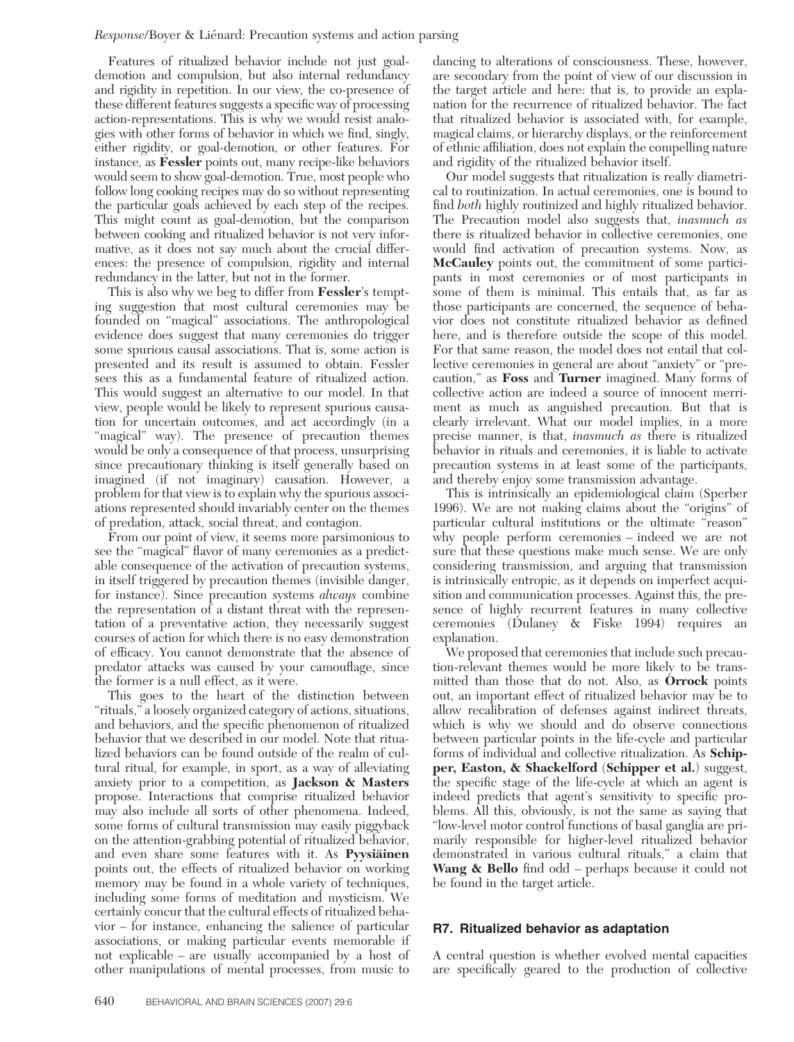Features of ritualized behavior include not just goaldemotion and compulsion, but also internal redundancy and rigidity in repetition. In our view, the co-presence of these different features suggests a specific way of processing action-representations. This is why we would resist analogies with other forms of behavior in which we find, singly, either rigidity, or goal-demotion, or other features. For instance, as Fessler points out, many recipe-like behaviors would seem to show goal-demotion. True, most people who follow long cooking recipes may do so without representing the particular goals achieved by each step of the recipes. This might count as goal-demotion, but the comparison between cooking and ritualized behavior is not very informative, as it does not say much about the crucial differences: the presence of compulsion, rigidity and internal redundancy in the latter, but not in the former.

This is also why we beg to differ from Fessler's tempting suggestion that most cultural ceremonies may be founded on "magical" associations. The anthropological evidence does suggest that many ceremonies do trigger some spurious causal associations. That is, some action is presented and its result is assumed to obtain. Fessler sees this as a fundamental feature of ritualized action. This would suggest an alternative to our model. In that view, people would be likely to represent spurious causation for uncertain outcomes, and act accordingly (in a "magical" way). The presence of precaution themes would be only a consequence of that process, unsurprising since precautionary thinking is itself generally based on imagined (if not imaginary) causation. However, a problem for that view is to explain why the spurious associations represented should invariably center on the themes of predation, attack, social threat, and contagion.

From our point of view, it seems more parsimonious to see the "magical" flavor of many ceremonies as a predictable consequence of the activation of precaution systems, in itself triggered by precaution themes (invisible danger, for instance). Since precaution systems always combine the representation of a distant threat with the representation of a preventative action, they necessarily suggest courses of action for which there is no easy demonstration of efficacy. You cannot demonstrate that the absence of predator attacks was caused by your camouflage, since the former is a null effect, as it were.

This goes to the heart of the distinction between "rituals," a loosely organized category of actions, situations, and behaviors, and the specific phenomenon of ritualized behavior that we described in our model. Note that ritualized behaviors can be found outside of the realm of cultural ritual, for example, in sport, as a way of alleviating anxiety prior to a competition, as Jackson & Masters propose. Interactions that comprise ritualized behavior may also include all sorts of other phenomena. Indeed, some forms of cultural transmission may easily piggyback on the attention-grabbing potential of ritualized behavior, and even share some features with it. As **Pyysianien** points out, the effects of ritualized behavior on working memory may be found in a whole variety of techniques, including some forms of meditation and mysticism. We certainly concur that the cultural effects of ritualized behavior – for instance, enhancing the salience of particular associations, or making particular events memorable if not explicable – are usually accompanied by a host of other manipulations of mental processes, from music to

dancing to alterations of consciousness. These, however, are secondary from the point of view of our discussion in the target article and here: that is, to provide an explanation for the recurrence of ritualized behavior. The fact that ritualized behavior is associated with, for example, magical claims, or hierarchy displays, or the reinforcement of ethnic affiliation, does not explain the compelling nature and rigidity of the ritualized behavior itself.

Our model suggests that ritualization is really diametrical to routinization. In actual ceremonies, one is bound to find both highly routinized and highly ritualized behavior. The Precaution model also suggests that, *inasmuch as* there is ritualized behavior in collective ceremonies, one would find activation of precaution systems. Now, as McCauley points out, the commitment of some participants in most ceremonies or of most participants in some of them is minimal. This entails that, as far as those participants are concerned, the sequence of behavior does not constitute ritualized behavior as defined here, and is therefore outside the scope of this model. For that same reason, the model does not entail that collective ceremonies in general are about "anxiety" or "precaution," as Foss and Turner imagined. Many forms of collective action are indeed a source of innocent merriment as much as anguished precaution. But that is clearly irrelevant. What our model implies, in a more precise manner, is that, inasmuch as there is ritualized behavior in rituals and ceremonies, it is liable to activate precaution systems in at least some of the participants, and thereby enjoy some transmission advantage.

This is intrinsically an epidemiological claim (Sperber 1996). We are not making claims about the "origins" of particular cultural institutions or the ultimate "reason" why people perform ceremonies – indeed we are not sure that these questions make much sense. We are only considering transmission, and arguing that transmission is intrinsically entropic, as it depends on imperfect acquisition and communication processes. Against this, the presence of highly recurrent features in many collective ceremonies (Dulaney & Fiske 1994) requires an explanation.

We proposed that ceremonies that include such precaution-relevant themes would be more likely to be transmitted than those that do not. Also, as **Orrock** points out, an important effect of ritualized behavior may be to allow recalibration of defenses against indirect threats, which is why we should and do observe connections between particular points in the life-cycle and particular forms of individual and collective ritualization. As **Schip**per, Easton, & Shackelford (Schipper et al.) suggest, the specific stage of the life-cycle at which an agent is indeed predicts that agent's sensitivity to specific problems. All this, obviously, is not the same as saying that "low-level motor control functions of basal ganglia are primarily responsible for higher-level ritualized behavior demonstrated in various cultural rituals," a claim that **Wang**  $\&$  **Bello** find odd – perhaps because it could not be found in the target article.

## R7. Ritualized behavior as adaptation

A central question is whether evolved mental capacities are specifically geared to the production of collective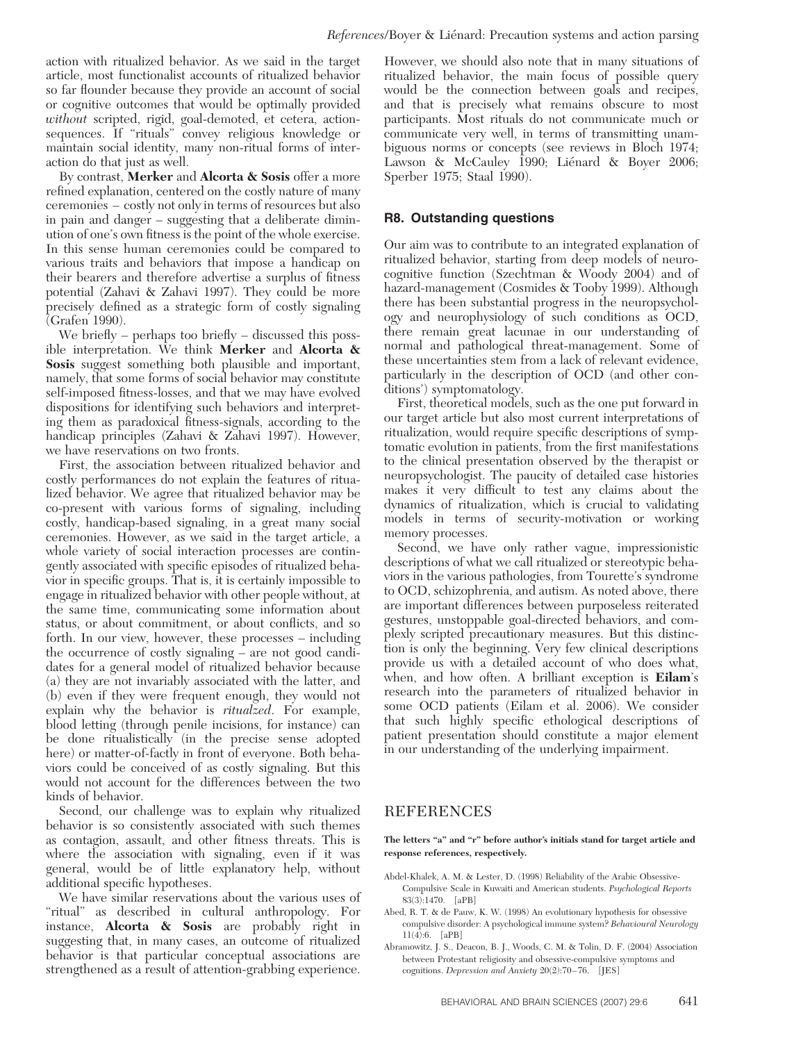action with ritualized behavior. As we said in the target article, most functionalist accounts of ritualized behavior so far flounder because they provide an account of social or cognitive outcomes that would be optimally provided without scripted, rigid, goal-demoted, et cetera, actionsequences. If "rituals" convey religious knowledge or maintain social identity, many non-ritual forms of interaction do that just as well.

By contrast, Merker and Alcorta & Sosis offer a more refined explanation, centered on the costly nature of many ceremonies – costly not only in terms of resources but also in pain and danger – suggesting that a deliberate diminution of one's own fitness is the point of the whole exercise. In this sense human ceremonies could be compared to various traits and behaviors that impose a handicap on their bearers and therefore advertise a surplus of fitness potential (Zahavi & Zahavi 1997). They could be more precisely defined as a strategic form of costly signaling (Grafen 1990).

We briefly – perhaps too briefly – discussed this possible interpretation. We think **Merker** and **Alcorta**  $\&$ Sosis suggest something both plausible and important, namely, that some forms of social behavior may constitute self-imposed fitness-losses, and that we may have evolved dispositions for identifying such behaviors and interpreting them as paradoxical fitness-signals, according to the handicap principles (Zahavi & Zahavi 1997). However, we have reservations on two fronts.

First, the association between ritualized behavior and costly performances do not explain the features of ritualized behavior. We agree that ritualized behavior may be co-present with various forms of signaling, including costly, handicap-based signaling, in a great many social ceremonies. However, as we said in the target article, a whole variety of social interaction processes are contingently associated with specific episodes of ritualized behavior in specific groups. That is, it is certainly impossible to engage in ritualized behavior with other people without, at the same time, communicating some information about status, or about commitment, or about conflicts, and so forth. In our view, however, these processes – including the occurrence of costly signaling – are not good candidates for a general model of ritualized behavior because (a) they are not invariably associated with the latter, and (b) even if they were frequent enough, they would not explain why the behavior is *ritualzed*. For example, blood letting (through penile incisions, for instance) can be done ritualistically (in the precise sense adopted here) or matter-of-factly in front of everyone. Both behaviors could be conceived of as costly signaling. But this would not account for the differences between the two kinds of behavior.

Second, our challenge was to explain why ritualized behavior is so consistently associated with such themes as contagion, assault, and other fitness threats. This is where the association with signaling, even if it was general, would be of little explanatory help, without additional specific hypotheses.

We have similar reservations about the various uses of "ritual" as described in cultural anthropology. For instance, Alcorta & Sosis are probably right in suggesting that, in many cases, an outcome of ritualized behavior is that particular conceptual associations are strengthened as a result of attention-grabbing experience.

However, we should also note that in many situations of ritualized behavior, the main focus of possible query would be the connection between goals and recipes, and that is precisely what remains obscure to most participants. Most rituals do not communicate much or communicate very well, in terms of transmitting unambiguous norms or concepts (see reviews in Bloch 1974; Lawson & McCauley 1990; Liénard & Boyer 2006; Sperber 1975; Staal 1990).

## R8. Outstanding questions

Our aim was to contribute to an integrated explanation of ritualized behavior, starting from deep models of neurocognitive function (Szechtman & Woody 2004) and of hazard-management (Cosmides & Tooby 1999). Although there has been substantial progress in the neuropsychology and neurophysiology of such conditions as OCD, there remain great lacunae in our understanding of normal and pathological threat-management. Some of these uncertainties stem from a lack of relevant evidence, particularly in the description of OCD (and other conditions') symptomatology.

First, theoretical models, such as the one put forward in our target article but also most current interpretations of ritualization, would require specific descriptions of symptomatic evolution in patients, from the first manifestations to the clinical presentation observed by the therapist or neuropsychologist. The paucity of detailed case histories makes it very difficult to test any claims about the dynamics of ritualization, which is crucial to validating models in terms of security-motivation or working memory processes.

Second, we have only rather vague, impressionistic descriptions of what we call ritualized or stereotypic behaviors in the various pathologies, from Tourette's syndrome to OCD, schizophrenia, and autism. As noted above, there are important differences between purposeless reiterated gestures, unstoppable goal-directed behaviors, and complexly scripted precautionary measures. But this distinction is only the beginning. Very few clinical descriptions provide us with a detailed account of who does what, when, and how often. A brilliant exception is **Eilam**'s research into the parameters of ritualized behavior in some OCD patients (Eilam et al. 2006). We consider that such highly specific ethological descriptions of patient presentation should constitute a major element in our understanding of the underlying impairment.

## REFERENCES

The letters "a" and "r" before author's initials stand for target article and response references, respectively.

- Abdel-Khalek, A. M. & Lester, D. (1998) Reliability of the Arabic Obsessive-Compulsive Scale in Kuwaiti and American students. Psychological Reports 83(3):1470. [aPB]
- Abed, R. T. & de Pauw, K. W. (1998) An evolutionary hypothesis for obsessive compulsive disorder: A psychological immune system? Behavioural Neurology 11(4):6. [aPB]
- Abramowitz, J. S., Deacon, B. J., Woods, C. M. & Tolin, D. F. (2004) Association between Protestant religiosity and obsessive-compulsive symptoms and cognitions. Depression and Anxiety 20(2):70–76. [JES]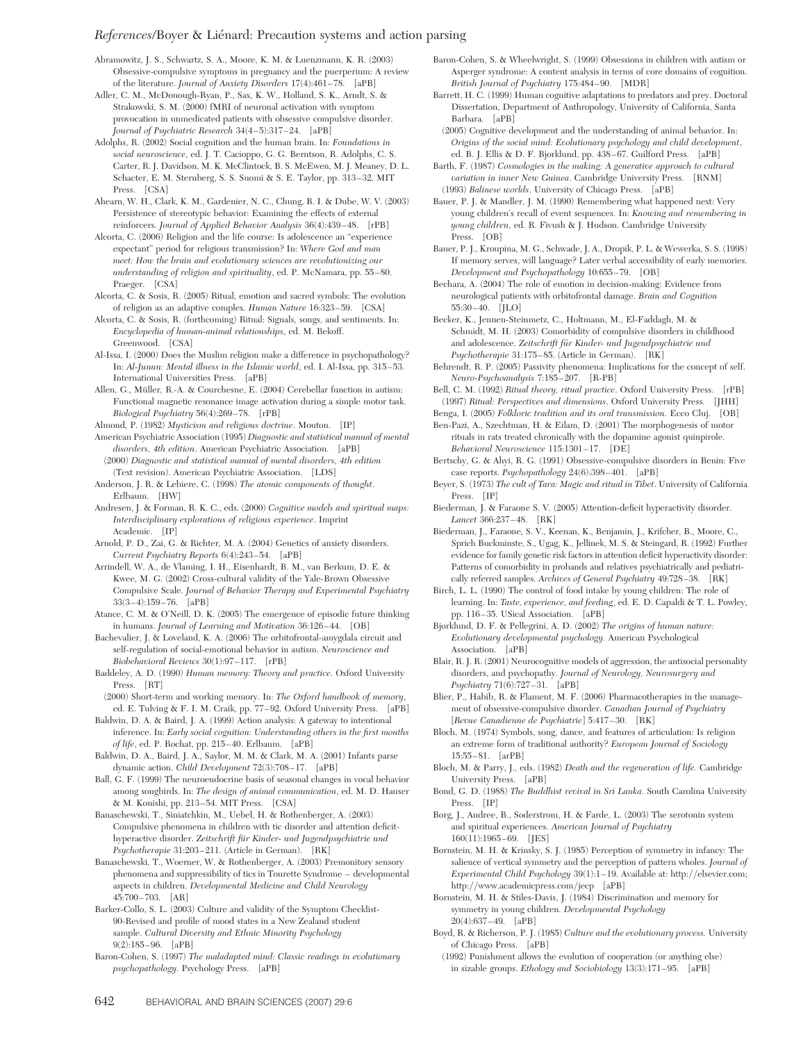Abramowitz, J. S., Schwartz, S. A., Moore, K. M. & Luenzmann, K. R. (2003) Obsessive-compulsive symptoms in pregnancy and the puerperium: A review of the literature. Journal of Anxiety Disorders 17(4):461–78. [aPB]

Adler, C. M., McDonough-Ryan, P., Sax, K. W., Holland, S. K., Arndt, S. & Strakowski, S. M. (2000) fMRI of neuronal activation with symptom provocation in unmedicated patients with obsessive compulsive disorder. Journal of Psychiatric Research 34(4–5):317–24. [aPB]

Adolphs, R. (2002) Social cognition and the human brain. In: Foundations in social neuroscience, ed. J. T. Cacioppo, G. G. Berntson, R. Adolphs, C. S. Carter, R. J. Davidson, M. K. McClintock, B. S. McEwen, M. J. Meaney, D. L. Schacter, E. M. Sternberg, S. S. Suomi & S. E. Taylor, pp. 313–32. MIT Press. [CSA]

Ahearn, W. H., Clark, K. M., Gardenier, N. C., Chung, B. I. & Dube, W. V. (2003) Persistence of stereotypic behavior: Examining the effects of external reinforcers. Journal of Applied Behavior Analysis 36(4):439–48. [rPB]

Alcorta, C. (2006) Religion and the life course: Is adolescence an "experience expectant" period for religious transmission? In: Where God and man meet: How the brain and evolutionary sciences are revolutionizing our understanding of religion and spirituality, ed. P. McNamara, pp. 55–80. Praeger. [CSA]

Alcorta, C. & Sosis, R. (2005) Ritual, emotion and sacred symbols: The evolution of religion as an adaptive complex. Human Nature 16:323–59. [CSA]

Alcorta, C. & Sosis, R. (forthcoming) Ritual: Signals, songs, and sentiments. In: Encyclopedia of human-animal relationships, ed. M. Bekoff. Greenwood. [CSA]

Al-Issa, I. (2000) Does the Muslim religion make a difference in psychopathology? In: Al-Junun: Mental illness in the Islamic world, ed. I. Al-Issa, pp. 315–53. International Universities Press. [aPB]

Allen, G., Müller, R.-A. & Courchesne, E. (2004) Cerebellar function in autism: Functional magnetic resonance image activation during a simple motor task. Biological Psychiatry 56(4):269–78. [rPB]

Almond, P. (1982) Mysticism and religious doctrine. Mouton. [IP]

American Psychiatric Association (1995) Diagnostic and statistical manual of mental disorders, 4th edition. American Psychiatric Association. [aPB]

(2000) Diagnostic and statistical manual of mental disorders, 4th edition (Text revision). American Psychiatric Association. [LDS]

Anderson, J. R. & Lebiere, C. (1998) The atomic components of thought. Erlbaum. [HW]

Andresen, J. & Forman, R. K. C., eds. (2000) Cognitive models and spiritual maps: Interdisciplinary explorations of religious experience. Imprint Academic. [IP]

Arnold, P. D., Zai, G. & Richter, M. A. (2004) Genetics of anxiety disorders. Current Psychiatry Reports 6(4):243–54. [aPB]

Arrindell, W. A., de Vlaming, I. H., Eisenhardt, B. M., van Berkum, D. E. & Kwee, M. G. (2002) Cross-cultural validity of the Yale-Brown Obsessive Compulsive Scale. Journal of Behavior Therapy and Experimental Psychiatry 33(3–4):159–76. [aPB]

Atance, C. M. & O'Neill, D. K. (2005) The emergence of episodic future thinking in humans. Journal of Learning and Motivation 36:126–44. [OB]

Bachevalier, J. & Loveland, K. A. (2006) The orbitofrontal-amygdala circuit and self-regulation of social-emotional behavior in autism. Neuroscience and Biobehavioral Reviews 30(1):97–117. [rPB]

Baddeley, A. D. (1990) Human memory: Theory and practice. Oxford University Press. [RT]

(2000) Short-term and working memory. In: The Oxford handbook of memory, ed. E. Tulving & F. I. M. Craik, pp. 77–92. Oxford University Press. [aPB]

Baldwin, D. A. & Baird, J. A. (1999) Action analysis: A gateway to intentional inference. In: Early social cognition: Understanding others in the first months  $of$   $life,\,$  ed. P. Rochat, pp. 215–40. Erlbaum.  $\,$   $\,$   $\,$   $\,$   $\,$   $\,$   $\,$  [aPB]  $\,$ 

Baldwin, D. A., Baird, J. A., Saylor, M. M. & Clark, M. A. (2001) Infants parse dynamic action. Child Development 72(3):708–17. [aPB]

Ball, G. F. (1999) The neuroendocrine basis of seasonal changes in vocal behavior among songbirds. In: The design of animal communication, ed. M. D. Hauser & M. Konishi, pp. 213–54. MIT Press. [CSA]

Banaschewski, T., Siniatchkin, M., Uebel, H. & Rothenberger, A. (2003) Compulsive phenomena in children with tic disorder and attention deficithyperactive disorder. Zeitschrift für Kinder- und Jugendpsychiatrie und Psychotherapie 31:203–211. (Article in German). [RK]

Banaschewski, T., Woerner, W. & Rothenberger, A. (2003) Premonitory sensory phenomena and suppressibility of tics in Tourette Syndrome – developmental aspects in children. Developmental Medicine and Child Neurology 45:700–703. [AR]

Barker-Collo, S. L. (2003) Culture and validity of the Symptom Checklist-90-Revised and profile of mood states in a New Zealand student sample. Cultural Diversity and Ethnic Minority Psychology 9(2):185–96. [aPB]

Baron-Cohen, S. (1997) The maladapted mind: Classic readings in evolutionary psychopathology. Psychology Press. [aPB]

Baron-Cohen, S. & Wheelwright, S. (1999) Obsessions in children with autism or Asperger syndrome: A content analysis in terms of core domains of cognition. British Journal of Psychiatry 175:484–90. [MDR]

Barrett, H. C. (1999) Human cognitive adaptations to predators and prey. Doctoral Dissertation, Department of Anthropology, University of California, Santa Barbara. [aPB]

(2005) Cognitive development and the understanding of animal behavior. In: Origins of the social mind: Evolutionary psychology and child development, ed. B. J. Ellis & D. F. Bjorklund, pp. 438–67. Guilford Press. [aPB]

Barth, F. (1987) Cosmologies in the making: A generative approach to cultural variation in inner New Guinea. Cambridge University Press. [RNM] (1993) Balinese worlds. University of Chicago Press. [aPB]

Bauer, P. J. & Mandler, J. M. (1990) Remembering what happened next: Very young children's recall of event sequences. In: Knowing and remembering in young children, ed. R. Fivush & J. Hudson. Cambridge University Press. [OB]

Bauer, P. J., Kroupina, M. G., Schwade, J. A., Dropik, P. L. & Wewerka, S. S. (1998) If memory serves, will language? Later verbal accessibility of early memories. Development and Psychopathology 10:655–79. [OB]

Bechara, A. (2004) The role of emotion in decision-making: Evidence from neurological patients with orbitofrontal damage. Brain and Cognition 55:30–40. [JLO]

Becker, K., Jennen-Steinmetz, C., Holtmann, M., El-Faddagh, M. & Schmidt, M. H. (2003) Comorbidity of compulsive disorders in childhood and adolescence. Zeitschrift für Kinder- und Jugendpsychiatrie und Psychotherapie 31:175–85. (Article in German). [RK]

- Behrendt, R. P. (2005) Passivity phenomena: Implications for the concept of self. Neuro-Psychoanalysis 7:185–207. [R-PB]
- Bell, C. M. (1992) Ritual theory, ritual practice. Oxford University Press. [rPB] (1997) Ritual: Perspectives and dimensions. Oxford University Press. [JHH]

Benga, I. (2005) Folkloric tradition and its oral transmission. Ecco Cluj. [OB]

Ben-Pazi, A., Szechtman, H. & Eilam, D. (2001) The morphogenesis of motor rituals in rats treated chronically with the dopamine agonist quinpirole. Behavioral Neuroscience 115:1301–17. [DE]

- Bertschy, G. & Ahyi, R. G. (1991) Obsessive-compulsive disorders in Benin: Five case reports. Psychopathology 24(6):398–401. [aPB]
- Beyer, S. (1973) The cult of Tara: Magic and ritual in Tibet. University of California Press. [IP]

Biederman, J. & Faraone S. V. (2005) Attention-deficit hyperactivity disorder. Lancet 366:237–48. [RK]

Biederman, J., Faraone, S. V., Keenan, K., Benjamin, J., Krifcher, B., Moore, C., Sprich Buckminste, S., Ugag, K., Jellinek, M. S. & Steingard, R. (1992) Further evidence for family genetic risk factors in attention deficit hyperactivity disorder: Patterns of comorbidity in probands and relatives psychiatrically and pediatrically referred samples. Archives of General Psychiatry 49:728–38. [RK]

Birch, L. L. (1990) The control of food intake by young children: The role of learning. In: Taste, experience, and feeding, ed. E. D. Capaldi & T. L. Powley, pp. 116–35. USical Association. [aPB]

Bjorklund, D. F. & Pellegrini, A. D. (2002) The origins of human nature: Evolutionary developmental psychology. American Psychological Association. [aPB]

Blair, R. J. R. (2001) Neurocognitive models of aggression, the antisocial personality disorders, and psychopathy. Journal of Neurology, Neurosurgery and Psychiatry 71(6):727–31. [aPB]

Blier, P., Habib, R. & Flament, M. F. (2006) Pharmacotherapies in the management of obsessive-compulsive disorder. Canadian Journal of Psychiatry [Revue Canadienne de Psychiatrie] 5:417–30. [RK]

Bloch, M. (1974) Symbols, song, dance, and features of articulation: Is religion an extreme form of traditional authority? European Journal of Sociology 15:55–81. [arPB]

- Bloch, M. & Parry, J., eds. (1982) Death and the regeneration of life. Cambridge University Press. [aPB]
- Bond, G. D. (1988) The Buddhist revival in Sri Lanka. South Carolina University Press. [IP]

Borg, J., Andree, B., Soderstrom, H. & Farde, L. (2003) The serotonin system and spiritual experiences. American Journal of Psychiatry 160(11):1965–69. [JES]

Bornstein, M. H. & Krinsky, S. J. (1985) Perception of symmetry in infancy: The salience of vertical symmetry and the perception of pattern wholes.  $Journal$   $of$ Experimental Child Psychology 39(1):1–19. Available at: http://elsevier.com; http://www.academicpress.com/jecp [aPB]

Bornstein, M. H. & Stiles-Davis, J. (1984) Discrimination and memory for symmetry in young children. Developmental Psychology 20(4):637–49. [aPB]

Boyd, R. & Richerson, P. J. (1985) Culture and the evolutionary process. University of Chicago Press. [aPB]

<sup>(1992)</sup> Punishment allows the evolution of cooperation (or anything else) in sizable groups. Ethology and Sociobiology 13(3):171–95. [aPB]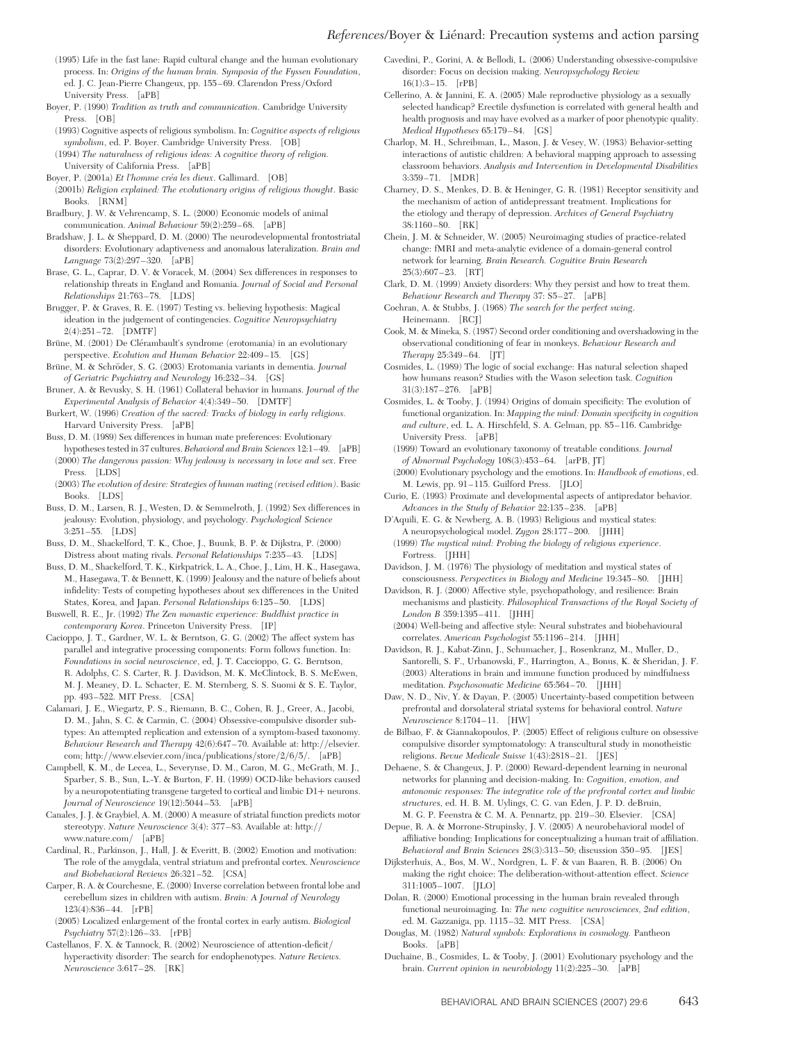- (1995) Life in the fast lane: Rapid cultural change and the human evolutionary process. In: Origins of the human brain. Symposia of the Fyssen Foundation, ed. J. C. Jean-Pierre Changeux, pp. 155–69. Clarendon Press/Oxford University Press. [aPB]
- Boyer, P. (1990) Tradition as truth and communication. Cambridge University Press. [OB]
- (1993) Cognitive aspects of religious symbolism. In: Cognitive aspects of religious symbolism, ed. P. Boyer. Cambridge University Press. [OB] (1994) The naturalness of religious ideas: A cognitive theory of religion.
- University of California Press. [aPB] Boyer, P. (2001a) Et l'homme créa les dieux. Gallimard. [OB]
- (2001b) Religion explained: The evolutionary origins of religious thought. Basic Books. [RNM]
- Bradbury, J. W. & Vehrencamp, S. L. (2000) Economic models of animal communication. Animal Behaviour 59(2):259–68. [aPB]
- Bradshaw, J. L. & Sheppard, D. M. (2000) The neurodevelopmental frontostriatal disorders: Evolutionary adaptiveness and anomalous lateralization. Brain and Language 73(2):297–320. [aPB]
- Brase, G. L., Caprar, D. V. & Voracek, M. (2004) Sex differences in responses to relationship threats in England and Romania. Journal of Social and Personal Relationships 21:763–78. [LDS]
- Brugger, P. & Graves, R. E. (1997) Testing vs. believing hypothesis: Magical ideation in the judgement of contingencies. Cognitive Neuropsychiatry 2(4):251–72. [DMTF]
- Brüne, M. (2001) De Clérambault's syndrome (erotomania) in an evolutionary perspective. Evolution and Human Behavior 22:409–15. [GS]
- Brüne, M. & Schröder, S. G. (2003) Erotomania variants in dementia. Journal of Geriatric Psychiatry and Neurology 16:232–34. [GS]
- Bruner, A. & Revusky, S. H. (1961) Collateral behavior in humans. Journal of the Experimental Analysis of Behavior 4(4):349–50. [DMTF]
- Burkert, W. (1996) Creation of the sacred: Tracks of biology in early religions. Harvard University Press. [aPB]
- Buss, D. M. (1989) Sex differences in human mate preferences: Evolutionary hypotheses tested in 37 cultures. Behavioral and Brain Sciences 12:1–49. [aPB] (2000) The dangerous passion: Why jealousy is necessary in love and sex. Free Press. [LDS]
- (2003) The evolution of desire: Strategies of human mating (revised edition). Basic Books. [LDS]
- Buss, D. M., Larsen, R. J., Westen, D. & Semmelroth, J. (1992) Sex differences in jealousy: Evolution, physiology, and psychology. Psychological Science 3:251–55. [LDS]
- Buss, D. M., Shackelford, T. K., Choe, J., Buunk, B. P. & Dijkstra, P. (2000) Distress about mating rivals. Personal Relationships 7:235–43. [LDS]
- Buss, D. M., Shackelford, T. K., Kirkpatrick, L. A., Choe, J., Lim, H. K., Hasegawa, M., Hasegawa, T. & Bennett, K. (1999) Jealousy and the nature of beliefs about infidelity: Tests of competing hypotheses about sex differences in the United States, Korea, and Japan. Personal Relationships 6:125–50. [LDS]
- Buswell, R. E., Jr. (1992) The Zen monastic experience: Buddhist practice in contemporary Korea. Princeton University Press. [IP]
- Cacioppo, J. T., Gardner, W. L. & Berntson, G. G. (2002) The affect system has parallel and integrative processing components: Form follows function. In: Foundations in social neuroscience, ed, J. T. Caccioppo, G. G. Berntson, R. Adolphs, C. S. Carter, R. J. Davidson, M. K. McClintock, B. S. McEwen, M. J. Meaney, D. L. Schacter, E. M. Sternberg, S. S. Suomi & S. E. Taylor, pp. 493–522. MIT Press. [CSA]
- Calamari, J. E., Wiegartz, P. S., Riemann, B. C., Cohen, R. J., Greer, A., Jacobi, D. M., Jahn, S. C. & Carmin, C. (2004) Obsessive-compulsive disorder subtypes: An attempted replication and extension of a symptom-based taxonomy. Behaviour Research and Therapy 42(6):647–70. Available at: http://elsevier. com; http://www.elsevier.com/inca/publications/store/2/6/5/. [aPB]
- Campbell, K. M., de Lecea, L., Severynse, D. M., Caron, M. G., McGrath, M. J., Sparber, S. B., Sun, L.-Y. & Burton, F. H. (1999) OCD-like behaviors caused by a neuropotentiating transgene targeted to cortical and limbic  $D1+$  neurons. Journal of Neuroscience 19(12):5044–53. [aPB]
- Canales, J. J. & Graybiel, A. M. (2000) A measure of striatal function predicts motor stereotypy. Nature Neuroscience 3(4): 377–83. Available at: http:// www.nature.com/ [aPB]
- Cardinal, R., Parkinson, J., Hall, J. & Everitt, B. (2002) Emotion and motivation: The role of the amygdala, ventral striatum and prefrontal cortex. Neuroscience and Biobehavioral Reviews 26:321–52. [CSA]
- Carper, R. A. & Courchesne, E. (2000) Inverse correlation between frontal lobe and cerebellum sizes in children with autism. Brain: A Journal of Neurology 123(4):836–44. [rPB]
- (2005) Localized enlargement of the frontal cortex in early autism. Biological Psychiatry 57(2):126–33. [rPB]
- Castellanos, F. X. & Tannock, R. (2002) Neuroscience of attention-deficit/ hyperactivity disorder: The search for endophenotypes. Nature Reviews. Neuroscience 3:617–28. [RK]
- Cavedini, P., Gorini, A. & Bellodi, L. (2006) Understanding obsessive-compulsive disorder: Focus on decision making. Neuropsychology Review 16(1):3–15. [rPB]
- Cellerino, A. & Jannini, E. A. (2005) Male reproductive physiology as a sexually selected handicap? Erectile dysfunction is correlated with general health and health prognosis and may have evolved as a marker of poor phenotypic quality. Medical Hypotheses 65:179–84. [GS]
- Charlop, M. H., Schreibman, L., Mason, J. & Vesey, W. (1983) Behavior-setting interactions of autistic children: A behavioral mapping approach to assessing classroom behaviors. Analysis and Intervention in Developmental Disabilities 3:359–71. [MDR]
- Charney, D. S., Menkes, D. B. & Heninger, G. R. (1981) Receptor sensitivity and the mechanism of action of antidepressant treatment. Implications for the etiology and therapy of depression. Archives of General Psychiatry 38:1160–80. [RK]
- Chein, J. M. & Schneider, W. (2005) Neuroimaging studies of practice-related change: fMRI and meta-analytic evidence of a domain-general control network for learning. Brain Research. Cognitive Brain Research 25(3):607–23. [RT]
- Clark, D. M. (1999) Anxiety disorders: Why they persist and how to treat them. Behaviour Research and Therapy 37: S5–27. [aPB]
- Cochran, A. & Stubbs, J. (1968) The search for the perfect swing. Heinemann. [RCJ]
- Cook, M. & Mineka, S. (1987) Second order conditioning and overshadowing in the observational conditioning of fear in monkeys. Behaviour Research and Therapy 25:349–64. [JT]
- Cosmides, L. (1989) The logic of social exchange: Has natural selection shaped how humans reason? Studies with the Wason selection task. Cognition 31(3):187–276. [aPB]
- Cosmides, L. & Tooby, J. (1994) Origins of domain specificity: The evolution of functional organization. In: Mapping the mind: Domain specificity in cognition and culture, ed. L. A. Hirschfeld, S. A. Gelman, pp. 85–116. Cambridge University Press. [aPB]
- (1999) Toward an evolutionary taxonomy of treatable conditions. Journal of Abnormal Psychology 108(3):453–64. [arPB, JT]
- (2000) Evolutionary psychology and the emotions. In: Handbook of emotions, ed. M. Lewis, pp. 91–115. Guilford Press. [JLO]
- Curio, E. (1993) Proximate and developmental aspects of antipredator behavior. Advances in the Study of Behavior 22:135–238. [aPB]
- D'Aquili, E. G. & Newberg, A. B. (1993) Religious and mystical states: A neuropsychological model. Zygon 28:177–200. [JHH]
- (1999) The mystical mind: Probing the biology of religious experience. Fortress. [JHH]
- Davidson, J. M. (1976) The physiology of meditation and mystical states of consciousness. Perspectives in Biology and Medicine 19:345–80. [JHH]
- Davidson, R. J. (2000) Affective style, psychopathology, and resilience: Brain mechanisms and plasticity. Philosophical Transactions of the Royal Society of London B 359:1395–411. [JHH]
- (2004) Well-being and affective style: Neural substrates and biobehavioural correlates. American Psychologist 55:1196–214. [JHH]
- Davidson, R. J., Kabat-Zinn, J., Schumacher, J., Rosenkranz, M., Muller, D., Santorelli, S. F., Urbanowski, F., Harrington, A., Bonus, K. & Sheridan, J. F. (2003) Alterations in brain and immune function produced by mindfulness meditation. Psychosomatic Medicine 65:564–70. [JHH]
- Daw, N. D., Niv, Y. & Dayan, P. (2005) Uncertainty-based competition between prefrontal and dorsolateral striatal systems for behavioral control. Nature Neuroscience 8:1704–11. [HW]
- de Bilbao, F. & Giannakopoulos, P. (2005) Effect of religious culture on obsessive compulsive disorder symptomatology: A transcultural study in monotheistic religions. Revue Medicale Suisse 1(43):2818–21. [JES]
- Dehaene, S. & Changeux, J. P. (2000) Reward-dependent learning in neuronal networks for planning and decision-making. In: Cognition, emotion, and autonomic responses: The integrative role of the prefrontal cortex and limbic structures, ed. H. B. M. Uylings, C. G. van Eden, J. P. D. deBruin, M. G. P. Feenstra & C. M. A. Pennartz, pp. 219–30. Elsevier. [CSA]
- Depue, R. A. & Morrone-Strupinsky, J. V. (2005) A neurobehavioral model of affiliative bonding: Implications for conceptualizing a human trait of affiliation. Behavioral and Brain Sciences 28(3):313–50; discussion 350–95. [JES]
- Dijksterhuis, A., Bos, M. W., Nordgren, L. F. & van Baaren, R. B. (2006) On making the right choice: The deliberation-without-attention effect. Science 311:1005–1007. [JLO]
- Dolan, R. (2000) Emotional processing in the human brain revealed through functional neuroimaging. In: The new cognitive neurosciences, 2nd edition, ed. M. Gazzaniga, pp. 1115–32. MIT Press. [CSA]
- Douglas, M. (1982) Natural symbols: Explorations in cosmology. Pantheon Books. [aPB]
- Duchaine, B., Cosmides, L. & Tooby, J. (2001) Evolutionary psychology and the brain. Current opinion in neurobiology 11(2):225–30. [aPB]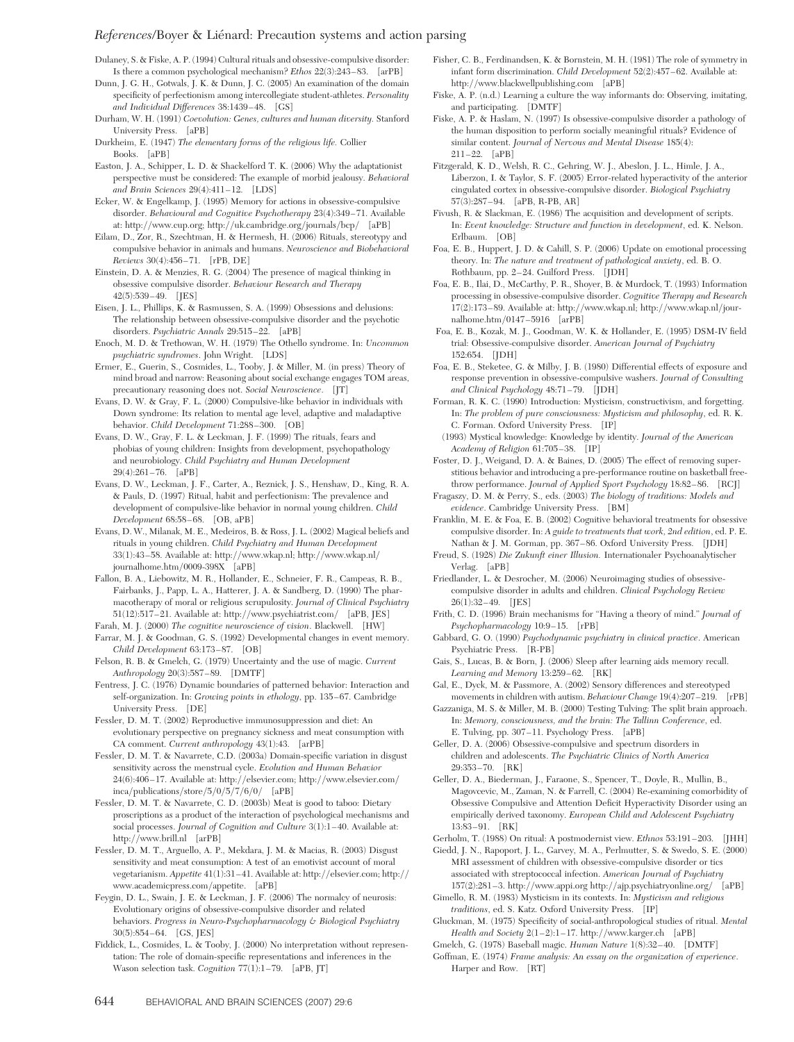Dulaney, S. & Fiske, A. P. (1994) Cultural rituals and obsessive-compulsive disorder: Is there a common psychological mechanism? Ethos 22(3):243–83. [arPB]

Dunn, J. G. H., Gotwals, J. K. & Dunn, J. C. (2005) An examination of the domain specificity of perfectionism among intercollegiate student-athletes. Personality and Individual Differences 38:1439–48. [GS]

Durham, W. H. (1991) Coevolution: Genes, cultures and human diversity. Stanford University Press. [aPB]

Durkheim, E. (1947) The elementary forms of the religious life. Collier Books. [aPB]

Easton, J. A., Schipper, L. D. & Shackelford T. K. (2006) Why the adaptationist perspective must be considered: The example of morbid jealousy. Behavioral and Brain Sciences 29(4):411–12. [LDS]

Ecker, W. & Engelkamp, J. (1995) Memory for actions in obsessive-compulsive disorder. Behavioural and Cognitive Psychotherapy 23(4):349–71. Available at: http://www.cup.org; http://uk.cambridge.org/journals/bcp/ [aPB]

Eilam, D., Zor, R., Szechtman, H. & Hermesh, H. (2006) Rituals, stereotypy and compulsive behavior in animals and humans. Neuroscience and Biobehavioral Reviews 30(4):456–71. [rPB, DE]

Einstein, D. A. & Menzies, R. G. (2004) The presence of magical thinking in obsessive compulsive disorder. Behaviour Research and Therapy 42(5):539–49. [JES]

Eisen, J. L., Phillips, K. & Rasmussen, S. A. (1999) Obsessions and delusions: The relationship between obsessive-compulsive disorder and the psychotic disorders. Psychiatric Annals 29:515–22. [aPB]

Enoch, M. D. & Trethowan, W. H. (1979) The Othello syndrome. In: Uncommon psychiatric syndromes. John Wright. [LDS]

Ermer, E., Guerin, S., Cosmides, L., Tooby, J. & Miller, M. (in press) Theory of mind broad and narrow: Reasoning about social exchange engages TOM areas, precautionary reasoning does not. Social Neuroscience. [JT]

Evans, D. W. & Gray, F. L. (2000) Compulsive-like behavior in individuals with Down syndrome: Its relation to mental age level, adaptive and maladaptive behavior. Child Development 71:288–300. [OB]

Evans, D. W., Gray, F. L. & Leckman, J. F. (1999) The rituals, fears and phobias of young children: Insights from development, psychopathology and neurobiology. Child Psychiatry and Human Development 29(4):261–76. [aPB]

Evans, D. W., Leckman, J. F., Carter, A., Reznick, J. S., Henshaw, D., King, R. A. & Pauls, D. (1997) Ritual, habit and perfectionism: The prevalence and development of compulsive-like behavior in normal young children. Child Development 68:58–68. [OB, aPB]

Evans, D. W., Milanak, M. E., Medeiros, B. & Ross, J. L. (2002) Magical beliefs and rituals in young children. Child Psychiatry and Human Development 33(1):43–58. Available at: http://www.wkap.nl; http://www.wkap.nl/ journalhome.htm/0009-398X [aPB]

Fallon, B. A., Liebowitz, M. R., Hollander, E., Schneier, F. R., Campeas, R. B., Fairbanks, J., Papp, L. A., Hatterer, J. A. & Sandberg, D. (1990) The pharmacotherapy of moral or religious scrupulosity. Journal of Clinical Psychiatry 51(12):517–21. Available at: http://www.psychiatrist.com/ [aPB, JES]

Farah, M. J. (2000) The cognitive neuroscience of vision. Blackwell. [HW] Farrar, M. J. & Goodman, G. S. (1992) Developmental changes in event memory. Child Development 63:173–87. [OB]

Felson, R. B. & Gmelch, G. (1979) Uncertainty and the use of magic. Current Anthropology 20(3):587–89. [DMTF]

Fentress, J. C. (1976) Dynamic boundaries of patterned behavior: Interaction and self-organization. In: Growing points in ethology, pp. 135–67. Cambridge University Press. [DE]

Fessler, D. M. T. (2002) Reproductive immunosuppression and diet: An evolutionary perspective on pregnancy sickness and meat consumption with CA comment. Current anthropology 43(1):43. [arPB]

Fessler, D. M. T. & Navarrete, C.D. (2003a) Domain-specific variation in disgust sensitivity across the menstrual cycle. Evolution and Human Behavior 24(6):406–17. Available at: http://elsevier.com; http://www.elsevier.com/ inca/publications/store/5/0/5/7/6/0/ [aPB]

Fessler, D. M. T. & Navarrete, C. D. (2003b) Meat is good to taboo: Dietary proscriptions as a product of the interaction of psychological mechanisms and social processes. Journal of Cognition and Culture 3(1):1–40. Available at: http://www.brill.nl [arPB]

Fessler, D. M. T., Arguello, A. P., Mekdara, J. M. & Macias, R. (2003) Disgust sensitivity and meat consumption: A test of an emotivist account of moral vegetarianism. Appetite 41(1):31–41. Available at: http://elsevier.com; http:// www.academicpress.com/appetite. [aPB]

Feygin, D. L., Swain, J. E. & Leckman, J. F. (2006) The normalcy of neurosis: Evolutionary origins of obsessive-compulsive disorder and related behaviors. Progress in Neuro-Psychopharmacology & Biological Psychiatry 30(5):854–64. [GS, JES]

Fiddick, L., Cosmides, L. & Tooby, J. (2000) No interpretation without representation: The role of domain-specific representations and inferences in the Wason selection task. Cognition 77(1):1-79. [aPB, JT]

Fisher, C. B., Ferdinandsen, K. & Bornstein, M. H. (1981) The role of symmetry in infant form discrimination. Child Development 52(2):457–62. Available at: http://www.blackwellpublishing.com [aPB]

Fiske, A. P. (n.d.) Learning a culture the way informants do: Observing, imitating, and participating. [DMTF]

Fiske, A. P. & Haslam, N. (1997) Is obsessive-compulsive disorder a pathology of the human disposition to perform socially meaningful rituals? Evidence of similar content. Journal of Nervous and Mental Disease 185(4): 211–22. [aPB]

Fitzgerald, K. D., Welsh, R. C., Gehring, W. J., Abeslon, J. L., Himle, J. A., Liberzon, I. & Taylor, S. F. (2005) Error-related hyperactivity of the anterior cingulated cortex in obsessive-compulsive disorder. Biological Psychiatry 57(3):287–94. [aPB, R-PB, AR]

Fivush, R. & Slackman, E. (1986) The acquisition and development of scripts. In: Event knowledge: Structure and function in development, ed. K. Nelson. Erlbaum. [OB]

Foa, E. B., Huppert, J. D. & Cahill, S. P. (2006) Update on emotional processing theory. In: The nature and treatment of pathological anxiety, ed. B. O. Rothbaum, pp. 2–24. Guilford Press. [JDH]

Foa, E. B., Ilai, D., McCarthy, P. R., Shoyer, B. & Murdock, T. (1993) Information processing in obsessive-compulsive disorder. Cognitive Therapy and Research 17(2):173–89. Available at: http://www.wkap.nl; http://www.wkap.nl/journalhome.htm/0147–5916 [arPB]

Foa, E. B., Kozak, M. J., Goodman, W. K. & Hollander, E. (1995) DSM-IV field trial: Obsessive-compulsive disorder. American Journal of Psychiatry 152:654. [JDH]

Foa, E. B., Steketee, G. & Milby, J. B. (1980) Differential effects of exposure and response prevention in obsessive-compulsive washers. Journal of Consulting and Clinical Psychology 48:71–79. [JDH]

Forman, R. K. C. (1990) Introduction: Mysticism, constructivism, and forgetting. In: The problem of pure consciousness: Mysticism and philosophy, ed. R. K. C. Forman. Oxford University Press. [IP]

(1993) Mystical knowledge: Knowledge by identity. Journal of the American Academy of Religion 61:705-38. [IP]

Foster, D. J., Weigand, D. A. & Baines, D. (2005) The effect of removing superstitious behavior and introducing a pre-performance routine on basketball freethrow performance. Journal of Applied Sport Psychology 18:82–86. [RCJ]

Fragaszy, D. M. & Perry, S., eds. (2003) The biology of traditions: Models and evidence. Cambridge University Press. [BM]

Franklin, M. E. & Foa, E. B. (2002) Cognitive behavioral treatments for obsessive compulsive disorder. In: A guide to treatments that work, 2nd edition, ed. P. E. Nathan & J. M. Gorman, pp. 367–86. Oxford University Press. [JDH]

Freud, S. (1928) Die Zukunft einer Illusion. Internationaler Psychoanalytischer Verlag. [aPB]

Friedlander, L. & Desrocher, M. (2006) Neuroimaging studies of obsessivecompulsive disorder in adults and children. Clinical Psychology Review 26(1):32–49. [JES]

Frith, C. D. (1996) Brain mechanisms for "Having a theory of mind." Journal of Psychopharmacology 10:9–15. [rPB]

Gabbard, G. O. (1990) Psychodynamic psychiatry in clinical practice. American Psychiatric Press. [R-PB]

Gais, S., Lucas, B. & Born, J. (2006) Sleep after learning aids memory recall. Learning and Memory 13:259–62. [RK]

Gal, E., Dyck, M. & Passmore, A. (2002) Sensory differences and stereotyped movements in children with autism. Behaviour Change 19(4):207–219. [rPB]

Gazzaniga, M. S. & Miller, M. B. (2000) Testing Tulving: The split brain approach. In: Memory, consciousness, and the brain: The Tallinn Conference, ed. E. Tulving, pp. 307–11. Psychology Press. [aPB]

Geller, D. A. (2006) Obsessive-compulsive and spectrum disorders in children and adolescents. The Psychiatric Clinics of North America 29:353–70. [RK]

Geller, D. A., Biederman, J., Faraone, S., Spencer, T., Doyle, R., Mullin, B., Magovcevic, M., Zaman, N. & Farrell, C. (2004) Re-examining comorbidity of Obsessive Compulsive and Attention Deficit Hyperactivity Disorder using an empirically derived taxonomy. European Child and Adolescent Psychiatry 13:83–91. [RK]

Gerholm, T. (1988) On ritual: A postmodernist view. Ethnos 53:191–203. [JHH]

Giedd, J. N., Rapoport, J. L., Garvey, M. A., Perlmutter, S. & Swedo, S. E. (2000) MRI assessment of children with obsessive-compulsive disorder or tics associated with streptococcal infection. American Journal of Psychiatry 157(2):281–3. http://www.appi.org http://ajp.psychiatryonline.org/  $\;$  [aPB]

Gimello, R. M. (1983) Mysticism in its contexts. In: Mysticism and religious traditions, ed. S. Katz. Oxford University Press. [IP]

Gluckman, M. (1975) Specificity of social-anthropological studies of ritual. Mental Health and Society 2(1–2):1–17. http://www.karger.ch [aPB]

Gmelch, G. (1978) Baseball magic. Human Nature 1(8):32–40. [DMTF]

Goffman, E. (1974) Frame analysis: An essay on the organization of experience. Harper and Row. [RT]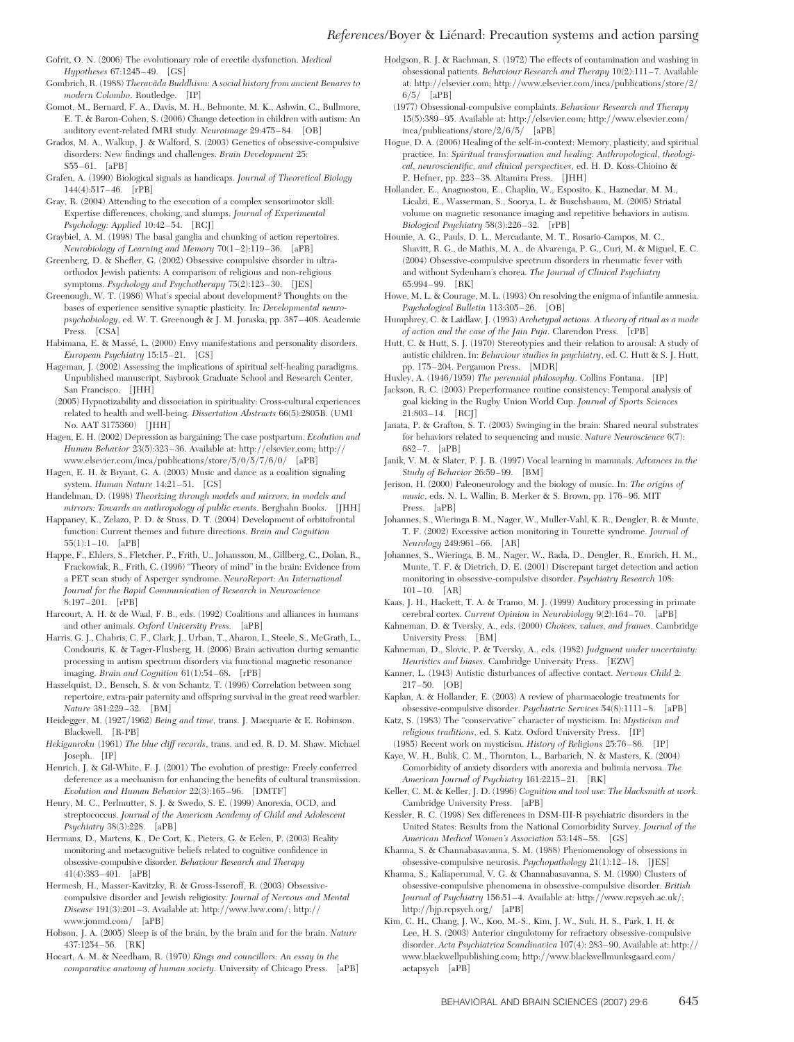- Gofrit, O. N. (2006) The evolutionary role of erectile dysfunction. Medical Hypotheses 67:1245–49. [GS]
- Gombrich, R. (1988) Theravāda Buddhism: A social history from ancient Benares to modern Colombo. Routledge. [IP]
- Gomot, M., Bernard, F. A., Davis, M. H., Belmonte, M. K., Ashwin, C., Bullmore, E. T. & Baron-Cohen, S. (2006) Change detection in children with autism: An auditory event-related fMRI study. Neuroimage 29:475–84. [OB]
- Grados, M. A., Walkup, J. & Walford, S. (2003) Genetics of obsessive-compulsive disorders: New findings and challenges. Brain Development 25: S55–61. [aPB]
- Grafen, A. (1990) Biological signals as handicaps. Journal of Theoretical Biology 144(4):517–46. [rPB]
- Gray, R. (2004) Attending to the execution of a complex sensorimotor skill: Expertise differences, choking, and slumps. Journal of Experimental Psychology: Applied 10:42–54. [RCJ]
- Graybiel, A. M. (1998) The basal ganglia and chunking of action repertoires. Neurobiology of Learning and Memory 70(1–2):119–36. [aPB]
- Greenberg, D. & Shefler, G. (2002) Obsessive compulsive disorder in ultraorthodox Jewish patients: A comparison of religious and non-religious symptoms. Psychology and Psychotherapy 75(2):123–30. [JES]
- Greenough, W. T. (1986) What's special about development? Thoughts on the bases of experience sensitive synaptic plasticity. In: Developmental neuropsychobiology, ed. W. T. Greenough & J. M. Juraska, pp. 387–408. Academic Press. [CSA]
- Habimana, E. & Massé, L. (2000) Envy manifestations and personality disorders. European Psychiatry 15:15–21. [GS]
- Hageman, J. (2002) Assessing the implications of spiritual self-healing paradigms. Unpublished manuscript, Saybrook Graduate School and Research Center, San Francisco. [JHH]
- (2005) Hypnotizability and dissociation in spirituality: Cross-cultural experiences related to health and well-being. Dissertation Abstracts 66(5):2805B. (UMI No. AAT 3175360) [JHH]
- Hagen, E. H. (2002) Depression as bargaining: The case postpartum. Evolution and Human Behavior 23(5):323–36. Available at: http://elsevier.com; http:// www.elsevier.com/inca/publications/store/5/0/5/7/6/0/ [aPB]
- Hagen, E. H. & Bryant, G. A. (2003) Music and dance as a coalition signaling system. Human Nature 14:21–51. [GS]
- Handelman, D. (1998) Theorizing through models and mirrors, in models and mirrors: Towards an anthropology of public events. Berghahn Books. [JHH]
- Happaney, K., Zelazo, P. D. & Stuss, D. T. (2004) Development of orbitofrontal function: Current themes and future directions. Brain and Cognition 55(1):1–10. [aPB]
- Happe, F., Ehlers, S., Fletcher, P., Frith, U., Johansson, M., Gillberg, C., Dolan, R., Frackowiak, R., Frith, C. (1996) "Theory of mind" in the brain: Evidence from a PET scan study of Asperger syndrome. NeuroReport: An International Journal for the Rapid Communication of Research in Neuroscience 8:197–201. [rPB]
- Harcourt, A. H. & de Waal, F. B., eds. (1992) Coalitions and alliances in humans and other animals. Oxford University Press. [aPB]
- Harris, G. J., Chabris, C. F., Clark, J., Urban, T., Aharon, I., Steele, S., McGrath, L., Condouris, K. & Tager-Flusberg, H. (2006) Brain activation during semantic processing in autism spectrum disorders via functional magnetic resonance imaging. Brain and Cognition 61(1):54–68. [rPB]
- Hasselquist, D., Bensch, S. & von Schantz, T. (1996) Correlation between song repertoire, extra-pair paternity and offspring survival in the great reed warbler. Nature 381:229–32. [BM]
- Heidegger, M. (1927/1962) Being and time, trans. J. Macquarie & E. Robinson. Blackwell. [R-PB]
- Hekiganroku (1961) The blue cliff records, trans. and ed. R. D. M. Shaw. Michael Joseph. [IP]
- Henrich, J. & Gil-White, F. J. (2001) The evolution of prestige: Freely conferred deference as a mechanism for enhancing the benefits of cultural transmission. Evolution and Human Behavior 22(3):165–96. [DMTF]
- Henry, M. C., Perlmutter, S. J. & Swedo, S. E. (1999) Anorexia, OCD, and streptococcus. Journal of the American Academy of Child and Adolescent Psychiatry 38(3):228. [aPB]
- Hermans, D., Martens, K., De Cort, K., Pieters, G. & Eelen, P. (2003) Reality monitoring and metacognitive beliefs related to cognitive confidence in obsessive-compulsive disorder. Behaviour Research and Therapy 41(4):383–401. [aPB]
- Hermesh, H., Masser-Kavitzky, R. & Gross-Isseroff, R. (2003) Obsessivecompulsive disorder and Jewish religiosity. Journal of Nervous and Mental Disease 191(3):201–3. Available at: http://www.lww.com/; http:// www.jonmd.com/ [aPB]
- Hobson, J. A. (2005) Sleep is of the brain, by the brain and for the brain. Nature 437:1254–56. [RK]
- Hocart, A. M. & Needham, R. (1970) Kings and councillors: An essay in the comparative anatomy of human society. University of Chicago Press. [aPB]
- Hodgson, R. J. & Rachman, S. (1972) The effects of contamination and washing in obsessional patients. Behaviour Research and Therapy 10(2):111–7. Available at: http://elsevier.com; http://www.elsevier.com/inca/publications/store/2/ 6/5/ [aPB]
	- (1977) Obsessional-compulsive complaints. Behaviour Research and Therapy 15(5):389–95. Available at: http://elsevier.com; http://www.elsevier.com/ inca/publications/store/2/6/5/ [aPB]
- Hogue, D. A. (2006) Healing of the self-in-context: Memory, plasticity, and spiritual practice. In: Spiritual transformation and healing: Anthropological, theological, neuroscientific, and clinical perspectives, ed. H. D. Koss-Chioino & P. Hefner, pp. 223–38. Altamira Press. [JHH]
- Hollander, E., Anagnostou, E., Chaplin, W., Esposito, K., Haznedar, M. M., Licalzi, E., Wasserman, S., Soorya, L. & Buschsbaum, M. (2005) Striatal volume on magnetic resonance imaging and repetitive behaviors in autism. Biological Psychiatry 58(3):226–32. [rPB]
- Hounie, A. G., Pauls, D. L., Mercadante, M. T., Rosario-Campos, M. C., Shavitt, R. G., de Mathis, M. A., de Alvarenga, P. G., Curi, M. & Miguel, E. C. (2004) Obsessive-compulsive spectrum disorders in rheumatic fever with and without Sydenham's chorea. The Journal of Clinical Psychiatry 65:994–99. [RK]
- Howe, M. L. & Courage, M. L. (1993) On resolving the enigma of infantile amnesia. Psychological Bulletin 113:305–26. [OB]
- Humphrey, C. & Laidlaw, J. (1993) Archetypal actions. A theory of ritual as a mode of action and the case of the Jain Puja. Clarendon Press. [rPB]
- Hutt, C. & Hutt, S. J. (1970) Stereotypies and their relation to arousal: A study of autistic children. In: Behaviour studies in psychiatry, ed. C. Hutt & S. J. Hutt, pp. 175–204. Pergamon Press. [MDR]
- Huxley, A. (1946/1959) The perennial philosophy. Collins Fontana. [IP]
- Jackson, R. C. (2003) Preperformance routine consistency: Temporal analysis of goal kicking in the Rugby Union World Cup. Journal of Sports Sciences 21:803–14. [RCJ]
- Janata, P. & Grafton, S. T. (2003) Swinging in the brain: Shared neural substrates for behaviors related to sequencing and music. Nature Neuroscience 6(7): 682–7. [aPB]
- Janik, V. M. & Slater, P. J. B. (1997) Vocal learning in mammals. Advances in the Study of Behavior 26:59–99. [BM]
- Jerison, H. (2000) Paleoneurology and the biology of music. In: The origins of music, eds. N. L. Wallin, B. Merker & S. Brown, pp. 176–96. MIT Press. [aPB]
- Johannes, S., Wieringa B. M., Nager, W., Muller-Vahl, K. R., Dengler, R. & Munte, T. F. (2002) Excessive action monitoring in Tourette syndrome. Journal of Neurology 249:961–66. [AR]
- Johannes, S., Wieringa, B. M., Nager, W., Rada, D., Dengler, R., Emrich, H. M., Munte, T. F. & Dietrich, D. E. (2001) Discrepant target detection and action monitoring in obsessive-compulsive disorder. Psychiatry Research 108: 101–10. [AR]
- Kaas, J. H., Hackett, T. A. & Tramo, M. J. (1999) Auditory processing in primate cerebral cortex. Current Opinion in Neurobiology 9(2):164–70. [aPB]
- Kahneman, D. & Tversky, A., eds. (2000) Choices, values, and frames. Cambridge University Press. [BM]
- Kahneman, D., Slovic, P. & Tversky, A., eds. (1982) Judgment under uncertainty: Heuristics and biases. Cambridge University Press. [EZW]
- Kanner, L. (1943) Autistic disturbances of affective contact. Nervous Child 2: 217–50. [OB]
- Kaplan, A. & Hollander, E. (2003) A review of pharmacologic treatments for obsessive-compulsive disorder. Psychiatric Services 54(8):1111–8. [aPB]
- Katz, S. (1983) The "conservative" character of mysticism. In: Mysticism and religious traditions, ed. S. Katz. Oxford University Press. [IP]
- (1985) Recent work on mysticism. History of Religions 25:76–86. [IP]
- Kaye, W. H., Bulik, C. M., Thornton, L., Barbarich, N. & Masters, K. (2004) Comorbidity of anxiety disorders with anorexia and bulimia nervosa. The American Journal of Psychiatry 161:2215–21. [RK]
- Keller, C. M. & Keller, J. D. (1996) Cognition and tool use: The blacksmith at work. Cambridge University Press. [aPB]
- Kessler, R. C. (1998) Sex differences in DSM-III-R psychiatric disorders in the United States: Results from the National Comorbidity Survey. Journal of the American Medical Women's Association 53:148–58. [GS]
- Khanna, S. & Channabasavanna, S. M. (1988) Phenomenology of obsessions in obsessive-compulsive neurosis. Psychopathology 21(1):12–18. [JES]
- Khanna, S., Kaliaperumal, V. G. & Channabasavanna, S. M. (1990) Clusters of obsessive-compulsive phenomena in obsessive-compulsive disorder. British Journal of Psychiatry 156:51–4. Available at: http://www.rcpsych.ac.uk/; http://bjp.rcpsych.org/ [aPB]
- Kim, C. H., Chang, J. W., Koo, M.-S., Kim, J. W., Suh, H. S., Park, I. H. & Lee, H. S. (2003) Anterior cingulotomy for refractory obsessive-compulsive disorder. Acta Psychiatrica Scandinavica 107(4): 283–90. Available at: http:// www.blackwellpublishing.com; http://www.blackwellmunksgaard.com/ actapsych [aPB]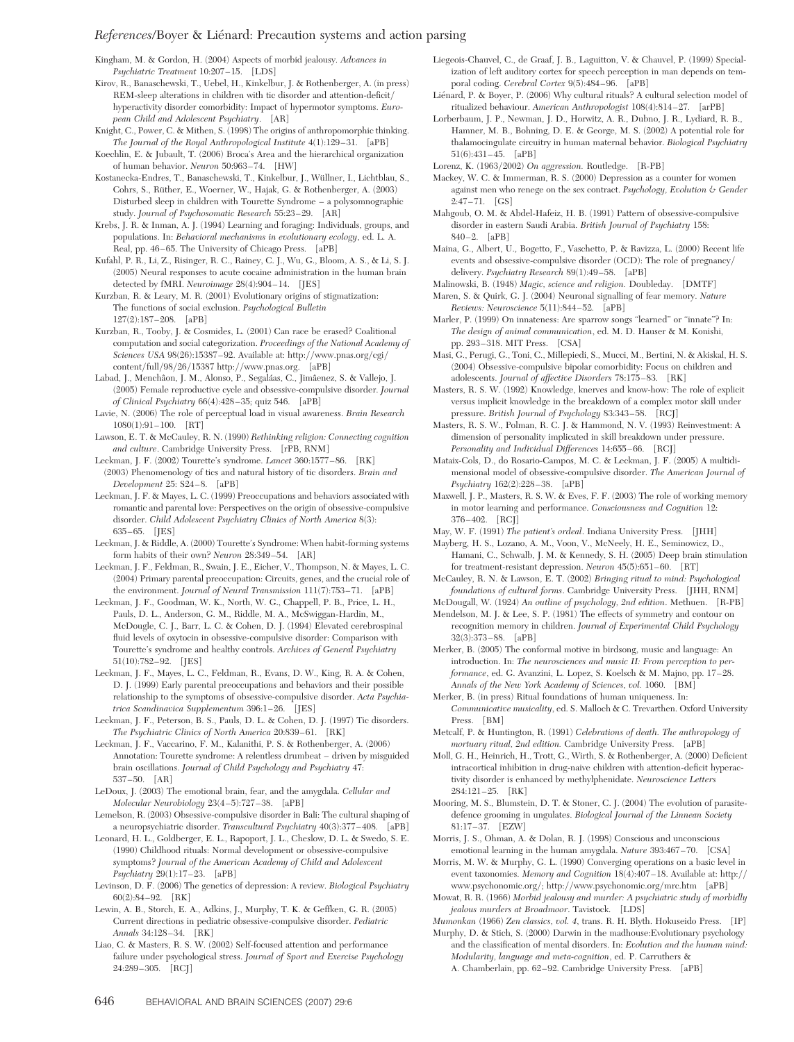Kingham, M. & Gordon, H. (2004) Aspects of morbid jealousy. Advances in Psychiatric Treatment 10:207–15. [LDS]

Kirov, R., Banaschewski, T., Uebel, H., Kinkelbur, J. & Rothenberger, A. (in press) REM-sleep alterations in children with tic disorder and attention-deficit/ hyperactivity disorder comorbidity: Impact of hypermotor symptoms. European Child and Adolescent Psychiatry. [AR]

Knight, C., Power, C. & Mithen, S. (1998) The origins of anthropomorphic thinking. The Journal of the Royal Anthropological Institute 4(1):129–31. [aPB]

Koechlin, E. & Jubault, T. (2006) Broca's Area and the hierarchical organization of human behavior. Neuron 50:963–74. [HW]

Kostanecka-Endres, T., Banaschewski, T., Kinkelbur, J., Wüllner, I., Lichtblau, S., Cohrs, S., Rüther, E., Woerner, W., Hajak, G. & Rothenberger, A. (2003) Disturbed sleep in children with Tourette Syndrome – a polysomnographic study. Journal of Psychosomatic Research 55:23–29. [AR]

Krebs, J. R. & Inman, A. J. (1994) Learning and foraging: Individuals, groups, and populations. In: Behavioral mechanisms in evolutionary ecology, ed. L. A. Real, pp. 46–65. The University of Chicago Press. [aPB]

Kufahl, P. R., Li, Z., Risinger, R. C., Rainey, C. J., Wu, G., Bloom, A. S., & Li, S. J. (2005) Neural responses to acute cocaine administration in the human brain detected by fMRI. Neuroimage 28(4):904-14. [JES]

Kurzban, R. & Leary, M. R. (2001) Evolutionary origins of stigmatization: The functions of social exclusion. Psychological Bulletin 127(2):187–208. [aPB]

Kurzban, R., Tooby, J. & Cosmides, L. (2001) Can race be erased? Coalitional computation and social categorization. Proceedings of the National Academy of Sciences USA 98(26):15387–92. Available at: http://www.pnas.org/cgi/ content/full/98/26/15387 http://www.pnas.org. [aPB]

Labad, J., Menchâon, J. M., Alonso, P., Segaláas, C., Jimâenez, S. & Vallejo, J. (2005) Female reproductive cycle and obsessive-compulsive disorder. Journal of Clinical Psychiatry 66(4):428–35; quiz 546. [aPB]

Lavie, N. (2006) The role of perceptual load in visual awareness. Brain Research 1080(1):91–100. [RT]

Lawson, E. T. & McCauley, R. N. (1990) Rethinking religion: Connecting cognition and culture. Cambridge University Press. [rPB, RNM]

Leckman, J. F. (2002) Tourette's syndrome. Lancet 360:1577–86. [RK] (2003) Phenomenology of tics and natural history of tic disorders. Brain and Development 25: S24–8. [aPB]

Leckman, J. F. & Mayes, L. C. (1999) Preoccupations and behaviors associated with romantic and parental love: Perspectives on the origin of obsessive-compulsive disorder. Child Adolescent Psychiatry Clinics of North America 8(3): 635–65. [JES]

Leckman, J. & Riddle, A. (2000) Tourette's Syndrome: When habit-forming systems form habits of their own? Neuron 28:349–54. [AR]

Leckman, J. F., Feldman, R., Swain, J. E., Eicher, V., Thompson, N. & Mayes, L. C. (2004) Primary parental preoccupation: Circuits, genes, and the crucial role of the environment. Journal of Neural Transmission 111(7):753-71. [aPB]

Leckman, J. F., Goodman, W. K., North, W. G., Chappell, P. B., Price, L. H., Pauls, D. L., Anderson, G. M., Riddle, M. A., McSwiggan-Hardin, M., McDougle, C. J., Barr, L. C. & Cohen, D. J. (1994) Elevated cerebrospinal fluid levels of oxytocin in obsessive-compulsive disorder: Comparison with Tourette's syndrome and healthy controls. Archives of General Psychiatry 51(10):782–92. [JES]

Leckman, J. F., Mayes, L. C., Feldman, R., Evans, D. W., King, R. A. & Cohen, D. J. (1999) Early parental preoccupations and behaviors and their possible relationship to the symptoms of obsessive-compulsive disorder. Acta Psychiatrica Scandinavica Supplementum 396:1–26. [JES]

Leckman, J. F., Peterson, B. S., Pauls, D. L. & Cohen, D. J. (1997) Tic disorders. The Psychiatric Clinics of North America 20:839–61. [RK]

Leckman, J. F., Vaccarino, F. M., Kalanithi, P. S. & Rothenberger, A. (2006) Annotation: Tourette syndrome: A relentless drumbeat – driven by misguided brain oscillations. Journal of Child Psychology and Psychiatry 47: 537–50. [AR]

LeDoux, J. (2003) The emotional brain, fear, and the amygdala. Cellular and Molecular Neurobiology 23(4–5):727–38. [aPB]

Lemelson, R. (2003) Obsessive-compulsive disorder in Bali: The cultural shaping of a neuropsychiatric disorder. Transcultural Psychiatry 40(3):377–408. [aPB]

Leonard, H. L., Goldberger, E. L., Rapoport, J. L., Cheslow, D. L. & Swedo, S. E. (1990) Childhood rituals: Normal development or obsessive-compulsive symptoms? Journal of the American Academy of Child and Adolescent Psychiatry 29(1):17–23. [aPB]

Levinson, D. F. (2006) The genetics of depression: A review. Biological Psychiatry 60(2):84–92. [RK]

Lewin, A. B., Storch, E. A., Adkins, J., Murphy, T. K. & Geffken, G. R. (2005) Current directions in pediatric obsessive-compulsive disorder. Pediatric Annals 34:128–34. [RK]

Liao, C. & Masters, R. S. W. (2002) Self-focused attention and performance failure under psychological stress. Journal of Sport and Exercise Psychology 24:289–305. [RCJ]

Liénard, P. & Boyer, P. (2006) Why cultural rituals? A cultural selection model of ritualized behaviour. American Anthropologist 108(4):814–27. [arPB]

Lorberbaum, J. P., Newman, J. D., Horwitz, A. R., Dubno, J. R., Lydiard, R. B., Hamner, M. B., Bohning, D. E. & George, M. S. (2002) A potential role for thalamocingulate circuitry in human maternal behavior. Biological Psychiatry 51(6):431–45. [aPB]

Lorenz, K. (1963/2002) On aggression. Routledge. [R-PB]

Mackey, W. C. & Immerman, R. S. (2000) Depression as a counter for women against men who renege on the sex contract. Psychology, Evolution  $\&$  Gender 2:47–71. [GS]

Mahgoub, O. M. & Abdel-Hafeiz, H. B. (1991) Pattern of obsessive-compulsive disorder in eastern Saudi Arabia. British Journal of Psychiatry 158: 840–2. [aPB]

Maina, G., Albert, U., Bogetto, F., Vaschetto, P. & Ravizza, L. (2000) Recent life events and obsessive-compulsive disorder (OCD): The role of pregnancy/ delivery. Psychiatry Research 89(1):49–58. [aPB]

Malinowski, B. (1948) Magic, science and religion. Doubleday. [DMTF] Maren, S. & Quirk, G. J. (2004) Neuronal signalling of fear memory. Nature

Reviews: Neuroscience 5(11):844–52. [aPB]

Marler, P. (1999) On innateness: Are sparrow songs "learned" or "innate"? In: The design of animal communication, ed. M. D. Hauser & M. Konishi, pp. 293–318. MIT Press. [CSA]

Masi, G., Perugi, G., Toni, C., Millepiedi, S., Mucci, M., Bertini, N. & Akiskal, H. S. (2004) Obsessive-compulsive bipolar comorbidity: Focus on children and adolescents. Journal of affective Disorders 78:175–83. [RK]

Masters, R. S. W. (1992) Knowledge, knerves and know-how: The role of explicit versus implicit knowledge in the breakdown of a complex motor skill under pressure. British Journal of Psychology 83:343–58. [RCJ]

Masters, R. S. W., Polman, R. C. J. & Hammond, N. V. (1993) Reinvestment: A dimension of personality implicated in skill breakdown under pressure. Personality and Individual Differences 14:655–66. [RCJ]

Mataix-Cols, D., do Rosario-Campos, M. C. & Leckman, J. F. (2005) A multidimensional model of obsessive-compulsive disorder. The American Journal of Psychiatry 162(2):228–38. [aPB]

Maxwell, J. P., Masters, R. S. W. & Eves, F. F. (2003) The role of working memory in motor learning and performance. Consciousness and Cognition 12: 376–402. [RCJ]

May, W. F. (1991) The patient's ordeal. Indiana University Press. [JHH]

Mayberg, H. S., Lozano, A. M., Voon, V., McNeely, H. E., Seminowicz, D., Hamani, C., Schwalb, J. M. & Kennedy, S. H. (2005) Deep brain stimulation for treatment-resistant depression. Neuron 45(5):651–60. [RT]

McCauley, R. N. & Lawson, E. T. (2002) Bringing ritual to mind: Psychological foundations of cultural forms. Cambridge University Press. [JHH, RNM]

McDougall, W. (1924) An outline of psychology, 2nd edition. Methuen. [R-PB] Mendelson, M. J. & Lee, S. P. (1981) The effects of symmetry and contour on

recognition memory in children. Journal of Experimental Child Psychology 32(3):373–88. [aPB]

Merker, B. (2005) The conformal motive in birdsong, music and language: An introduction. In: The neurosciences and music II: From perception to performance, ed. G. Avanzini, L. Lopez, S. Koelsch & M. Majno, pp. 17–28. Annals of the New York Academy of Sciences, vol. 1060. [BM]

Merker, B. (in press) Ritual foundations of human uniqueness. In: Communicative musicality, ed. S. Malloch & C. Trevarthen. Oxford University Press. [BM]

Metcalf, P. & Huntington, R. (1991) Celebrations of death. The anthropology of mortuary ritual, 2nd edition. Cambridge University Press. [aPB]

Moll, G. H., Heinrich, H., Trott, G., Wirth, S. & Rothenberger, A. (2000) Deficient intracortical inhibition in drug-naive children with attention-deficit hyperactivity disorder is enhanced by methylphenidate. Neuroscience Letters 284:121–25. [RK]

Mooring, M. S., Blumstein, D. T. & Stoner, C. J. (2004) The evolution of parasitedefence grooming in ungulates. Biological Journal of the Linnean Society 81:17–37. [EZW]

Morris, J. S., Ohman, A. & Dolan, R. J. (1998) Conscious and unconscious emotional learning in the human amygdala. Nature 393:467–70. [CSA]

Morris, M. W. & Murphy, G. L. (1990) Converging operations on a basic level in event taxonomies. Memory and Cognition 18(4):407–18. Available at: http:// www.psychonomic.org/; http://www.psychonomic.org/mrc.htm [aPB]

Mowat, R. R. (1966) Morbid jealousy and murder: A psychiatric study of morbidly jealous murders at Broadmoor. Tavistock. [LDS]

Mumonkan (1966) Zen classics, vol. 4, trans. R. H. Blyth. Hokuseido Press. [IP]

Murphy, D. & Stich, S. (2000) Darwin in the madhouse:Evolutionary psychology and the classification of mental disorders. In: Evolution and the human mind: Modularity, language and meta-cognition, ed. P. Carruthers & A. Chamberlain, pp. 62–92. Cambridge University Press. [aPB]

646 BEHAVIORAL AND BRAIN SCIENCES (2007) 29:6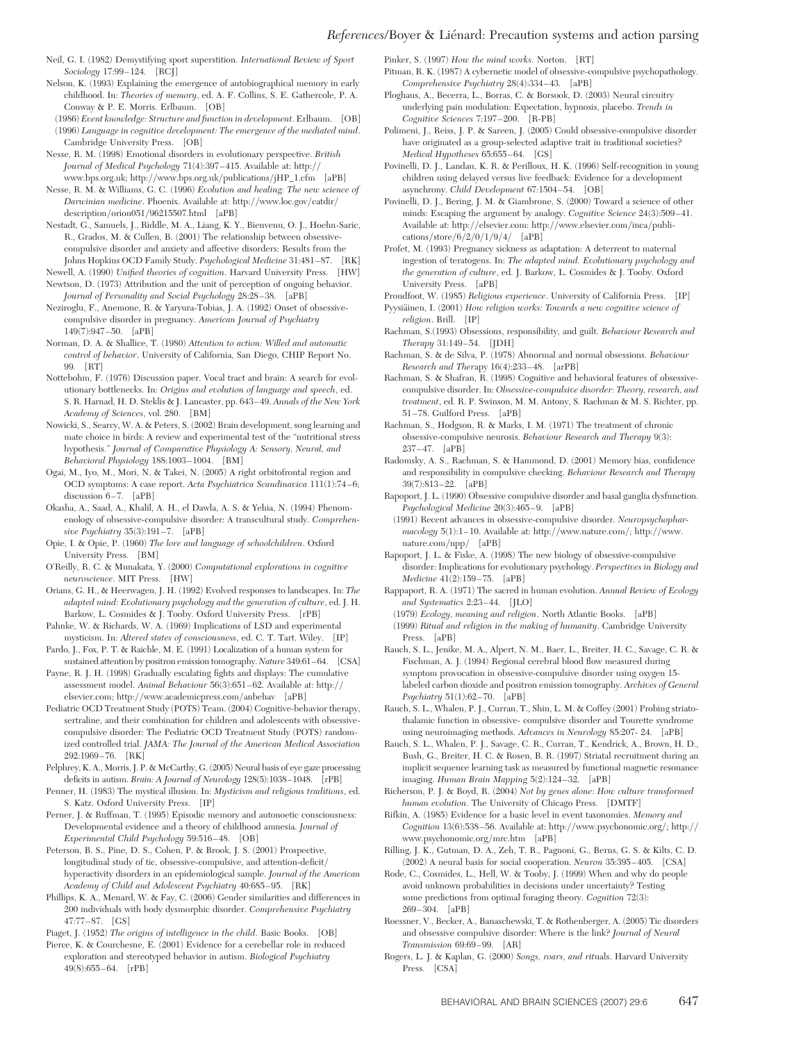- Neil, G. I. (1982) Demystifying sport superstition. International Review of Sport Sociology 17:99–124. [RCJ]
- Nelson, K. (1993) Explaining the emergence of autobiographical memory in early childhood. In: Theories of memory, ed. A. F. Collins, S. E. Gathercole, P. A. Conway & P. E. Morris. Erlbaum. [OB]
- (1986) Event knowledge: Structure and function in development. Erlbaum. [OB] (1996) Language in cognitive development: The emergence of the mediated mind. Cambridge University Press. [OB]
- Nesse, R. M. (1998) Emotional disorders in evolutionary perspective. British Journal of Medical Psychology 71(4):397–415. Available at: http:// www.bps.org.uk; http://www.bps.org.uk/publications/jHP\_1.cfm [aPB]
- Nesse, R. M. & Williams, G. C. (1996) Evolution and healing: The new science of Darwinian medicine. Phoenix. Available at: http://www.loc.gov/catdir/ description/orion051/96215507.html [aPB]
- Nestadt, G., Samuels, J., Riddle, M. A., Liang, K. Y., Bienvenu, O. J., Hoehn-Saric, R., Grados, M. & Cullen, B. (2001) The relationship between obsessivecompulsive disorder and anxiety and affective disorders: Results from the Johns Hopkins OCD Family Study. Psychological Medicine 31:481–87. [RK]
- Newell, A. (1990) Unified theories of cognition. Harvard University Press. [HW] Newtson, D. (1973) Attribution and the unit of perception of ongoing behavior.
- Journal of Personality and Social Psychology 28:28–38. [aPB] Neziroglu, F., Anemone, R. & Yaryura-Tobias, J. A. (1992) Onset of obsessivecompulsive disorder in pregnancy. American Journal of Psychiatry 149(7):947–50. [aPB]
- Norman, D. A. & Shallice, T. (1980) Attention to action: Willed and automatic control of behavior. University of California, San Diego, CHIP Report No. 99. [RT]
- Nottebohm, F. (1976) Discussion paper. Vocal tract and brain: A search for evolutionary bottlenecks. In: Origins and evolution of language and speech, ed. S. R. Harnad, H. D. Steklis & J. Lancaster, pp. 643–49. Annals of the New York Academy of Sciences, vol. 280. [BM]
- Nowicki, S., Searcy, W. A. & Peters, S. (2002) Brain development, song learning and mate choice in birds: A review and experimental test of the "nutritional stress hypothesis." Journal of Comparative Physiology A: Sensory, Neural, and Behavioral Physiology 188:1003–1004. [BM]
- Ogai, M., Iyo, M., Mori, N. & Takei, N. (2005) A right orbitofrontal region and OCD symptoms: A case report. Acta Psychiatrica Scandinavica 111(1):74–6; discussion 6–7. [aPB]
- Okasha, A., Saad, A., Khalil, A. H., el Dawla, A. S. & Yehia, N. (1994) Phenomenology of obsessive-compulsive disorder: A transcultural study. Comprehensive Psychiatry 35(3):191–7. [aPB]
- Opie, I. & Opie, P. (1960) The lore and language of schoolchildren. Oxford University Press. [BM]
- O'Reilly, R. C. & Munakata, Y. (2000) Computational explorations in cognitive neuroscience. MIT Press. [HW]
- Orians, G. H., & Heerwagen, J. H. (1992) Evolved responses to landscapes. In: The adapted mind: Evolutionary psychology and the generation of culture, ed. J. H. Barkow, L. Cosmides & J. Tooby. Oxford University Press. [rPB]
- Pahnke, W. & Richards, W. A. (1969) Implications of LSD and experimental mysticism. In: Altered states of consciousness, ed. C. T. Tart. Wiley. [IP]
- Pardo, J., Fox, P. T. & Raichle, M. E. (1991) Localization of a human system for sustained attention by positron emission tomography. Nature 349:61–64. [CSA]
- Payne, R. J. H. (1998) Gradually escalating fights and displays: The cumulative assessment model. Animal Behaviour 56(3):651–62. Available at: http:// elsevier.com; http://www.academicpress.com/anbehav [aPB]
- Pediatric OCD Treatment Study (POTS) Team. (2004) Cognitive-behavior therapy, sertraline, and their combination for children and adolescents with obsessivecompulsive disorder: The Pediatric OCD Treatment Study (POTS) randomized controlled trial. JAMA: The Journal of the American Medical Association 292:1969–76. [RK]
- Pelphrey, K. A., Morris, J. P. & McCarthy, G. (2005) Neural basis of eye gaze processing deficits in autism. Brain: A Journal of Neurology 128(5):1038–1048. [rPB]
- Penner, H. (1983) The mystical illusion. In: Mysticism and religious traditions, ed. S. Katz. Oxford University Press. [IP]
- Perner, J. & Ruffman, T. (1995) Episodic memory and autonoetic consciousness: Developmental evidence and a theory of childhood amnesia. Journal of Experimental Child Psychology 59:516–48. [OB]
- Peterson, B. S., Pine, D. S., Cohen, P. & Brook, J. S. (2001) Prospective, longitudinal study of tic, obsessive-compulsive, and attention-deficit/ hyperactivity disorders in an epidemiological sample. Journal of the American Academy of Child and Adolescent Psychiatry 40:685–95. [RK]
- Phillips, K. A., Menard, W. & Fay, C. (2006) Gender similarities and differences in 200 individuals with body dysmorphic disorder. Comprehensive Psychiatry 47:77–87. [GS]
- Piaget, J. (1952) The origins of intelligence in the child. Basic Books. [OB]
- Pierce, K. & Courchesne, E. (2001) Evidence for a cerebellar role in reduced exploration and stereotyped behavior in autism. Biological Psychiatry 49(8):655–64. [rPB]

Pinker, S. (1997) How the mind works. Norton. [RT]

- Pitman, R. K. (1987) A cybernetic model of obsessive-compulsive psychopathology. Comprehensive Psychiatry 28(4):334–43. [aPB]
- Ploghaus, A., Becerra, L., Borras, C. & Borsook, D. (2003) Neural circuitry underlying pain modulation: Expectation, hypnosis, placebo. Trends in Cognitive Sciences 7:197–200. [R-PB]
- Polimeni, J., Reiss, J. P. & Sareen, J. (2005) Could obsessive-compulsive disorder have originated as a group-selected adaptive trait in traditional societies? Medical Hypotheses 65:655–64. [GS]
- Povinelli, D. J., Landau, K. R. & Perilloux, H. K. (1996) Self-recognition in young children using delayed versus live feedback: Evidence for a development asynchrony. Child Development 67:1504–54. [OB]
- Povinelli, D. J., Bering, J. M. & Giambrone, S. (2000) Toward a science of other minds: Escaping the argument by analogy. Cognitive Science 24(3):509–41. Available at: http://elsevier.com: http://www.elsevier.com/inca/publications/store/ $6/2/0/1/9/4/$  [aPB]
- Profet, M. (1993) Pregnancy sickness as adaptation: A deterrent to maternal ingestion of teratogens. In: The adapted mind. Evolutionary psychology and the generation of culture, ed. J. Barkow, L. Cosmides & J. Tooby. Oxford University Press. [aPB]
- Proudfoot, W. (1985) Religious experience. University of California Press. [IP] Pyysiäinen, I. (2001) How religion works: Towards a new cognitive science of
- religion. Brill. [IP]
- Rachman, S.(1993) Obsessions, responsibility, and guilt. Behaviour Research and Therapy 31:149–54. [JDH]
- Rachman, S. & de Silva, P. (1978) Abnormal and normal obsessions. Behaviour Research and Therapy 16(4):233–48. [arPB]
- Rachman, S. & Shafran, R. (1998) Cognitive and behavioral features of obsessivecompulsive disorder. In: Obsessive-compulsive disorder: Theory, research, and treatment, ed. R. P. Swinson, M. M. Antony, S. Rachman & M. S. Richter, pp. 51–78. Guilford Press. [aPB]
- Rachman, S., Hodgson, R. & Marks, I. M. (1971) The treatment of chronic obsessive-compulsive neurosis. Behaviour Research and Therapy 9(3): 237–47. [aPB]
- Radomsky, A. S., Rachman, S. & Hammond, D. (2001) Memory bias, confidence and responsibility in compulsive checking. Behaviour Research and Therapy 39(7):813–22. [aPB]
- Rapoport, J. L. (1990) Obsessive compulsive disorder and basal ganglia dysfunction. Psychological Medicine 20(3):465–9. [aPB]
- (1991) Recent advances in obsessive-compulsive disorder. Neuropsychopharmacology 5(1):1–10. Available at: http://www.nature.com/; http://www. nature.com/npp/ [aPB]
- Rapoport, J. L. & Fiske, A. (1998) The new biology of obsessive-compulsive disorder: Implications for evolutionary psychology. Perspectives in Biology and Medicine 41(2):159–75. [aPB]
- Rappaport, R. A. (1971) The sacred in human evolution. Annual Review of Ecology and Systematics 2:23–44. [JLO]
- (1979) Ecology, meaning and religion. North Atlantic Books. [aPB]
- (1999) Ritual and religion in the making of humanity. Cambridge University Press. [aPB]
- Rauch, S. L., Jenike, M. A., Alpert, N. M., Baer, L., Breiter, H. C., Savage, C. R. & Fischman, A. J. (1994) Regional cerebral blood flow measured during symptom provocation in obsessive-compulsive disorder using oxygen 15 labeled carbon dioxide and positron emission tomography. Archives of General Psychiatry 51(1):62–70. [aPB]
- Rauch, S. L., Whalen, P. J., Curran, T., Shin, L. M. & Coffey (2001) Probing striatothalamic function in obsessive- compulsive disorder and Tourette syndrome using neuroimaging methods. Advances in Neurology 85:207- 24. [aPB]
- Rauch, S. L., Whalen, P. J., Savage, C. R., Curran, T., Kendrick, A., Brown, H. D., Bush, G., Breiter, H. C. & Rosen, B. R. (1997) Striatal recruitment during an implicit sequence learning task as measured by functional magnetic resonance imaging. Human Brain Mapping 5(2):124–32. [aPB]
- Richerson, P. J. & Boyd, R. (2004) Not by genes alone: How culture transformed human evolution. The University of Chicago Press. [DMTF]
- Rifkin, A. (1985) Evidence for a basic level in event taxonomies. Memory and Cognition 13(6):538–56. Available at: http://www.psychonomic.org/; http:// www.psychonomic.org/mrc.htm [aPB]
- Rilling, J. K., Gutman, D. A., Zeh, T. R., Pagnoni, G., Berns, G. S. & Kilts, C. D. (2002) A neural basis for social cooperation. Neuron 35:395–405. [CSA]
- Rode, C., Cosmides, L., Hell, W. & Tooby, J. (1999) When and why do people avoid unknown probabilities in decisions under uncertainty? Testing some predictions from optimal foraging theory. Cognition 72(3): 269–304. [aPB]
- Roessner, V., Becker, A., Banaschewski, T. & Rothenberger, A. (2005) Tic disorders and obsessive compulsive disorder: Where is the link? Journal of Neural Transmission 69:69–99. [AR]
- Rogers, L. J. & Kaplan, G. (2000) Songs, roars, and rituals. Harvard University Press. [CSA]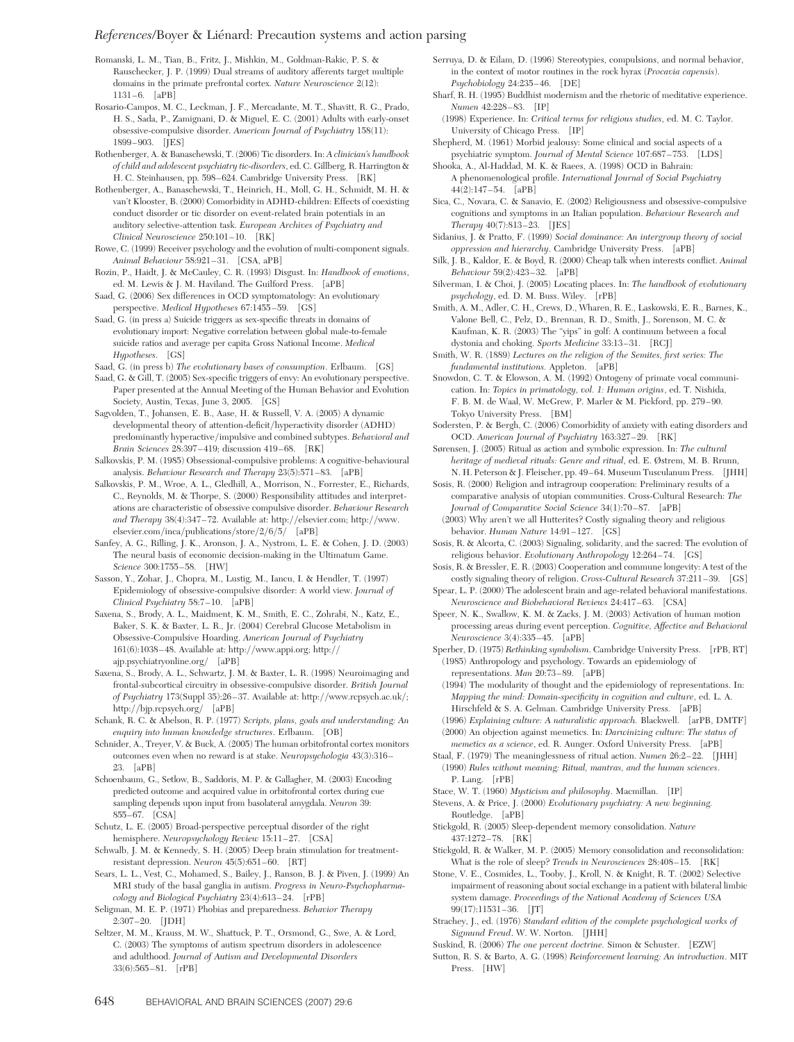Romanski, L. M., Tian, B., Fritz, J., Mishkin, M., Goldman-Rakic, P. S. & Rauschecker, J. P. (1999) Dual streams of auditory afferents target multiple domains in the primate prefrontal cortex. Nature Neuroscience  $2(12)$ : 1131–6. [aPB]

Rosario-Campos, M. C., Leckman, J. F., Mercadante, M. T., Shavitt, R. G., Prado, H. S., Sada, P., Zamignani, D. & Miguel, E. C. (2001) Adults with early-onset obsessive-compulsive disorder. American Journal of Psychiatry 158(11): 1899–903. [JES]

Rothenberger, A. & Banaschewski, T. (2006) Tic disorders. In: A clinician's handbook of child and adolescent psychiatry tic-disorders, ed. C. Gillberg, R. Harrington & H. C. Steinhausen, pp. 598–624. Cambridge University Press. [RK]

Rothenberger, A., Banaschewski, T., Heinrich, H., Moll, G. H., Schmidt, M. H. & van't Klooster, B. (2000) Comorbidity in ADHD-children: Effects of coexisting conduct disorder or tic disorder on event-related brain potentials in an auditory selective-attention task. European Archives of Psychiatry and Clinical Neuroscience 250:101–10. [RK]

Rowe, C. (1999) Receiver psychology and the evolution of multi-component signals. Animal Behaviour 58:921–31. [CSA, aPB]

Rozin, P., Haidt, J. & McCauley, C. R. (1993) Disgust. In: Handbook of emotions, ed. M. Lewis & J. M. Haviland. The Guilford Press. [aPB]

Saad, G. (2006) Sex differences in OCD symptomatology: An evolutionary perspective. Medical Hypotheses 67:1455–59. [GS]

Saad, G. (in press a) Suicide triggers as sex-specific threats in domains of evolutionary import: Negative correlation between global male-to-female suicide ratios and average per capita Gross National Income. Medical Hypotheses. [GS]

Saad, G. (in press b) The evolutionary bases of consumption. Erlbaum. [GS]

Saad, G. & Gill, T. (2005) Sex-specific triggers of envy: An evolutionary perspective. Paper presented at the Annual Meeting of the Human Behavior and Evolution Society, Austin, Texas, June 3, 2005. [GS]

Sagvolden, T., Johansen, E. B., Aase, H. & Russell, V. A. (2005) A dynamic developmental theory of attention-deficit/hyperactivity disorder (ADHD) predominantly hyperactive/impulsive and combined subtypes. Behavioral and Brain Sciences 28:397–419; discussion 419–68. [RK]

Salkovskis, P. M. (1985) Obsessional-compulsive problems: A cognitive-behavioural analysis. Behaviour Research and Therapy 23(5):571–83. [aPB]

Salkovskis, P. M., Wroe, A. L., Gledhill, A., Morrison, N., Forrester, E., Richards, C., Reynolds, M. & Thorpe, S. (2000) Responsibility attitudes and interpretations are characteristic of obsessive compulsive disorder. Behaviour Research and Therapy 38(4):347–72. Available at: http://elsevier.com; http://www. elsevier.com/inca/publications/store/2/6/5/ [aPB]

Sanfey, A. G., Rilling, J. K., Aronson, J. A., Nystrom, L. E. & Cohen, J. D. (2003) The neural basis of economic decision-making in the Ultimatum Game. Science 300:1755–58. [HW]

Sasson, Y., Zohar, J., Chopra, M., Lustig, M., Iancu, I. & Hendler, T. (1997) Epidemiology of obsessive-compulsive disorder: A world view. Journal of Clinical Psychiatry 58:7–10. [aPB]

Saxena, S., Brody, A. L., Maidment, K. M., Smith, E. C., Zohrabi, N., Katz, E., Baker, S. K. & Baxter, L. R., Jr. (2004) Cerebral Glucose Metabolism in Obsessive-Compulsive Hoarding. American Journal of Psychiatry 161(6):1038–48. Available at: http://www.appi.org; http:// ajp.psychiatryonline.org/ [aPB]

Saxena, S., Brody, A. L., Schwartz, J. M. & Baxter, L. R. (1998) Neuroimaging and frontal-subcortical circuitry in obsessive-compulsive disorder. British Journal of Psychiatry 173(Suppl 35):26–37. Available at: http://www.rcpsych.ac.uk/; http://bjp.rcpsych.org/ [aPB]

Schank, R. C. & Abelson, R. P. (1977) Scripts, plans, goals and understanding: An enquiry into human knowledge structures. Erlbaum. [OB]

Schnider, A., Trever, V. & Buck, A. (2005) The human orbitofrontal cortex monitors outcomes even when no reward is at stake. Neuropsychologia 43(3):316– 23. [aPB]

Schoenbaum, G., Setlow, B., Saddoris, M. P. & Gallagher, M. (2003) Encoding predicted outcome and acquired value in orbitofrontal cortex during cue sampling depends upon input from basolateral amygdala. Neuron 39: 855–67. [CSA]

Schutz, L. E. (2005) Broad-perspective perceptual disorder of the right hemisphere. Neuropsychology Review 15:11–27. [CSA]

Schwalb, J. M. & Kennedy, S. H. (2005) Deep brain stimulation for treatmentresistant depression. Neuron 45(5):651–60. [RT]

Sears, L. L., Vest, C., Mohamed, S., Bailey, J., Ranson, B. J. & Piven, J. (1999) An MRI study of the basal ganglia in autism. Progress in Neuro-Psychopharmacology and Biological Psychiatry 23(4):613–24. [rPB]

Seligman, M. E. P. (1971) Phobias and preparedness. Behavior Therapy 2:307–20. [JDH]

Seltzer, M. M., Krauss, M. W., Shattuck, P. T., Orsmond, G., Swe, A. & Lord, C. (2003) The symptoms of autism spectrum disorders in adolescence and adulthood. Journal of Autism and Developmental Disorders 33(6):565–81. [rPB]

Serruya, D. & Eilam, D. (1996) Stereotypies, compulsions, and normal behavior, in the context of motor routines in the rock hyrax (Procavia capensis). Psychobiology 24:235–46. [DE]

Sharf, R. H. (1995) Buddhist modernism and the rhetoric of meditative experience. Numen 42:228–83. [IP]

(1998) Experience. In: Critical terms for religious studies, ed. M. C. Taylor. University of Chicago Press. [IP]

Shepherd, M. (1961) Morbid jealousy: Some clinical and social aspects of a psychiatric symptom. Journal of Mental Science 107:687–753. [LDS]

Shooka, A., Al-Haddad, M. K. & Raees, A. (1998) OCD in Bahrain: A phenomenological profile. International Journal of Social Psychiatry 44(2):147–54. [aPB]

Sica, C., Novara, C. & Sanavio, E. (2002) Religiousness and obsessive-compulsive cognitions and symptoms in an Italian population. Behaviour Research and Therapy 40(7):813–23. [JES]

Sidanius, J. & Pratto, F. (1999) Social dominance: An intergroup theory of social oppression and hierarchy. Cambridge University Press. [aPB]

Silk, J. B., Kaldor, E. & Boyd, R. (2000) Cheap talk when interests conflict. Animal Behaviour 59(2):423–32. [aPB]

Silverman, I. & Choi, J. (2005) Locating places. In: The handbook of evolutionary psychology, ed. D. M. Buss. Wiley. [rPB]

Smith, A. M., Adler, C. H., Crews, D., Wharen, R. E., Laskowski, E. R., Barnes, K., Valone Bell, C., Pelz, D., Brennan, R. D., Smith, J., Sorenson, M. C. & Kaufman, K. R. (2003) The "yips" in golf: A continuum between a focal dystonia and choking. Sports Medicine 33:13–31. [RCJ]

Smith, W. R. (1889) Lectures on the religion of the Semites, first series: The fundamental institutions. Appleton. [aPB]

Snowdon, C. T. & Elowson, A. M. (1992) Ontogeny of primate vocal communication. In: Topics in primatology, vol. 1: Human origins, ed. T. Nishida, F. B. M. de Waal, W. McGrew, P. Marler & M. Pickford, pp. 279–90. Tokyo University Press. [BM]

Sodersten, P. & Bergh, C. (2006) Comorbidity of anxiety with eating disorders and OCD. American Journal of Psychiatry 163:327–29. [RK]

Sørensen, J. (2005) Ritual as action and symbolic expression. In: The cultural heritage of medieval rituals: Genre and ritual, ed. E. Østrem, M. B. Rrunn, N. H. Peterson & J. Fleischer, pp. 49–64. Museum Tusculanum Press. [JHH]

Sosis, R. (2000) Religion and intragroup cooperation: Preliminary results of a comparative analysis of utopian communities. Cross-Cultural Research: The Journal of Comparative Social Science 34(1):70–87. [aPB] (2003) Why aren't we all Hutterites? Costly signaling theory and religious behavior. Human Nature 14:91–127. [GS]

Sosis, R. & Alcorta, C. (2003) Signaling, solidarity, and the sacred: The evolution of religious behavior. Evolutionary Anthropology 12:264–74. [GS]

Sosis, R. & Bressler, E. R. (2003) Cooperation and commune longevity: A test of the costly signaling theory of religion. Cross-Cultural Research 37:211–39. [GS]

Spear, L. P. (2000) The adolescent brain and age-related behavioral manifestations. Neuroscience and Biobehavioral Reviews 24:417–63. [CSA]

Speer, N. K., Swallow, K. M. & Zacks, J. M. (2003) Activation of human motion processing areas during event perception. Cognitive, Affective and Behavioral Neuroscience 3(4):335–45. [aPB]

Sperber, D. (1975) Rethinking symbolism. Cambridge University Press. [rPB, RT] (1985) Anthropology and psychology. Towards an epidemiology of representations. Man 20:73–89. [aPB]

(1994) The modularity of thought and the epidemiology of representations. In: Mapping the mind: Domain-specificity in cognition and culture, ed. L. A. Hirschfeld & S. A. Gelman. Cambridge University Press. [aPB]

(1996) Explaining culture: A naturalistic approach. Blackwell. [arPB, DMTF] (2000) An objection against memetics. In: Darwinizing culture: The status of

memetics as a science, ed. R. Aunger. Oxford University Press. [aPB] Staal, F. (1979) The meaninglessness of ritual action. Numen 26:2-22. [JHH]

(1990) Rules without meaning: Ritual, mantras, and the human sciences. P. Lang. [rPB]

Stace, W. T. (1960) Mysticism and philosophy. Macmillan. [IP]

Stevens, A. & Price, J. (2000) Evolutionary psychiatry: A new beginning. Routledge. [aPB]

Stickgold, R. (2005) Sleep-dependent memory consolidation. Nature 437:1272–78. [RK]

Stickgold, R. & Walker, M. P. (2005) Memory consolidation and reconsolidation: What is the role of sleep? Trends in Neurosciences 28:408–15. [RK]

Stone, V. E., Cosmides, L., Tooby, J., Kroll, N. & Knight, R. T. (2002) Selective impairment of reasoning about social exchange in a patient with bilateral limbic system damage. Proceedings of the National Academy of Sciences USA 99(17):11531–36. [JT]

Strachey, J., ed. (1976) Standard edition of the complete psychological works of Sigmund Freud. W. W. Norton. [JHH]

Suskind, R. (2006) The one percent doctrine. Simon & Schuster. [EZW]

Sutton, R. S. & Barto, A. G. (1998) Reinforcement learning: An introduction. MIT Press. [HW]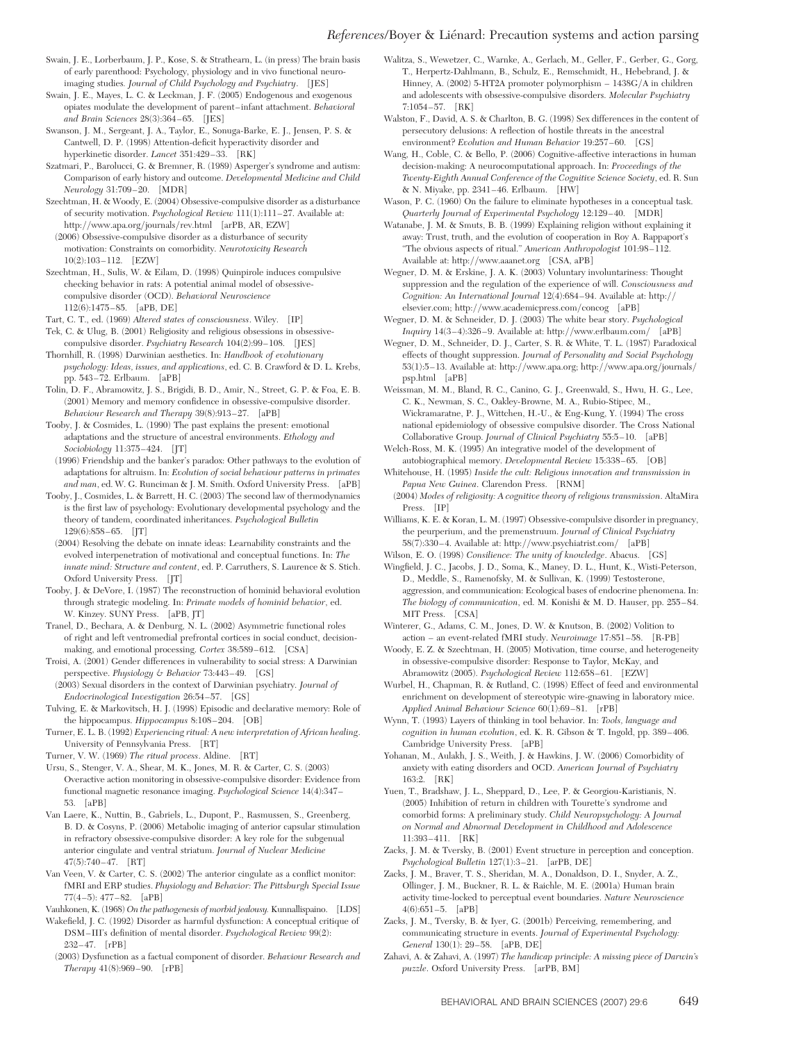- Swain, J. E., Lorberbaum, J. P., Kose, S. & Strathearn, L. (in press) The brain basis of early parenthood: Psychology, physiology and in vivo functional neuroimaging studies. Journal of Child Psychology and Psychiatry. [JES]
- Swain, J. E., Mayes, L. C. & Leckman, J. F. (2005) Endogenous and exogenous opiates modulate the development of parent–infant attachment. Behavioral and Brain Sciences  $28(3):364-65$ . [JES]
- Swanson, J. M., Sergeant, J. A., Taylor, E., Sonuga-Barke, E. J., Jensen, P. S. & Cantwell, D. P. (1998) Attention-deficit hyperactivity disorder and hyperkinetic disorder. Lancet 351:429–33. [RK]
- Szatmari, P., Barolucci, G. & Bremner, R. (1989) Asperger's syndrome and autism: Comparison of early history and outcome. Developmental Medicine and Child Neurology 31:709–20. [MDR]
- Szechtman, H. & Woody, E. (2004) Obsessive-compulsive disorder as a disturbance of security motivation. Psychological Review 111(1):111–27. Available at: http://www.apa.org/journals/rev.html [arPB, AR, EZW]
- (2006) Obsessive-compulsive disorder as a disturbance of security motivation: Constraints on comorbidity. Neurotoxicity Research 10(2):103–112. [EZW]
- Szechtman, H., Sulis, W. & Eilam, D. (1998) Quinpirole induces compulsive checking behavior in rats: A potential animal model of obsessivecompulsive disorder (OCD). Behavioral Neuroscience 112(6):1475–85. [aPB, DE]
- Tart, C. T., ed. (1969) Altered states of consciousness. Wiley. [IP]
- Tek, C. & Ulug, B. (2001) Religiosity and religious obsessions in obsessivecompulsive disorder. Psychiatry Research 104(2):99–108. [JES] Thornhill, R. (1998) Darwinian aesthetics. In: Handbook of evolutionary
- psychology: Ideas, issues, and applications, ed. C. B. Crawford & D. L. Krebs, pp. 543–72. Erlbaum. [aPB]
- Tolin, D. F., Abramowitz, J. S., Brigidi, B. D., Amir, N., Street, G. P. & Foa, E. B. (2001) Memory and memory confidence in obsessive-compulsive disorder. Behaviour Research and Therapy 39(8):913–27. [aPB]
- Tooby, J. & Cosmides, L. (1990) The past explains the present: emotional adaptations and the structure of ancestral environments. Ethology and Sociobiology 11:375–424. [JT]
- (1996) Friendship and the banker's paradox: Other pathways to the evolution of adaptations for altruism. In: Evolution of social behaviour patterns in primates and man, ed. W. G. Runciman & J. M. Smith. Oxford University Press. [aPB]
- Tooby, J., Cosmides, L. & Barrett, H. C. (2003) The second law of thermodynamics is the first law of psychology: Evolutionary developmental psychology and the theory of tandem, coordinated inheritances. Psychological Bulletin 129(6):858–65. [JT]
- (2004) Resolving the debate on innate ideas: Learnability constraints and the evolved interpenetration of motivational and conceptual functions. In: The innate mind: Structure and content, ed. P. Carruthers, S. Laurence & S. Stich. Oxford University Press. [JT]
- Tooby, J. & DeVore, I. (1987) The reconstruction of hominid behavioral evolution through strategic modeling. In: Primate models of hominid behavior, ed. W. Kinzey. SUNY Press. [aPB, JT]
- Tranel, D., Bechara, A. & Denburg, N. L. (2002) Asymmetric functional roles of right and left ventromedial prefrontal cortices in social conduct, decisionmaking, and emotional processing. Cortex 38:589–612. [CSA]
- Troisi, A. (2001) Gender differences in vulnerability to social stress: A Darwinian perspective. Physiology & Behavior 73:443–49. [GS]
- (2003) Sexual disorders in the context of Darwinian psychiatry. Journal of Endocrinological Investigation 26:54–57. [GS]
- Tulving, E. & Markovitsch, H. J. (1998) Episodic and declarative memory: Role of the hippocampus. Hippocampus 8:108–204. [OB]
- Turner, E. L. B. (1992) Experiencing ritual: A new interpretation of African healing. University of Pennsylvania Press. [RT]
- Turner, V. W. (1969) The ritual process. Aldine. [RT]
- Ursu, S., Stenger, V. A., Shear, M. K., Jones, M. R. & Carter, C. S. (2003) Overactive action monitoring in obsessive-compulsive disorder: Evidence from functional magnetic resonance imaging. Psychological Science 14(4):347– 53. [aPB]
- Van Laere, K., Nuttin, B., Gabriels, L., Dupont, P., Rasmussen, S., Greenberg, B. D. & Cosyns, P. (2006) Metabolic imaging of anterior capsular stimulation in refractory obsessive-compulsive disorder: A key role for the subgenual anterior cingulate and ventral striatum. Journal of Nuclear Medicine 47(5):740–47. [RT]
- Van Veen, V. & Carter, C. S. (2002) The anterior cingulate as a conflict monitor: fMRI and ERP studies. Physiology and Behavior: The Pittsburgh Special Issue 77(4–5): 477–82. [aPB]

Vauhkonen, K. (1968) On the pathogenesis of morbid jealousy. Kunnallispaino. [LDS]

- Wakefield, J. C. (1992) Disorder as harmful dysfunction: A conceptual critique of DSM–III's definition of mental disorder. Psychological Review 99(2): 232–47. [rPB]
- (2003) Dysfunction as a factual component of disorder. Behaviour Research and Therapy 41(8):969–90. [rPB]
- Walitza, S., Wewetzer, C., Warnke, A., Gerlach, M., Geller, F., Gerber, G., Gorg, T., Herpertz-Dahlmann, B., Schulz, E., Remschmidt, H., Hebebrand, J. & Hinney, A. (2002) 5-HT2A promoter polymorphism – 1438G/A in children and adolescents with obsessive-compulsive disorders. Molecular Psychiatry 7:1054–57. [RK]
- Walston, F., David, A. S. & Charlton, B. G. (1998) Sex differences in the content of persecutory delusions: A reflection of hostile threats in the ancestral environment? Evolution and Human Behavior 19:257–60. [GS]
- Wang, H., Coble, C. & Bello, P. (2006) Cognitive-affective interactions in human decision-making: A neurocomputational approach. In: Proceedings of the Twenty-Eighth Annual Conference of the Cognitive Science Society, ed. R. Sun & N. Miyake, pp. 2341–46. Erlbaum. [HW]
- Wason, P. C. (1960) On the failure to eliminate hypotheses in a conceptual task. Quarterly Journal of Experimental Psychology 12:129–40. [MDR]
- Watanabe, J. M. & Smuts, B. B. (1999) Explaining religion without explaining it away: Trust, truth, and the evolution of cooperation in Roy A. Rappaport's "The obvious aspects of ritual." American Anthropologist 101:98–112. Available at: http://www.aaanet.org [CSA, aPB]
- Wegner, D. M. & Erskine, J. A. K. (2003) Voluntary involuntariness: Thought suppression and the regulation of the experience of will. Consciousness and Cognition: An International Journal 12(4):684–94. Available at: http:// elsevier.com; http://www.academicpress.com/concog [aPB]
- Wegner, D. M. & Schneider, D. J. (2003) The white bear story. Psychological Inquiry 14(3–4):326–9. Available at: http://www.erlbaum.com/ [aPB]
- Wegner, D. M., Schneider, D. J., Carter, S. R. & White, T. L. (1987) Paradoxical effects of thought suppression. Journal of Personality and Social Psychology 53(1):5–13. Available at: http://www.apa.org; http://www.apa.org/journals/ psp.html [aPB]
- Weissman, M. M., Bland, R. C., Canino, G. J., Greenwald, S., Hwu, H. G., Lee, C. K., Newman, S. C., Oakley-Browne, M. A., Rubio-Stipec, M., Wickramaratne, P. J., Wittchen, H.-U., & Eng-Kung, Y. (1994) The cross national epidemiology of obsessive compulsive disorder. The Cross National Collaborative Group. Journal of Clinical Psychiatry 55:5–10. [aPB]
- Welch-Ross, M. K. (1995) An integrative model of the development of autobiographical memory. Developmental Review 15:338–65. [OB]
- Whitehouse, H. (1995) Inside the cult: Religious innovation and transmission in Papua New Guinea. Clarendon Press. [RNM]
- (2004) Modes of religiosity: A cognitive theory of religious transmission. AltaMira Press. [IP]
- Williams, K. E. & Koran, L. M. (1997) Obsessive-compulsive disorder in pregnancy, the peurperium, and the premenstruum. Journal of Clinical Psychiatry 58(7):330–4. Available at: http://www.psychiatrist.com/ [aPB]
- Wilson, E. O. (1998) Consilience: The unity of knowledge. Abacus. [GS]
- Wingfield, J. C., Jacobs, J. D., Soma, K., Maney, D. L., Hunt, K., Wisti-Peterson, D., Meddle, S., Ramenofsky, M. & Sullivan, K. (1999) Testosterone, aggression, and communication: Ecological bases of endocrine phenomena. In: The biology of communication, ed. M. Konishi & M. D. Hauser, pp. 255–84. MIT Press. [CSA]
- Winterer, G., Adams, C. M., Jones, D. W. & Knutson, B. (2002) Volition to action – an event-related fMRI study. Neuroimage 17:851–58. [R-PB]
- Woody, E. Z. & Szechtman, H. (2005) Motivation, time course, and heterogeneity in obsessive-compulsive disorder: Response to Taylor, McKay, and Abramowitz (2005). Psychological Review 112:658–61. [EZW]
- Wurbel, H., Chapman, R. & Rutland, C. (1998) Effect of feed and environmental enrichment on development of stereotypic wire-gnawing in laboratory mice. Applied Animal Behaviour Science 60(1):69–81. [rPB]
- Wynn, T. (1993) Layers of thinking in tool behavior. In: Tools, language and cognition in human evolution, ed. K. R. Gibson & T. Ingold, pp. 389–406. Cambridge University Press. [aPB]
- Yohanan, M., Aulakh, J. S., Weith, J. & Hawkins, J. W. (2006) Comorbidity of anxiety with eating disorders and OCD. American Journal of Psychiatry 163:2. [RK]
- Yuen, T., Bradshaw, J. L., Sheppard, D., Lee, P. & Georgiou-Karistianis, N. (2005) Inhibition of return in children with Tourette's syndrome and comorbid forms: A preliminary study. Child Neuropsychology: A Journal on Normal and Abnormal Development in Childhood and Adolescence 11:393–411. [RK]
- Zacks, J. M. & Tversky, B. (2001) Event structure in perception and conception. Psychological Bulletin 127(1):3–21. [arPB, DE]
- Zacks, J. M., Braver, T. S., Sheridan, M. A., Donaldson, D. I., Snyder, A. Z., Ollinger, J. M., Buckner, R. L. & Raichle, M. E. (2001a) Human brain activity time-locked to perceptual event boundaries. Nature Neuroscience 4(6):651–5. [aPB]
- Zacks, J. M., Tversky, B. & Iyer, G. (2001b) Perceiving, remembering, and communicating structure in events. Journal of Experimental Psychology: General 130(1): 29–58. [aPB, DE]
- Zahavi, A. & Zahavi, A. (1997) The handicap principle: A missing piece of Darwin's puzzle. Oxford University Press. [arPB, BM]